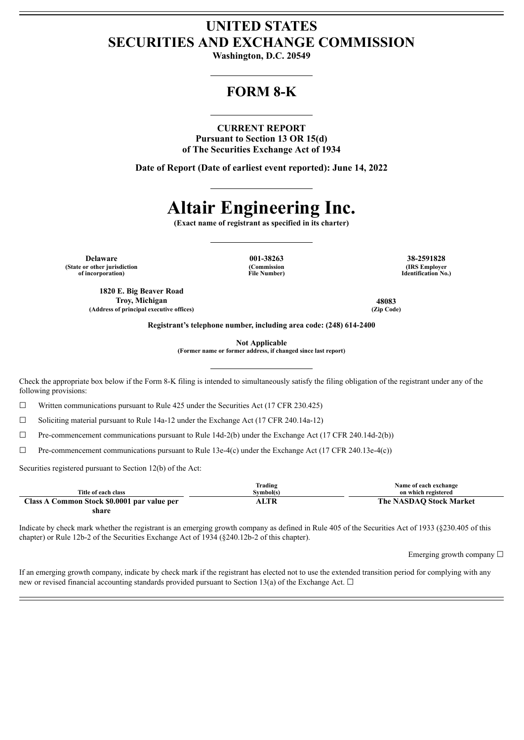# **UNITED STATES SECURITIES AND EXCHANGE COMMISSION**

**Washington, D.C. 20549**

# **FORM 8-K**

#### **CURRENT REPORT**

**Pursuant to Section 13 OR 15(d) of The Securities Exchange Act of 1934**

**Date of Report (Date of earliest event reported): June 14, 2022**

# **Altair Engineering Inc.**

**(Exact name of registrant as specified in its charter)**

**Delaware 001-38263 38-2591828 (State or other jurisdiction**

**(Commission File Number)**

**(IRS Employer Identification No.)**

**(Address of principal executive offices) (Zip Code)**

**Registrant's telephone number, including area code: (248) 614-2400**

**Not Applicable**

**(Former name or former address, if changed since last report)**

Check the appropriate box below if the Form 8-K filing is intended to simultaneously satisfy the filing obligation of the registrant under any of the following provisions:

 $\Box$  Written communications pursuant to Rule 425 under the Securities Act (17 CFR 230.425)

☐ Soliciting material pursuant to Rule 14a-12 under the Exchange Act (17 CFR 240.14a-12)

 $\Box$  Pre-commencement communications pursuant to Rule 14d-2(b) under the Exchange Act (17 CFR 240.14d-2(b))

 $\Box$  Pre-commencement communications pursuant to Rule 13e-4(c) under the Exchange Act (17 CFR 240.13e-4(c))

Securities registered pursuant to Section 12(b) of the Act:

|                                             | Trading   | Name of each exchange   |
|---------------------------------------------|-----------|-------------------------|
| Title of each class                         | Svmbol(s) | on which registered     |
| Class A Common Stock \$0.0001 par value per | ALTR      | The NASDAO Stock Market |
| share                                       |           |                         |

Indicate by check mark whether the registrant is an emerging growth company as defined in Rule 405 of the Securities Act of 1933 (§230.405 of this chapter) or Rule 12b-2 of the Securities Exchange Act of 1934 (§240.12b-2 of this chapter).

Emerging growth company  $\Box$ 

If an emerging growth company, indicate by check mark if the registrant has elected not to use the extended transition period for complying with any new or revised financial accounting standards provided pursuant to Section 13(a) of the Exchange Act.  $\Box$ 

**of incorporation)**

**1820 E. Big Beaver Road**

**Troy, Michigan 48083**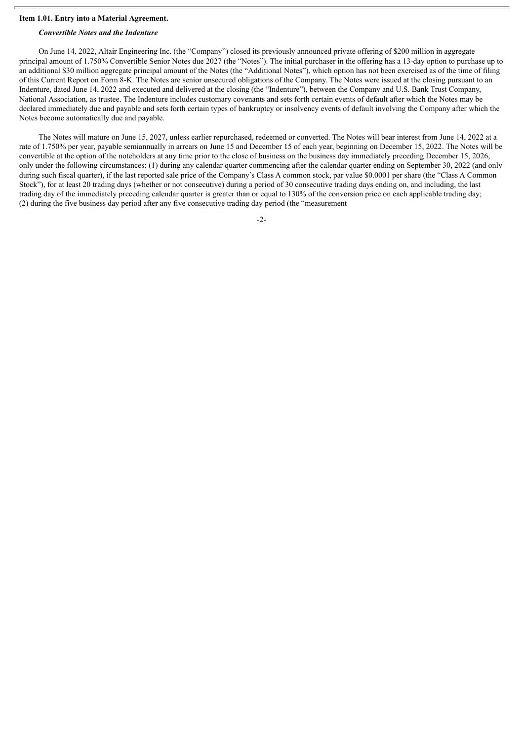#### **Item 1.01. Entry into a Material Agreement.**

#### *Convertible Notes and the Indenture*

On June 14, 2022, Altair Engineering Inc. (the "Company") closed its previously announced private offering of \$200 million in aggregate principal amount of 1.750% Convertible Senior Notes due 2027 (the "Notes"). The initial purchaser in the offering has a 13-day option to purchase up to an additional \$30 million aggregate principal amount of the Notes (the "Additional Notes"), which option has not been exercised as of the time of filing of this Current Report on Form 8-K. The Notes are senior unsecured obligations of the Company. The Notes were issued at the closing pursuant to an Indenture, dated June 14, 2022 and executed and delivered at the closing (the "Indenture"), between the Company and U.S. Bank Trust Company, National Association, as trustee. The Indenture includes customary covenants and sets forth certain events of default after which the Notes may be declared immediately due and payable and sets forth certain types of bankruptcy or insolvency events of default involving the Company after which the Notes become automatically due and payable.

The Notes will mature on June 15, 2027, unless earlier repurchased, redeemed or converted. The Notes will bear interest from June 14, 2022 at a rate of 1.750% per year, payable semiannually in arrears on June 15 and December 15 of each year, beginning on December 15, 2022. The Notes will be convertible at the option of the noteholders at any time prior to the close of business on the business day immediately preceding December 15, 2026, only under the following circumstances: (1) during any calendar quarter commencing after the calendar quarter ending on September 30, 2022 (and only during such fiscal quarter), if the last reported sale price of the Company's Class A common stock, par value \$0.0001 per share (the "Class A Common Stock"), for at least 20 trading days (whether or not consecutive) during a period of 30 consecutive trading days ending on, and including, the last trading day of the immediately preceding calendar quarter is greater than or equal to 130% of the conversion price on each applicable trading day; (2) during the five business day period after any five consecutive trading day period (the "measurement

-2-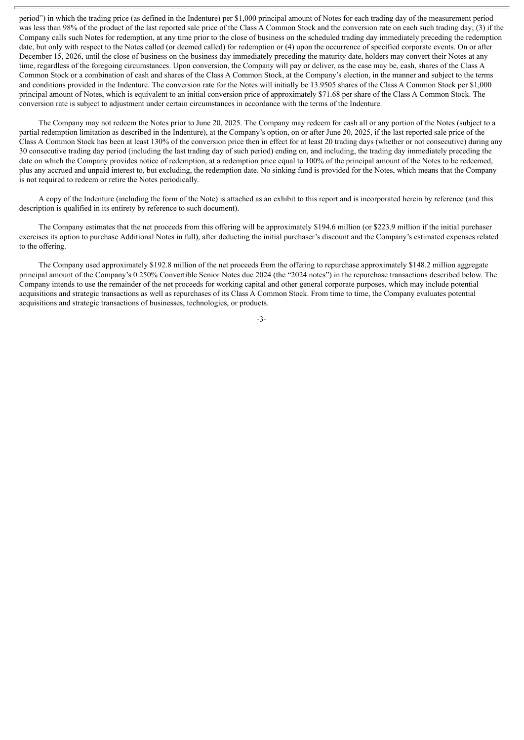period") in which the trading price (as defined in the Indenture) per \$1,000 principal amount of Notes for each trading day of the measurement period was less than 98% of the product of the last reported sale price of the Class A Common Stock and the conversion rate on each such trading day; (3) if the Company calls such Notes for redemption, at any time prior to the close of business on the scheduled trading day immediately preceding the redemption date, but only with respect to the Notes called (or deemed called) for redemption or (4) upon the occurrence of specified corporate events. On or after December 15, 2026, until the close of business on the business day immediately preceding the maturity date, holders may convert their Notes at any time, regardless of the foregoing circumstances. Upon conversion, the Company will pay or deliver, as the case may be, cash, shares of the Class A Common Stock or a combination of cash and shares of the Class A Common Stock, at the Company's election, in the manner and subject to the terms and conditions provided in the Indenture. The conversion rate for the Notes will initially be 13.9505 shares of the Class A Common Stock per \$1,000 principal amount of Notes, which is equivalent to an initial conversion price of approximately \$71.68 per share of the Class A Common Stock. The conversion rate is subject to adjustment under certain circumstances in accordance with the terms of the Indenture.

The Company may not redeem the Notes prior to June 20, 2025. The Company may redeem for cash all or any portion of the Notes (subject to a partial redemption limitation as described in the Indenture), at the Company's option, on or after June 20, 2025, if the last reported sale price of the Class A Common Stock has been at least 130% of the conversion price then in effect for at least 20 trading days (whether or not consecutive) during any 30 consecutive trading day period (including the last trading day of such period) ending on, and including, the trading day immediately preceding the date on which the Company provides notice of redemption, at a redemption price equal to 100% of the principal amount of the Notes to be redeemed, plus any accrued and unpaid interest to, but excluding, the redemption date. No sinking fund is provided for the Notes, which means that the Company is not required to redeem or retire the Notes periodically.

A copy of the Indenture (including the form of the Note) is attached as an exhibit to this report and is incorporated herein by reference (and this description is qualified in its entirety by reference to such document).

The Company estimates that the net proceeds from this offering will be approximately \$194.6 million (or \$223.9 million if the initial purchaser exercises its option to purchase Additional Notes in full), after deducting the initial purchaser's discount and the Company's estimated expenses related to the offering.

The Company used approximately \$192.8 million of the net proceeds from the offering to repurchase approximately \$148.2 million aggregate principal amount of the Company's 0.250% Convertible Senior Notes due 2024 (the "2024 notes") in the repurchase transactions described below. The Company intends to use the remainder of the net proceeds for working capital and other general corporate purposes, which may include potential acquisitions and strategic transactions as well as repurchases of its Class A Common Stock. From time to time, the Company evaluates potential acquisitions and strategic transactions of businesses, technologies, or products.

-3-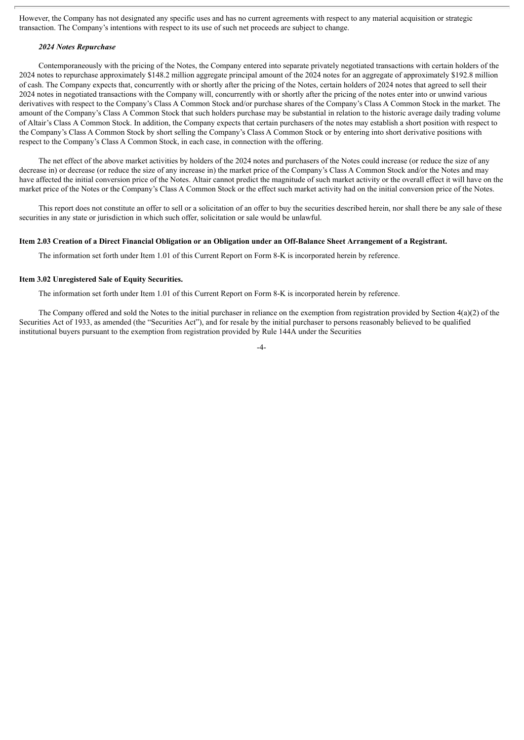However, the Company has not designated any specific uses and has no current agreements with respect to any material acquisition or strategic transaction. The Company's intentions with respect to its use of such net proceeds are subject to change.

#### *2024 Notes Repurchase*

Contemporaneously with the pricing of the Notes, the Company entered into separate privately negotiated transactions with certain holders of the 2024 notes to repurchase approximately \$148.2 million aggregate principal amount of the 2024 notes for an aggregate of approximately \$192.8 million of cash. The Company expects that, concurrently with or shortly after the pricing of the Notes, certain holders of 2024 notes that agreed to sell their 2024 notes in negotiated transactions with the Company will, concurrently with or shortly after the pricing of the notes enter into or unwind various derivatives with respect to the Company's Class A Common Stock and/or purchase shares of the Company's Class A Common Stock in the market. The amount of the Company's Class A Common Stock that such holders purchase may be substantial in relation to the historic average daily trading volume of Altair's Class A Common Stock. In addition, the Company expects that certain purchasers of the notes may establish a short position with respect to the Company's Class A Common Stock by short selling the Company's Class A Common Stock or by entering into short derivative positions with respect to the Company's Class A Common Stock, in each case, in connection with the offering.

The net effect of the above market activities by holders of the 2024 notes and purchasers of the Notes could increase (or reduce the size of any decrease in) or decrease (or reduce the size of any increase in) the market price of the Company's Class A Common Stock and/or the Notes and may have affected the initial conversion price of the Notes. Altair cannot predict the magnitude of such market activity or the overall effect it will have on the market price of the Notes or the Company's Class A Common Stock or the effect such market activity had on the initial conversion price of the Notes.

This report does not constitute an offer to sell or a solicitation of an offer to buy the securities described herein, nor shall there be any sale of these securities in any state or jurisdiction in which such offer, solicitation or sale would be unlawful.

#### Item 2.03 Creation of a Direct Financial Obligation or an Obligation under an Off-Balance Sheet Arrangement of a Registrant.

The information set forth under Item 1.01 of this Current Report on Form 8-K is incorporated herein by reference.

#### **Item 3.02 Unregistered Sale of Equity Securities.**

The information set forth under Item 1.01 of this Current Report on Form 8-K is incorporated herein by reference.

The Company offered and sold the Notes to the initial purchaser in reliance on the exemption from registration provided by Section  $4(a)(2)$  of the Securities Act of 1933, as amended (the "Securities Act"), and for resale by the initial purchaser to persons reasonably believed to be qualified institutional buyers pursuant to the exemption from registration provided by Rule 144A under the Securities

-4-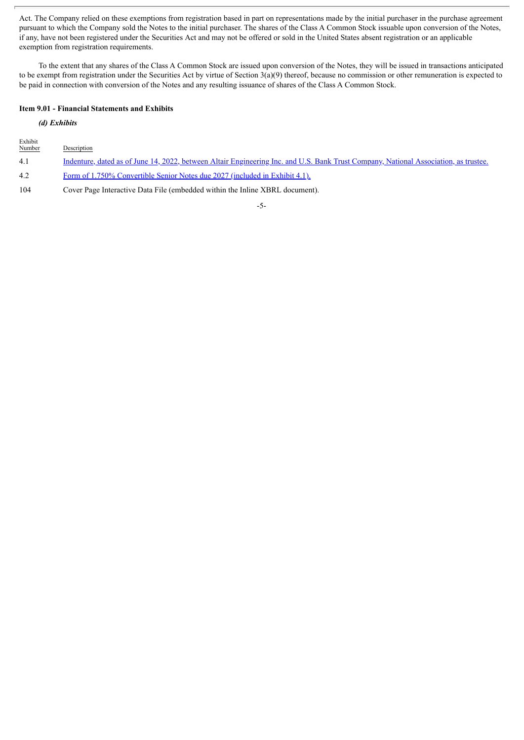Act. The Company relied on these exemptions from registration based in part on representations made by the initial purchaser in the purchase agreement pursuant to which the Company sold the Notes to the initial purchaser. The shares of the Class A Common Stock issuable upon conversion of the Notes, if any, have not been registered under the Securities Act and may not be offered or sold in the United States absent registration or an applicable exemption from registration requirements.

To the extent that any shares of the Class A Common Stock are issued upon conversion of the Notes, they will be issued in transactions anticipated to be exempt from registration under the Securities Act by virtue of Section  $3(a)(9)$  thereof, because no commission or other remuneration is expected to be paid in connection with conversion of the Notes and any resulting issuance of shares of the Class A Common Stock.

#### **Item 9.01 - Financial Statements and Exhibits**

#### *(d) Exhibits*

| Exhibit<br>Number | Description                                                                                                                          |
|-------------------|--------------------------------------------------------------------------------------------------------------------------------------|
| 4.1               | Indenture, dated as of June 14, 2022, between Altair Engineering Inc. and U.S. Bank Trust Company, National Association, as trustee. |
| 4.2               | Form of 1.750% Convertible Senior Notes due 2027 (included in Exhibit 4.1).                                                          |
| 104               | Cover Page Interactive Data File (embedded within the Inline XBRL document).                                                         |

-5-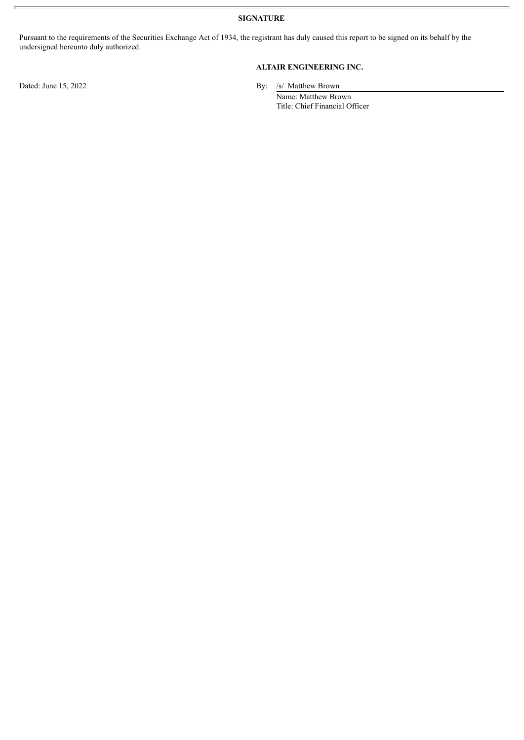**SIGNATURE**

Pursuant to the requirements of the Securities Exchange Act of 1934, the registrant has duly caused this report to be signed on its behalf by the undersigned hereunto duly authorized.

#### **ALTAIR ENGINEERING INC.**

Dated: June 15, 2022 By: /s/ Matthew Brown

Name: Matthew Brown Title: Chief Financial Officer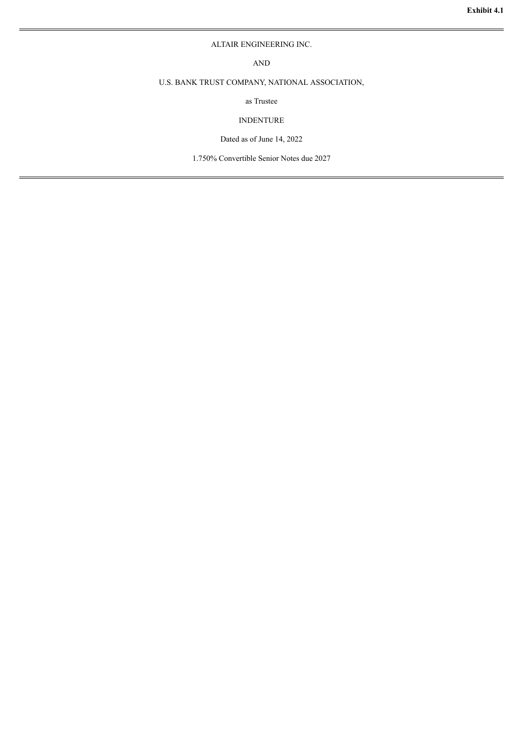#### ALTAIR ENGINEERING INC.

AND

#### <span id="page-6-0"></span>U.S. BANK TRUST COMPANY, NATIONAL ASSOCIATION,

as Trustee

#### INDENTURE

Dated as of June 14, 2022

1.750% Convertible Senior Notes due 2027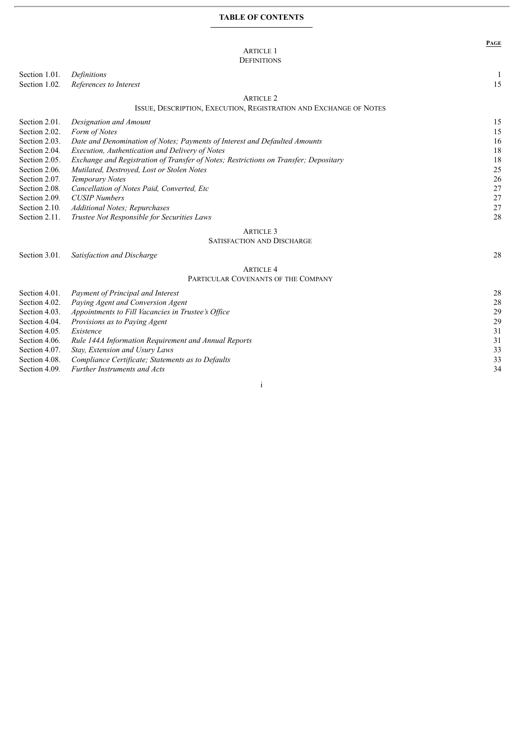#### **TABLE OF CONTENTS**

## ARTICLE 1

#### DEFINITIONS

Section 1.01. *Definitions* 1

Section 1.02. *References to Interest* 15

#### ARTICLE 2

#### ISSUE, DESCRIPTION, EXECUTION, REGISTRATION AND EXCHANGE OF NOTES

| Section 2.01. | Designation and Amount                                                               | 15 |
|---------------|--------------------------------------------------------------------------------------|----|
| Section 2.02. | Form of Notes                                                                        | 15 |
| Section 2.03. | Date and Denomination of Notes; Payments of Interest and Defaulted Amounts           | 16 |
| Section 2.04. | Execution, Authentication and Delivery of Notes                                      | 18 |
| Section 2.05. | Exchange and Registration of Transfer of Notes; Restrictions on Transfer; Depositary | 18 |
| Section 2.06. | Mutilated, Destroyed, Lost or Stolen Notes                                           | 25 |
| Section 2.07. | Temporary Notes                                                                      | 26 |
| Section 2.08. | Cancellation of Notes Paid, Converted, Etc                                           | 27 |
| Section 2.09. | <b>CUSIP</b> Numbers                                                                 | 27 |
| Section 2.10. | Additional Notes; Repurchases                                                        | 27 |
| Section 2.11. | Trustee Not Responsible for Securities Laws                                          | 28 |
|               | <b>ARTICLE 3</b>                                                                     |    |

#### SATISFACTION AND DISCHARGE

#### Section 3.01*. Satisfaction and Discharge* 28

**PAGE**

#### ARTICLE 4 PARTICULAR COVENANTS OF THE COMPANY

| Section 4.01. | Payment of Principal and Interest                    | 28 |
|---------------|------------------------------------------------------|----|
| Section 4.02. | Paying Agent and Conversion Agent                    | 28 |
| Section 4.03. | Appointments to Fill Vacancies in Trustee's Office   | 29 |
| Section 4.04. | Provisions as to Paying Agent                        | 29 |
| Section 4.05. | Existence                                            | 31 |
| Section 4.06. | Rule 144A Information Requirement and Annual Reports | 31 |
| Section 4.07. | Stay, Extension and Usury Laws                       | 33 |
| Section 4.08. | Compliance Certificate; Statements as to Defaults    | 33 |
| Section 4.09. | <b>Further Instruments and Acts</b>                  | 34 |
|               |                                                      |    |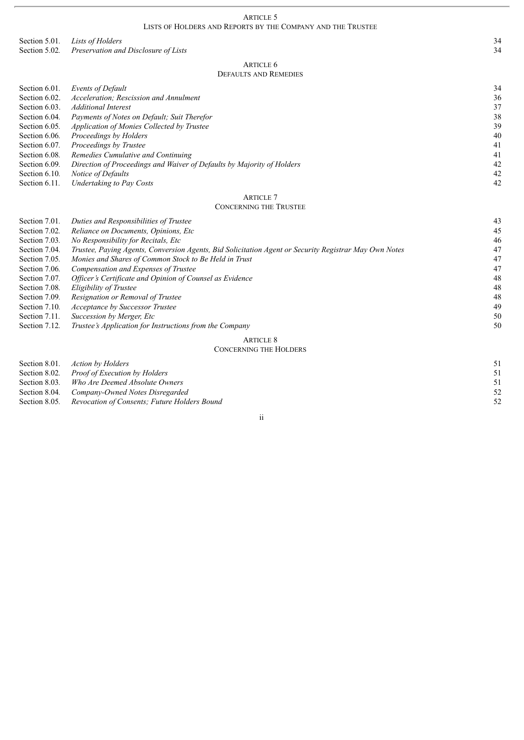ARTICLE 5

#### LISTS OF HOLDERS AND REPORTS BY THE COMPANY AND THE TRUSTEE

Section 5.01*. Lists of Holders* 34<br>
Section 5.02. *Preservation and Disclosure of Lists* 34 Section 5.02. *Preservation and Disclosure of Lists* 

> ARTICLE 6 DEFAULTS AND REMEDIES

| Section 6.01. | Events of Default                                                      | 34 |
|---------------|------------------------------------------------------------------------|----|
| Section 6.02. | Acceleration: Rescission and Annulment                                 | 36 |
| Section 6.03. | Additional Interest                                                    | 37 |
| Section 6.04. | Payments of Notes on Default; Suit Therefor                            | 38 |
| Section 6.05. | Application of Monies Collected by Trustee                             | 39 |
| Section 6.06. | Proceedings by Holders                                                 | 40 |
| Section 6.07. | Proceedings by Trustee                                                 | 41 |
| Section 6.08. | Remedies Cumulative and Continuing                                     | 41 |
| Section 6.09. | Direction of Proceedings and Waiver of Defaults by Majority of Holders | 42 |
| Section 6.10. | Notice of Defaults                                                     | 42 |
| Section 6.11. | Undertaking to Pay Costs                                               | 42 |
|               | <b>ARTICLE</b> 7                                                       |    |

#### CONCERNING THE TRUSTEE

| Section 7.01. | Duties and Responsibilities of Trustee                                                                | 43 |
|---------------|-------------------------------------------------------------------------------------------------------|----|
| Section 7.02. | Reliance on Documents, Opinions, Etc                                                                  | 45 |
| Section 7.03. | No Responsibility for Recitals, Etc.                                                                  | 46 |
| Section 7.04. | Trustee, Paying Agents, Conversion Agents, Bid Solicitation Agent or Security Registrar May Own Notes | 47 |
| Section 7.05. | Monies and Shares of Common Stock to Be Held in Trust                                                 | 47 |
| Section 7.06. | Compensation and Expenses of Trustee                                                                  | 47 |
| Section 7.07. | Officer's Certificate and Opinion of Counsel as Evidence                                              | 48 |
| Section 7.08. | Eligibility of Trustee                                                                                | 48 |
| Section 7.09. | Resignation or Removal of Trustee                                                                     | 48 |
| Section 7.10. | <b>Acceptance by Successor Trustee</b>                                                                | 49 |
| Section 7.11. | Succession by Merger, Etc.                                                                            | 50 |
| Section 7.12. | Trustee's Application for Instructions from the Company                                               | 50 |
|               | <b>ARTICLE 8</b>                                                                                      |    |
|               | <b>CONCERNING THE HOLDERS</b>                                                                         |    |
| Section 8.01. | <b>Action by Holders</b>                                                                              | 51 |

| Section 8.02. Proof of Execution by Holders                |    |
|------------------------------------------------------------|----|
| Section 8.03. Who Are Deemed Absolute Owners               |    |
| Section 8.04. Company-Owned Notes Disregarded              |    |
| Section 8.05. Revocation of Consents: Future Holders Bound | 52 |
|                                                            |    |

#### ii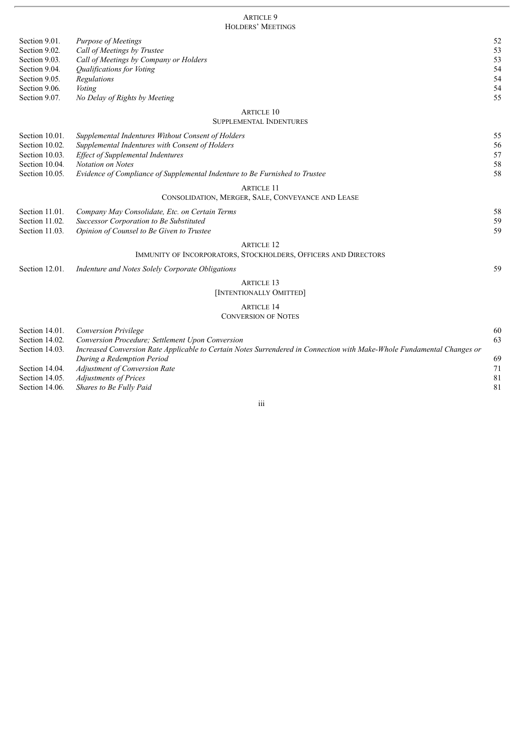#### ARTICLE 9 HOLDERS' MEETINGS

| Section 9.01.<br>Section 9.02. | <b>Purpose of Meetings</b><br>Call of Meetings by Trustee                                                              | 52<br>53 |
|--------------------------------|------------------------------------------------------------------------------------------------------------------------|----------|
| Section 9.03.                  | Call of Meetings by Company or Holders                                                                                 | 53       |
| Section 9.04.                  | Qualifications for Voting                                                                                              | 54       |
| Section 9.05.                  | Regulations                                                                                                            | 54       |
| Section 9.06.                  | Voting                                                                                                                 | 54       |
| Section 9.07.                  | No Delay of Rights by Meeting                                                                                          | 55       |
|                                | <b>ARTICLE 10</b>                                                                                                      |          |
|                                | <b>SUPPLEMENTAL INDENTURES</b>                                                                                         |          |
| Section 10.01.                 | Supplemental Indentures Without Consent of Holders                                                                     | 55       |
| Section 10.02.                 | Supplemental Indentures with Consent of Holders                                                                        | 56       |
| Section 10.03.                 | <b>Effect of Supplemental Indentures</b>                                                                               | 57       |
| Section 10.04.                 | <b>Notation on Notes</b>                                                                                               | 58       |
| Section 10.05.                 | Evidence of Compliance of Supplemental Indenture to Be Furnished to Trustee                                            | 58       |
|                                | <b>ARTICLE 11</b>                                                                                                      |          |
|                                | CONSOLIDATION, MERGER, SALE, CONVEYANCE AND LEASE                                                                      |          |
| Section 11.01.                 | Company May Consolidate, Etc. on Certain Terms                                                                         | 58       |
| Section 11.02.                 | Successor Corporation to Be Substituted                                                                                | 59       |
| Section 11.03.                 | Opinion of Counsel to Be Given to Trustee                                                                              | 59       |
|                                | <b>ARTICLE 12</b>                                                                                                      |          |
|                                | IMMUNITY OF INCORPORATORS, STOCKHOLDERS, OFFICERS AND DIRECTORS                                                        |          |
| Section 12.01.                 | Indenture and Notes Solely Corporate Obligations                                                                       | 59       |
|                                | <b>ARTICLE 13</b>                                                                                                      |          |
|                                | [INTENTIONALLY OMITTED]                                                                                                |          |
|                                | <b>ARTICLE 14</b>                                                                                                      |          |
|                                | <b>CONVERSION OF NOTES</b>                                                                                             |          |
| Section 14.01.                 | Conversion Privilege                                                                                                   | 60       |
| Section 14.02.                 | Conversion Procedure; Settlement Upon Conversion                                                                       | 63       |
| Section 14.03.                 | Increased Conversion Rate Applicable to Certain Notes Surrendered in Connection with Make-Whole Fundamental Changes or |          |
|                                | During a Redemption Period                                                                                             | 69       |
| Section 14.04.                 | <b>Adjustment of Conversion Rate</b>                                                                                   | 71       |
| Section 14.05.                 | <b>Adjustments of Prices</b>                                                                                           | 81       |
| Section 14.06.                 | Shares to Be Fully Paid                                                                                                | 81       |

### iii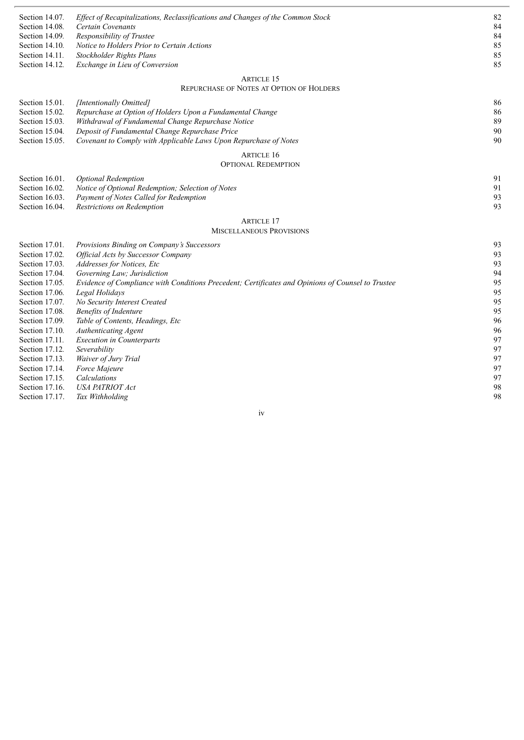| Section 14.07. | Effect of Recapitalizations, Reclassifications and Changes of the Common Stock                    | 82 |
|----------------|---------------------------------------------------------------------------------------------------|----|
| Section 14.08. | Certain Covenants                                                                                 | 84 |
| Section 14.09. | Responsibility of Trustee                                                                         | 84 |
| Section 14.10. | Notice to Holders Prior to Certain Actions                                                        | 85 |
| Section 14.11. | Stockholder Rights Plans                                                                          | 85 |
| Section 14.12. | Exchange in Lieu of Conversion                                                                    | 85 |
|                |                                                                                                   |    |
|                | <b>ARTICLE 15</b><br>REPURCHASE OF NOTES AT OPTION OF HOLDERS                                     |    |
| Section 15.01. | [Intentionally Omitted]                                                                           | 86 |
| Section 15.02. | Repurchase at Option of Holders Upon a Fundamental Change                                         | 86 |
| Section 15.03. | Withdrawal of Fundamental Change Repurchase Notice                                                | 89 |
| Section 15.04. | Deposit of Fundamental Change Repurchase Price                                                    | 90 |
| Section 15.05. | Covenant to Comply with Applicable Laws Upon Repurchase of Notes                                  | 90 |
|                |                                                                                                   |    |
|                | <b>ARTICLE 16</b>                                                                                 |    |
|                | <b>OPTIONAL REDEMPTION</b>                                                                        |    |
| Section 16.01. | <b>Optional Redemption</b>                                                                        | 91 |
| Section 16.02. | Notice of Optional Redemption; Selection of Notes                                                 | 91 |
| Section 16.03. | Payment of Notes Called for Redemption                                                            | 93 |
| Section 16.04. | Restrictions on Redemption                                                                        | 93 |
|                | <b>ARTICLE 17</b>                                                                                 |    |
|                | <b>MISCELLANEOUS PROVISIONS</b>                                                                   |    |
|                |                                                                                                   |    |
| Section 17.01. | Provisions Binding on Company's Successors                                                        | 93 |
| Section 17.02. | <b>Official Acts by Successor Company</b>                                                         | 93 |
| Section 17.03. | Addresses for Notices, Etc                                                                        | 93 |
| Section 17.04. | Governing Law; Jurisdiction                                                                       | 94 |
| Section 17.05. | Evidence of Compliance with Conditions Precedent; Certificates and Opinions of Counsel to Trustee | 95 |
| Section 17.06. | Legal Holidays                                                                                    | 95 |
| Section 17.07. | No Security Interest Created                                                                      | 95 |
| Section 17.08. | <b>Benefits of Indenture</b>                                                                      | 95 |
| Section 17.09. | Table of Contents, Headings, Etc                                                                  | 96 |
| Section 17.10. | Authenticating Agent                                                                              | 96 |
| Section 17.11. | <b>Execution in Counterparts</b>                                                                  | 97 |
| Section 17.12. | Severability                                                                                      | 97 |
| Section 17.13. | Waiver of Jury Trial                                                                              | 97 |
| Section 17.14. | Force Majeure                                                                                     | 97 |
| Section 17.15. | Calculations                                                                                      | 97 |
| Section 17.16. | <b>USA PATRIOT Act</b>                                                                            | 98 |
| Section 17.17. | Tax Withholding                                                                                   | 98 |

iv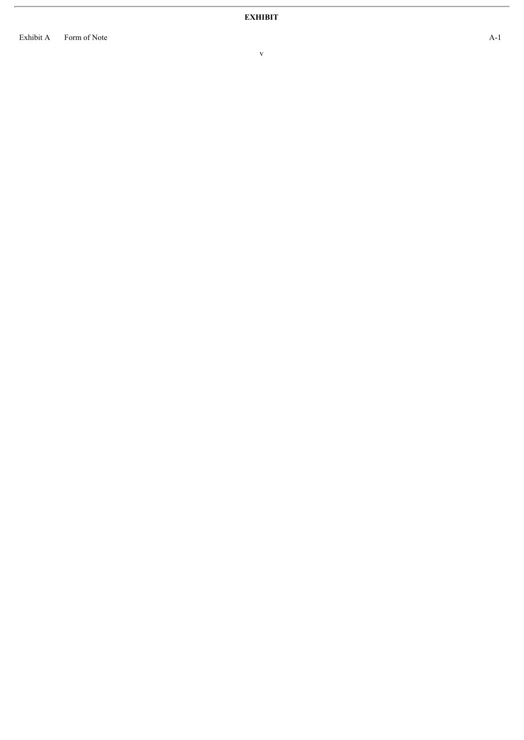E x h i b i t A Form of Note

v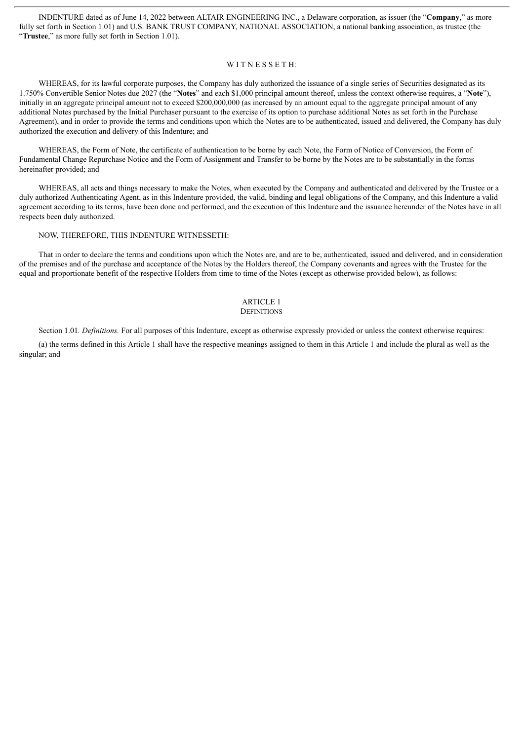INDENTURE dated as of June 14, 2022 between ALTAIR ENGINEERING INC., a Delaware corporation, as issuer (the "**Company**," as more fully set forth in Section 1.01) and U.S. BANK TRUST COMPANY, NATIONAL ASSOCIATION, a national banking association, as trustee (the "**Trustee**," as more fully set forth in Section 1.01).

#### WITNESSETH:

WHEREAS, for its lawful corporate purposes, the Company has duly authorized the issuance of a single series of Securities designated as its 1.750% Convertible Senior Notes due 2027 (the "**Notes**" and each \$1,000 principal amount thereof, unless the context otherwise requires, a "**Note**"), initially in an aggregate principal amount not to exceed \$200,000,000 (as increased by an amount equal to the aggregate principal amount of any additional Notes purchased by the Initial Purchaser pursuant to the exercise of its option to purchase additional Notes as set forth in the Purchase Agreement), and in order to provide the terms and conditions upon which the Notes are to be authenticated, issued and delivered, the Company has duly authorized the execution and delivery of this Indenture; and

WHEREAS, the Form of Note, the certificate of authentication to be borne by each Note, the Form of Notice of Conversion, the Form of Fundamental Change Repurchase Notice and the Form of Assignment and Transfer to be borne by the Notes are to be substantially in the forms hereinafter provided; and

WHEREAS, all acts and things necessary to make the Notes, when executed by the Company and authenticated and delivered by the Trustee or a duly authorized Authenticating Agent, as in this Indenture provided, the valid, binding and legal obligations of the Company, and this Indenture a valid agreement according to its terms, have been done and performed, and the execution of this Indenture and the issuance hereunder of the Notes have in all respects been duly authorized.

#### NOW, THEREFORE, THIS INDENTURE WITNESSETH:

That in order to declare the terms and conditions upon which the Notes are, and are to be, authenticated, issued and delivered, and in consideration of the premises and of the purchase and acceptance of the Notes by the Holders thereof, the Company covenants and agrees with the Trustee for the equal and proportionate benefit of the respective Holders from time to time of the Notes (except as otherwise provided below), as follows:

#### ARTICLE 1 **DEFINITIONS**

Section 1.01. *Definitions*. For all purposes of this Indenture, except as otherwise expressly provided or unless the context otherwise requires:

(a) the terms defined in this Article 1 shall have the respective meanings assigned to them in this Article 1 and include the plural as well as the singular; and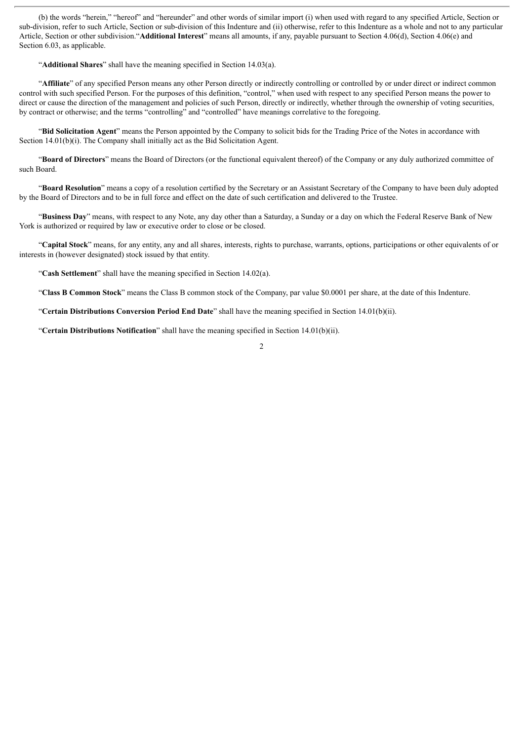(b) the words "herein," "hereof" and "hereunder" and other words of similar import (i) when used with regard to any specified Article, Section or sub-division, refer to such Article, Section or sub-division of this Indenture and (ii) otherwise, refer to this Indenture as a whole and not to any particular Article, Section or other subdivision."**Additional Interest**" means all amounts, if any, payable pursuant to Section 4.06(d), Section 4.06(e) and Section 6.03, as applicable.

"**Additional Shares**" shall have the meaning specified in Section 14.03(a).

"**Affiliate**" of any specified Person means any other Person directly or indirectly controlling or controlled by or under direct or indirect common control with such specified Person. For the purposes of this definition, "control," when used with respect to any specified Person means the power to direct or cause the direction of the management and policies of such Person, directly or indirectly, whether through the ownership of voting securities, by contract or otherwise; and the terms "controlling" and "controlled" have meanings correlative to the foregoing.

"**Bid Solicitation Agent**" means the Person appointed by the Company to solicit bids for the Trading Price of the Notes in accordance with Section 14.01(b)(i). The Company shall initially act as the Bid Solicitation Agent.

"**Board of Directors**" means the Board of Directors (or the functional equivalent thereof) of the Company or any duly authorized committee of such Board.

"**Board Resolution**" means a copy of a resolution certified by the Secretary or an Assistant Secretary of the Company to have been duly adopted by the Board of Directors and to be in full force and effect on the date of such certification and delivered to the Trustee.

"**Business Day**" means, with respect to any Note, any day other than a Saturday, a Sunday or a day on which the Federal Reserve Bank of New York is authorized or required by law or executive order to close or be closed.

"**Capital Stock**" means, for any entity, any and all shares, interests, rights to purchase, warrants, options, participations or other equivalents of or interests in (however designated) stock issued by that entity.

"**Cash Settlement**" shall have the meaning specified in Section 14.02(a).

"**Class B Common Stock**" means the Class B common stock of the Company, par value \$0.0001 per share, at the date of this Indenture.

"**Certain Distributions Conversion Period End Date**" shall have the meaning specified in Section 14.01(b)(ii).

"**Certain Distributions Notification**" shall have the meaning specified in Section 14.01(b)(ii).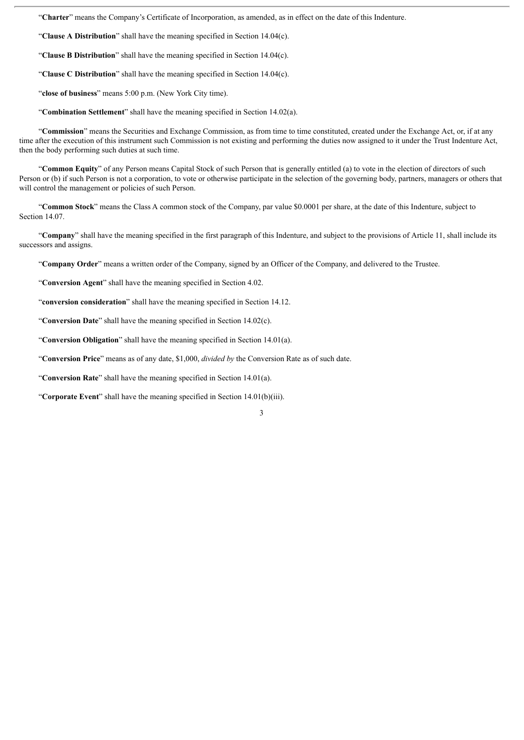"**Charter**" means the Company's Certificate of Incorporation, as amended, as in effect on the date of this Indenture.

"**Clause A Distribution**" shall have the meaning specified in Section 14.04(c).

"**Clause B Distribution**" shall have the meaning specified in Section 14.04(c).

"**Clause C Distribution**" shall have the meaning specified in Section 14.04(c).

"**close of business**" means 5:00 p.m. (New York City time).

"**Combination Settlement**" shall have the meaning specified in Section 14.02(a).

"**Commission**" means the Securities and Exchange Commission, as from time to time constituted, created under the Exchange Act, or, if at any time after the execution of this instrument such Commission is not existing and performing the duties now assigned to it under the Trust Indenture Act, then the body performing such duties at such time.

"**Common Equity**" of any Person means Capital Stock of such Person that is generally entitled (a) to vote in the election of directors of such Person or (b) if such Person is not a corporation, to vote or otherwise participate in the selection of the governing body, partners, managers or others that will control the management or policies of such Person.

"**Common Stock**" means the Class A common stock of the Company, par value \$0.0001 per share, at the date of this Indenture, subject to Section 14.07.

"**Company**" shall have the meaning specified in the first paragraph of this Indenture, and subject to the provisions of Article 11, shall include its successors and assigns.

3

"**Company Order**" means a written order of the Company, signed by an Officer of the Company, and delivered to the Trustee.

"**Conversion Agent**" shall have the meaning specified in Section 4.02.

"**conversion consideration**" shall have the meaning specified in Section 14.12.

"**Conversion Date**" shall have the meaning specified in Section 14.02(c).

"**Conversion Obligation**" shall have the meaning specified in Section 14.01(a).

"**Conversion Price**" means as of any date, \$1,000, *divided by* the Conversion Rate as of such date.

"**Conversion Rate**" shall have the meaning specified in Section 14.01(a).

"**Corporate Event**" shall have the meaning specified in Section 14.01(b)(iii).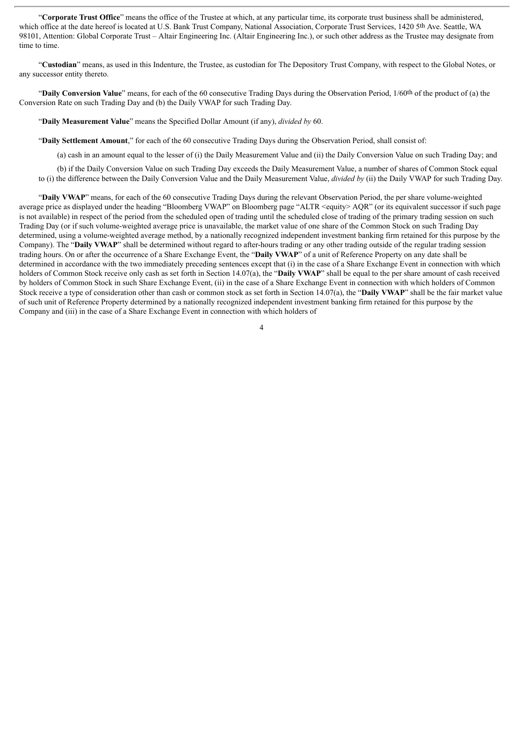"**Corporate Trust Office**" means the office of the Trustee at which, at any particular time, its corporate trust business shall be administered, which office at the date hereof is located at U.S. Bank Trust Company, National Association, Corporate Trust Services, 1420 5th Ave. Seattle, WA 98101, Attention: Global Corporate Trust – Altair Engineering Inc. (Altair Engineering Inc.), or such other address as the Trustee may designate from time to time.

"**Custodian**" means, as used in this Indenture, the Trustee, as custodian for The Depository Trust Company, with respect to the Global Notes, or any successor entity thereto.

"**Daily Conversion Value**" means, for each of the 60 consecutive Trading Days during the Observation Period, 1/60th of the product of (a) the Conversion Rate on such Trading Day and (b) the Daily VWAP for such Trading Day.

"**Daily Measurement Value**" means the Specified Dollar Amount (if any), *divided by* 60.

"**Daily Settlement Amount**," for each of the 60 consecutive Trading Days during the Observation Period, shall consist of:

(a) cash in an amount equal to the lesser of (i) the Daily Measurement Value and (ii) the Daily Conversion Value on such Trading Day; and

(b) if the Daily Conversion Value on such Trading Day exceeds the Daily Measurement Value, a number of shares of Common Stock equal to (i) the difference between the Daily Conversion Value and the Daily Measurement Value, *divided by* (ii) the Daily VWAP for such Trading Day.

"**Daily VWAP**" means, for each of the 60 consecutive Trading Days during the relevant Observation Period, the per share volume-weighted average price as displayed under the heading "Bloomberg VWAP" on Bloomberg page "ALTR <equity> AQR" (or its equivalent successor if such page is not available) in respect of the period from the scheduled open of trading until the scheduled close of trading of the primary trading session on such Trading Day (or if such volume-weighted average price is unavailable, the market value of one share of the Common Stock on such Trading Day determined, using a volume-weighted average method, by a nationally recognized independent investment banking firm retained for this purpose by the Company). The "**Daily VWAP**" shall be determined without regard to after-hours trading or any other trading outside of the regular trading session trading hours. On or after the occurrence of a Share Exchange Event, the "**Daily VWAP**" of a unit of Reference Property on any date shall be determined in accordance with the two immediately preceding sentences except that (i) in the case of a Share Exchange Event in connection with which holders of Common Stock receive only cash as set forth in Section 14.07(a), the "**Daily VWAP**" shall be equal to the per share amount of cash received by holders of Common Stock in such Share Exchange Event, (ii) in the case of a Share Exchange Event in connection with which holders of Common Stock receive a type of consideration other than cash or common stock as set forth in Section 14.07(a), the "**Daily VWAP**" shall be the fair market value of such unit of Reference Property determined by a nationally recognized independent investment banking firm retained for this purpose by the Company and (iii) in the case of a Share Exchange Event in connection with which holders of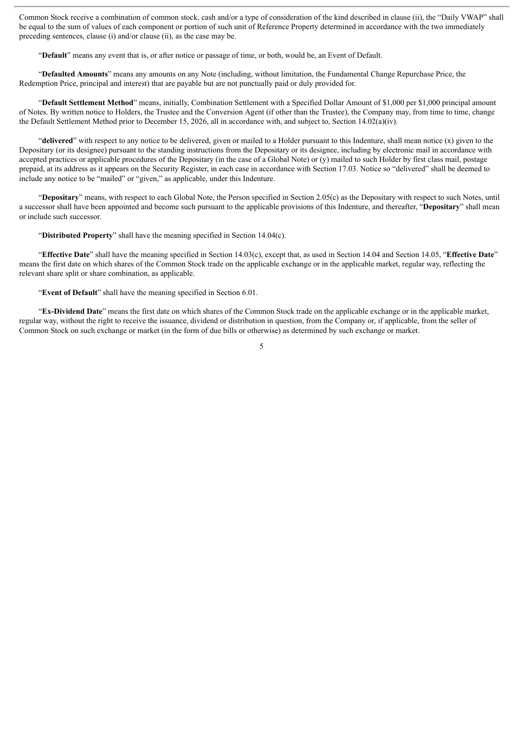Common Stock receive a combination of common stock, cash and/or a type of consideration of the kind described in clause (ii), the "Daily VWAP" shall be equal to the sum of values of each component or portion of such unit of Reference Property determined in accordance with the two immediately preceding sentences, clause (i) and/or clause (ii), as the case may be.

"**Default**" means any event that is, or after notice or passage of time, or both, would be, an Event of Default.

"**Defaulted Amounts**" means any amounts on any Note (including, without limitation, the Fundamental Change Repurchase Price, the Redemption Price, principal and interest) that are payable but are not punctually paid or duly provided for.

"**Default Settlement Method**" means, initially, Combination Settlement with a Specified Dollar Amount of \$1,000 per \$1,000 principal amount of Notes. By written notice to Holders, the Trustee and the Conversion Agent (if other than the Trustee), the Company may, from time to time, change the Default Settlement Method prior to December 15, 2026, all in accordance with, and subject to, Section 14.02(a)(iv).

"**delivered**" with respect to any notice to be delivered, given or mailed to a Holder pursuant to this Indenture, shall mean notice (x) given to the Depositary (or its designee) pursuant to the standing instructions from the Depositary or its designee, including by electronic mail in accordance with accepted practices or applicable procedures of the Depositary (in the case of a Global Note) or  $(y)$  mailed to such Holder by first class mail, postage prepaid, at its address as it appears on the Security Register, in each case in accordance with Section 17.03. Notice so "delivered" shall be deemed to include any notice to be "mailed" or "given," as applicable, under this Indenture.

"**Depositary**" means, with respect to each Global Note, the Person specified in Section 2.05(c) as the Depositary with respect to such Notes, until a successor shall have been appointed and become such pursuant to the applicable provisions of this Indenture, and thereafter, "**Depositary**" shall mean or include such successor.

"**Distributed Property**" shall have the meaning specified in Section 14.04(c).

"**Effective Date**" shall have the meaning specified in Section 14.03(c), except that, as used in Section 14.04 and Section 14.05, "**Effective Date**" means the first date on which shares of the Common Stock trade on the applicable exchange or in the applicable market, regular way, reflecting the relevant share split or share combination, as applicable.

"**Event of Default**" shall have the meaning specified in Section 6.01.

"**Ex-Dividend Date**" means the first date on which shares of the Common Stock trade on the applicable exchange or in the applicable market, regular way, without the right to receive the issuance, dividend or distribution in question, from the Company or, if applicable, from the seller of Common Stock on such exchange or market (in the form of due bills or otherwise) as determined by such exchange or market.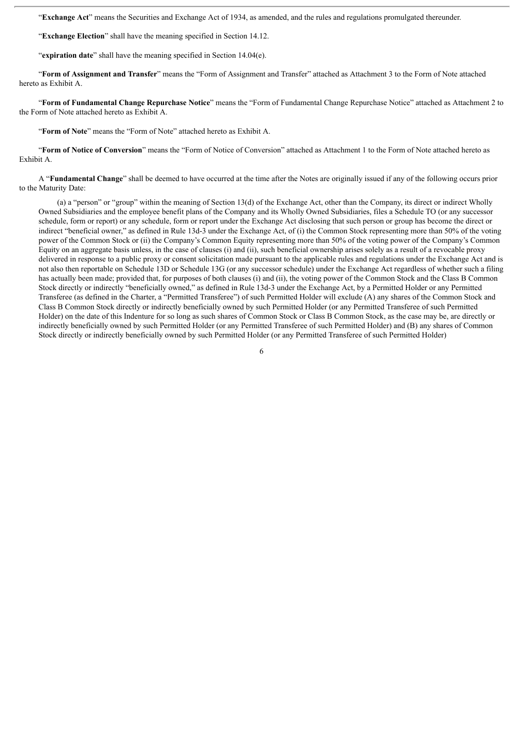"**Exchange Act**" means the Securities and Exchange Act of 1934, as amended, and the rules and regulations promulgated thereunder.

"**Exchange Election**" shall have the meaning specified in Section 14.12.

"expiration date" shall have the meaning specified in Section 14.04(e).

"**Form of Assignment and Transfer**" means the "Form of Assignment and Transfer" attached as Attachment 3 to the Form of Note attached hereto as Exhibit A.

"**Form of Fundamental Change Repurchase Notice**" means the "Form of Fundamental Change Repurchase Notice" attached as Attachment 2 to the Form of Note attached hereto as Exhibit A.

"**Form of Note**" means the "Form of Note" attached hereto as Exhibit A.

"**Form of Notice of Conversion**" means the "Form of Notice of Conversion" attached as Attachment 1 to the Form of Note attached hereto as Exhibit A.

A "**Fundamental Change**" shall be deemed to have occurred at the time after the Notes are originally issued if any of the following occurs prior to the Maturity Date:

(a) a "person" or "group" within the meaning of Section 13(d) of the Exchange Act, other than the Company, its direct or indirect Wholly Owned Subsidiaries and the employee benefit plans of the Company and its Wholly Owned Subsidiaries, files a Schedule TO (or any successor schedule, form or report) or any schedule, form or report under the Exchange Act disclosing that such person or group has become the direct or indirect "beneficial owner," as defined in Rule 13d-3 under the Exchange Act, of (i) the Common Stock representing more than 50% of the voting power of the Common Stock or (ii) the Company's Common Equity representing more than 50% of the voting power of the Company's Common Equity on an aggregate basis unless, in the case of clauses (i) and (ii), such beneficial ownership arises solely as a result of a revocable proxy delivered in response to a public proxy or consent solicitation made pursuant to the applicable rules and regulations under the Exchange Act and is not also then reportable on Schedule 13D or Schedule 13G (or any successor schedule) under the Exchange Act regardless of whether such a filing has actually been made; provided that, for purposes of both clauses (i) and (ii), the voting power of the Common Stock and the Class B Common Stock directly or indirectly "beneficially owned," as defined in Rule 13d-3 under the Exchange Act, by a Permitted Holder or any Permitted Transferee (as defined in the Charter, a "Permitted Transferee") of such Permitted Holder will exclude (A) any shares of the Common Stock and Class B Common Stock directly or indirectly beneficially owned by such Permitted Holder (or any Permitted Transferee of such Permitted Holder) on the date of this Indenture for so long as such shares of Common Stock or Class B Common Stock, as the case may be, are directly or indirectly beneficially owned by such Permitted Holder (or any Permitted Transferee of such Permitted Holder) and (B) any shares of Common Stock directly or indirectly beneficially owned by such Permitted Holder (or any Permitted Transferee of such Permitted Holder)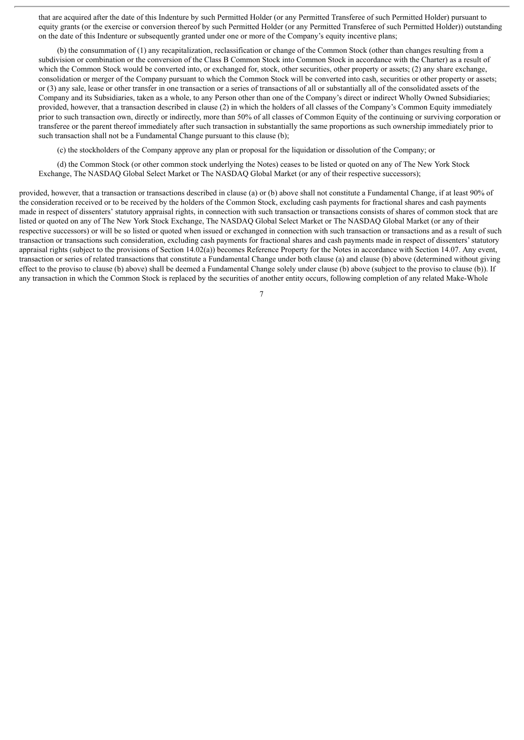that are acquired after the date of this Indenture by such Permitted Holder (or any Permitted Transferee of such Permitted Holder) pursuant to equity grants (or the exercise or conversion thereof by such Permitted Holder (or any Permitted Transferee of such Permitted Holder)) outstanding on the date of this Indenture or subsequently granted under one or more of the Company's equity incentive plans;

(b) the consummation of (1) any recapitalization, reclassification or change of the Common Stock (other than changes resulting from a subdivision or combination or the conversion of the Class B Common Stock into Common Stock in accordance with the Charter) as a result of which the Common Stock would be converted into, or exchanged for, stock, other securities, other property or assets; (2) any share exchange, consolidation or merger of the Company pursuant to which the Common Stock will be converted into cash, securities or other property or assets; or (3) any sale, lease or other transfer in one transaction or a series of transactions of all or substantially all of the consolidated assets of the Company and its Subsidiaries, taken as a whole, to any Person other than one of the Company's direct or indirect Wholly Owned Subsidiaries; provided, however, that a transaction described in clause (2) in which the holders of all classes of the Company's Common Equity immediately prior to such transaction own, directly or indirectly, more than 50% of all classes of Common Equity of the continuing or surviving corporation or transferee or the parent thereof immediately after such transaction in substantially the same proportions as such ownership immediately prior to such transaction shall not be a Fundamental Change pursuant to this clause (b);

(c) the stockholders of the Company approve any plan or proposal for the liquidation or dissolution of the Company; or

(d) the Common Stock (or other common stock underlying the Notes) ceases to be listed or quoted on any of The New York Stock Exchange, The NASDAQ Global Select Market or The NASDAQ Global Market (or any of their respective successors);

provided, however, that a transaction or transactions described in clause (a) or (b) above shall not constitute a Fundamental Change, if at least 90% of the consideration received or to be received by the holders of the Common Stock, excluding cash payments for fractional shares and cash payments made in respect of dissenters' statutory appraisal rights, in connection with such transaction or transactions consists of shares of common stock that are listed or quoted on any of The New York Stock Exchange, The NASDAQ Global Select Market or The NASDAQ Global Market (or any of their respective successors) or will be so listed or quoted when issued or exchanged in connection with such transaction or transactions and as a result of such transaction or transactions such consideration, excluding cash payments for fractional shares and cash payments made in respect of dissenters'statutory appraisal rights (subject to the provisions of Section 14.02(a)) becomes Reference Property for the Notes in accordance with Section 14.07. Any event, transaction or series of related transactions that constitute a Fundamental Change under both clause (a) and clause (b) above (determined without giving effect to the proviso to clause (b) above) shall be deemed a Fundamental Change solely under clause (b) above (subject to the proviso to clause (b)). If any transaction in which the Common Stock is replaced by the securities of another entity occurs, following completion of any related Make-Whole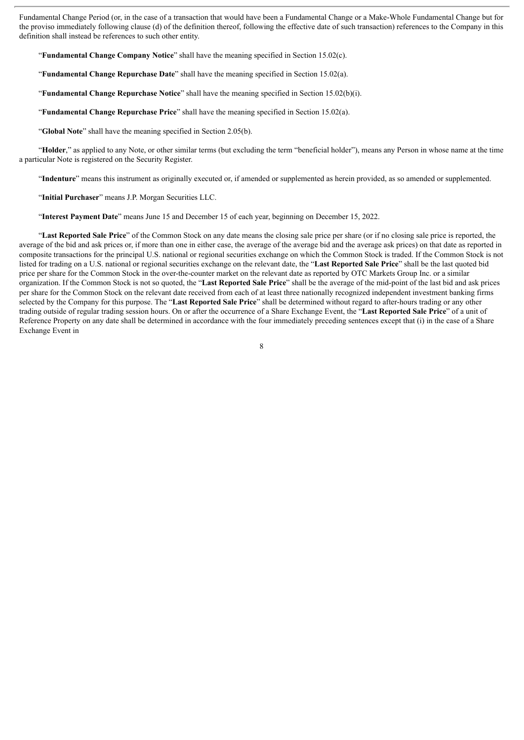Fundamental Change Period (or, in the case of a transaction that would have been a Fundamental Change or a Make-Whole Fundamental Change but for the proviso immediately following clause (d) of the definition thereof, following the effective date of such transaction) references to the Company in this definition shall instead be references to such other entity.

"**Fundamental Change Company Notice**" shall have the meaning specified in Section 15.02(c).

"**Fundamental Change Repurchase Date**" shall have the meaning specified in Section 15.02(a).

"**Fundamental Change Repurchase Notice**" shall have the meaning specified in Section 15.02(b)(i).

"**Fundamental Change Repurchase Price**" shall have the meaning specified in Section 15.02(a).

"**Global Note**" shall have the meaning specified in Section 2.05(b).

"**Holder**," as applied to any Note, or other similar terms (but excluding the term "beneficial holder"), means any Person in whose name at the time a particular Note is registered on the Security Register.

"**Indenture**" means this instrument as originally executed or, if amended or supplemented as herein provided, as so amended or supplemented.

"**Initial Purchaser**" means J.P. Morgan Securities LLC.

"**Interest Payment Date**" means June 15 and December 15 of each year, beginning on December 15, 2022.

"**Last Reported Sale Price**" of the Common Stock on any date means the closing sale price per share (or if no closing sale price is reported, the average of the bid and ask prices or, if more than one in either case, the average of the average bid and the average ask prices) on that date as reported in composite transactions for the principal U.S. national or regional securities exchange on which the Common Stock is traded. If the Common Stock is not listed for trading on a U.S. national or regional securities exchange on the relevant date, the "**Last Reported Sale Price**" shall be the last quoted bid price per share for the Common Stock in the over-the-counter market on the relevant date as reported by OTC Markets Group Inc. or a similar organization. If the Common Stock is not so quoted, the "**Last Reported Sale Price**" shall be the average of the mid-point of the last bid and ask prices per share for the Common Stock on the relevant date received from each of at least three nationally recognized independent investment banking firms selected by the Company for this purpose. The "**Last Reported Sale Price**" shall be determined without regard to after-hours trading or any other trading outside of regular trading session hours. On or after the occurrence of a Share Exchange Event, the "**Last Reported Sale Price**" of a unit of Reference Property on any date shall be determined in accordance with the four immediately preceding sentences except that (i) in the case of a Share Exchange Event in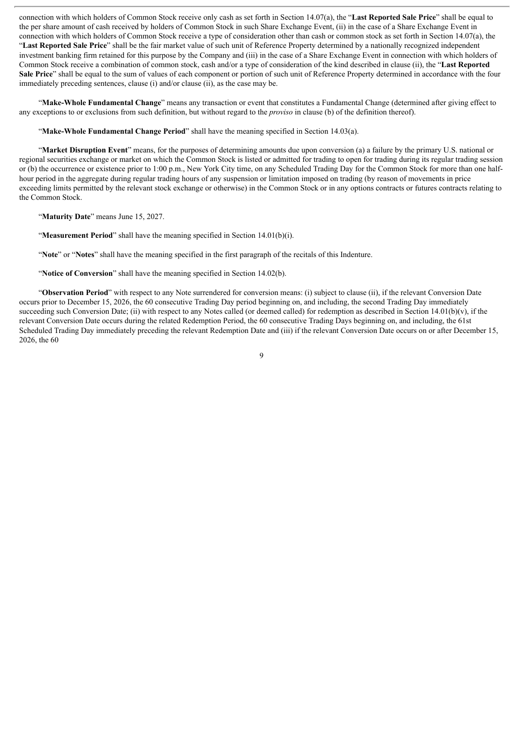connection with which holders of Common Stock receive only cash as set forth in Section 14.07(a), the "**Last Reported Sale Price**" shall be equal to the per share amount of cash received by holders of Common Stock in such Share Exchange Event, (ii) in the case of a Share Exchange Event in connection with which holders of Common Stock receive a type of consideration other than cash or common stock as set forth in Section 14.07(a), the "**Last Reported Sale Price**" shall be the fair market value of such unit of Reference Property determined by a nationally recognized independent investment banking firm retained for this purpose by the Company and (iii) in the case of a Share Exchange Event in connection with which holders of Common Stock receive a combination of common stock, cash and/or a type of consideration of the kind described in clause (ii), the "**Last Reported Sale Price**" shall be equal to the sum of values of each component or portion of such unit of Reference Property determined in accordance with the four immediately preceding sentences, clause (i) and/or clause (ii), as the case may be.

"**Make-Whole Fundamental Change**" means any transaction or event that constitutes a Fundamental Change (determined after giving effect to any exceptions to or exclusions from such definition, but without regard to the *proviso* in clause (b) of the definition thereof).

"**Make-Whole Fundamental Change Period**" shall have the meaning specified in Section 14.03(a).

"**Market Disruption Event**" means, for the purposes of determining amounts due upon conversion (a) a failure by the primary U.S. national or regional securities exchange or market on which the Common Stock is listed or admitted for trading to open for trading during its regular trading session or (b) the occurrence or existence prior to 1:00 p.m., New York City time, on any Scheduled Trading Day for the Common Stock for more than one halfhour period in the aggregate during regular trading hours of any suspension or limitation imposed on trading (by reason of movements in price exceeding limits permitted by the relevant stock exchange or otherwise) in the Common Stock or in any options contracts or futures contracts relating to the Common Stock.

"**Maturity Date**" means June 15, 2027.

"**Measurement Period**" shall have the meaning specified in Section 14.01(b)(i).

"**Note**" or "**Notes**" shall have the meaning specified in the first paragraph of the recitals of this Indenture.

"**Notice of Conversion**" shall have the meaning specified in Section 14.02(b).

"**Observation Period**" with respect to any Note surrendered for conversion means: (i) subject to clause (ii), if the relevant Conversion Date occurs prior to December 15, 2026, the 60 consecutive Trading Day period beginning on, and including, the second Trading Day immediately succeeding such Conversion Date; (ii) with respect to any Notes called (or deemed called) for redemption as described in Section 14.01(b)(v), if the relevant Conversion Date occurs during the related Redemption Period, the 60 consecutive Trading Days beginning on, and including, the 61st Scheduled Trading Day immediately preceding the relevant Redemption Date and (iii) if the relevant Conversion Date occurs on or after December 15, 2026, the 60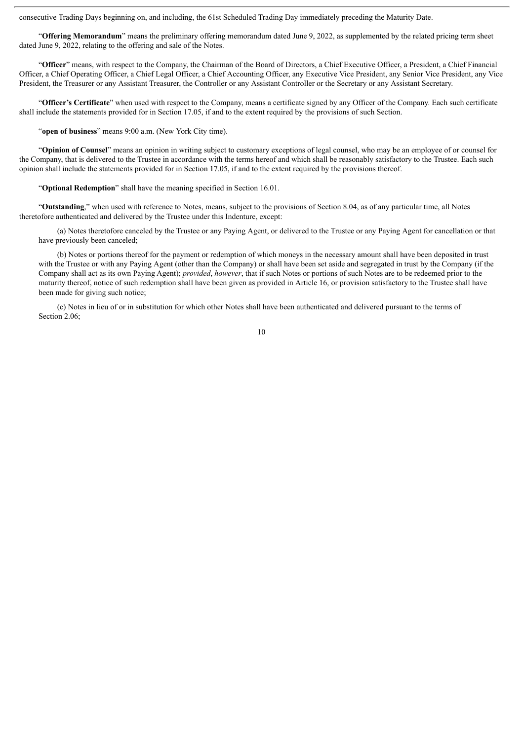consecutive Trading Days beginning on, and including, the 61st Scheduled Trading Day immediately preceding the Maturity Date.

"**Offering Memorandum**" means the preliminary offering memorandum dated June 9, 2022, as supplemented by the related pricing term sheet dated June 9, 2022, relating to the offering and sale of the Notes.

"**Officer**" means, with respect to the Company, the Chairman of the Board of Directors, a Chief Executive Officer, a President, a Chief Financial Officer, a Chief Operating Officer, a Chief Legal Officer, a Chief Accounting Officer, any Executive Vice President, any Senior Vice President, any Vice President, the Treasurer or any Assistant Treasurer, the Controller or any Assistant Controller or the Secretary or any Assistant Secretary.

"**Officer's Certificate**" when used with respect to the Company, means a certificate signed by any Officer of the Company. Each such certificate shall include the statements provided for in Section 17.05, if and to the extent required by the provisions of such Section.

"**open of business**" means 9:00 a.m. (New York City time).

"**Opinion of Counsel**" means an opinion in writing subject to customary exceptions of legal counsel, who may be an employee of or counsel for the Company, that is delivered to the Trustee in accordance with the terms hereof and which shall be reasonably satisfactory to the Trustee. Each such opinion shall include the statements provided for in Section 17.05, if and to the extent required by the provisions thereof.

"**Optional Redemption**" shall have the meaning specified in Section 16.01.

"**Outstanding**," when used with reference to Notes, means, subject to the provisions of Section 8.04, as of any particular time, all Notes theretofore authenticated and delivered by the Trustee under this Indenture, except:

(a) Notes theretofore canceled by the Trustee or any Paying Agent, or delivered to the Trustee or any Paying Agent for cancellation or that have previously been canceled;

(b) Notes or portions thereof for the payment or redemption of which moneys in the necessary amount shall have been deposited in trust with the Trustee or with any Paying Agent (other than the Company) or shall have been set aside and segregated in trust by the Company (if the Company shall act as its own Paying Agent); *provided*, *however*, that if such Notes or portions of such Notes are to be redeemed prior to the maturity thereof, notice of such redemption shall have been given as provided in Article 16, or provision satisfactory to the Trustee shall have been made for giving such notice;

(c) Notes in lieu of or in substitution for which other Notes shall have been authenticated and delivered pursuant to the terms of Section 2.06: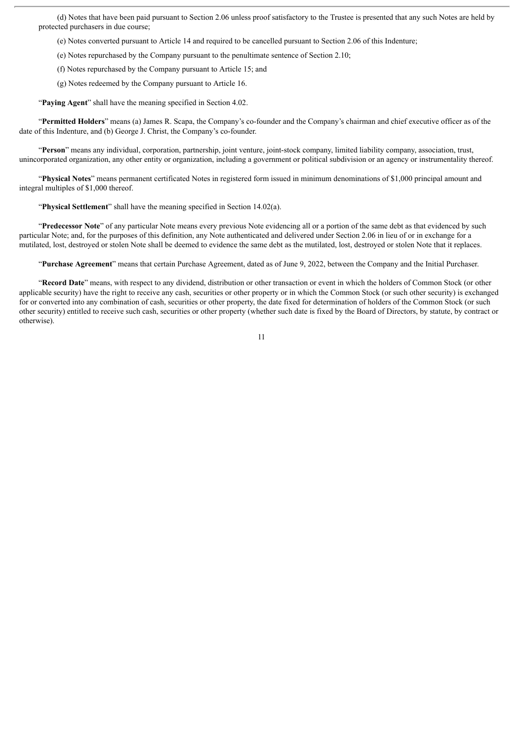(d) Notes that have been paid pursuant to Section 2.06 unless proof satisfactory to the Trustee is presented that any such Notes are held by protected purchasers in due course;

(e) Notes converted pursuant to Article 14 and required to be cancelled pursuant to Section 2.06 of this Indenture;

(e) Notes repurchased by the Company pursuant to the penultimate sentence of Section 2.10;

(f) Notes repurchased by the Company pursuant to Article 15; and

(g) Notes redeemed by the Company pursuant to Article 16.

"**Paying Agent**" shall have the meaning specified in Section 4.02.

"**Permitted Holders**" means (a) James R. Scapa, the Company's co-founder and the Company's chairman and chief executive officer as of the date of this Indenture, and (b) George J. Christ, the Company's co-founder.

"**Person**" means any individual, corporation, partnership, joint venture, joint-stock company, limited liability company, association, trust, unincorporated organization, any other entity or organization, including a government or political subdivision or an agency or instrumentality thereof.

"**Physical Notes**" means permanent certificated Notes in registered form issued in minimum denominations of \$1,000 principal amount and integral multiples of \$1,000 thereof.

"**Physical Settlement**" shall have the meaning specified in Section 14.02(a).

"**Predecessor Note**" of any particular Note means every previous Note evidencing all or a portion of the same debt as that evidenced by such particular Note; and, for the purposes of this definition, any Note authenticated and delivered under Section 2.06 in lieu of or in exchange for a mutilated, lost, destroyed or stolen Note shall be deemed to evidence the same debt as the mutilated, lost, destroyed or stolen Note that it replaces.

"**Purchase Agreement**" means that certain Purchase Agreement, dated as of June 9, 2022, between the Company and the Initial Purchaser.

"**Record Date**" means, with respect to any dividend, distribution or other transaction or event in which the holders of Common Stock (or other applicable security) have the right to receive any cash, securities or other property or in which the Common Stock (or such other security) is exchanged for or converted into any combination of cash, securities or other property, the date fixed for determination of holders of the Common Stock (or such other security) entitled to receive such cash, securities or other property (whether such date is fixed by the Board of Directors, by statute, by contract or otherwise).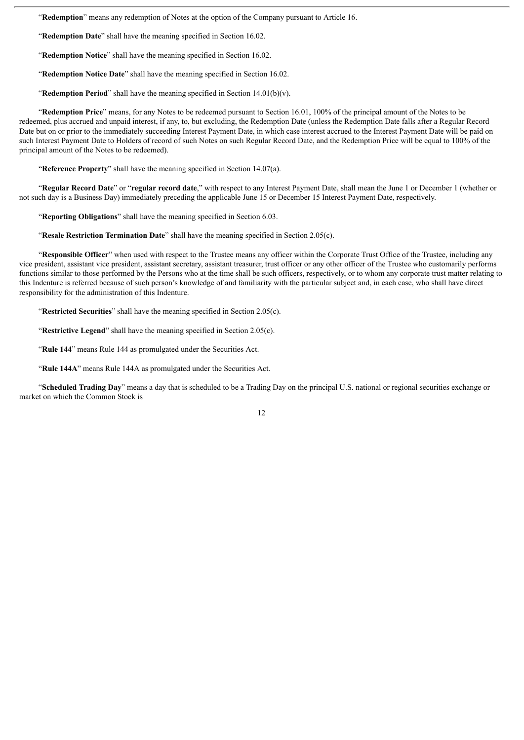"**Redemption**" means any redemption of Notes at the option of the Company pursuant to Article 16.

"**Redemption Date**" shall have the meaning specified in Section 16.02.

"**Redemption Notice**" shall have the meaning specified in Section 16.02.

"**Redemption Notice Date**" shall have the meaning specified in Section 16.02.

"**Redemption Period**" shall have the meaning specified in Section 14.01(b)(v).

"**Redemption Price**" means, for any Notes to be redeemed pursuant to Section 16.01, 100% of the principal amount of the Notes to be redeemed, plus accrued and unpaid interest, if any, to, but excluding, the Redemption Date (unless the Redemption Date falls after a Regular Record Date but on or prior to the immediately succeeding Interest Payment Date, in which case interest accrued to the Interest Payment Date will be paid on such Interest Payment Date to Holders of record of such Notes on such Regular Record Date, and the Redemption Price will be equal to 100% of the principal amount of the Notes to be redeemed).

"**Reference Property**" shall have the meaning specified in Section 14.07(a).

"**Regular Record Date**" or "**regular record date**," with respect to any Interest Payment Date, shall mean the June 1 or December 1 (whether or not such day is a Business Day) immediately preceding the applicable June 15 or December 15 Interest Payment Date, respectively.

"**Reporting Obligations**" shall have the meaning specified in Section 6.03.

"**Resale Restriction Termination Date**" shall have the meaning specified in Section 2.05(c).

"**Responsible Officer**" when used with respect to the Trustee means any officer within the Corporate Trust Office of the Trustee, including any vice president, assistant vice president, assistant secretary, assistant treasurer, trust officer or any other officer of the Trustee who customarily performs functions similar to those performed by the Persons who at the time shall be such officers, respectively, or to whom any corporate trust matter relating to this Indenture is referred because of such person's knowledge of and familiarity with the particular subject and, in each case, who shall have direct responsibility for the administration of this Indenture.

"**Restricted Securities**" shall have the meaning specified in Section 2.05(c).

"**Restrictive Legend**" shall have the meaning specified in Section 2.05(c).

"**Rule 144**" means Rule 144 as promulgated under the Securities Act.

"**Rule 144A**" means Rule 144A as promulgated under the Securities Act.

"**Scheduled Trading Day**" means a day that is scheduled to be a Trading Day on the principal U.S. national or regional securities exchange or market on which the Common Stock is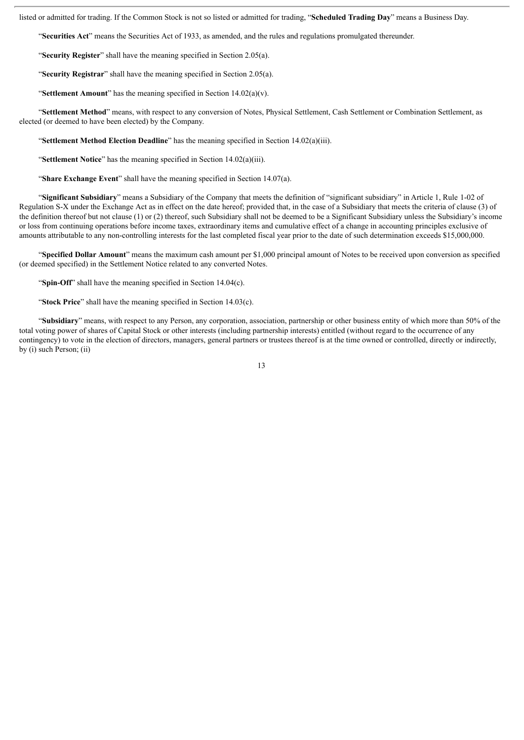listed or admitted for trading. If the Common Stock is not so listed or admitted for trading, "**Scheduled Trading Day**" means a Business Day.

"**Securities Act**" means the Securities Act of 1933, as amended, and the rules and regulations promulgated thereunder.

"**Security Register**" shall have the meaning specified in Section 2.05(a).

"**Security Registrar**" shall have the meaning specified in Section 2.05(a).

"**Settlement Amount**" has the meaning specified in Section 14.02(a)(v).

"**Settlement Method**" means, with respect to any conversion of Notes, Physical Settlement, Cash Settlement or Combination Settlement, as elected (or deemed to have been elected) by the Company.

"**Settlement Method Election Deadline**" has the meaning specified in Section 14.02(a)(iii).

"**Settlement Notice**" has the meaning specified in Section 14.02(a)(iii).

"**Share Exchange Event**" shall have the meaning specified in Section 14.07(a).

"**Significant Subsidiary**" means a Subsidiary of the Company that meets the definition of "significant subsidiary" in Article 1, Rule 1-02 of Regulation S-X under the Exchange Act as in effect on the date hereof; provided that, in the case of a Subsidiary that meets the criteria of clause (3) of the definition thereof but not clause (1) or (2) thereof, such Subsidiary shall not be deemed to be a Significant Subsidiary unless the Subsidiary's income or loss from continuing operations before income taxes, extraordinary items and cumulative effect of a change in accounting principles exclusive of amounts attributable to any non-controlling interests for the last completed fiscal year prior to the date of such determination exceeds \$15,000,000.

"**Specified Dollar Amount**" means the maximum cash amount per \$1,000 principal amount of Notes to be received upon conversion as specified (or deemed specified) in the Settlement Notice related to any converted Notes.

"**Spin-Off**" shall have the meaning specified in Section 14.04(c).

"**Stock Price**" shall have the meaning specified in Section 14.03(c).

"**Subsidiary**" means, with respect to any Person, any corporation, association, partnership or other business entity of which more than 50% of the total voting power of shares of Capital Stock or other interests (including partnership interests) entitled (without regard to the occurrence of any contingency) to vote in the election of directors, managers, general partners or trustees thereof is at the time owned or controlled, directly or indirectly, by (i) such Person; (ii)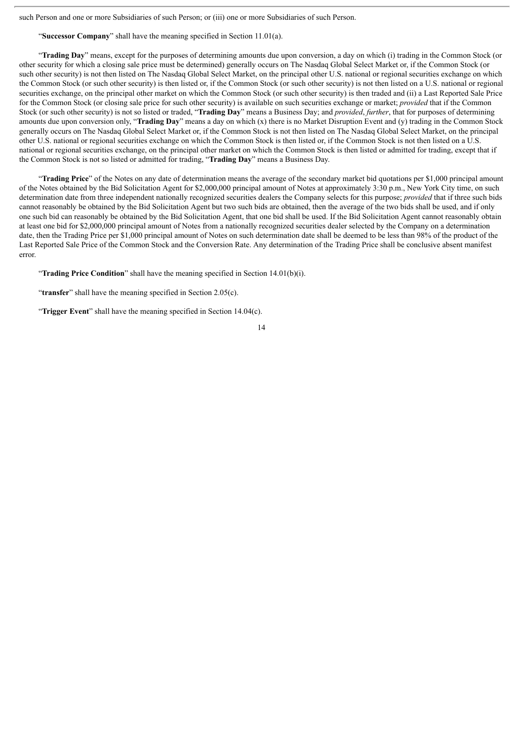such Person and one or more Subsidiaries of such Person; or (iii) one or more Subsidiaries of such Person.

"**Successor Company**" shall have the meaning specified in Section 11.01(a).

"**Trading Day**" means, except for the purposes of determining amounts due upon conversion, a day on which (i) trading in the Common Stock (or other security for which a closing sale price must be determined) generally occurs on The Nasdaq Global Select Market or, if the Common Stock (or such other security) is not then listed on The Nasdaq Global Select Market, on the principal other U.S. national or regional securities exchange on which the Common Stock (or such other security) is then listed or, if the Common Stock (or such other security) is not then listed on a U.S. national or regional securities exchange, on the principal other market on which the Common Stock (or such other security) is then traded and (ii) a Last Reported Sale Price for the Common Stock (or closing sale price for such other security) is available on such securities exchange or market; *provided* that if the Common Stock (or such other security) is not so listed or traded, "**Trading Day**" means a Business Day; and *provided*, *further*, that for purposes of determining amounts due upon conversion only, "**Trading Day**" means a day on which (x) there is no Market Disruption Event and (y) trading in the Common Stock generally occurs on The Nasdaq Global Select Market or, if the Common Stock is not then listed on The Nasdaq Global Select Market, on the principal other U.S. national or regional securities exchange on which the Common Stock is then listed or, if the Common Stock is not then listed on a U.S. national or regional securities exchange, on the principal other market on which the Common Stock is then listed or admitted for trading, except that if the Common Stock is not so listed or admitted for trading, "**Trading Day**" means a Business Day.

"**Trading Price**" of the Notes on any date of determination means the average of the secondary market bid quotations per \$1,000 principal amount of the Notes obtained by the Bid Solicitation Agent for \$2,000,000 principal amount of Notes at approximately 3:30 p.m., New York City time, on such determination date from three independent nationally recognized securities dealers the Company selects for this purpose; *provided* that if three such bids cannot reasonably be obtained by the Bid Solicitation Agent but two such bids are obtained, then the average of the two bids shall be used, and if only one such bid can reasonably be obtained by the Bid Solicitation Agent, that one bid shall be used. If the Bid Solicitation Agent cannot reasonably obtain at least one bid for \$2,000,000 principal amount of Notes from a nationally recognized securities dealer selected by the Company on a determination date, then the Trading Price per \$1,000 principal amount of Notes on such determination date shall be deemed to be less than 98% of the product of the Last Reported Sale Price of the Common Stock and the Conversion Rate. Any determination of the Trading Price shall be conclusive absent manifest error.

"**Trading Price Condition**" shall have the meaning specified in Section 14.01(b)(i).

"**transfer**" shall have the meaning specified in Section 2.05(c).

"**Trigger Event**" shall have the meaning specified in Section 14.04(c).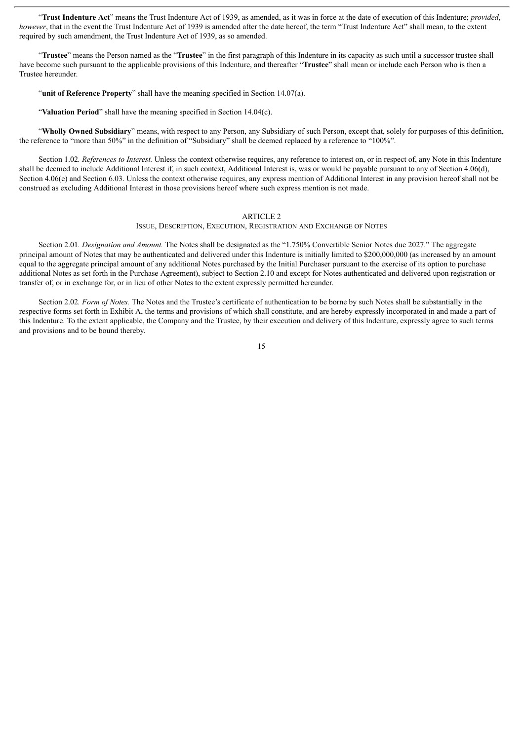"**Trust Indenture Act**" means the Trust Indenture Act of 1939, as amended, as it was in force at the date of execution of this Indenture; *provided*, *however*, that in the event the Trust Indenture Act of 1939 is amended after the date hereof, the term "Trust Indenture Act" shall mean, to the extent required by such amendment, the Trust Indenture Act of 1939, as so amended.

"**Trustee**" means the Person named as the "**Trustee**" in the first paragraph of this Indenture in its capacity as such until a successor trustee shall have become such pursuant to the applicable provisions of this Indenture, and thereafter "**Trustee**" shall mean or include each Person who is then a Trustee hereunder.

"**unit of Reference Property**" shall have the meaning specified in Section 14.07(a).

"**Valuation Period**" shall have the meaning specified in Section 14.04(c).

"**Wholly Owned Subsidiary**" means, with respect to any Person, any Subsidiary of such Person, except that, solely for purposes of this definition, the reference to "more than 50%" in the definition of "Subsidiary" shall be deemed replaced by a reference to "100%".

Section 1.02*. References to Interest.* Unless the context otherwise requires, any reference to interest on, or in respect of, any Note in this Indenture shall be deemed to include Additional Interest if, in such context, Additional Interest is, was or would be payable pursuant to any of Section 4.06(d), Section 4.06(e) and Section 6.03. Unless the context otherwise requires, any express mention of Additional Interest in any provision hereof shall not be construed as excluding Additional Interest in those provisions hereof where such express mention is not made.

#### ARTICLE 2

ISSUE, DESCRIPTION, EXECUTION, REGISTRATION AND EXCHANGE OF NOTES

Section 2.01*. Designation and Amount.* The Notes shall be designated as the "1.750% Convertible Senior Notes due 2027." The aggregate principal amount of Notes that may be authenticated and delivered under this Indenture is initially limited to \$200,000,000 (as increased by an amount equal to the aggregate principal amount of any additional Notes purchased by the Initial Purchaser pursuant to the exercise of its option to purchase additional Notes as set forth in the Purchase Agreement), subject to Section 2.10 and except for Notes authenticated and delivered upon registration or transfer of, or in exchange for, or in lieu of other Notes to the extent expressly permitted hereunder.

Section 2.02*. Form of Notes.* The Notes and the Trustee's certificate of authentication to be borne by such Notes shall be substantially in the respective forms set forth in Exhibit A, the terms and provisions of which shall constitute, and are hereby expressly incorporated in and made a part of this Indenture. To the extent applicable, the Company and the Trustee, by their execution and delivery of this Indenture, expressly agree to such terms and provisions and to be bound thereby.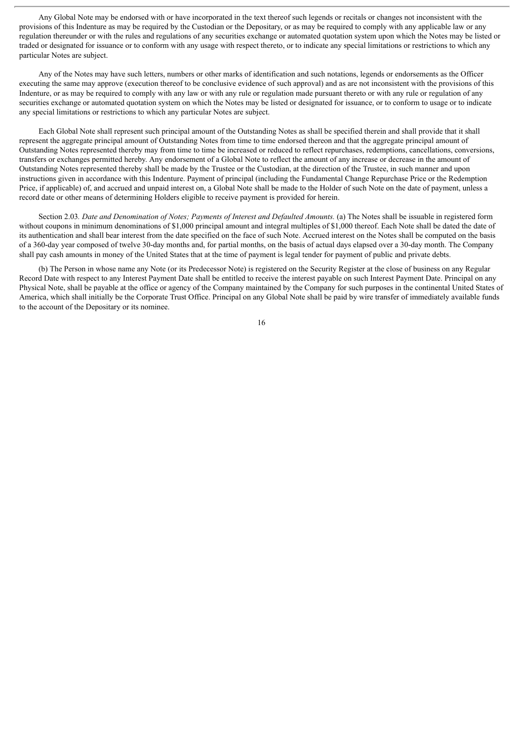Any Global Note may be endorsed with or have incorporated in the text thereof such legends or recitals or changes not inconsistent with the provisions of this Indenture as may be required by the Custodian or the Depositary, or as may be required to comply with any applicable law or any regulation thereunder or with the rules and regulations of any securities exchange or automated quotation system upon which the Notes may be listed or traded or designated for issuance or to conform with any usage with respect thereto, or to indicate any special limitations or restrictions to which any particular Notes are subject.

Any of the Notes may have such letters, numbers or other marks of identification and such notations, legends or endorsements as the Officer executing the same may approve (execution thereof to be conclusive evidence of such approval) and as are not inconsistent with the provisions of this Indenture, or as may be required to comply with any law or with any rule or regulation made pursuant thereto or with any rule or regulation of any securities exchange or automated quotation system on which the Notes may be listed or designated for issuance, or to conform to usage or to indicate any special limitations or restrictions to which any particular Notes are subject.

Each Global Note shall represent such principal amount of the Outstanding Notes as shall be specified therein and shall provide that it shall represent the aggregate principal amount of Outstanding Notes from time to time endorsed thereon and that the aggregate principal amount of Outstanding Notes represented thereby may from time to time be increased or reduced to reflect repurchases, redemptions, cancellations, conversions, transfers or exchanges permitted hereby. Any endorsement of a Global Note to reflect the amount of any increase or decrease in the amount of Outstanding Notes represented thereby shall be made by the Trustee or the Custodian, at the direction of the Trustee, in such manner and upon instructions given in accordance with this Indenture. Payment of principal (including the Fundamental Change Repurchase Price or the Redemption Price, if applicable) of, and accrued and unpaid interest on, a Global Note shall be made to the Holder of such Note on the date of payment, unless a record date or other means of determining Holders eligible to receive payment is provided for herein.

Section 2.03*. Date and Denomination of Notes; Payments of Interest and Defaulted Amounts.* (a) The Notes shall be issuable in registered form without coupons in minimum denominations of \$1,000 principal amount and integral multiples of \$1,000 thereof. Each Note shall be dated the date of its authentication and shall bear interest from the date specified on the face of such Note. Accrued interest on the Notes shall be computed on the basis of a 360-day year composed of twelve 30-day months and, for partial months, on the basis of actual days elapsed over a 30-day month. The Company shall pay cash amounts in money of the United States that at the time of payment is legal tender for payment of public and private debts.

(b) The Person in whose name any Note (or its Predecessor Note) is registered on the Security Register at the close of business on any Regular Record Date with respect to any Interest Payment Date shall be entitled to receive the interest payable on such Interest Payment Date. Principal on any Physical Note, shall be payable at the office or agency of the Company maintained by the Company for such purposes in the continental United States of America, which shall initially be the Corporate Trust Office. Principal on any Global Note shall be paid by wire transfer of immediately available funds to the account of the Depositary or its nominee.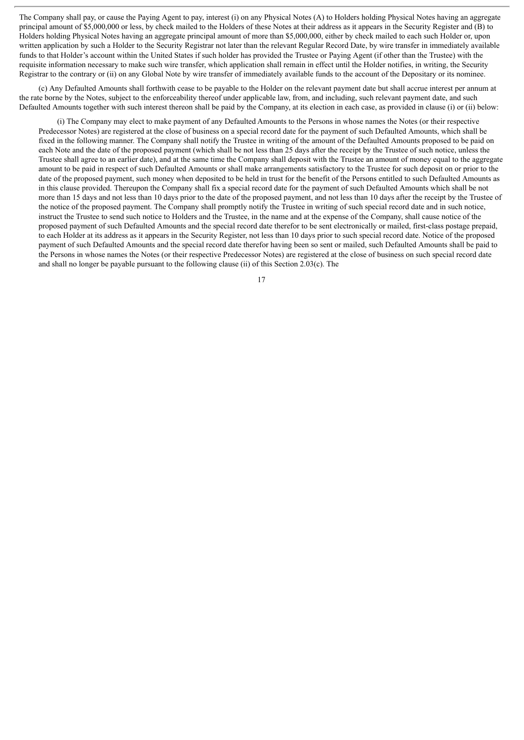The Company shall pay, or cause the Paying Agent to pay, interest (i) on any Physical Notes (A) to Holders holding Physical Notes having an aggregate principal amount of \$5,000,000 or less, by check mailed to the Holders of these Notes at their address as it appears in the Security Register and (B) to Holders holding Physical Notes having an aggregate principal amount of more than \$5,000,000, either by check mailed to each such Holder or, upon written application by such a Holder to the Security Registrar not later than the relevant Regular Record Date, by wire transfer in immediately available funds to that Holder's account within the United States if such holder has provided the Trustee or Paying Agent (if other than the Trustee) with the requisite information necessary to make such wire transfer, which application shall remain in effect until the Holder notifies, in writing, the Security Registrar to the contrary or (ii) on any Global Note by wire transfer of immediately available funds to the account of the Depositary or its nominee.

(c) Any Defaulted Amounts shall forthwith cease to be payable to the Holder on the relevant payment date but shall accrue interest per annum at the rate borne by the Notes, subject to the enforceability thereof under applicable law, from, and including, such relevant payment date, and such Defaulted Amounts together with such interest thereon shall be paid by the Company, at its election in each case, as provided in clause (i) or (ii) below:

(i) The Company may elect to make payment of any Defaulted Amounts to the Persons in whose names the Notes (or their respective Predecessor Notes) are registered at the close of business on a special record date for the payment of such Defaulted Amounts, which shall be fixed in the following manner. The Company shall notify the Trustee in writing of the amount of the Defaulted Amounts proposed to be paid on each Note and the date of the proposed payment (which shall be not less than 25 days after the receipt by the Trustee of such notice, unless the Trustee shall agree to an earlier date), and at the same time the Company shall deposit with the Trustee an amount of money equal to the aggregate amount to be paid in respect of such Defaulted Amounts or shall make arrangements satisfactory to the Trustee for such deposit on or prior to the date of the proposed payment, such money when deposited to be held in trust for the benefit of the Persons entitled to such Defaulted Amounts as in this clause provided. Thereupon the Company shall fix a special record date for the payment of such Defaulted Amounts which shall be not more than 15 days and not less than 10 days prior to the date of the proposed payment, and not less than 10 days after the receipt by the Trustee of the notice of the proposed payment. The Company shall promptly notify the Trustee in writing of such special record date and in such notice, instruct the Trustee to send such notice to Holders and the Trustee, in the name and at the expense of the Company, shall cause notice of the proposed payment of such Defaulted Amounts and the special record date therefor to be sent electronically or mailed, first-class postage prepaid, to each Holder at its address as it appears in the Security Register, not less than 10 days prior to such special record date. Notice of the proposed payment of such Defaulted Amounts and the special record date therefor having been so sent or mailed, such Defaulted Amounts shall be paid to the Persons in whose names the Notes (or their respective Predecessor Notes) are registered at the close of business on such special record date and shall no longer be payable pursuant to the following clause (ii) of this Section 2.03(c). The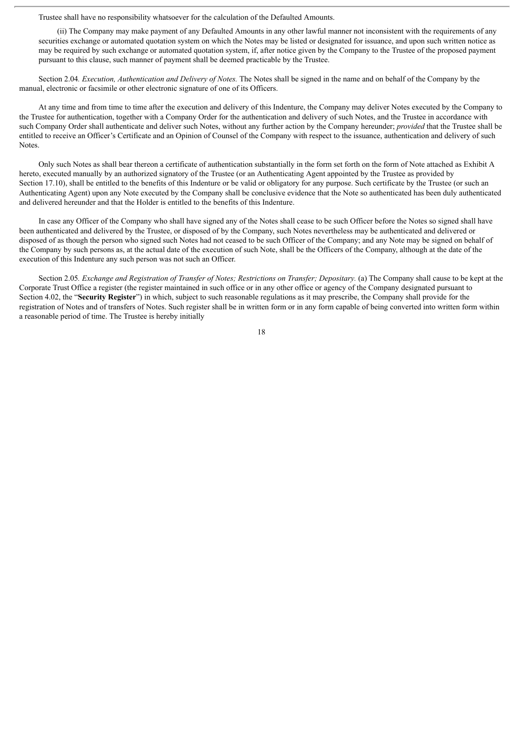Trustee shall have no responsibility whatsoever for the calculation of the Defaulted Amounts.

(ii) The Company may make payment of any Defaulted Amounts in any other lawful manner not inconsistent with the requirements of any securities exchange or automated quotation system on which the Notes may be listed or designated for issuance, and upon such written notice as may be required by such exchange or automated quotation system, if, after notice given by the Company to the Trustee of the proposed payment pursuant to this clause, such manner of payment shall be deemed practicable by the Trustee.

Section 2.04*. Execution, Authentication and Delivery of Notes.* The Notes shall be signed in the name and on behalf of the Company by the manual, electronic or facsimile or other electronic signature of one of its Officers.

At any time and from time to time after the execution and delivery of this Indenture, the Company may deliver Notes executed by the Company to the Trustee for authentication, together with a Company Order for the authentication and delivery of such Notes, and the Trustee in accordance with such Company Order shall authenticate and deliver such Notes, without any further action by the Company hereunder; *provided* that the Trustee shall be entitled to receive an Officer's Certificate and an Opinion of Counsel of the Company with respect to the issuance, authentication and delivery of such Notes.

Only such Notes as shall bear thereon a certificate of authentication substantially in the form set forth on the form of Note attached as Exhibit A hereto, executed manually by an authorized signatory of the Trustee (or an Authenticating Agent appointed by the Trustee as provided by Section 17.10), shall be entitled to the benefits of this Indenture or be valid or obligatory for any purpose. Such certificate by the Trustee (or such an Authenticating Agent) upon any Note executed by the Company shall be conclusive evidence that the Note so authenticated has been duly authenticated and delivered hereunder and that the Holder is entitled to the benefits of this Indenture.

In case any Officer of the Company who shall have signed any of the Notes shall cease to be such Officer before the Notes so signed shall have been authenticated and delivered by the Trustee, or disposed of by the Company, such Notes nevertheless may be authenticated and delivered or disposed of as though the person who signed such Notes had not ceased to be such Officer of the Company; and any Note may be signed on behalf of the Company by such persons as, at the actual date of the execution of such Note, shall be the Officers of the Company, although at the date of the execution of this Indenture any such person was not such an Officer.

Section 2.05. Exchange and Registration of Transfer of Notes; Restrictions on Transfer; Depositary. (a) The Company shall cause to be kept at the Corporate Trust Office a register (the register maintained in such office or in any other office or agency of the Company designated pursuant to Section 4.02, the "**Security Register**") in which, subject to such reasonable regulations as it may prescribe, the Company shall provide for the registration of Notes and of transfers of Notes. Such register shall be in written form or in any form capable of being converted into written form within a reasonable period of time. The Trustee is hereby initially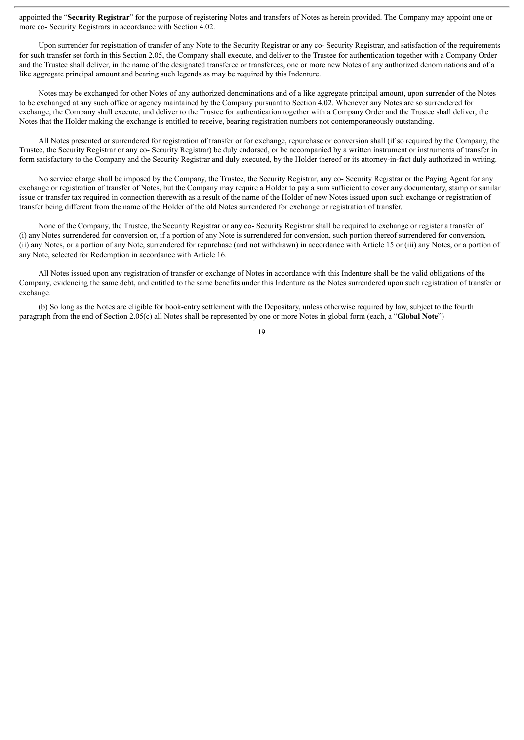appointed the "**Security Registrar**" for the purpose of registering Notes and transfers of Notes as herein provided. The Company may appoint one or more co- Security Registrars in accordance with Section 4.02.

Upon surrender for registration of transfer of any Note to the Security Registrar or any co- Security Registrar, and satisfaction of the requirements for such transfer set forth in this Section 2.05, the Company shall execute, and deliver to the Trustee for authentication together with a Company Order and the Trustee shall deliver, in the name of the designated transferee or transferees, one or more new Notes of any authorized denominations and of a like aggregate principal amount and bearing such legends as may be required by this Indenture.

Notes may be exchanged for other Notes of any authorized denominations and of a like aggregate principal amount, upon surrender of the Notes to be exchanged at any such office or agency maintained by the Company pursuant to Section 4.02. Whenever any Notes are so surrendered for exchange, the Company shall execute, and deliver to the Trustee for authentication together with a Company Order and the Trustee shall deliver, the Notes that the Holder making the exchange is entitled to receive, bearing registration numbers not contemporaneously outstanding.

All Notes presented or surrendered for registration of transfer or for exchange, repurchase or conversion shall (if so required by the Company, the Trustee, the Security Registrar or any co- Security Registrar) be duly endorsed, or be accompanied by a written instrument or instruments of transfer in form satisfactory to the Company and the Security Registrar and duly executed, by the Holder thereof or its attorney-in-fact duly authorized in writing.

No service charge shall be imposed by the Company, the Trustee, the Security Registrar, any co- Security Registrar or the Paying Agent for any exchange or registration of transfer of Notes, but the Company may require a Holder to pay a sum sufficient to cover any documentary, stamp or similar issue or transfer tax required in connection therewith as a result of the name of the Holder of new Notes issued upon such exchange or registration of transfer being different from the name of the Holder of the old Notes surrendered for exchange or registration of transfer.

None of the Company, the Trustee, the Security Registrar or any co- Security Registrar shall be required to exchange or register a transfer of (i) any Notes surrendered for conversion or, if a portion of any Note is surrendered for conversion, such portion thereof surrendered for conversion, (ii) any Notes, or a portion of any Note, surrendered for repurchase (and not withdrawn) in accordance with Article 15 or (iii) any Notes, or a portion of any Note, selected for Redemption in accordance with Article 16.

All Notes issued upon any registration of transfer or exchange of Notes in accordance with this Indenture shall be the valid obligations of the Company, evidencing the same debt, and entitled to the same benefits under this Indenture as the Notes surrendered upon such registration of transfer or exchange.

(b) So long as the Notes are eligible for book-entry settlement with the Depositary, unless otherwise required by law, subject to the fourth paragraph from the end of Section 2.05(c) all Notes shall be represented by one or more Notes in global form (each, a "**Global Note**")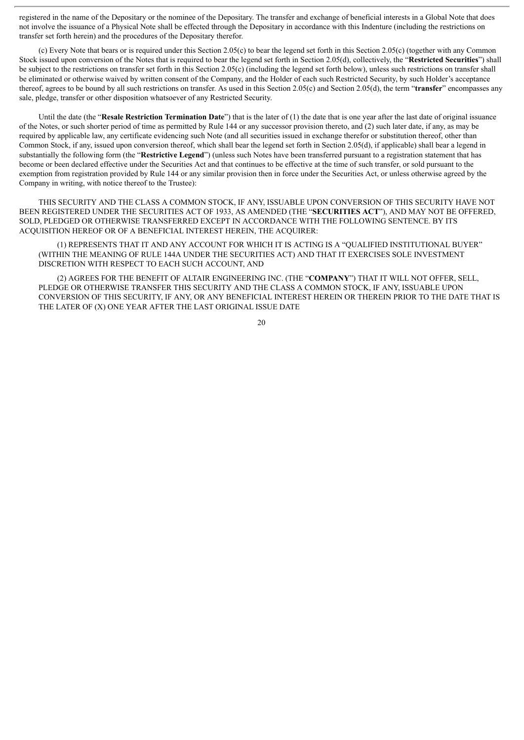registered in the name of the Depositary or the nominee of the Depositary. The transfer and exchange of beneficial interests in a Global Note that does not involve the issuance of a Physical Note shall be effected through the Depositary in accordance with this Indenture (including the restrictions on transfer set forth herein) and the procedures of the Depositary therefor.

(c) Every Note that bears or is required under this Section 2.05(c) to bear the legend set forth in this Section 2.05(c) (together with any Common Stock issued upon conversion of the Notes that is required to bear the legend set forth in Section 2.05(d), collectively, the "**Restricted Securities**") shall be subject to the restrictions on transfer set forth in this Section 2.05(c) (including the legend set forth below), unless such restrictions on transfer shall be eliminated or otherwise waived by written consent of the Company, and the Holder of each such Restricted Security, by such Holder's acceptance thereof, agrees to be bound by all such restrictions on transfer. As used in this Section 2.05(c) and Section 2.05(d), the term "**transfer**" encompasses any sale, pledge, transfer or other disposition whatsoever of any Restricted Security.

Until the date (the "**Resale Restriction Termination Date**") that is the later of (1) the date that is one year after the last date of original issuance of the Notes, or such shorter period of time as permitted by Rule 144 or any successor provision thereto, and (2) such later date, if any, as may be required by applicable law, any certificate evidencing such Note (and all securities issued in exchange therefor or substitution thereof, other than Common Stock, if any, issued upon conversion thereof, which shall bear the legend set forth in Section 2.05(d), if applicable) shall bear a legend in substantially the following form (the "**Restrictive Legend**") (unless such Notes have been transferred pursuant to a registration statement that has become or been declared effective under the Securities Act and that continues to be effective at the time of such transfer, or sold pursuant to the exemption from registration provided by Rule 144 or any similar provision then in force under the Securities Act, or unless otherwise agreed by the Company in writing, with notice thereof to the Trustee):

THIS SECURITY AND THE CLASS A COMMON STOCK, IF ANY, ISSUABLE UPON CONVERSION OF THIS SECURITY HAVE NOT BEEN REGISTERED UNDER THE SECURITIES ACT OF 1933, AS AMENDED (THE "**SECURITIES ACT**"), AND MAY NOT BE OFFERED, SOLD, PLEDGED OR OTHERWISE TRANSFERRED EXCEPT IN ACCORDANCE WITH THE FOLLOWING SENTENCE. BY ITS ACQUISITION HEREOF OR OF A BENEFICIAL INTEREST HEREIN, THE ACQUIRER:

(1) REPRESENTS THAT IT AND ANY ACCOUNT FOR WHICH IT IS ACTING IS A "QUALIFIED INSTITUTIONAL BUYER" (WITHIN THE MEANING OF RULE 144A UNDER THE SECURITIES ACT) AND THAT IT EXERCISES SOLE INVESTMENT DISCRETION WITH RESPECT TO EACH SUCH ACCOUNT, AND

(2) AGREES FOR THE BENEFIT OF ALTAIR ENGINEERING INC. (THE "**COMPANY**") THAT IT WILL NOT OFFER, SELL, PLEDGE OR OTHERWISE TRANSFER THIS SECURITY AND THE CLASS A COMMON STOCK, IF ANY, ISSUABLE UPON CONVERSION OF THIS SECURITY, IF ANY, OR ANY BENEFICIAL INTEREST HEREIN OR THEREIN PRIOR TO THE DATE THAT IS THE LATER OF (X) ONE YEAR AFTER THE LAST ORIGINAL ISSUE DATE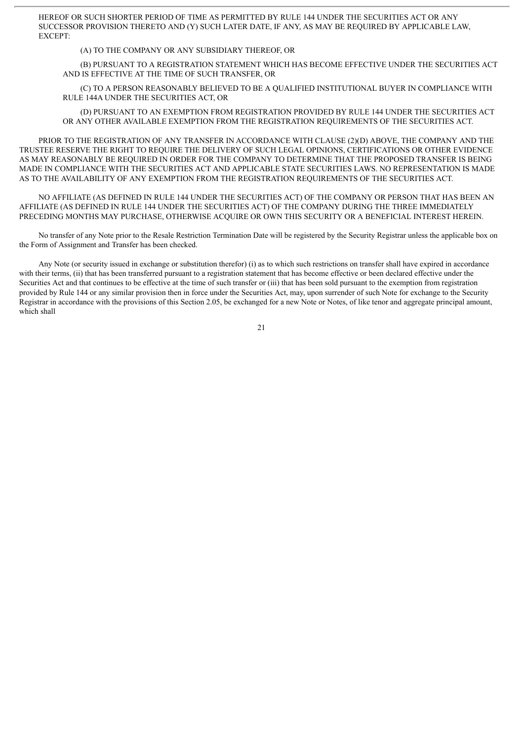HEREOF OR SUCH SHORTER PERIOD OF TIME AS PERMITTED BY RULE 144 UNDER THE SECURITIES ACT OR ANY SUCCESSOR PROVISION THERETO AND (Y) SUCH LATER DATE, IF ANY, AS MAY BE REQUIRED BY APPLICABLE LAW, EXCEPT:

(A) TO THE COMPANY OR ANY SUBSIDIARY THEREOF, OR

(B) PURSUANT TO A REGISTRATION STATEMENT WHICH HAS BECOME EFFECTIVE UNDER THE SECURITIES ACT AND IS EFFECTIVE AT THE TIME OF SUCH TRANSFER, OR

(C) TO A PERSON REASONABLY BELIEVED TO BE A QUALIFIED INSTITUTIONAL BUYER IN COMPLIANCE WITH RULE 144A UNDER THE SECURITIES ACT, OR

(D) PURSUANT TO AN EXEMPTION FROM REGISTRATION PROVIDED BY RULE 144 UNDER THE SECURITIES ACT OR ANY OTHER AVAILABLE EXEMPTION FROM THE REGISTRATION REQUIREMENTS OF THE SECURITIES ACT.

PRIOR TO THE REGISTRATION OF ANY TRANSFER IN ACCORDANCE WITH CLAUSE (2)(D) ABOVE, THE COMPANY AND THE TRUSTEE RESERVE THE RIGHT TO REQUIRE THE DELIVERY OF SUCH LEGAL OPINIONS, CERTIFICATIONS OR OTHER EVIDENCE AS MAY REASONABLY BE REQUIRED IN ORDER FOR THE COMPANY TO DETERMINE THAT THE PROPOSED TRANSFER IS BEING MADE IN COMPLIANCE WITH THE SECURITIES ACT AND APPLICABLE STATE SECURITIES LAWS. NO REPRESENTATION IS MADE AS TO THE AVAILABILITY OF ANY EXEMPTION FROM THE REGISTRATION REQUIREMENTS OF THE SECURITIES ACT.

NO AFFILIATE (AS DEFINED IN RULE 144 UNDER THE SECURITIES ACT) OF THE COMPANY OR PERSON THAT HAS BEEN AN AFFILIATE (AS DEFINED IN RULE 144 UNDER THE SECURITIES ACT) OF THE COMPANY DURING THE THREE IMMEDIATELY PRECEDING MONTHS MAY PURCHASE, OTHERWISE ACQUIRE OR OWN THIS SECURITY OR A BENEFICIAL INTEREST HEREIN.

No transfer of any Note prior to the Resale Restriction Termination Date will be registered by the Security Registrar unless the applicable box on the Form of Assignment and Transfer has been checked.

Any Note (or security issued in exchange or substitution therefor) (i) as to which such restrictions on transfer shall have expired in accordance with their terms, (ii) that has been transferred pursuant to a registration statement that has become effective or been declared effective under the Securities Act and that continues to be effective at the time of such transfer or (iii) that has been sold pursuant to the exemption from registration provided by Rule 144 or any similar provision then in force under the Securities Act, may, upon surrender of such Note for exchange to the Security Registrar in accordance with the provisions of this Section 2.05, be exchanged for a new Note or Notes, of like tenor and aggregate principal amount, which shall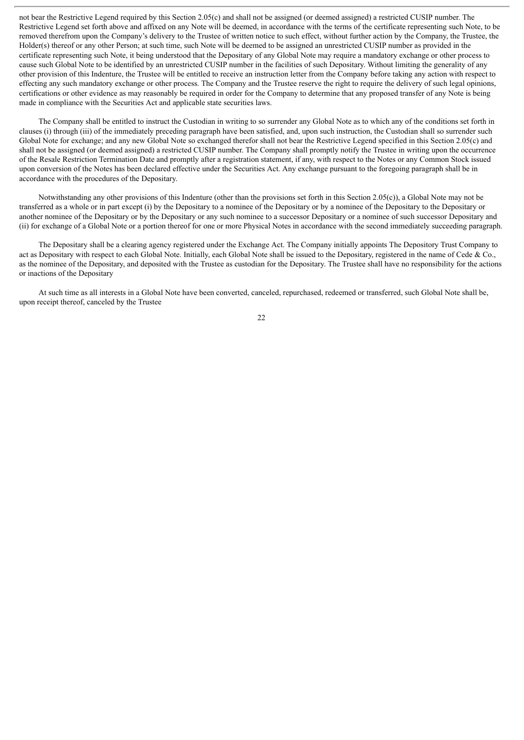not bear the Restrictive Legend required by this Section 2.05(c) and shall not be assigned (or deemed assigned) a restricted CUSIP number. The Restrictive Legend set forth above and affixed on any Note will be deemed, in accordance with the terms of the certificate representing such Note, to be removed therefrom upon the Company's delivery to the Trustee of written notice to such effect, without further action by the Company, the Trustee, the Holder(s) thereof or any other Person; at such time, such Note will be deemed to be assigned an unrestricted CUSIP number as provided in the certificate representing such Note, it being understood that the Depositary of any Global Note may require a mandatory exchange or other process to cause such Global Note to be identified by an unrestricted CUSIP number in the facilities of such Depositary. Without limiting the generality of any other provision of this Indenture, the Trustee will be entitled to receive an instruction letter from the Company before taking any action with respect to effecting any such mandatory exchange or other process. The Company and the Trustee reserve the right to require the delivery of such legal opinions, certifications or other evidence as may reasonably be required in order for the Company to determine that any proposed transfer of any Note is being made in compliance with the Securities Act and applicable state securities laws.

The Company shall be entitled to instruct the Custodian in writing to so surrender any Global Note as to which any of the conditions set forth in clauses (i) through (iii) of the immediately preceding paragraph have been satisfied, and, upon such instruction, the Custodian shall so surrender such Global Note for exchange; and any new Global Note so exchanged therefor shall not bear the Restrictive Legend specified in this Section 2.05(c) and shall not be assigned (or deemed assigned) a restricted CUSIP number. The Company shall promptly notify the Trustee in writing upon the occurrence of the Resale Restriction Termination Date and promptly after a registration statement, if any, with respect to the Notes or any Common Stock issued upon conversion of the Notes has been declared effective under the Securities Act. Any exchange pursuant to the foregoing paragraph shall be in accordance with the procedures of the Depositary.

Notwithstanding any other provisions of this Indenture (other than the provisions set forth in this Section 2.05(c)), a Global Note may not be transferred as a whole or in part except (i) by the Depositary to a nominee of the Depositary or by a nominee of the Depositary to the Depositary or another nominee of the Depositary or by the Depositary or any such nominee to a successor Depositary or a nominee of such successor Depositary and (ii) for exchange of a Global Note or a portion thereof for one or more Physical Notes in accordance with the second immediately succeeding paragraph.

The Depositary shall be a clearing agency registered under the Exchange Act. The Company initially appoints The Depository Trust Company to act as Depositary with respect to each Global Note. Initially, each Global Note shall be issued to the Depositary, registered in the name of Cede  $\&$  Co., as the nominee of the Depositary, and deposited with the Trustee as custodian for the Depositary. The Trustee shall have no responsibility for the actions or inactions of the Depositary

At such time as all interests in a Global Note have been converted, canceled, repurchased, redeemed or transferred, such Global Note shall be, upon receipt thereof, canceled by the Trustee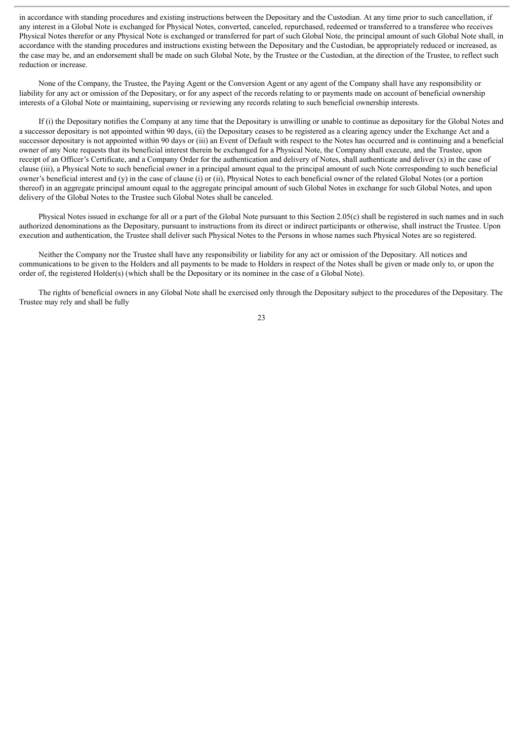in accordance with standing procedures and existing instructions between the Depositary and the Custodian. At any time prior to such cancellation, if any interest in a Global Note is exchanged for Physical Notes, converted, canceled, repurchased, redeemed or transferred to a transferee who receives Physical Notes therefor or any Physical Note is exchanged or transferred for part of such Global Note, the principal amount of such Global Note shall, in accordance with the standing procedures and instructions existing between the Depositary and the Custodian, be appropriately reduced or increased, as the case may be, and an endorsement shall be made on such Global Note, by the Trustee or the Custodian, at the direction of the Trustee, to reflect such reduction or increase.

None of the Company, the Trustee, the Paying Agent or the Conversion Agent or any agent of the Company shall have any responsibility or liability for any act or omission of the Depositary, or for any aspect of the records relating to or payments made on account of beneficial ownership interests of a Global Note or maintaining, supervising or reviewing any records relating to such beneficial ownership interests.

If (i) the Depositary notifies the Company at any time that the Depositary is unwilling or unable to continue as depositary for the Global Notes and a successor depositary is not appointed within 90 days, (ii) the Depositary ceases to be registered as a clearing agency under the Exchange Act and a successor depositary is not appointed within 90 days or (iii) an Event of Default with respect to the Notes has occurred and is continuing and a beneficial owner of any Note requests that its beneficial interest therein be exchanged for a Physical Note, the Company shall execute, and the Trustee, upon receipt of an Officer's Certificate, and a Company Order for the authentication and delivery of Notes, shall authenticate and deliver  $(x)$  in the case of clause (iii), a Physical Note to such beneficial owner in a principal amount equal to the principal amount of such Note corresponding to such beneficial owner's beneficial interest and (y) in the case of clause (i) or (ii), Physical Notes to each beneficial owner of the related Global Notes (or a portion thereof) in an aggregate principal amount equal to the aggregate principal amount of such Global Notes in exchange for such Global Notes, and upon delivery of the Global Notes to the Trustee such Global Notes shall be canceled.

Physical Notes issued in exchange for all or a part of the Global Note pursuant to this Section 2.05(c) shall be registered in such names and in such authorized denominations as the Depositary, pursuant to instructions from its direct or indirect participants or otherwise, shall instruct the Trustee. Upon execution and authentication, the Trustee shall deliver such Physical Notes to the Persons in whose names such Physical Notes are so registered.

Neither the Company nor the Trustee shall have any responsibility or liability for any act or omission of the Depositary. All notices and communications to be given to the Holders and all payments to be made to Holders in respect of the Notes shall be given or made only to, or upon the order of, the registered Holder(s) (which shall be the Depositary or its nominee in the case of a Global Note).

The rights of beneficial owners in any Global Note shall be exercised only through the Depositary subject to the procedures of the Depositary. The Trustee may rely and shall be fully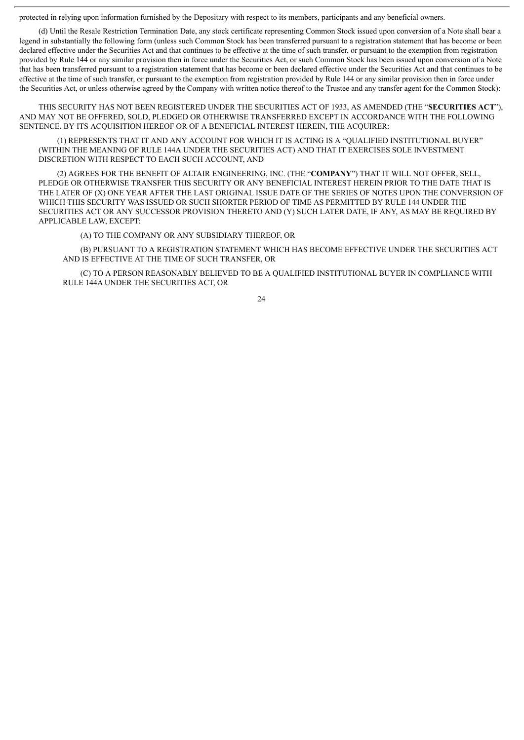protected in relying upon information furnished by the Depositary with respect to its members, participants and any beneficial owners.

(d) Until the Resale Restriction Termination Date, any stock certificate representing Common Stock issued upon conversion of a Note shall bear a legend in substantially the following form (unless such Common Stock has been transferred pursuant to a registration statement that has become or been declared effective under the Securities Act and that continues to be effective at the time of such transfer, or pursuant to the exemption from registration provided by Rule 144 or any similar provision then in force under the Securities Act, or such Common Stock has been issued upon conversion of a Note that has been transferred pursuant to a registration statement that has become or been declared effective under the Securities Act and that continues to be effective at the time of such transfer, or pursuant to the exemption from registration provided by Rule 144 or any similar provision then in force under the Securities Act, or unless otherwise agreed by the Company with written notice thereof to the Trustee and any transfer agent for the Common Stock):

THIS SECURITY HAS NOT BEEN REGISTERED UNDER THE SECURITIES ACT OF 1933, AS AMENDED (THE "**SECURITIES ACT**"), AND MAY NOT BE OFFERED, SOLD, PLEDGED OR OTHERWISE TRANSFERRED EXCEPT IN ACCORDANCE WITH THE FOLLOWING SENTENCE. BY ITS ACQUISITION HEREOF OR OF A BENEFICIAL INTEREST HEREIN, THE ACQUIRER:

(1) REPRESENTS THAT IT AND ANY ACCOUNT FOR WHICH IT IS ACTING IS A "QUALIFIED INSTITUTIONAL BUYER" (WITHIN THE MEANING OF RULE 144A UNDER THE SECURITIES ACT) AND THAT IT EXERCISES SOLE INVESTMENT DISCRETION WITH RESPECT TO EACH SUCH ACCOUNT, AND

(2) AGREES FOR THE BENEFIT OF ALTAIR ENGINEERING, INC. (THE "**COMPANY**") THAT IT WILL NOT OFFER, SELL, PLEDGE OR OTHERWISE TRANSFER THIS SECURITY OR ANY BENEFICIAL INTEREST HEREIN PRIOR TO THE DATE THAT IS THE LATER OF (X) ONE YEAR AFTER THE LAST ORIGINAL ISSUE DATE OF THE SERIES OF NOTES UPON THE CONVERSION OF WHICH THIS SECURITY WAS ISSUED OR SUCH SHORTER PERIOD OF TIME AS PERMITTED BY RULE 144 UNDER THE SECURITIES ACT OR ANY SUCCESSOR PROVISION THERETO AND (Y) SUCH LATER DATE, IF ANY, AS MAY BE REQUIRED BY APPLICABLE LAW, EXCEPT:

(A) TO THE COMPANY OR ANY SUBSIDIARY THEREOF, OR

(B) PURSUANT TO A REGISTRATION STATEMENT WHICH HAS BECOME EFFECTIVE UNDER THE SECURITIES ACT AND IS EFFECTIVE AT THE TIME OF SUCH TRANSFER, OR

(C) TO A PERSON REASONABLY BELIEVED TO BE A QUALIFIED INSTITUTIONAL BUYER IN COMPLIANCE WITH RULE 144A UNDER THE SECURITIES ACT, OR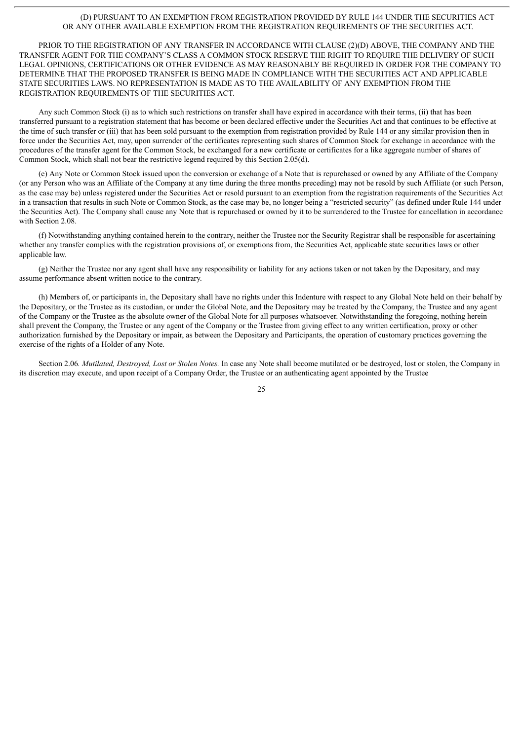#### (D) PURSUANT TO AN EXEMPTION FROM REGISTRATION PROVIDED BY RULE 144 UNDER THE SECURITIES ACT OR ANY OTHER AVAILABLE EXEMPTION FROM THE REGISTRATION REQUIREMENTS OF THE SECURITIES ACT.

PRIOR TO THE REGISTRATION OF ANY TRANSFER IN ACCORDANCE WITH CLAUSE (2)(D) ABOVE, THE COMPANY AND THE TRANSFER AGENT FOR THE COMPANY'S CLASS A COMMON STOCK RESERVE THE RIGHT TO REQUIRE THE DELIVERY OF SUCH LEGAL OPINIONS, CERTIFICATIONS OR OTHER EVIDENCE AS MAY REASONABLY BE REQUIRED IN ORDER FOR THE COMPANY TO DETERMINE THAT THE PROPOSED TRANSFER IS BEING MADE IN COMPLIANCE WITH THE SECURITIES ACT AND APPLICABLE STATE SECURITIES LAWS. NO REPRESENTATION IS MADE AS TO THE AVAILABILITY OF ANY EXEMPTION FROM THE REGISTRATION REQUIREMENTS OF THE SECURITIES ACT.

Any such Common Stock (i) as to which such restrictions on transfer shall have expired in accordance with their terms, (ii) that has been transferred pursuant to a registration statement that has become or been declared effective under the Securities Act and that continues to be effective at the time of such transfer or (iii) that has been sold pursuant to the exemption from registration provided by Rule 144 or any similar provision then in force under the Securities Act, may, upon surrender of the certificates representing such shares of Common Stock for exchange in accordance with the procedures of the transfer agent for the Common Stock, be exchanged for a new certificate or certificates for a like aggregate number of shares of Common Stock, which shall not bear the restrictive legend required by this Section 2.05(d).

(e) Any Note or Common Stock issued upon the conversion or exchange of a Note that is repurchased or owned by any Affiliate of the Company (or any Person who was an Affiliate of the Company at any time during the three months preceding) may not be resold by such Affiliate (or such Person, as the case may be) unless registered under the Securities Act or resold pursuant to an exemption from the registration requirements of the Securities Act in a transaction that results in such Note or Common Stock, as the case may be, no longer being a "restricted security" (as defined under Rule 144 under the Securities Act). The Company shall cause any Note that is repurchased or owned by it to be surrendered to the Trustee for cancellation in accordance with Section 2.08.

(f) Notwithstanding anything contained herein to the contrary, neither the Trustee nor the Security Registrar shall be responsible for ascertaining whether any transfer complies with the registration provisions of, or exemptions from, the Securities Act, applicable state securities laws or other applicable law.

(g) Neither the Trustee nor any agent shall have any responsibility or liability for any actions taken or not taken by the Depositary, and may assume performance absent written notice to the contrary.

(h) Members of, or participants in, the Depositary shall have no rights under this Indenture with respect to any Global Note held on their behalf by the Depositary, or the Trustee as its custodian, or under the Global Note, and the Depositary may be treated by the Company, the Trustee and any agent of the Company or the Trustee as the absolute owner of the Global Note for all purposes whatsoever. Notwithstanding the foregoing, nothing herein shall prevent the Company, the Trustee or any agent of the Company or the Trustee from giving effect to any written certification, proxy or other authorization furnished by the Depositary or impair, as between the Depositary and Participants, the operation of customary practices governing the exercise of the rights of a Holder of any Note.

Section 2.06*. Mutilated, Destroyed, Lost or Stolen Notes.* In case any Note shall become mutilated or be destroyed, lost or stolen, the Company in its discretion may execute, and upon receipt of a Company Order, the Trustee or an authenticating agent appointed by the Trustee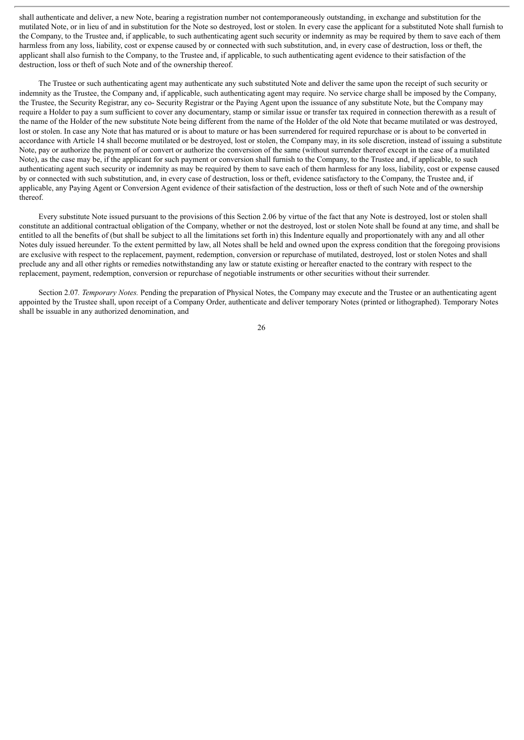shall authenticate and deliver, a new Note, bearing a registration number not contemporaneously outstanding, in exchange and substitution for the mutilated Note, or in lieu of and in substitution for the Note so destroyed, lost or stolen. In every case the applicant for a substituted Note shall furnish to the Company, to the Trustee and, if applicable, to such authenticating agent such security or indemnity as may be required by them to save each of them harmless from any loss, liability, cost or expense caused by or connected with such substitution, and, in every case of destruction, loss or theft, the applicant shall also furnish to the Company, to the Trustee and, if applicable, to such authenticating agent evidence to their satisfaction of the destruction, loss or theft of such Note and of the ownership thereof.

The Trustee or such authenticating agent may authenticate any such substituted Note and deliver the same upon the receipt of such security or indemnity as the Trustee, the Company and, if applicable, such authenticating agent may require. No service charge shall be imposed by the Company, the Trustee, the Security Registrar, any co- Security Registrar or the Paying Agent upon the issuance of any substitute Note, but the Company may require a Holder to pay a sum sufficient to cover any documentary, stamp or similar issue or transfer tax required in connection therewith as a result of the name of the Holder of the new substitute Note being different from the name of the Holder of the old Note that became mutilated or was destroyed, lost or stolen. In case any Note that has matured or is about to mature or has been surrendered for required repurchase or is about to be converted in accordance with Article 14 shall become mutilated or be destroyed, lost or stolen, the Company may, in its sole discretion, instead of issuing a substitute Note, pay or authorize the payment of or convert or authorize the conversion of the same (without surrender thereof except in the case of a mutilated Note), as the case may be, if the applicant for such payment or conversion shall furnish to the Company, to the Trustee and, if applicable, to such authenticating agent such security or indemnity as may be required by them to save each of them harmless for any loss, liability, cost or expense caused by or connected with such substitution, and, in every case of destruction, loss or theft, evidence satisfactory to the Company, the Trustee and, if applicable, any Paying Agent or Conversion Agent evidence of their satisfaction of the destruction, loss or theft of such Note and of the ownership thereof.

Every substitute Note issued pursuant to the provisions of this Section 2.06 by virtue of the fact that any Note is destroyed, lost or stolen shall constitute an additional contractual obligation of the Company, whether or not the destroyed, lost or stolen Note shall be found at any time, and shall be entitled to all the benefits of (but shall be subject to all the limitations set forth in) this Indenture equally and proportionately with any and all other Notes duly issued hereunder. To the extent permitted by law, all Notes shall be held and owned upon the express condition that the foregoing provisions are exclusive with respect to the replacement, payment, redemption, conversion or repurchase of mutilated, destroyed, lost or stolen Notes and shall preclude any and all other rights or remedies notwithstanding any law or statute existing or hereafter enacted to the contrary with respect to the replacement, payment, redemption, conversion or repurchase of negotiable instruments or other securities without their surrender.

Section 2.07*. Temporary Notes.* Pending the preparation of Physical Notes, the Company may execute and the Trustee or an authenticating agent appointed by the Trustee shall, upon receipt of a Company Order, authenticate and deliver temporary Notes (printed or lithographed). Temporary Notes shall be issuable in any authorized denomination, and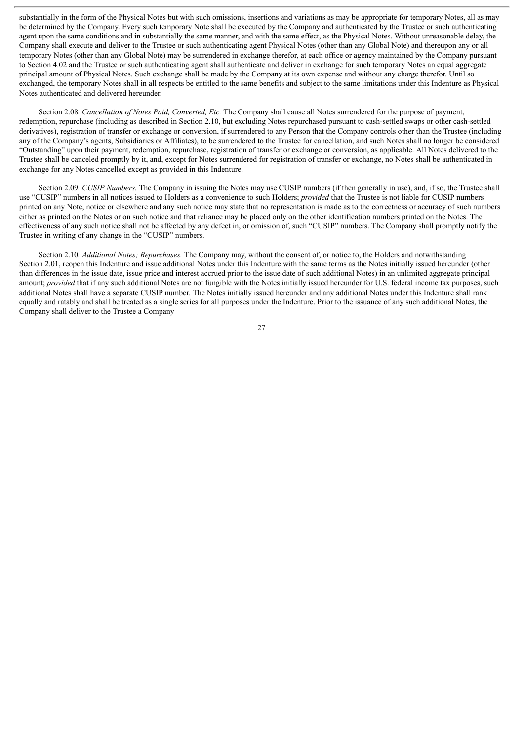substantially in the form of the Physical Notes but with such omissions, insertions and variations as may be appropriate for temporary Notes, all as may be determined by the Company. Every such temporary Note shall be executed by the Company and authenticated by the Trustee or such authenticating agent upon the same conditions and in substantially the same manner, and with the same effect, as the Physical Notes. Without unreasonable delay, the Company shall execute and deliver to the Trustee or such authenticating agent Physical Notes (other than any Global Note) and thereupon any or all temporary Notes (other than any Global Note) may be surrendered in exchange therefor, at each office or agency maintained by the Company pursuant to Section 4.02 and the Trustee or such authenticating agent shall authenticate and deliver in exchange for such temporary Notes an equal aggregate principal amount of Physical Notes. Such exchange shall be made by the Company at its own expense and without any charge therefor. Until so exchanged, the temporary Notes shall in all respects be entitled to the same benefits and subject to the same limitations under this Indenture as Physical Notes authenticated and delivered hereunder.

Section 2.08*. Cancellation of Notes Paid, Converted, Etc.* The Company shall cause all Notes surrendered for the purpose of payment, redemption, repurchase (including as described in Section 2.10, but excluding Notes repurchased pursuant to cash-settled swaps or other cash-settled derivatives), registration of transfer or exchange or conversion, if surrendered to any Person that the Company controls other than the Trustee (including any of the Company's agents, Subsidiaries or Affiliates), to be surrendered to the Trustee for cancellation, and such Notes shall no longer be considered "Outstanding" upon their payment, redemption, repurchase, registration of transfer or exchange or conversion, as applicable. All Notes delivered to the Trustee shall be canceled promptly by it, and, except for Notes surrendered for registration of transfer or exchange, no Notes shall be authenticated in exchange for any Notes cancelled except as provided in this Indenture.

Section 2.09*. CUSIP Numbers.* The Company in issuing the Notes may use CUSIP numbers (if then generally in use), and, if so, the Trustee shall use "CUSIP" numbers in all notices issued to Holders as a convenience to such Holders; *provided* that the Trustee is not liable for CUSIP numbers printed on any Note, notice or elsewhere and any such notice may state that no representation is made as to the correctness or accuracy of such numbers either as printed on the Notes or on such notice and that reliance may be placed only on the other identification numbers printed on the Notes. The effectiveness of any such notice shall not be affected by any defect in, or omission of, such "CUSIP" numbers. The Company shall promptly notify the Trustee in writing of any change in the "CUSIP" numbers.

Section 2.10*. Additional Notes; Repurchases.* The Company may, without the consent of, or notice to, the Holders and notwithstanding Section 2.01, reopen this Indenture and issue additional Notes under this Indenture with the same terms as the Notes initially issued hereunder (other than differences in the issue date, issue price and interest accrued prior to the issue date of such additional Notes) in an unlimited aggregate principal amount; *provided* that if any such additional Notes are not fungible with the Notes initially issued hereunder for U.S. federal income tax purposes, such additional Notes shall have a separate CUSIP number. The Notes initially issued hereunder and any additional Notes under this Indenture shall rank equally and ratably and shall be treated as a single series for all purposes under the Indenture. Prior to the issuance of any such additional Notes, the Company shall deliver to the Trustee a Company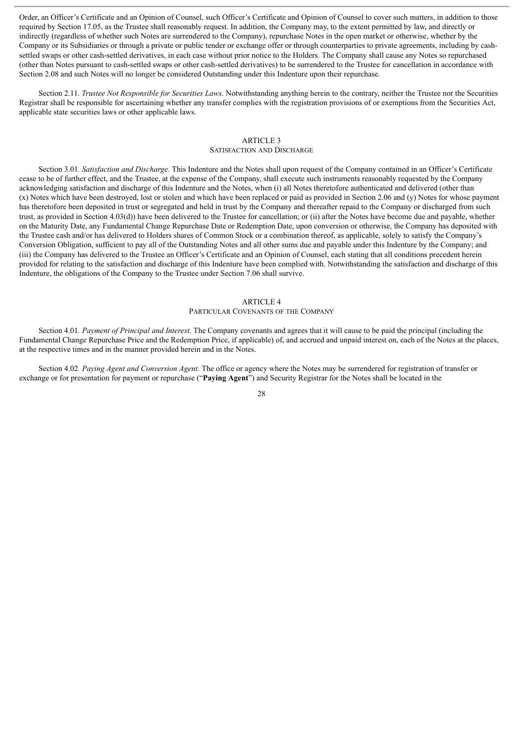Order, an Officer's Certificate and an Opinion of Counsel, such Officer's Certificate and Opinion of Counsel to cover such matters, in addition to those required by Section 17.05, as the Trustee shall reasonably request. In addition, the Company may, to the extent permitted by law, and directly or indirectly (regardless of whether such Notes are surrendered to the Company), repurchase Notes in the open market or otherwise, whether by the Company or its Subsidiaries or through a private or public tender or exchange offer or through counterparties to private agreements, including by cashsettled swaps or other cash-settled derivatives, in each case without prior notice to the Holders. The Company shall cause any Notes so repurchased (other than Notes pursuant to cash-settled swaps or other cash-settled derivatives) to be surrendered to the Trustee for cancellation in accordance with Section 2.08 and such Notes will no longer be considered Outstanding under this Indenture upon their repurchase.

Section 2.11. *Trustee Not Responsible for Securities Laws*. Notwithstanding anything herein to the contrary, neither the Trustee nor the Securities Registrar shall be responsible for ascertaining whether any transfer complies with the registration provisions of or exemptions from the Securities Act, applicable state securities laws or other applicable laws.

## ARTICLE 3

## SATISFACTION AND DISCHARGE

Section 3.01*. Satisfaction and Discharge.* This Indenture and the Notes shall upon request of the Company contained in an Officer's Certificate cease to be of further effect, and the Trustee, at the expense of the Company, shall execute such instruments reasonably requested by the Company acknowledging satisfaction and discharge of this Indenture and the Notes, when (i) all Notes theretofore authenticated and delivered (other than (x) Notes which have been destroyed, lost or stolen and which have been replaced or paid as provided in Section 2.06 and (y) Notes for whose payment has theretofore been deposited in trust or segregated and held in trust by the Company and thereafter repaid to the Company or discharged from such trust, as provided in Section 4.03(d)) have been delivered to the Trustee for cancellation; or (ii) after the Notes have become due and payable, whether on the Maturity Date, any Fundamental Change Repurchase Date or Redemption Date, upon conversion or otherwise, the Company has deposited with the Trustee cash and/or has delivered to Holders shares of Common Stock or a combination thereof, as applicable, solely to satisfy the Company's Conversion Obligation, sufficient to pay all of the Outstanding Notes and all other sums due and payable under this Indenture by the Company; and (iii) the Company has delivered to the Trustee an Officer's Certificate and an Opinion of Counsel, each stating that all conditions precedent herein provided for relating to the satisfaction and discharge of this Indenture have been complied with. Notwithstanding the satisfaction and discharge of this Indenture, the obligations of the Company to the Trustee under Section 7.06 shall survive.

## ARTICLE 4

## PARTICULAR COVENANTS OF THE COMPANY

Section 4.01*. Payment of Principal and Interest.* The Company covenants and agrees that it will cause to be paid the principal (including the Fundamental Change Repurchase Price and the Redemption Price, if applicable) of, and accrued and unpaid interest on, each of the Notes at the places, at the respective times and in the manner provided herein and in the Notes.

Section 4.02*. Paying Agent and Conversion Agent.* The office or agency where the Notes may be surrendered for registration of transfer or exchange or for presentation for payment or repurchase ("**Paying Agent**") and Security Registrar for the Notes shall be located in the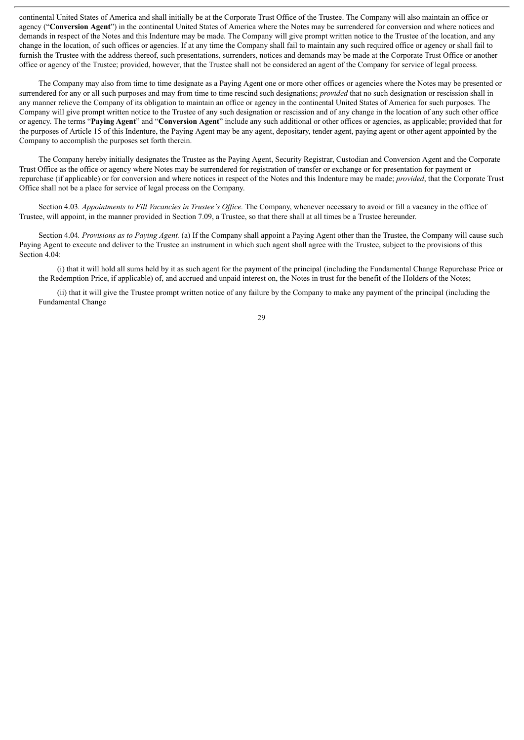continental United States of America and shall initially be at the Corporate Trust Office of the Trustee. The Company will also maintain an office or agency ("**Conversion Agent**") in the continental United States of America where the Notes may be surrendered for conversion and where notices and demands in respect of the Notes and this Indenture may be made. The Company will give prompt written notice to the Trustee of the location, and any change in the location, of such offices or agencies. If at any time the Company shall fail to maintain any such required office or agency or shall fail to furnish the Trustee with the address thereof, such presentations, surrenders, notices and demands may be made at the Corporate Trust Office or another office or agency of the Trustee; provided, however, that the Trustee shall not be considered an agent of the Company for service of legal process.

The Company may also from time to time designate as a Paying Agent one or more other offices or agencies where the Notes may be presented or surrendered for any or all such purposes and may from time to time rescind such designations; *provided* that no such designation or rescission shall in any manner relieve the Company of its obligation to maintain an office or agency in the continental United States of America for such purposes. The Company will give prompt written notice to the Trustee of any such designation or rescission and of any change in the location of any such other office or agency. The terms "**Paying Agent**" and "**Conversion Agent**" include any such additional or other offices or agencies, as applicable; provided that for the purposes of Article 15 of this Indenture, the Paying Agent may be any agent, depositary, tender agent, paying agent or other agent appointed by the Company to accomplish the purposes set forth therein.

The Company hereby initially designates the Trustee as the Paying Agent, Security Registrar, Custodian and Conversion Agent and the Corporate Trust Office as the office or agency where Notes may be surrendered for registration of transfer or exchange or for presentation for payment or repurchase (if applicable) or for conversion and where notices in respect of the Notes and this Indenture may be made; *provided*, that the Corporate Trust Office shall not be a place for service of legal process on the Company.

Section 4.03*. Appointments to Fill Vacancies in Trustee's Of ice.* The Company, whenever necessary to avoid or fill a vacancy in the office of Trustee, will appoint, in the manner provided in Section 7.09, a Trustee, so that there shall at all times be a Trustee hereunder.

Section 4.04*. Provisions as to Paying Agent.* (a) If the Company shall appoint a Paying Agent other than the Trustee, the Company will cause such Paying Agent to execute and deliver to the Trustee an instrument in which such agent shall agree with the Trustee, subject to the provisions of this Section 4.04:

(i) that it will hold all sums held by it as such agent for the payment of the principal (including the Fundamental Change Repurchase Price or the Redemption Price, if applicable) of, and accrued and unpaid interest on, the Notes in trust for the benefit of the Holders of the Notes;

(ii) that it will give the Trustee prompt written notice of any failure by the Company to make any payment of the principal (including the Fundamental Change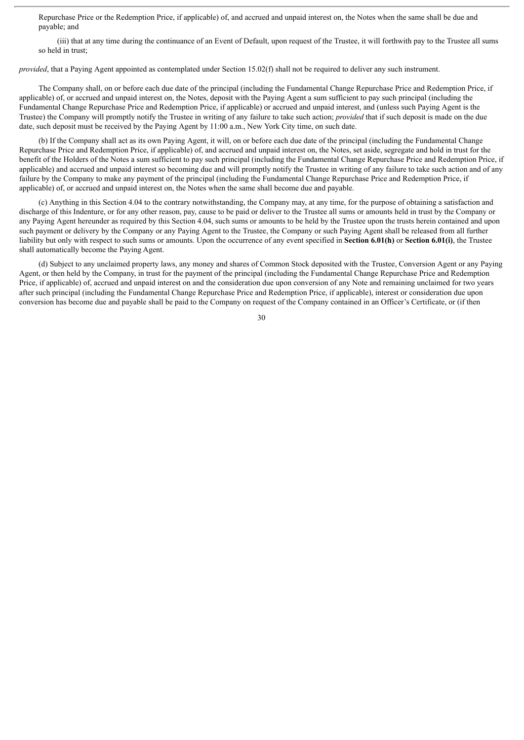Repurchase Price or the Redemption Price, if applicable) of, and accrued and unpaid interest on, the Notes when the same shall be due and payable; and

(iii) that at any time during the continuance of an Event of Default, upon request of the Trustee, it will forthwith pay to the Trustee all sums so held in trust;

*provided*, that a Paying Agent appointed as contemplated under Section 15.02(f) shall not be required to deliver any such instrument.

The Company shall, on or before each due date of the principal (including the Fundamental Change Repurchase Price and Redemption Price, if applicable) of, or accrued and unpaid interest on, the Notes, deposit with the Paying Agent a sum sufficient to pay such principal (including the Fundamental Change Repurchase Price and Redemption Price, if applicable) or accrued and unpaid interest, and (unless such Paying Agent is the Trustee) the Company will promptly notify the Trustee in writing of any failure to take such action; *provided* that if such deposit is made on the due date, such deposit must be received by the Paying Agent by 11:00 a.m., New York City time, on such date.

(b) If the Company shall act as its own Paying Agent, it will, on or before each due date of the principal (including the Fundamental Change Repurchase Price and Redemption Price, if applicable) of, and accrued and unpaid interest on, the Notes, set aside, segregate and hold in trust for the benefit of the Holders of the Notes a sum sufficient to pay such principal (including the Fundamental Change Repurchase Price and Redemption Price, if applicable) and accrued and unpaid interest so becoming due and will promptly notify the Trustee in writing of any failure to take such action and of any failure by the Company to make any payment of the principal (including the Fundamental Change Repurchase Price and Redemption Price, if applicable) of, or accrued and unpaid interest on, the Notes when the same shall become due and payable.

(c) Anything in this Section 4.04 to the contrary notwithstanding, the Company may, at any time, for the purpose of obtaining a satisfaction and discharge of this Indenture, or for any other reason, pay, cause to be paid or deliver to the Trustee all sums or amounts held in trust by the Company or any Paying Agent hereunder as required by this Section 4.04, such sums or amounts to be held by the Trustee upon the trusts herein contained and upon such payment or delivery by the Company or any Paying Agent to the Trustee, the Company or such Paying Agent shall be released from all further liability but only with respect to such sums or amounts. Upon the occurrence of any event specified in **Section 6.01(h)** or **Section 6.01(i)**, the Trustee shall automatically become the Paying Agent.

(d) Subject to any unclaimed property laws, any money and shares of Common Stock deposited with the Trustee, Conversion Agent or any Paying Agent, or then held by the Company, in trust for the payment of the principal (including the Fundamental Change Repurchase Price and Redemption Price, if applicable) of, accrued and unpaid interest on and the consideration due upon conversion of any Note and remaining unclaimed for two years after such principal (including the Fundamental Change Repurchase Price and Redemption Price, if applicable), interest or consideration due upon conversion has become due and payable shall be paid to the Company on request of the Company contained in an Officer's Certificate, or (if then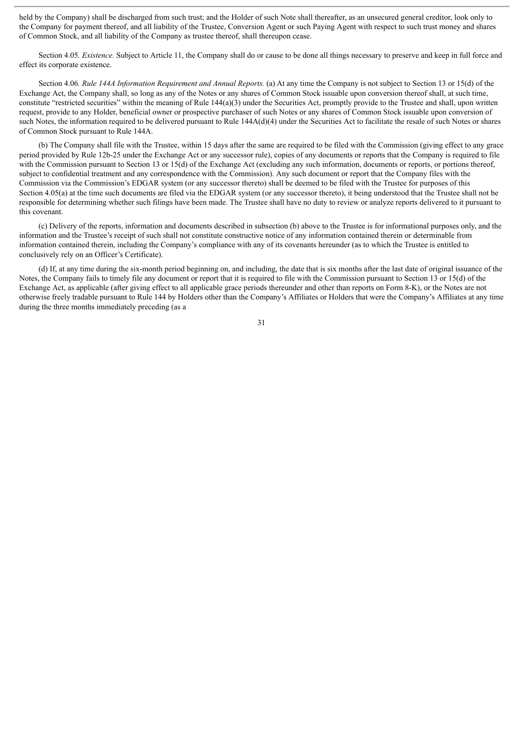held by the Company) shall be discharged from such trust; and the Holder of such Note shall thereafter, as an unsecured general creditor, look only to the Company for payment thereof, and all liability of the Trustee, Conversion Agent or such Paying Agent with respect to such trust money and shares of Common Stock, and all liability of the Company as trustee thereof, shall thereupon cease.

Section 4.05*. Existence.* Subject to Article 11, the Company shall do or cause to be done all things necessary to preserve and keep in full force and effect its corporate existence.

Section 4.06*. Rule 144A Information Requirement and Annual Reports.* (a) At any time the Company is not subject to Section 13 or 15(d) of the Exchange Act, the Company shall, so long as any of the Notes or any shares of Common Stock issuable upon conversion thereof shall, at such time, constitute "restricted securities" within the meaning of Rule 144(a)(3) under the Securities Act, promptly provide to the Trustee and shall, upon written request, provide to any Holder, beneficial owner or prospective purchaser of such Notes or any shares of Common Stock issuable upon conversion of such Notes, the information required to be delivered pursuant to Rule  $144A(d)(4)$  under the Securities Act to facilitate the resale of such Notes or shares of Common Stock pursuant to Rule 144A.

(b) The Company shall file with the Trustee, within 15 days after the same are required to be filed with the Commission (giving effect to any grace period provided by Rule 12b-25 under the Exchange Act or any successor rule), copies of any documents or reports that the Company is required to file with the Commission pursuant to Section 13 or 15(d) of the Exchange Act (excluding any such information, documents or reports, or portions thereof, subject to confidential treatment and any correspondence with the Commission). Any such document or report that the Company files with the Commission via the Commission's EDGAR system (or any successor thereto) shall be deemed to be filed with the Trustee for purposes of this Section 4.05(a) at the time such documents are filed via the EDGAR system (or any successor thereto), it being understood that the Trustee shall not be responsible for determining whether such filings have been made. The Trustee shall have no duty to review or analyze reports delivered to it pursuant to this covenant.

(c) Delivery of the reports, information and documents described in subsection (b) above to the Trustee is for informational purposes only, and the information and the Trustee's receipt of such shall not constitute constructive notice of any information contained therein or determinable from information contained therein, including the Company's compliance with any of its covenants hereunder (as to which the Trustee is entitled to conclusively rely on an Officer's Certificate).

(d) If, at any time during the six-month period beginning on, and including, the date that is six months after the last date of original issuance of the Notes, the Company fails to timely file any document or report that it is required to file with the Commission pursuant to Section 13 or 15(d) of the Exchange Act, as applicable (after giving effect to all applicable grace periods thereunder and other than reports on Form 8-K), or the Notes are not otherwise freely tradable pursuant to Rule 144 by Holders other than the Company's Affiliates or Holders that were the Company's Affiliates at any time during the three months immediately preceding (as a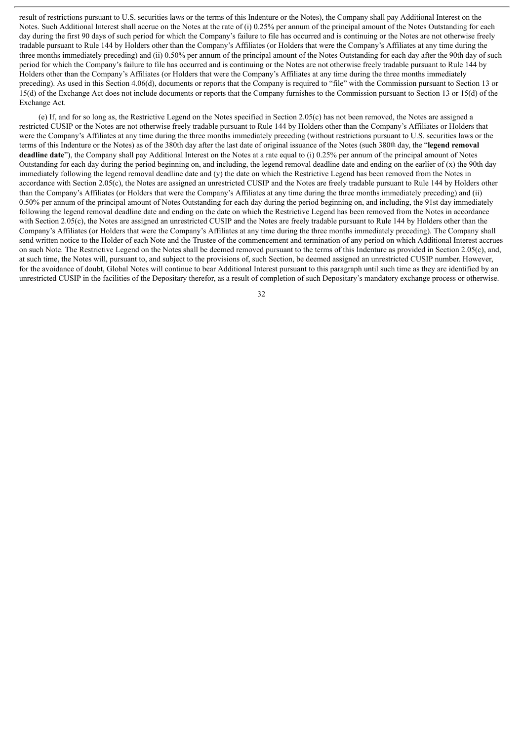result of restrictions pursuant to U.S. securities laws or the terms of this Indenture or the Notes), the Company shall pay Additional Interest on the Notes. Such Additional Interest shall accrue on the Notes at the rate of (i) 0.25% per annum of the principal amount of the Notes Outstanding for each day during the first 90 days of such period for which the Company's failure to file has occurred and is continuing or the Notes are not otherwise freely tradable pursuant to Rule 144 by Holders other than the Company's Affiliates (or Holders that were the Company's Affiliates at any time during the three months immediately preceding) and (ii) 0.50% per annum of the principal amount of the Notes Outstanding for each day after the 90th day of such period for which the Company's failure to file has occurred and is continuing or the Notes are not otherwise freely tradable pursuant to Rule 144 by Holders other than the Company's Affiliates (or Holders that were the Company's Affiliates at any time during the three months immediately preceding). As used in this Section 4.06(d), documents or reports that the Company is required to "file" with the Commission pursuant to Section 13 or 15(d) of the Exchange Act does not include documents or reports that the Company furnishes to the Commission pursuant to Section 13 or 15(d) of the Exchange Act.

(e) If, and for so long as, the Restrictive Legend on the Notes specified in Section 2.05(c) has not been removed, the Notes are assigned a restricted CUSIP or the Notes are not otherwise freely tradable pursuant to Rule 144 by Holders other than the Company's Affiliates or Holders that were the Company's Affiliates at any time during the three months immediately preceding (without restrictions pursuant to U.S. securities laws or the terms of this Indenture or the Notes) as of the 380th day after the last date of original issuance of the Notes (such 380th day, the "**legend removal deadline date**"), the Company shall pay Additional Interest on the Notes at a rate equal to (i) 0.25% per annum of the principal amount of Notes Outstanding for each day during the period beginning on, and including, the legend removal deadline date and ending on the earlier of  $(x)$  the 90th day immediately following the legend removal deadline date and (y) the date on which the Restrictive Legend has been removed from the Notes in accordance with Section 2.05(c), the Notes are assigned an unrestricted CUSIP and the Notes are freely tradable pursuant to Rule 144 by Holders other than the Company's Affiliates (or Holders that were the Company's Affiliates at any time during the three months immediately preceding) and (ii) 0.50% per annum of the principal amount of Notes Outstanding for each day during the period beginning on, and including, the 91st day immediately following the legend removal deadline date and ending on the date on which the Restrictive Legend has been removed from the Notes in accordance with Section 2.05(c), the Notes are assigned an unrestricted CUSIP and the Notes are freely tradable pursuant to Rule 144 by Holders other than the Company's Affiliates (or Holders that were the Company's Affiliates at any time during the three months immediately preceding). The Company shall send written notice to the Holder of each Note and the Trustee of the commencement and termination of any period on which Additional Interest accrues on such Note. The Restrictive Legend on the Notes shall be deemed removed pursuant to the terms of this Indenture as provided in Section 2.05(c), and, at such time, the Notes will, pursuant to, and subject to the provisions of, such Section, be deemed assigned an unrestricted CUSIP number. However, for the avoidance of doubt, Global Notes will continue to bear Additional Interest pursuant to this paragraph until such time as they are identified by an unrestricted CUSIP in the facilities of the Depositary therefor, as a result of completion of such Depositary's mandatory exchange process or otherwise.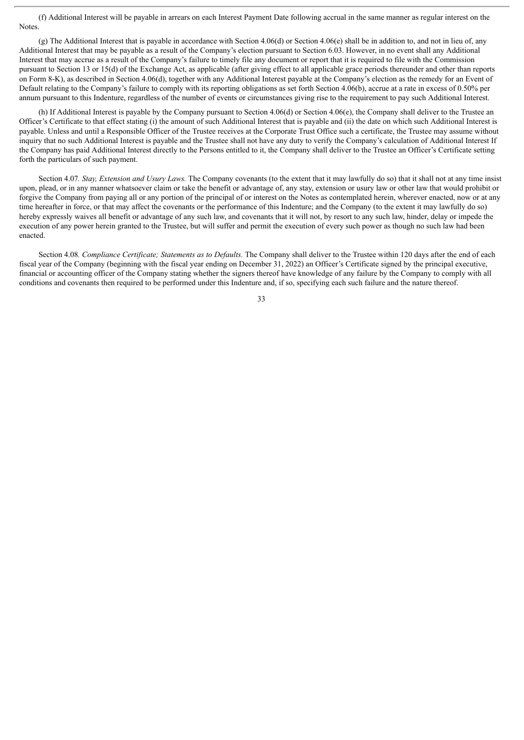(f) Additional Interest will be payable in arrears on each Interest Payment Date following accrual in the same manner as regular interest on the **Notes**.

(g) The Additional Interest that is payable in accordance with Section 4.06(d) or Section 4.06(e) shall be in addition to, and not in lieu of, any Additional Interest that may be payable as a result of the Company's election pursuant to Section 6.03. However, in no event shall any Additional Interest that may accrue as a result of the Company's failure to timely file any document or report that it is required to file with the Commission pursuant to Section 13 or 15(d) of the Exchange Act, as applicable (after giving effect to all applicable grace periods thereunder and other than reports on Form 8-K), as described in Section 4.06(d), together with any Additional Interest payable at the Company's election as the remedy for an Event of Default relating to the Company's failure to comply with its reporting obligations as set forth Section 4.06(b), accrue at a rate in excess of 0.50% per annum pursuant to this Indenture, regardless of the number of events or circumstances giving rise to the requirement to pay such Additional Interest.

(h) If Additional Interest is payable by the Company pursuant to Section 4.06(d) or Section 4.06(e), the Company shall deliver to the Trustee an Officer's Certificate to that effect stating (i) the amount of such Additional Interest that is payable and (ii) the date on which such Additional Interest is payable. Unless and until a Responsible Officer of the Trustee receives at the Corporate Trust Office such a certificate, the Trustee may assume without inquiry that no such Additional Interest is payable and the Trustee shall not have any duty to verify the Company's calculation of Additional Interest If the Company has paid Additional Interest directly to the Persons entitled to it, the Company shall deliver to the Trustee an Officer's Certificate setting forth the particulars of such payment.

Section 4.07*. Stay, Extension and Usury Laws.* The Company covenants (to the extent that it may lawfully do so) that it shall not at any time insist upon, plead, or in any manner whatsoever claim or take the benefit or advantage of, any stay, extension or usury law or other law that would prohibit or forgive the Company from paying all or any portion of the principal of or interest on the Notes as contemplated herein, wherever enacted, now or at any time hereafter in force, or that may affect the covenants or the performance of this Indenture; and the Company (to the extent it may lawfully do so) hereby expressly waives all benefit or advantage of any such law, and covenants that it will not, by resort to any such law, hinder, delay or impede the execution of any power herein granted to the Trustee, but will suffer and permit the execution of every such power as though no such law had been enacted.

Section 4.08*. Compliance Certificate; Statements as to Defaults.* The Company shall deliver to the Trustee within 120 days after the end of each fiscal year of the Company (beginning with the fiscal year ending on December 31, 2022) an Officer's Certificate signed by the principal executive, financial or accounting officer of the Company stating whether the signers thereof have knowledge of any failure by the Company to comply with all conditions and covenants then required to be performed under this Indenture and, if so, specifying each such failure and the nature thereof.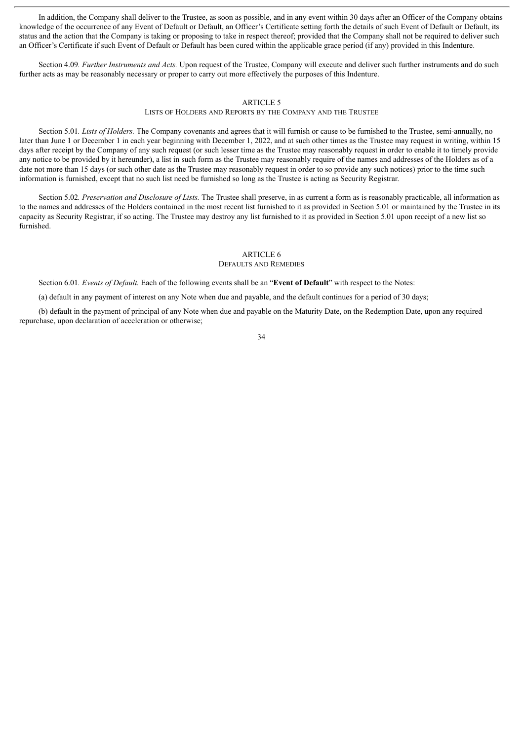In addition, the Company shall deliver to the Trustee, as soon as possible, and in any event within 30 days after an Officer of the Company obtains knowledge of the occurrence of any Event of Default or Default, an Officer's Certificate setting forth the details of such Event of Default or Default, its status and the action that the Company is taking or proposing to take in respect thereof; provided that the Company shall not be required to deliver such an Officer's Certificate if such Event of Default or Default has been cured within the applicable grace period (if any) provided in this Indenture.

Section 4.09*. Further Instruments and Acts.* Upon request of the Trustee, Company will execute and deliver such further instruments and do such further acts as may be reasonably necessary or proper to carry out more effectively the purposes of this Indenture.

## ARTICLE 5

LISTS OF HOLDERS AND REPORTS BY THE COMPANY AND THE TRUSTEE

Section 5.01*. Lists of Holders.* The Company covenants and agrees that it will furnish or cause to be furnished to the Trustee, semi-annually, no later than June 1 or December 1 in each year beginning with December 1, 2022, and at such other times as the Trustee may request in writing, within 15 days after receipt by the Company of any such request (or such lesser time as the Trustee may reasonably request in order to enable it to timely provide any notice to be provided by it hereunder), a list in such form as the Trustee may reasonably require of the names and addresses of the Holders as of a date not more than 15 days (or such other date as the Trustee may reasonably request in order to so provide any such notices) prior to the time such information is furnished, except that no such list need be furnished so long as the Trustee is acting as Security Registrar.

Section 5.02*. Preservation and Disclosure of Lists.* The Trustee shall preserve, in as current a form as is reasonably practicable, all information as to the names and addresses of the Holders contained in the most recent list furnished to it as provided in Section 5.01 or maintained by the Trustee in its capacity as Security Registrar, if so acting. The Trustee may destroy any list furnished to it as provided in Section 5.01 upon receipt of a new list so furnished.

#### ARTICLE 6

#### DEFAULTS AND REMEDIES

Section 6.01*. Events of Default.* Each of the following events shall be an "**Event of Default**" with respect to the Notes:

(a) default in any payment of interest on any Note when due and payable, and the default continues for a period of 30 days;

(b) default in the payment of principal of any Note when due and payable on the Maturity Date, on the Redemption Date, upon any required repurchase, upon declaration of acceleration or otherwise;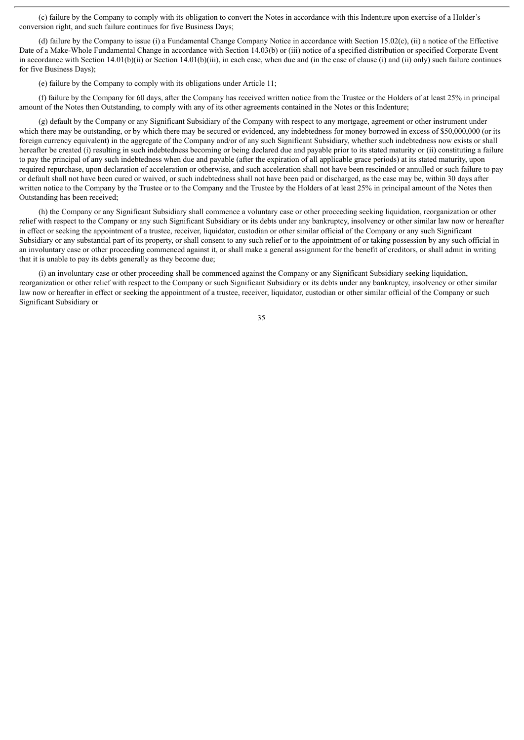(c) failure by the Company to comply with its obligation to convert the Notes in accordance with this Indenture upon exercise of a Holder's conversion right, and such failure continues for five Business Days;

(d) failure by the Company to issue (i) a Fundamental Change Company Notice in accordance with Section 15.02(c), (ii) a notice of the Effective Date of a Make-Whole Fundamental Change in accordance with Section 14.03(b) or (iii) notice of a specified distribution or specified Corporate Event in accordance with Section 14.01(b)(ii) or Section 14.01(b)(iii), in each case, when due and (in the case of clause (i) and (ii) only) such failure continues for five Business Days);

(e) failure by the Company to comply with its obligations under Article 11;

(f) failure by the Company for 60 days, after the Company has received written notice from the Trustee or the Holders of at least 25% in principal amount of the Notes then Outstanding, to comply with any of its other agreements contained in the Notes or this Indenture;

(g) default by the Company or any Significant Subsidiary of the Company with respect to any mortgage, agreement or other instrument under which there may be outstanding, or by which there may be secured or evidenced, any indebtedness for money borrowed in excess of \$50,000,000 (or its foreign currency equivalent) in the aggregate of the Company and/or of any such Significant Subsidiary, whether such indebtedness now exists or shall hereafter be created (i) resulting in such indebtedness becoming or being declared due and payable prior to its stated maturity or (ii) constituting a failure to pay the principal of any such indebtedness when due and payable (after the expiration of all applicable grace periods) at its stated maturity, upon required repurchase, upon declaration of acceleration or otherwise, and such acceleration shall not have been rescinded or annulled or such failure to pay or default shall not have been cured or waived, or such indebtedness shall not have been paid or discharged, as the case may be, within 30 days after written notice to the Company by the Trustee or to the Company and the Trustee by the Holders of at least 25% in principal amount of the Notes then Outstanding has been received;

(h) the Company or any Significant Subsidiary shall commence a voluntary case or other proceeding seeking liquidation, reorganization or other relief with respect to the Company or any such Significant Subsidiary or its debts under any bankruptcy, insolvency or other similar law now or hereafter in effect or seeking the appointment of a trustee, receiver, liquidator, custodian or other similar official of the Company or any such Significant Subsidiary or any substantial part of its property, or shall consent to any such relief or to the appointment of or taking possession by any such official in an involuntary case or other proceeding commenced against it, or shall make a general assignment for the benefit of creditors, or shall admit in writing that it is unable to pay its debts generally as they become due;

(i) an involuntary case or other proceeding shall be commenced against the Company or any Significant Subsidiary seeking liquidation, reorganization or other relief with respect to the Company or such Significant Subsidiary or its debts under any bankruptcy, insolvency or other similar law now or hereafter in effect or seeking the appointment of a trustee, receiver, liquidator, custodian or other similar official of the Company or such Significant Subsidiary or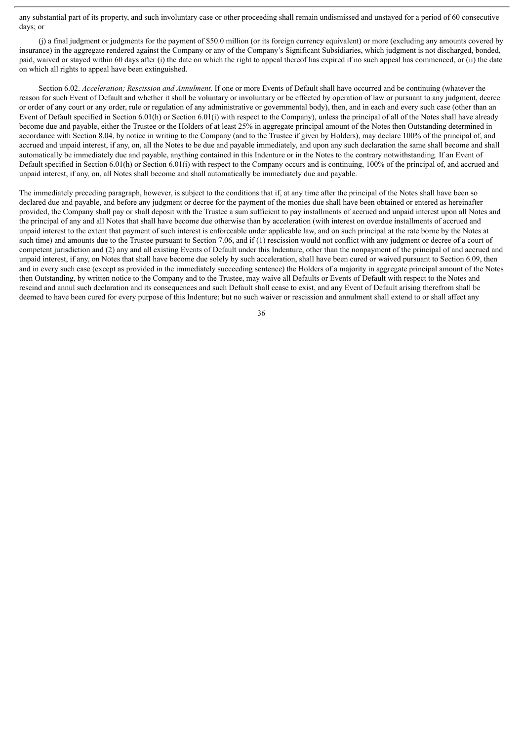any substantial part of its property, and such involuntary case or other proceeding shall remain undismissed and unstayed for a period of 60 consecutive days; or

(j) a final judgment or judgments for the payment of \$50.0 million (or its foreign currency equivalent) or more (excluding any amounts covered by insurance) in the aggregate rendered against the Company or any of the Company's Significant Subsidiaries, which judgment is not discharged, bonded, paid, waived or stayed within 60 days after (i) the date on which the right to appeal thereof has expired if no such appeal has commenced, or (ii) the date on which all rights to appeal have been extinguished.

Section 6.02. *Acceleration; Rescission and Annulment*. If one or more Events of Default shall have occurred and be continuing (whatever the reason for such Event of Default and whether it shall be voluntary or involuntary or be effected by operation of law or pursuant to any judgment, decree or order of any court or any order, rule or regulation of any administrative or governmental body), then, and in each and every such case (other than an Event of Default specified in Section 6.01(h) or Section 6.01(i) with respect to the Company), unless the principal of all of the Notes shall have already become due and payable, either the Trustee or the Holders of at least 25% in aggregate principal amount of the Notes then Outstanding determined in accordance with Section 8.04, by notice in writing to the Company (and to the Trustee if given by Holders), may declare 100% of the principal of, and accrued and unpaid interest, if any, on, all the Notes to be due and payable immediately, and upon any such declaration the same shall become and shall automatically be immediately due and payable, anything contained in this Indenture or in the Notes to the contrary notwithstanding. If an Event of Default specified in Section 6.01(h) or Section 6.01(i) with respect to the Company occurs and is continuing, 100% of the principal of, and accrued and unpaid interest, if any, on, all Notes shall become and shall automatically be immediately due and payable.

The immediately preceding paragraph, however, is subject to the conditions that if, at any time after the principal of the Notes shall have been so declared due and payable, and before any judgment or decree for the payment of the monies due shall have been obtained or entered as hereinafter provided, the Company shall pay or shall deposit with the Trustee a sum sufficient to pay installments of accrued and unpaid interest upon all Notes and the principal of any and all Notes that shall have become due otherwise than by acceleration (with interest on overdue installments of accrued and unpaid interest to the extent that payment of such interest is enforceable under applicable law, and on such principal at the rate borne by the Notes at such time) and amounts due to the Trustee pursuant to Section 7.06, and if (1) rescission would not conflict with any judgment or decree of a court of competent jurisdiction and (2) any and all existing Events of Default under this Indenture, other than the nonpayment of the principal of and accrued and unpaid interest, if any, on Notes that shall have become due solely by such acceleration, shall have been cured or waived pursuant to Section 6.09, then and in every such case (except as provided in the immediately succeeding sentence) the Holders of a majority in aggregate principal amount of the Notes then Outstanding, by written notice to the Company and to the Trustee, may waive all Defaults or Events of Default with respect to the Notes and rescind and annul such declaration and its consequences and such Default shall cease to exist, and any Event of Default arising therefrom shall be deemed to have been cured for every purpose of this Indenture; but no such waiver or rescission and annulment shall extend to or shall affect any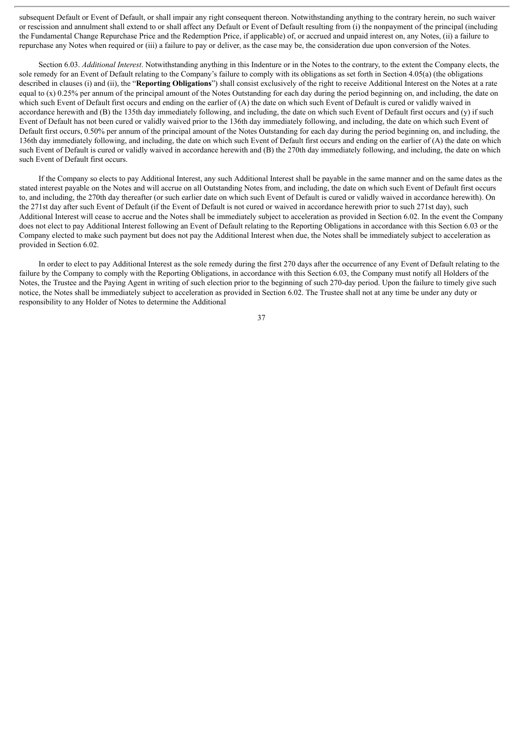subsequent Default or Event of Default, or shall impair any right consequent thereon. Notwithstanding anything to the contrary herein, no such waiver or rescission and annulment shall extend to or shall affect any Default or Event of Default resulting from (i) the nonpayment of the principal (including the Fundamental Change Repurchase Price and the Redemption Price, if applicable) of, or accrued and unpaid interest on, any Notes, (ii) a failure to repurchase any Notes when required or (iii) a failure to pay or deliver, as the case may be, the consideration due upon conversion of the Notes.

Section 6.03. *Additional Interest*. Notwithstanding anything in this Indenture or in the Notes to the contrary, to the extent the Company elects, the sole remedy for an Event of Default relating to the Company's failure to comply with its obligations as set forth in Section 4.05(a) (the obligations described in clauses (i) and (ii), the "**Reporting Obligations**") shall consist exclusively of the right to receive Additional Interest on the Notes at a rate equal to  $(x)$  0.25% per annum of the principal amount of the Notes Outstanding for each day during the period beginning on, and including, the date on which such Event of Default first occurs and ending on the earlier of (A) the date on which such Event of Default is cured or validly waived in accordance herewith and (B) the 135th day immediately following, and including, the date on which such Event of Default first occurs and (y) if such Event of Default has not been cured or validly waived prior to the 136th day immediately following, and including, the date on which such Event of Default first occurs, 0.50% per annum of the principal amount of the Notes Outstanding for each day during the period beginning on, and including, the 136th day immediately following, and including, the date on which such Event of Default first occurs and ending on the earlier of (A) the date on which such Event of Default is cured or validly waived in accordance herewith and (B) the 270th day immediately following, and including, the date on which such Event of Default first occurs.

If the Company so elects to pay Additional Interest, any such Additional Interest shall be payable in the same manner and on the same dates as the stated interest payable on the Notes and will accrue on all Outstanding Notes from, and including, the date on which such Event of Default first occurs to, and including, the 270th day thereafter (or such earlier date on which such Event of Default is cured or validly waived in accordance herewith). On the 271st day after such Event of Default (if the Event of Default is not cured or waived in accordance herewith prior to such 271st day), such Additional Interest will cease to accrue and the Notes shall be immediately subject to acceleration as provided in Section 6.02. In the event the Company does not elect to pay Additional Interest following an Event of Default relating to the Reporting Obligations in accordance with this Section 6.03 or the Company elected to make such payment but does not pay the Additional Interest when due, the Notes shall be immediately subject to acceleration as provided in Section 6.02.

In order to elect to pay Additional Interest as the sole remedy during the first 270 days after the occurrence of any Event of Default relating to the failure by the Company to comply with the Reporting Obligations, in accordance with this Section 6.03, the Company must notify all Holders of the Notes, the Trustee and the Paying Agent in writing of such election prior to the beginning of such 270-day period. Upon the failure to timely give such notice, the Notes shall be immediately subject to acceleration as provided in Section 6.02. The Trustee shall not at any time be under any duty or responsibility to any Holder of Notes to determine the Additional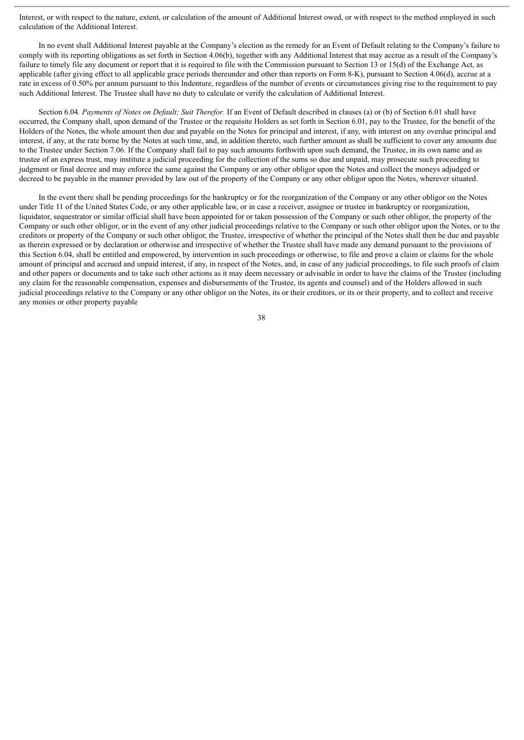Interest, or with respect to the nature, extent, or calculation of the amount of Additional Interest owed, or with respect to the method employed in such calculation of the Additional Interest.

In no event shall Additional Interest payable at the Company's election as the remedy for an Event of Default relating to the Company's failure to comply with its reporting obligations as set forth in Section 4.06(b), together with any Additional Interest that may accrue as a result of the Company's failure to timely file any document or report that it is required to file with the Commission pursuant to Section 13 or 15(d) of the Exchange Act, as applicable (after giving effect to all applicable grace periods thereunder and other than reports on Form 8-K), pursuant to Section 4.06(d), accrue at a rate in excess of 0.50% per annum pursuant to this Indenture, regardless of the number of events or circumstances giving rise to the requirement to pay such Additional Interest. The Trustee shall have no duty to calculate or verify the calculation of Additional Interest.

Section 6.04*. Payments of Notes on Default; Suit Therefor.* If an Event of Default described in clauses (a) or (b) of Section 6.01 shall have occurred, the Company shall, upon demand of the Trustee or the requisite Holders as set forth in Section 6.01, pay to the Trustee, for the benefit of the Holders of the Notes, the whole amount then due and payable on the Notes for principal and interest, if any, with interest on any overdue principal and interest, if any, at the rate borne by the Notes at such time, and, in addition thereto, such further amount as shall be sufficient to cover any amounts due to the Trustee under Section 7.06. If the Company shall fail to pay such amounts forthwith upon such demand, the Trustee, in its own name and as trustee of an express trust, may institute a judicial proceeding for the collection of the sums so due and unpaid, may prosecute such proceeding to judgment or final decree and may enforce the same against the Company or any other obligor upon the Notes and collect the moneys adjudged or decreed to be payable in the manner provided by law out of the property of the Company or any other obligor upon the Notes, wherever situated.

In the event there shall be pending proceedings for the bankruptcy or for the reorganization of the Company or any other obligor on the Notes under Title 11 of the United States Code, or any other applicable law, or in case a receiver, assignee or trustee in bankruptcy or reorganization, liquidator, sequestrator or similar official shall have been appointed for or taken possession of the Company or such other obligor, the property of the Company or such other obligor, or in the event of any other judicial proceedings relative to the Company or such other obligor upon the Notes, or to the creditors or property of the Company or such other obligor, the Trustee, irrespective of whether the principal of the Notes shall then be due and payable as therein expressed or by declaration or otherwise and irrespective of whether the Trustee shall have made any demand pursuant to the provisions of this Section 6.04, shall be entitled and empowered, by intervention in such proceedings or otherwise, to file and prove a claim or claims for the whole amount of principal and accrued and unpaid interest, if any, in respect of the Notes, and, in case of any judicial proceedings, to file such proofs of claim and other papers or documents and to take such other actions as it may deem necessary or advisable in order to have the claims of the Trustee (including any claim for the reasonable compensation, expenses and disbursements of the Trustee, its agents and counsel) and of the Holders allowed in such judicial proceedings relative to the Company or any other obligor on the Notes, its or their creditors, or its or their property, and to collect and receive any monies or other property payable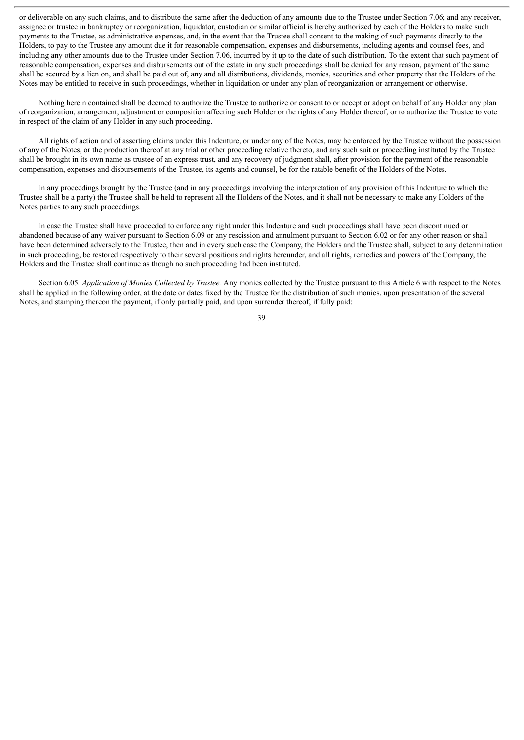or deliverable on any such claims, and to distribute the same after the deduction of any amounts due to the Trustee under Section 7.06; and any receiver, assignee or trustee in bankruptcy or reorganization, liquidator, custodian or similar official is hereby authorized by each of the Holders to make such payments to the Trustee, as administrative expenses, and, in the event that the Trustee shall consent to the making of such payments directly to the Holders, to pay to the Trustee any amount due it for reasonable compensation, expenses and disbursements, including agents and counsel fees, and including any other amounts due to the Trustee under Section 7.06, incurred by it up to the date of such distribution. To the extent that such payment of reasonable compensation, expenses and disbursements out of the estate in any such proceedings shall be denied for any reason, payment of the same shall be secured by a lien on, and shall be paid out of, any and all distributions, dividends, monies, securities and other property that the Holders of the Notes may be entitled to receive in such proceedings, whether in liquidation or under any plan of reorganization or arrangement or otherwise.

Nothing herein contained shall be deemed to authorize the Trustee to authorize or consent to or accept or adopt on behalf of any Holder any plan of reorganization, arrangement, adjustment or composition affecting such Holder or the rights of any Holder thereof, or to authorize the Trustee to vote in respect of the claim of any Holder in any such proceeding.

All rights of action and of asserting claims under this Indenture, or under any of the Notes, may be enforced by the Trustee without the possession of any of the Notes, or the production thereof at any trial or other proceeding relative thereto, and any such suit or proceeding instituted by the Trustee shall be brought in its own name as trustee of an express trust, and any recovery of judgment shall, after provision for the payment of the reasonable compensation, expenses and disbursements of the Trustee, its agents and counsel, be for the ratable benefit of the Holders of the Notes.

In any proceedings brought by the Trustee (and in any proceedings involving the interpretation of any provision of this Indenture to which the Trustee shall be a party) the Trustee shall be held to represent all the Holders of the Notes, and it shall not be necessary to make any Holders of the Notes parties to any such proceedings.

In case the Trustee shall have proceeded to enforce any right under this Indenture and such proceedings shall have been discontinued or abandoned because of any waiver pursuant to Section 6.09 or any rescission and annulment pursuant to Section 6.02 or for any other reason or shall have been determined adversely to the Trustee, then and in every such case the Company, the Holders and the Trustee shall, subject to any determination in such proceeding, be restored respectively to their several positions and rights hereunder, and all rights, remedies and powers of the Company, the Holders and the Trustee shall continue as though no such proceeding had been instituted.

Section 6.05*. Application of Monies Collected by Trustee.* Any monies collected by the Trustee pursuant to this Article 6 with respect to the Notes shall be applied in the following order, at the date or dates fixed by the Trustee for the distribution of such monies, upon presentation of the several Notes, and stamping thereon the payment, if only partially paid, and upon surrender thereof, if fully paid: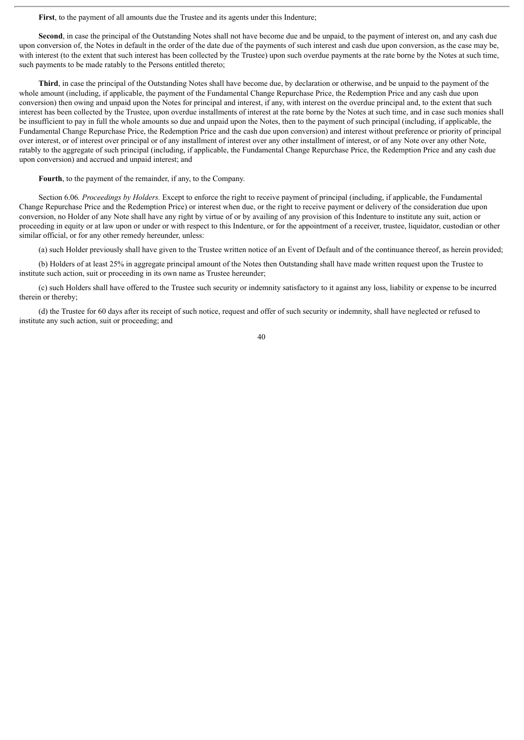**First**, to the payment of all amounts due the Trustee and its agents under this Indenture;

**Second**, in case the principal of the Outstanding Notes shall not have become due and be unpaid, to the payment of interest on, and any cash due upon conversion of, the Notes in default in the order of the date due of the payments of such interest and cash due upon conversion, as the case may be, with interest (to the extent that such interest has been collected by the Trustee) upon such overdue payments at the rate borne by the Notes at such time, such payments to be made ratably to the Persons entitled thereto;

**Third**, in case the principal of the Outstanding Notes shall have become due, by declaration or otherwise, and be unpaid to the payment of the whole amount (including, if applicable, the payment of the Fundamental Change Repurchase Price, the Redemption Price and any cash due upon conversion) then owing and unpaid upon the Notes for principal and interest, if any, with interest on the overdue principal and, to the extent that such interest has been collected by the Trustee, upon overdue installments of interest at the rate borne by the Notes at such time, and in case such monies shall be insufficient to pay in full the whole amounts so due and unpaid upon the Notes, then to the payment of such principal (including, if applicable, the Fundamental Change Repurchase Price, the Redemption Price and the cash due upon conversion) and interest without preference or priority of principal over interest, or of interest over principal or of any installment of interest over any other installment of interest, or of any Note over any other Note, ratably to the aggregate of such principal (including, if applicable, the Fundamental Change Repurchase Price, the Redemption Price and any cash due upon conversion) and accrued and unpaid interest; and

**Fourth**, to the payment of the remainder, if any, to the Company.

Section 6.06*. Proceedings by Holders.* Except to enforce the right to receive payment of principal (including, if applicable, the Fundamental Change Repurchase Price and the Redemption Price) or interest when due, or the right to receive payment or delivery of the consideration due upon conversion, no Holder of any Note shall have any right by virtue of or by availing of any provision of this Indenture to institute any suit, action or proceeding in equity or at law upon or under or with respect to this Indenture, or for the appointment of a receiver, trustee, liquidator, custodian or other similar official, or for any other remedy hereunder, unless:

(a) such Holder previously shall have given to the Trustee written notice of an Event of Default and of the continuance thereof, as herein provided;

(b) Holders of at least 25% in aggregate principal amount of the Notes then Outstanding shall have made written request upon the Trustee to institute such action, suit or proceeding in its own name as Trustee hereunder;

(c) such Holders shall have offered to the Trustee such security or indemnity satisfactory to it against any loss, liability or expense to be incurred therein or thereby;

(d) the Trustee for 60 days after its receipt of such notice, request and offer of such security or indemnity, shall have neglected or refused to institute any such action, suit or proceeding; and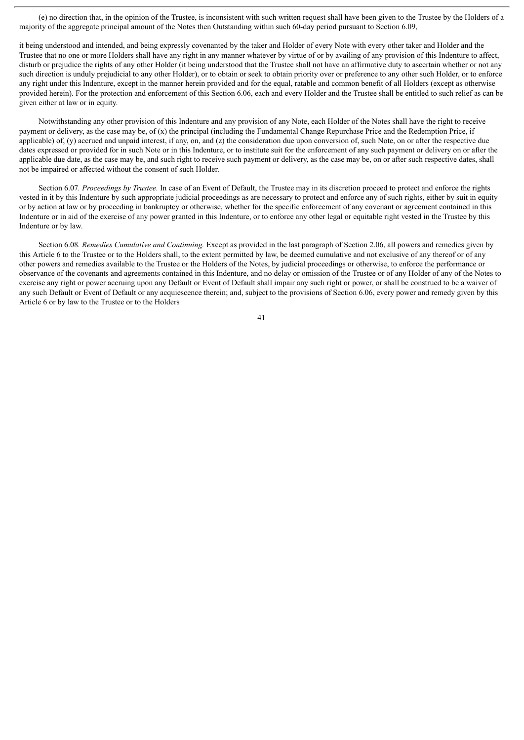(e) no direction that, in the opinion of the Trustee, is inconsistent with such written request shall have been given to the Trustee by the Holders of a majority of the aggregate principal amount of the Notes then Outstanding within such 60-day period pursuant to Section 6.09,

it being understood and intended, and being expressly covenanted by the taker and Holder of every Note with every other taker and Holder and the Trustee that no one or more Holders shall have any right in any manner whatever by virtue of or by availing of any provision of this Indenture to affect, disturb or prejudice the rights of any other Holder (it being understood that the Trustee shall not have an affirmative duty to ascertain whether or not any such direction is unduly prejudicial to any other Holder), or to obtain or seek to obtain priority over or preference to any other such Holder, or to enforce any right under this Indenture, except in the manner herein provided and for the equal, ratable and common benefit of all Holders (except as otherwise provided herein). For the protection and enforcement of this Section 6.06, each and every Holder and the Trustee shall be entitled to such relief as can be given either at law or in equity.

Notwithstanding any other provision of this Indenture and any provision of any Note, each Holder of the Notes shall have the right to receive payment or delivery, as the case may be, of (x) the principal (including the Fundamental Change Repurchase Price and the Redemption Price, if applicable) of, (y) accrued and unpaid interest, if any, on, and (z) the consideration due upon conversion of, such Note, on or after the respective due dates expressed or provided for in such Note or in this Indenture, or to institute suit for the enforcement of any such payment or delivery on or after the applicable due date, as the case may be, and such right to receive such payment or delivery, as the case may be, on or after such respective dates, shall not be impaired or affected without the consent of such Holder.

Section 6.07*. Proceedings by Trustee.* In case of an Event of Default, the Trustee may in its discretion proceed to protect and enforce the rights vested in it by this Indenture by such appropriate judicial proceedings as are necessary to protect and enforce any of such rights, either by suit in equity or by action at law or by proceeding in bankruptcy or otherwise, whether for the specific enforcement of any covenant or agreement contained in this Indenture or in aid of the exercise of any power granted in this Indenture, or to enforce any other legal or equitable right vested in the Trustee by this Indenture or by law.

Section 6.08*. Remedies Cumulative and Continuing.* Except as provided in the last paragraph of Section 2.06, all powers and remedies given by this Article 6 to the Trustee or to the Holders shall, to the extent permitted by law, be deemed cumulative and not exclusive of any thereof or of any other powers and remedies available to the Trustee or the Holders of the Notes, by judicial proceedings or otherwise, to enforce the performance or observance of the covenants and agreements contained in this Indenture, and no delay or omission of the Trustee or of any Holder of any of the Notes to exercise any right or power accruing upon any Default or Event of Default shall impair any such right or power, or shall be construed to be a waiver of any such Default or Event of Default or any acquiescence therein; and, subject to the provisions of Section 6.06, every power and remedy given by this Article 6 or by law to the Trustee or to the Holders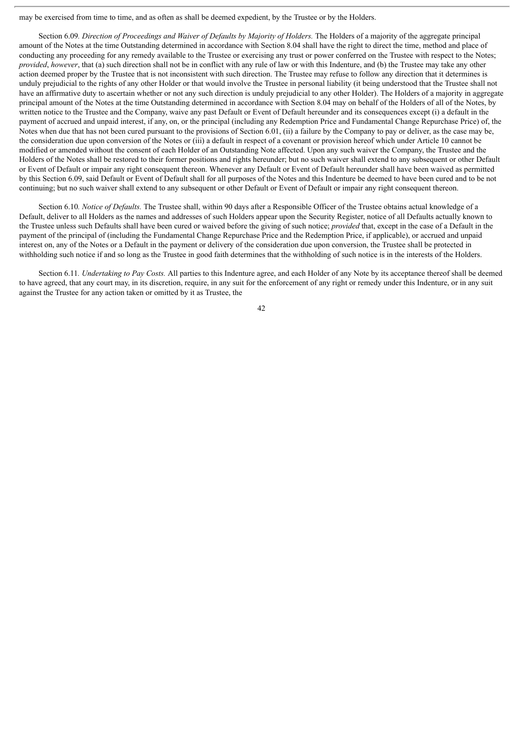may be exercised from time to time, and as often as shall be deemed expedient, by the Trustee or by the Holders.

Section 6.09*. Direction of Proceedings and Waiver of Defaults by Majority of Holders.* The Holders of a majority of the aggregate principal amount of the Notes at the time Outstanding determined in accordance with Section 8.04 shall have the right to direct the time, method and place of conducting any proceeding for any remedy available to the Trustee or exercising any trust or power conferred on the Trustee with respect to the Notes; *provided, however*, that (a) such direction shall not be in conflict with any rule of law or with this Indenture, and (b) the Trustee may take any other action deemed proper by the Trustee that is not inconsistent with such direction. The Trustee may refuse to follow any direction that it determines is unduly prejudicial to the rights of any other Holder or that would involve the Trustee in personal liability (it being understood that the Trustee shall not have an affirmative duty to ascertain whether or not any such direction is unduly prejudicial to any other Holder). The Holders of a majority in aggregate principal amount of the Notes at the time Outstanding determined in accordance with Section 8.04 may on behalf of the Holders of all of the Notes, by written notice to the Trustee and the Company, waive any past Default or Event of Default hereunder and its consequences except (i) a default in the payment of accrued and unpaid interest, if any, on, or the principal (including any Redemption Price and Fundamental Change Repurchase Price) of, the Notes when due that has not been cured pursuant to the provisions of Section 6.01, (ii) a failure by the Company to pay or deliver, as the case may be, the consideration due upon conversion of the Notes or (iii) a default in respect of a covenant or provision hereof which under Article 10 cannot be modified or amended without the consent of each Holder of an Outstanding Note affected. Upon any such waiver the Company, the Trustee and the Holders of the Notes shall be restored to their former positions and rights hereunder; but no such waiver shall extend to any subsequent or other Default or Event of Default or impair any right consequent thereon. Whenever any Default or Event of Default hereunder shall have been waived as permitted by this Section 6.09, said Default or Event of Default shall for all purposes of the Notes and this Indenture be deemed to have been cured and to be not continuing; but no such waiver shall extend to any subsequent or other Default or Event of Default or impair any right consequent thereon.

Section 6.10*. Notice of Defaults.* The Trustee shall, within 90 days after a Responsible Officer of the Trustee obtains actual knowledge of a Default, deliver to all Holders as the names and addresses of such Holders appear upon the Security Register, notice of all Defaults actually known to the Trustee unless such Defaults shall have been cured or waived before the giving of such notice; *provided* that, except in the case of a Default in the payment of the principal of (including the Fundamental Change Repurchase Price and the Redemption Price, if applicable), or accrued and unpaid interest on, any of the Notes or a Default in the payment or delivery of the consideration due upon conversion, the Trustee shall be protected in withholding such notice if and so long as the Trustee in good faith determines that the withholding of such notice is in the interests of the Holders.

Section 6.11. *Undertaking to Pay Costs*. All parties to this Indenture agree, and each Holder of any Note by its acceptance thereof shall be deemed to have agreed, that any court may, in its discretion, require, in any suit for the enforcement of any right or remedy under this Indenture, or in any suit against the Trustee for any action taken or omitted by it as Trustee, the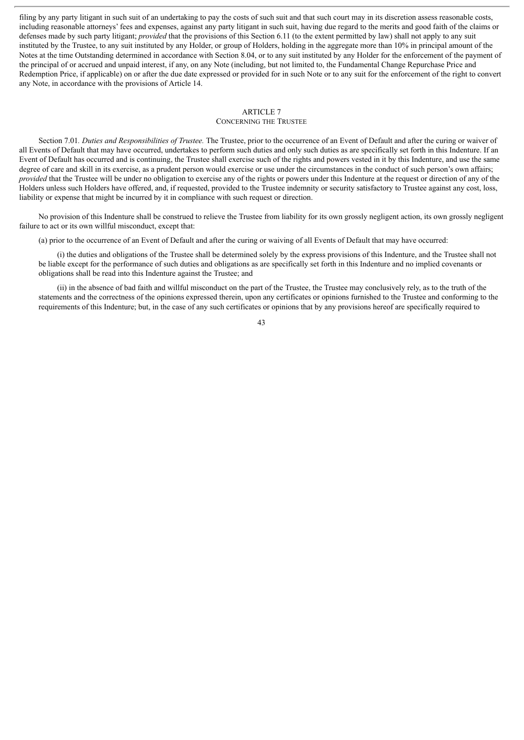filing by any party litigant in such suit of an undertaking to pay the costs of such suit and that such court may in its discretion assess reasonable costs, including reasonable attorneys' fees and expenses, against any party litigant in such suit, having due regard to the merits and good faith of the claims or defenses made by such party litigant; *provided* that the provisions of this Section 6.11 (to the extent permitted by law) shall not apply to any suit instituted by the Trustee, to any suit instituted by any Holder, or group of Holders, holding in the aggregate more than 10% in principal amount of the Notes at the time Outstanding determined in accordance with Section 8.04, or to any suit instituted by any Holder for the enforcement of the payment of the principal of or accrued and unpaid interest, if any, on any Note (including, but not limited to, the Fundamental Change Repurchase Price and Redemption Price, if applicable) on or after the due date expressed or provided for in such Note or to any suit for the enforcement of the right to convert any Note, in accordance with the provisions of Article 14.

#### ARTICLE 7

## CONCERNING THE TRUSTEE

Section 7.01*. Duties and Responsibilities of Trustee.* The Trustee, prior to the occurrence of an Event of Default and after the curing or waiver of all Events of Default that may have occurred, undertakes to perform such duties and only such duties as are specifically set forth in this Indenture. If an Event of Default has occurred and is continuing, the Trustee shall exercise such of the rights and powers vested in it by this Indenture, and use the same degree of care and skill in its exercise, as a prudent person would exercise or use under the circumstances in the conduct of such person's own affairs; *provided* that the Trustee will be under no obligation to exercise any of the rights or powers under this Indenture at the request or direction of any of the Holders unless such Holders have offered, and, if requested, provided to the Trustee indemnity or security satisfactory to Trustee against any cost, loss, liability or expense that might be incurred by it in compliance with such request or direction.

No provision of this Indenture shall be construed to relieve the Trustee from liability for its own grossly negligent action, its own grossly negligent failure to act or its own willful misconduct, except that:

(a) prior to the occurrence of an Event of Default and after the curing or waiving of all Events of Default that may have occurred:

(i) the duties and obligations of the Trustee shall be determined solely by the express provisions of this Indenture, and the Trustee shall not be liable except for the performance of such duties and obligations as are specifically set forth in this Indenture and no implied covenants or obligations shall be read into this Indenture against the Trustee; and

(ii) in the absence of bad faith and willful misconduct on the part of the Trustee, the Trustee may conclusively rely, as to the truth of the statements and the correctness of the opinions expressed therein, upon any certificates or opinions furnished to the Trustee and conforming to the requirements of this Indenture; but, in the case of any such certificates or opinions that by any provisions hereof are specifically required to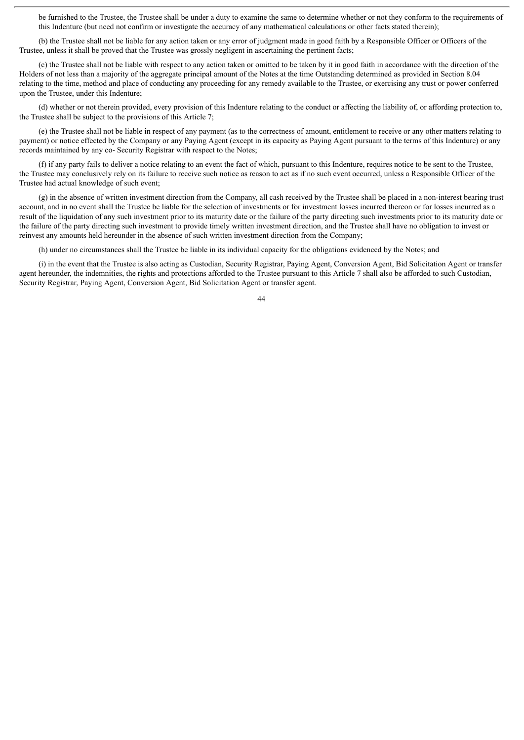be furnished to the Trustee, the Trustee shall be under a duty to examine the same to determine whether or not they conform to the requirements of this Indenture (but need not confirm or investigate the accuracy of any mathematical calculations or other facts stated therein);

(b) the Trustee shall not be liable for any action taken or any error of judgment made in good faith by a Responsible Officer or Officers of the Trustee, unless it shall be proved that the Trustee was grossly negligent in ascertaining the pertinent facts;

(c) the Trustee shall not be liable with respect to any action taken or omitted to be taken by it in good faith in accordance with the direction of the Holders of not less than a majority of the aggregate principal amount of the Notes at the time Outstanding determined as provided in Section 8.04 relating to the time, method and place of conducting any proceeding for any remedy available to the Trustee, or exercising any trust or power conferred upon the Trustee, under this Indenture;

(d) whether or not therein provided, every provision of this Indenture relating to the conduct or affecting the liability of, or affording protection to, the Trustee shall be subject to the provisions of this Article 7;

(e) the Trustee shall not be liable in respect of any payment (as to the correctness of amount, entitlement to receive or any other matters relating to payment) or notice effected by the Company or any Paying Agent (except in its capacity as Paying Agent pursuant to the terms of this Indenture) or any records maintained by any co- Security Registrar with respect to the Notes;

(f) if any party fails to deliver a notice relating to an event the fact of which, pursuant to this Indenture, requires notice to be sent to the Trustee, the Trustee may conclusively rely on its failure to receive such notice as reason to act as if no such event occurred, unless a Responsible Officer of the Trustee had actual knowledge of such event;

(g) in the absence of written investment direction from the Company, all cash received by the Trustee shall be placed in a non-interest bearing trust account, and in no event shall the Trustee be liable for the selection of investments or for investment losses incurred thereon or for losses incurred as a result of the liquidation of any such investment prior to its maturity date or the failure of the party directing such investments prior to its maturity date or the failure of the party directing such investment to provide timely written investment direction, and the Trustee shall have no obligation to invest or reinvest any amounts held hereunder in the absence of such written investment direction from the Company;

(h) under no circumstances shall the Trustee be liable in its individual capacity for the obligations evidenced by the Notes; and

(i) in the event that the Trustee is also acting as Custodian, Security Registrar, Paying Agent, Conversion Agent, Bid Solicitation Agent or transfer agent hereunder, the indemnities, the rights and protections afforded to the Trustee pursuant to this Article 7 shall also be afforded to such Custodian, Security Registrar, Paying Agent, Conversion Agent, Bid Solicitation Agent or transfer agent.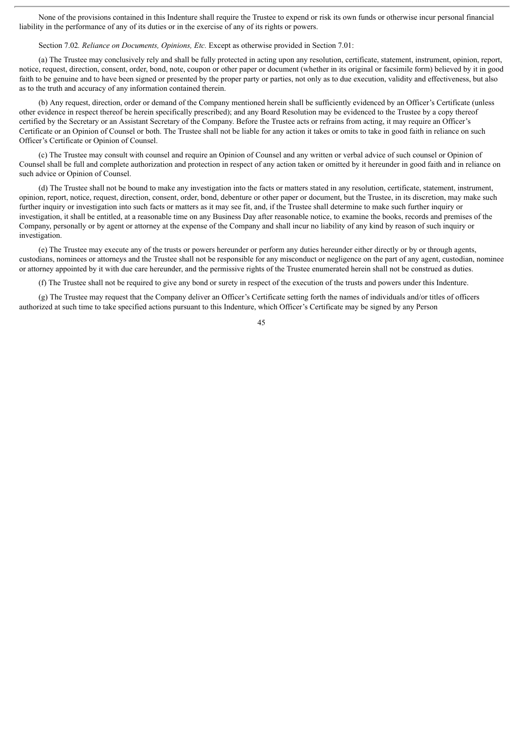None of the provisions contained in this Indenture shall require the Trustee to expend or risk its own funds or otherwise incur personal financial liability in the performance of any of its duties or in the exercise of any of its rights or powers.

Section 7.02*. Reliance on Documents, Opinions, Etc.* Except as otherwise provided in Section 7.01:

(a) The Trustee may conclusively rely and shall be fully protected in acting upon any resolution, certificate, statement, instrument, opinion, report, notice, request, direction, consent, order, bond, note, coupon or other paper or document (whether in its original or facsimile form) believed by it in good faith to be genuine and to have been signed or presented by the proper party or parties, not only as to due execution, validity and effectiveness, but also as to the truth and accuracy of any information contained therein.

(b) Any request, direction, order or demand of the Company mentioned herein shall be sufficiently evidenced by an Officer's Certificate (unless other evidence in respect thereof be herein specifically prescribed); and any Board Resolution may be evidenced to the Trustee by a copy thereof certified by the Secretary or an Assistant Secretary of the Company. Before the Trustee acts or refrains from acting, it may require an Officer's Certificate or an Opinion of Counsel or both. The Trustee shall not be liable for any action it takes or omits to take in good faith in reliance on such Officer's Certificate or Opinion of Counsel.

(c) The Trustee may consult with counsel and require an Opinion of Counsel and any written or verbal advice of such counsel or Opinion of Counsel shall be full and complete authorization and protection in respect of any action taken or omitted by it hereunder in good faith and in reliance on such advice or Opinion of Counsel.

(d) The Trustee shall not be bound to make any investigation into the facts or matters stated in any resolution, certificate, statement, instrument, opinion, report, notice, request, direction, consent, order, bond, debenture or other paper or document, but the Trustee, in its discretion, may make such further inquiry or investigation into such facts or matters as it may see fit, and, if the Trustee shall determine to make such further inquiry or investigation, it shall be entitled, at a reasonable time on any Business Day after reasonable notice, to examine the books, records and premises of the Company, personally or by agent or attorney at the expense of the Company and shall incur no liability of any kind by reason of such inquiry or investigation.

(e) The Trustee may execute any of the trusts or powers hereunder or perform any duties hereunder either directly or by or through agents, custodians, nominees or attorneys and the Trustee shall not be responsible for any misconduct or negligence on the part of any agent, custodian, nominee or attorney appointed by it with due care hereunder, and the permissive rights of the Trustee enumerated herein shall not be construed as duties.

(f) The Trustee shall not be required to give any bond or surety in respect of the execution of the trusts and powers under this Indenture.

(g) The Trustee may request that the Company deliver an Officer's Certificate setting forth the names of individuals and/or titles of officers authorized at such time to take specified actions pursuant to this Indenture, which Officer's Certificate may be signed by any Person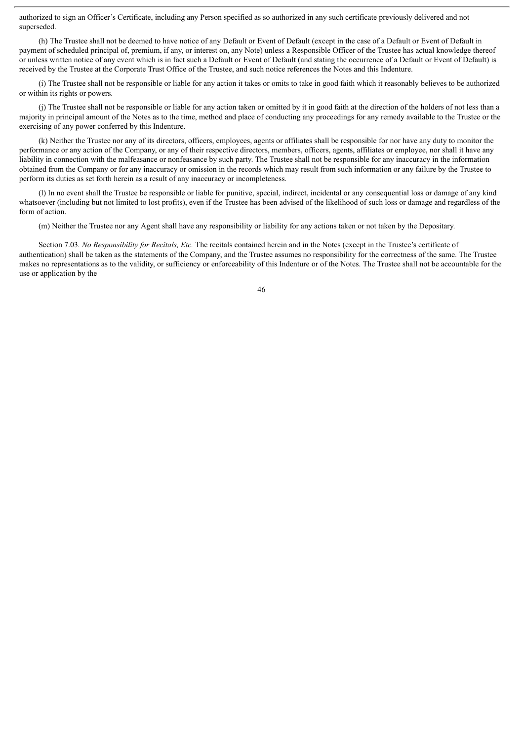authorized to sign an Officer's Certificate, including any Person specified as so authorized in any such certificate previously delivered and not superseded.

(h) The Trustee shall not be deemed to have notice of any Default or Event of Default (except in the case of a Default or Event of Default in payment of scheduled principal of, premium, if any, or interest on, any Note) unless a Responsible Officer of the Trustee has actual knowledge thereof or unless written notice of any event which is in fact such a Default or Event of Default (and stating the occurrence of a Default or Event of Default) is received by the Trustee at the Corporate Trust Office of the Trustee, and such notice references the Notes and this Indenture.

(i) The Trustee shall not be responsible or liable for any action it takes or omits to take in good faith which it reasonably believes to be authorized or within its rights or powers.

(j) The Trustee shall not be responsible or liable for any action taken or omitted by it in good faith at the direction of the holders of not less than a majority in principal amount of the Notes as to the time, method and place of conducting any proceedings for any remedy available to the Trustee or the exercising of any power conferred by this Indenture.

(k) Neither the Trustee nor any of its directors, officers, employees, agents or affiliates shall be responsible for nor have any duty to monitor the performance or any action of the Company, or any of their respective directors, members, officers, agents, affiliates or employee, nor shall it have any liability in connection with the malfeasance or nonfeasance by such party. The Trustee shall not be responsible for any inaccuracy in the information obtained from the Company or for any inaccuracy or omission in the records which may result from such information or any failure by the Trustee to perform its duties as set forth herein as a result of any inaccuracy or incompleteness.

(l) In no event shall the Trustee be responsible or liable for punitive, special, indirect, incidental or any consequential loss or damage of any kind whatsoever (including but not limited to lost profits), even if the Trustee has been advised of the likelihood of such loss or damage and regardless of the form of action.

(m) Neither the Trustee nor any Agent shall have any responsibility or liability for any actions taken or not taken by the Depositary.

Section 7.03*. No Responsibility for Recitals, Etc.* The recitals contained herein and in the Notes (except in the Trustee's certificate of authentication) shall be taken as the statements of the Company, and the Trustee assumes no responsibility for the correctness of the same. The Trustee makes no representations as to the validity, or sufficiency or enforceability of this Indenture or of the Notes. The Trustee shall not be accountable for the use or application by the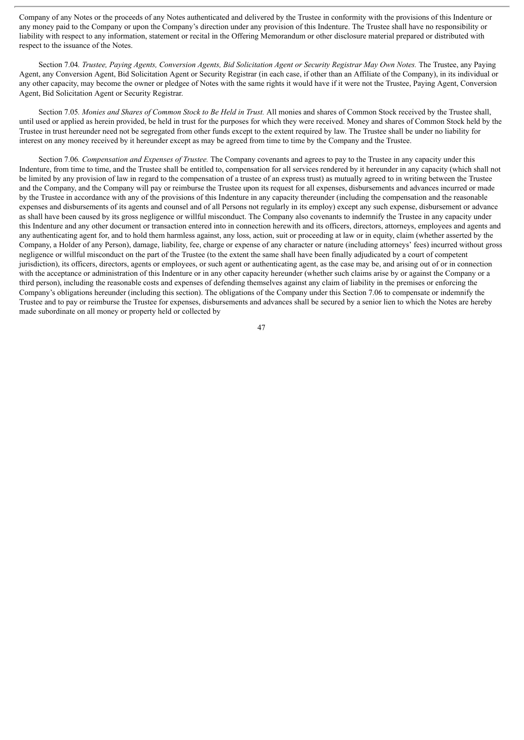Company of any Notes or the proceeds of any Notes authenticated and delivered by the Trustee in conformity with the provisions of this Indenture or any money paid to the Company or upon the Company's direction under any provision of this Indenture. The Trustee shall have no responsibility or liability with respect to any information, statement or recital in the Offering Memorandum or other disclosure material prepared or distributed with respect to the issuance of the Notes.

Section 7.04. Trustee, Paying Agents, Conversion Agents, Bid Solicitation Agent or Security Registrar May Own Notes. The Trustee, any Paying Agent, any Conversion Agent, Bid Solicitation Agent or Security Registrar (in each case, if other than an Affiliate of the Company), in its individual or any other capacity, may become the owner or pledgee of Notes with the same rights it would have if it were not the Trustee, Paying Agent, Conversion Agent, Bid Solicitation Agent or Security Registrar.

Section 7.05*. Monies and Shares of Common Stock to Be Held in Trust.* All monies and shares of Common Stock received by the Trustee shall, until used or applied as herein provided, be held in trust for the purposes for which they were received. Money and shares of Common Stock held by the Trustee in trust hereunder need not be segregated from other funds except to the extent required by law. The Trustee shall be under no liability for interest on any money received by it hereunder except as may be agreed from time to time by the Company and the Trustee.

Section 7.06*. Compensation and Expenses of Trustee.* The Company covenants and agrees to pay to the Trustee in any capacity under this Indenture, from time to time, and the Trustee shall be entitled to, compensation for all services rendered by it hereunder in any capacity (which shall not be limited by any provision of law in regard to the compensation of a trustee of an express trust) as mutually agreed to in writing between the Trustee and the Company, and the Company will pay or reimburse the Trustee upon its request for all expenses, disbursements and advances incurred or made by the Trustee in accordance with any of the provisions of this Indenture in any capacity thereunder (including the compensation and the reasonable expenses and disbursements of its agents and counsel and of all Persons not regularly in its employ) except any such expense, disbursement or advance as shall have been caused by its gross negligence or willful misconduct. The Company also covenants to indemnify the Trustee in any capacity under this Indenture and any other document or transaction entered into in connection herewith and its officers, directors, attorneys, employees and agents and any authenticating agent for, and to hold them harmless against, any loss, action, suit or proceeding at law or in equity, claim (whether asserted by the Company, a Holder of any Person), damage, liability, fee, charge or expense of any character or nature (including attorneys' fees) incurred without gross negligence or willful misconduct on the part of the Trustee (to the extent the same shall have been finally adjudicated by a court of competent jurisdiction), its officers, directors, agents or employees, or such agent or authenticating agent, as the case may be, and arising out of or in connection with the acceptance or administration of this Indenture or in any other capacity hereunder (whether such claims arise by or against the Company or a third person), including the reasonable costs and expenses of defending themselves against any claim of liability in the premises or enforcing the Company's obligations hereunder (including this section). The obligations of the Company under this Section 7.06 to compensate or indemnify the Trustee and to pay or reimburse the Trustee for expenses, disbursements and advances shall be secured by a senior lien to which the Notes are hereby made subordinate on all money or property held or collected by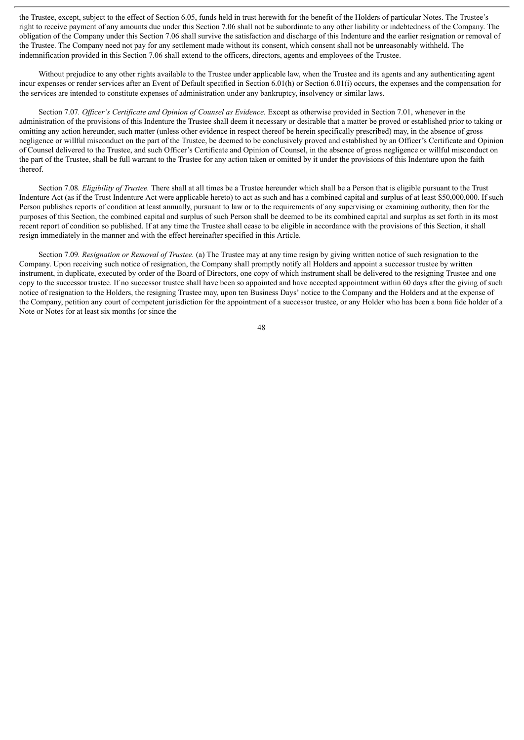the Trustee, except, subject to the effect of Section 6.05, funds held in trust herewith for the benefit of the Holders of particular Notes. The Trustee's right to receive payment of any amounts due under this Section 7.06 shall not be subordinate to any other liability or indebtedness of the Company. The obligation of the Company under this Section 7.06 shall survive the satisfaction and discharge of this Indenture and the earlier resignation or removal of the Trustee. The Company need not pay for any settlement made without its consent, which consent shall not be unreasonably withheld. The indemnification provided in this Section 7.06 shall extend to the officers, directors, agents and employees of the Trustee.

Without prejudice to any other rights available to the Trustee under applicable law, when the Trustee and its agents and any authenticating agent incur expenses or render services after an Event of Default specified in Section 6.01(h) or Section 6.01(i) occurs, the expenses and the compensation for the services are intended to constitute expenses of administration under any bankruptcy, insolvency or similar laws.

Section 7.07*. Of icer's Certificate and Opinion of Counsel as Evidence.* Except as otherwise provided in Section 7.01, whenever in the administration of the provisions of this Indenture the Trustee shall deem it necessary or desirable that a matter be proved or established prior to taking or omitting any action hereunder, such matter (unless other evidence in respect thereof be herein specifically prescribed) may, in the absence of gross negligence or willful misconduct on the part of the Trustee, be deemed to be conclusively proved and established by an Officer's Certificate and Opinion of Counsel delivered to the Trustee, and such Officer's Certificate and Opinion of Counsel, in the absence of gross negligence or willful misconduct on the part of the Trustee, shall be full warrant to the Trustee for any action taken or omitted by it under the provisions of this Indenture upon the faith thereof.

Section 7.08*. Eligibility of Trustee.* There shall at all times be a Trustee hereunder which shall be a Person that is eligible pursuant to the Trust Indenture Act (as if the Trust Indenture Act were applicable hereto) to act as such and has a combined capital and surplus of at least \$50,000,000. If such Person publishes reports of condition at least annually, pursuant to law or to the requirements of any supervising or examining authority, then for the purposes of this Section, the combined capital and surplus of such Person shall be deemed to be its combined capital and surplus as set forth in its most recent report of condition so published. If at any time the Trustee shall cease to be eligible in accordance with the provisions of this Section, it shall resign immediately in the manner and with the effect hereinafter specified in this Article.

Section 7.09*. Resignation or Removal of Trustee.* (a) The Trustee may at any time resign by giving written notice of such resignation to the Company. Upon receiving such notice of resignation, the Company shall promptly notify all Holders and appoint a successor trustee by written instrument, in duplicate, executed by order of the Board of Directors, one copy of which instrument shall be delivered to the resigning Trustee and one copy to the successor trustee. If no successor trustee shall have been so appointed and have accepted appointment within 60 days after the giving of such notice of resignation to the Holders, the resigning Trustee may, upon ten Business Days' notice to the Company and the Holders and at the expense of the Company, petition any court of competent jurisdiction for the appointment of a successor trustee, or any Holder who has been a bona fide holder of a Note or Notes for at least six months (or since the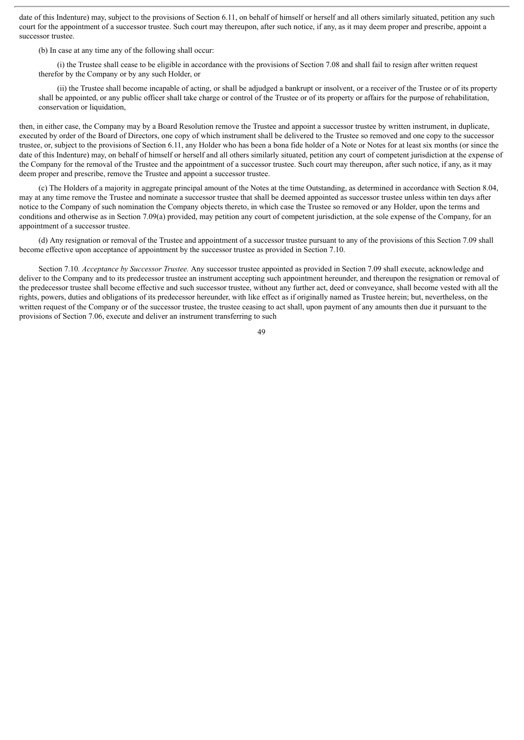date of this Indenture) may, subject to the provisions of Section 6.11, on behalf of himself or herself and all others similarly situated, petition any such court for the appointment of a successor trustee. Such court may thereupon, after such notice, if any, as it may deem proper and prescribe, appoint a successor trustee.

(b) In case at any time any of the following shall occur:

(i) the Trustee shall cease to be eligible in accordance with the provisions of Section 7.08 and shall fail to resign after written request therefor by the Company or by any such Holder, or

(ii) the Trustee shall become incapable of acting, or shall be adjudged a bankrupt or insolvent, or a receiver of the Trustee or of its property shall be appointed, or any public officer shall take charge or control of the Trustee or of its property or affairs for the purpose of rehabilitation, conservation or liquidation,

then, in either case, the Company may by a Board Resolution remove the Trustee and appoint a successor trustee by written instrument, in duplicate, executed by order of the Board of Directors, one copy of which instrument shall be delivered to the Trustee so removed and one copy to the successor trustee, or, subject to the provisions of Section 6.11, any Holder who has been a bona fide holder of a Note or Notes for at least six months (or since the date of this Indenture) may, on behalf of himself or herself and all others similarly situated, petition any court of competent jurisdiction at the expense of the Company for the removal of the Trustee and the appointment of a successor trustee. Such court may thereupon, after such notice, if any, as it may deem proper and prescribe, remove the Trustee and appoint a successor trustee.

(c) The Holders of a majority in aggregate principal amount of the Notes at the time Outstanding, as determined in accordance with Section 8.04, may at any time remove the Trustee and nominate a successor trustee that shall be deemed appointed as successor trustee unless within ten days after notice to the Company of such nomination the Company objects thereto, in which case the Trustee so removed or any Holder, upon the terms and conditions and otherwise as in Section 7.09(a) provided, may petition any court of competent jurisdiction, at the sole expense of the Company, for an appointment of a successor trustee.

(d) Any resignation or removal of the Trustee and appointment of a successor trustee pursuant to any of the provisions of this Section 7.09 shall become effective upon acceptance of appointment by the successor trustee as provided in Section 7.10.

Section 7.10*. Acceptance by Successor Trustee.* Any successor trustee appointed as provided in Section 7.09 shall execute, acknowledge and deliver to the Company and to its predecessor trustee an instrument accepting such appointment hereunder, and thereupon the resignation or removal of the predecessor trustee shall become effective and such successor trustee, without any further act, deed or conveyance, shall become vested with all the rights, powers, duties and obligations of its predecessor hereunder, with like effect as if originally named as Trustee herein; but, nevertheless, on the written request of the Company or of the successor trustee, the trustee ceasing to act shall, upon payment of any amounts then due it pursuant to the provisions of Section 7.06, execute and deliver an instrument transferring to such

 $\overline{49}$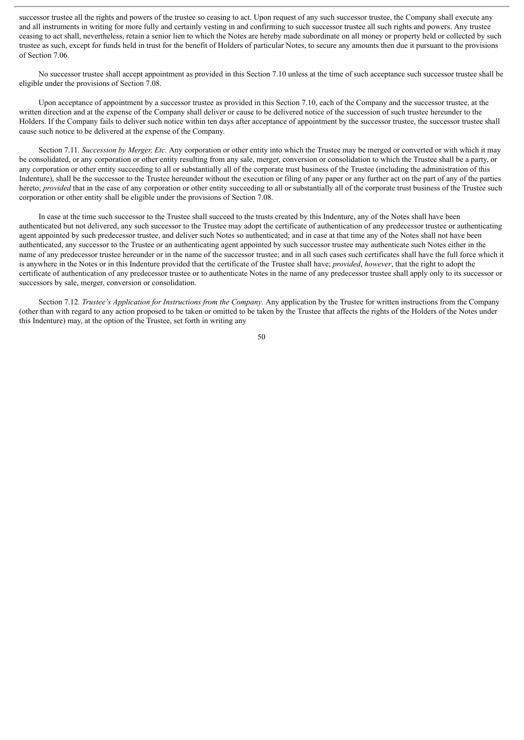successor trustee all the rights and powers of the trustee so ceasing to act. Upon request of any such successor trustee, the Company shall execute any and all instruments in writing for more fully and certainly vesting in and confirming to such successor trustee all such rights and powers. Any trustee ceasing to act shall, nevertheless, retain a senior lien to which the Notes are hereby made subordinate on all money or property held or collected by such trustee as such, except for funds held in trust for the benefit of Holders of particular Notes, to secure any amounts then due it pursuant to the provisions of Section 7.06.

No successor trustee shall accept appointment as provided in this Section 7.10 unless at the time of such acceptance such successor trustee shall be eligible under the provisions of Section 7.08.

Upon acceptance of appointment by a successor trustee as provided in this Section 7.10, each of the Company and the successor trustee, at the written direction and at the expense of the Company shall deliver or cause to be delivered notice of the succession of such trustee hereunder to the Holders. If the Company fails to deliver such notice within ten days after acceptance of appointment by the successor trustee, the successor trustee shall cause such notice to be delivered at the expense of the Company.

Section 7.11*. Succession by Merger, Etc.* Any corporation or other entity into which the Trustee may be merged or converted or with which it may be consolidated, or any corporation or other entity resulting from any sale, merger, conversion or consolidation to which the Trustee shall be a party, or any corporation or other entity succeeding to all or substantially all of the corporate trust business of the Trustee (including the administration of this Indenture), shall be the successor to the Trustee hereunder without the execution or filing of any paper or any further act on the part of any of the parties hereto; *provided* that in the case of any corporation or other entity succeeding to all or substantially all of the corporate trust business of the Trustee such corporation or other entity shall be eligible under the provisions of Section 7.08.

In case at the time such successor to the Trustee shall succeed to the trusts created by this Indenture, any of the Notes shall have been authenticated but not delivered, any such successor to the Trustee may adopt the certificate of authentication of any predecessor trustee or authenticating agent appointed by such predecessor trustee, and deliver such Notes so authenticated; and in case at that time any of the Notes shall not have been authenticated, any successor to the Trustee or an authenticating agent appointed by such successor trustee may authenticate such Notes either in the name of any predecessor trustee hereunder or in the name of the successor trustee; and in all such cases such certificates shall have the full force which it is anywhere in the Notes or in this Indenture provided that the certificate of the Trustee shall have; *provided*, *however*, that the right to adopt the certificate of authentication of any predecessor trustee or to authenticate Notes in the name of any predecessor trustee shall apply only to its successor or successors by sale, merger, conversion or consolidation.

Section 7.12*. Trustee's Application for Instructions from the Company.* Any application by the Trustee for written instructions from the Company (other than with regard to any action proposed to be taken or omitted to be taken by the Trustee that affects the rights of the Holders of the Notes under this Indenture) may, at the option of the Trustee, set forth in writing any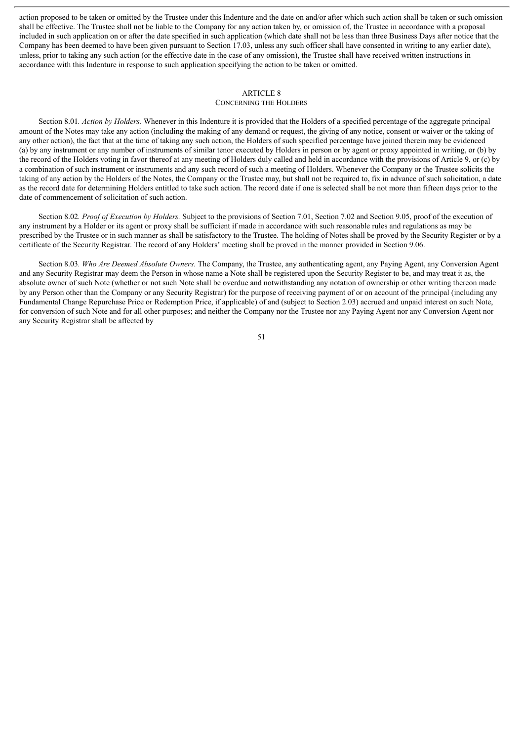action proposed to be taken or omitted by the Trustee under this Indenture and the date on and/or after which such action shall be taken or such omission shall be effective. The Trustee shall not be liable to the Company for any action taken by, or omission of, the Trustee in accordance with a proposal included in such application on or after the date specified in such application (which date shall not be less than three Business Days after notice that the Company has been deemed to have been given pursuant to Section 17.03, unless any such officer shall have consented in writing to any earlier date), unless, prior to taking any such action (or the effective date in the case of any omission), the Trustee shall have received written instructions in accordance with this Indenture in response to such application specifying the action to be taken or omitted.

#### ARTICLE 8

#### CONCERNING THE HOLDERS

Section 8.01*. Action by Holders.* Whenever in this Indenture it is provided that the Holders of a specified percentage of the aggregate principal amount of the Notes may take any action (including the making of any demand or request, the giving of any notice, consent or waiver or the taking of any other action), the fact that at the time of taking any such action, the Holders of such specified percentage have joined therein may be evidenced (a) by any instrument or any number of instruments of similar tenor executed by Holders in person or by agent or proxy appointed in writing, or (b) by the record of the Holders voting in favor thereof at any meeting of Holders duly called and held in accordance with the provisions of Article 9, or (c) by a combination of such instrument or instruments and any such record of such a meeting of Holders. Whenever the Company or the Trustee solicits the taking of any action by the Holders of the Notes, the Company or the Trustee may, but shall not be required to, fix in advance of such solicitation, a date as the record date for determining Holders entitled to take such action. The record date if one is selected shall be not more than fifteen days prior to the date of commencement of solicitation of such action.

Section 8.02*. Proof of Execution by Holders.* Subject to the provisions of Section 7.01, Section 7.02 and Section 9.05, proof of the execution of any instrument by a Holder or its agent or proxy shall be sufficient if made in accordance with such reasonable rules and regulations as may be prescribed by the Trustee or in such manner as shall be satisfactory to the Trustee. The holding of Notes shall be proved by the Security Register or by a certificate of the Security Registrar. The record of any Holders' meeting shall be proved in the manner provided in Section 9.06.

Section 8.03*. Who Are Deemed Absolute Owners.* The Company, the Trustee, any authenticating agent, any Paying Agent, any Conversion Agent and any Security Registrar may deem the Person in whose name a Note shall be registered upon the Security Register to be, and may treat it as, the absolute owner of such Note (whether or not such Note shall be overdue and notwithstanding any notation of ownership or other writing thereon made by any Person other than the Company or any Security Registrar) for the purpose of receiving payment of or on account of the principal (including any Fundamental Change Repurchase Price or Redemption Price, if applicable) of and (subject to Section 2.03) accrued and unpaid interest on such Note, for conversion of such Note and for all other purposes; and neither the Company nor the Trustee nor any Paying Agent nor any Conversion Agent nor any Security Registrar shall be affected by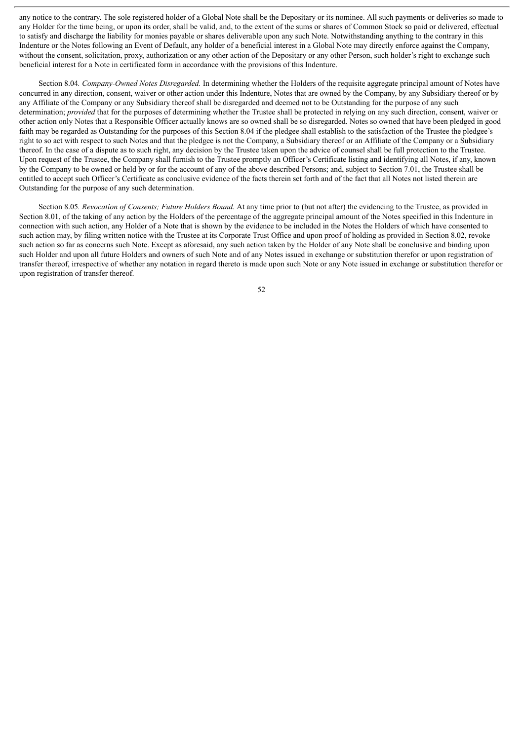any notice to the contrary. The sole registered holder of a Global Note shall be the Depositary or its nominee. All such payments or deliveries so made to any Holder for the time being, or upon its order, shall be valid, and, to the extent of the sums or shares of Common Stock so paid or delivered, effectual to satisfy and discharge the liability for monies payable or shares deliverable upon any such Note. Notwithstanding anything to the contrary in this Indenture or the Notes following an Event of Default, any holder of a beneficial interest in a Global Note may directly enforce against the Company, without the consent, solicitation, proxy, authorization or any other action of the Depositary or any other Person, such holder's right to exchange such beneficial interest for a Note in certificated form in accordance with the provisions of this Indenture.

Section 8.04*. Company-Owned Notes Disregarded.* In determining whether the Holders of the requisite aggregate principal amount of Notes have concurred in any direction, consent, waiver or other action under this Indenture, Notes that are owned by the Company, by any Subsidiary thereof or by any Affiliate of the Company or any Subsidiary thereof shall be disregarded and deemed not to be Outstanding for the purpose of any such determination; *provided* that for the purposes of determining whether the Trustee shall be protected in relying on any such direction, consent, waiver or other action only Notes that a Responsible Officer actually knows are so owned shall be so disregarded. Notes so owned that have been pledged in good faith may be regarded as Outstanding for the purposes of this Section 8.04 if the pledgee shall establish to the satisfaction of the Trustee the pledgee's right to so act with respect to such Notes and that the pledgee is not the Company, a Subsidiary thereof or an Affiliate of the Company or a Subsidiary thereof. In the case of a dispute as to such right, any decision by the Trustee taken upon the advice of counsel shall be full protection to the Trustee. Upon request of the Trustee, the Company shall furnish to the Trustee promptly an Officer's Certificate listing and identifying all Notes, if any, known by the Company to be owned or held by or for the account of any of the above described Persons; and, subject to Section 7.01, the Trustee shall be entitled to accept such Officer's Certificate as conclusive evidence of the facts therein set forth and of the fact that all Notes not listed therein are Outstanding for the purpose of any such determination.

Section 8.05*. Revocation of Consents; Future Holders Bound.* At any time prior to (but not after) the evidencing to the Trustee, as provided in Section 8.01, of the taking of any action by the Holders of the percentage of the aggregate principal amount of the Notes specified in this Indenture in connection with such action, any Holder of a Note that is shown by the evidence to be included in the Notes the Holders of which have consented to such action may, by filing written notice with the Trustee at its Corporate Trust Office and upon proof of holding as provided in Section 8.02, revoke such action so far as concerns such Note. Except as aforesaid, any such action taken by the Holder of any Note shall be conclusive and binding upon such Holder and upon all future Holders and owners of such Note and of any Notes issued in exchange or substitution therefor or upon registration of transfer thereof, irrespective of whether any notation in regard thereto is made upon such Note or any Note issued in exchange or substitution therefor or upon registration of transfer thereof.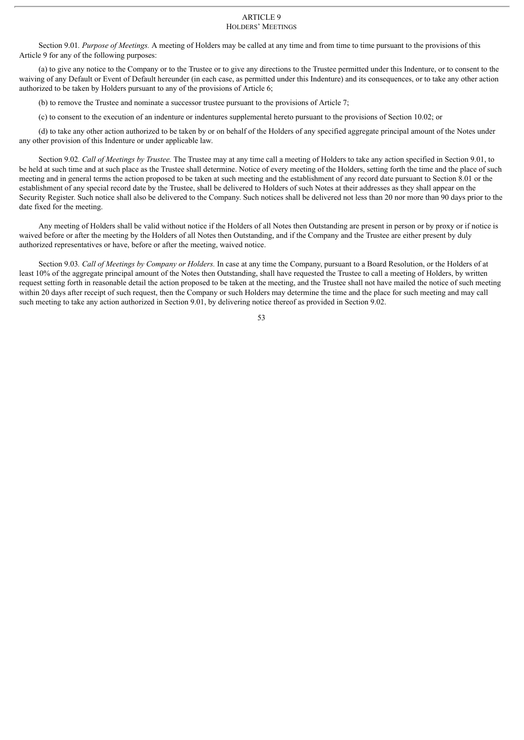#### ARTICLE 9 HOLDERS' MEETINGS

Section 9.01*. Purpose of Meetings.* A meeting of Holders may be called at any time and from time to time pursuant to the provisions of this Article 9 for any of the following purposes:

(a) to give any notice to the Company or to the Trustee or to give any directions to the Trustee permitted under this Indenture, or to consent to the waiving of any Default or Event of Default hereunder (in each case, as permitted under this Indenture) and its consequences, or to take any other action authorized to be taken by Holders pursuant to any of the provisions of Article 6;

(b) to remove the Trustee and nominate a successor trustee pursuant to the provisions of Article 7;

(c) to consent to the execution of an indenture or indentures supplemental hereto pursuant to the provisions of Section 10.02; or

(d) to take any other action authorized to be taken by or on behalf of the Holders of any specified aggregate principal amount of the Notes under any other provision of this Indenture or under applicable law.

Section 9.02*. Call of Meetings by Trustee.* The Trustee may at any time call a meeting of Holders to take any action specified in Section 9.01, to be held at such time and at such place as the Trustee shall determine. Notice of every meeting of the Holders, setting forth the time and the place of such meeting and in general terms the action proposed to be taken at such meeting and the establishment of any record date pursuant to Section 8.01 or the establishment of any special record date by the Trustee, shall be delivered to Holders of such Notes at their addresses as they shall appear on the Security Register. Such notice shall also be delivered to the Company. Such notices shall be delivered not less than 20 nor more than 90 days prior to the date fixed for the meeting.

Any meeting of Holders shall be valid without notice if the Holders of all Notes then Outstanding are present in person or by proxy or if notice is waived before or after the meeting by the Holders of all Notes then Outstanding, and if the Company and the Trustee are either present by duly authorized representatives or have, before or after the meeting, waived notice.

Section 9.03*. Call of Meetings by Company or Holders.* In case at any time the Company, pursuant to a Board Resolution, or the Holders of at least 10% of the aggregate principal amount of the Notes then Outstanding, shall have requested the Trustee to call a meeting of Holders, by written request setting forth in reasonable detail the action proposed to be taken at the meeting, and the Trustee shall not have mailed the notice of such meeting within 20 days after receipt of such request, then the Company or such Holders may determine the time and the place for such meeting and may call such meeting to take any action authorized in Section 9.01, by delivering notice thereof as provided in Section 9.02.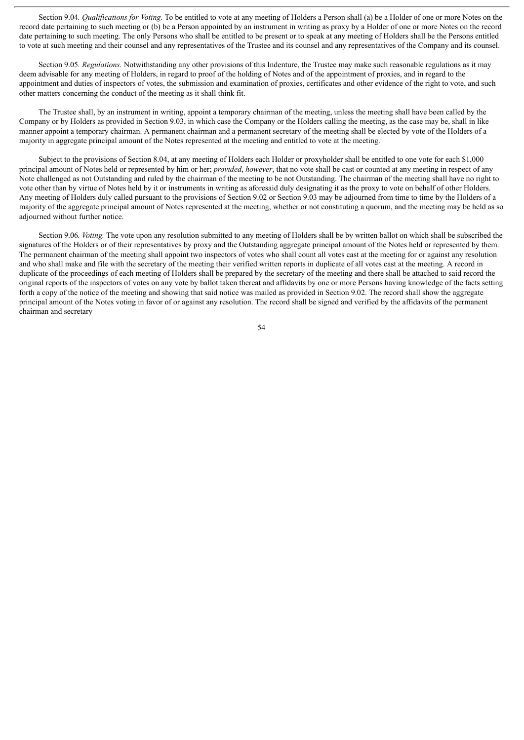Section 9.04*. Qualifications for Voting.* To be entitled to vote at any meeting of Holders a Person shall (a) be a Holder of one or more Notes on the record date pertaining to such meeting or (b) be a Person appointed by an instrument in writing as proxy by a Holder of one or more Notes on the record date pertaining to such meeting. The only Persons who shall be entitled to be present or to speak at any meeting of Holders shall be the Persons entitled to vote at such meeting and their counsel and any representatives of the Trustee and its counsel and any representatives of the Company and its counsel.

Section 9.05*. Regulations.* Notwithstanding any other provisions of this Indenture, the Trustee may make such reasonable regulations as it may deem advisable for any meeting of Holders, in regard to proof of the holding of Notes and of the appointment of proxies, and in regard to the appointment and duties of inspectors of votes, the submission and examination of proxies, certificates and other evidence of the right to vote, and such other matters concerning the conduct of the meeting as it shall think fit.

The Trustee shall, by an instrument in writing, appoint a temporary chairman of the meeting, unless the meeting shall have been called by the Company or by Holders as provided in Section 9.03, in which case the Company or the Holders calling the meeting, as the case may be, shall in like manner appoint a temporary chairman. A permanent chairman and a permanent secretary of the meeting shall be elected by vote of the Holders of a majority in aggregate principal amount of the Notes represented at the meeting and entitled to vote at the meeting.

Subject to the provisions of Section 8.04, at any meeting of Holders each Holder or proxyholder shall be entitled to one vote for each \$1,000 principal amount of Notes held or represented by him or her; *provided*, *however*, that no vote shall be cast or counted at any meeting in respect of any Note challenged as not Outstanding and ruled by the chairman of the meeting to be not Outstanding. The chairman of the meeting shall have no right to vote other than by virtue of Notes held by it or instruments in writing as aforesaid duly designating it as the proxy to vote on behalf of other Holders. Any meeting of Holders duly called pursuant to the provisions of Section 9.02 or Section 9.03 may be adjourned from time to time by the Holders of a majority of the aggregate principal amount of Notes represented at the meeting, whether or not constituting a quorum, and the meeting may be held as so adjourned without further notice.

Section 9.06*. Voting.* The vote upon any resolution submitted to any meeting of Holders shall be by written ballot on which shall be subscribed the signatures of the Holders or of their representatives by proxy and the Outstanding aggregate principal amount of the Notes held or represented by them. The permanent chairman of the meeting shall appoint two inspectors of votes who shall count all votes cast at the meeting for or against any resolution and who shall make and file with the secretary of the meeting their verified written reports in duplicate of all votes cast at the meeting. A record in duplicate of the proceedings of each meeting of Holders shall be prepared by the secretary of the meeting and there shall be attached to said record the original reports of the inspectors of votes on any vote by ballot taken thereat and affidavits by one or more Persons having knowledge of the facts setting forth a copy of the notice of the meeting and showing that said notice was mailed as provided in Section 9.02. The record shall show the aggregate principal amount of the Notes voting in favor of or against any resolution. The record shall be signed and verified by the affidavits of the permanent chairman and secretary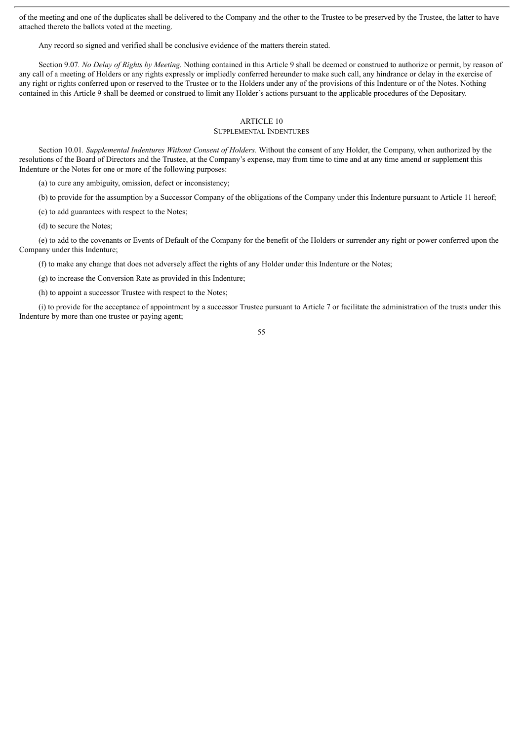of the meeting and one of the duplicates shall be delivered to the Company and the other to the Trustee to be preserved by the Trustee, the latter to have attached thereto the ballots voted at the meeting.

Any record so signed and verified shall be conclusive evidence of the matters therein stated.

Section 9.07*. No Delay of Rights by Meeting.* Nothing contained in this Article 9 shall be deemed or construed to authorize or permit, by reason of any call of a meeting of Holders or any rights expressly or impliedly conferred hereunder to make such call, any hindrance or delay in the exercise of any right or rights conferred upon or reserved to the Trustee or to the Holders under any of the provisions of this Indenture or of the Notes. Nothing contained in this Article 9 shall be deemed or construed to limit any Holder's actions pursuant to the applicable procedures of the Depositary.

## ARTICLE 10

## SUPPLEMENTAL INDENTURES

Section 10.01*. Supplemental Indentures Without Consent of Holders.* Without the consent of any Holder, the Company, when authorized by the resolutions of the Board of Directors and the Trustee, at the Company's expense, may from time to time and at any time amend or supplement this Indenture or the Notes for one or more of the following purposes:

(a) to cure any ambiguity, omission, defect or inconsistency;

(b) to provide for the assumption by a Successor Company of the obligations of the Company under this Indenture pursuant to Article 11 hereof;

(c) to add guarantees with respect to the Notes;

(d) to secure the Notes;

(e) to add to the covenants or Events of Default of the Company for the benefit of the Holders or surrender any right or power conferred upon the Company under this Indenture;

(f) to make any change that does not adversely affect the rights of any Holder under this Indenture or the Notes;

(g) to increase the Conversion Rate as provided in this Indenture;

(h) to appoint a successor Trustee with respect to the Notes;

(i) to provide for the acceptance of appointment by a successor Trustee pursuant to Article 7 or facilitate the administration of the trusts under this Indenture by more than one trustee or paying agent;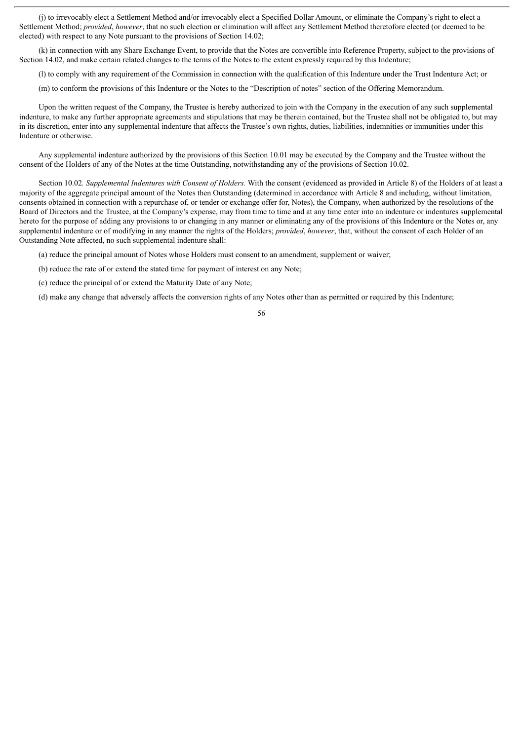(j) to irrevocably elect a Settlement Method and/or irrevocably elect a Specified Dollar Amount, or eliminate the Company's right to elect a Settlement Method; *provided*, *however*, that no such election or elimination will affect any Settlement Method theretofore elected (or deemed to be elected) with respect to any Note pursuant to the provisions of Section 14.02;

(k) in connection with any Share Exchange Event, to provide that the Notes are convertible into Reference Property, subject to the provisions of Section 14.02, and make certain related changes to the terms of the Notes to the extent expressly required by this Indenture;

(l) to comply with any requirement of the Commission in connection with the qualification of this Indenture under the Trust Indenture Act; or

(m) to conform the provisions of this Indenture or the Notes to the "Description of notes" section of the Offering Memorandum.

Upon the written request of the Company, the Trustee is hereby authorized to join with the Company in the execution of any such supplemental indenture, to make any further appropriate agreements and stipulations that may be therein contained, but the Trustee shall not be obligated to, but may in its discretion, enter into any supplemental indenture that affects the Trustee's own rights, duties, liabilities, indemnities or immunities under this Indenture or otherwise.

Any supplemental indenture authorized by the provisions of this Section 10.01 may be executed by the Company and the Trustee without the consent of the Holders of any of the Notes at the time Outstanding, notwithstanding any of the provisions of Section 10.02.

Section 10.02*. Supplemental Indentures with Consent of Holders.* With the consent (evidenced as provided in Article 8) of the Holders of at least a majority of the aggregate principal amount of the Notes then Outstanding (determined in accordance with Article 8 and including, without limitation, consents obtained in connection with a repurchase of, or tender or exchange offer for, Notes), the Company, when authorized by the resolutions of the Board of Directors and the Trustee, at the Company's expense, may from time to time and at any time enter into an indenture or indentures supplemental hereto for the purpose of adding any provisions to or changing in any manner or eliminating any of the provisions of this Indenture or the Notes or, any supplemental indenture or of modifying in any manner the rights of the Holders; *provided*, *however*, that, without the consent of each Holder of an Outstanding Note affected, no such supplemental indenture shall:

(a) reduce the principal amount of Notes whose Holders must consent to an amendment, supplement or waiver;

- (b) reduce the rate of or extend the stated time for payment of interest on any Note;
- (c) reduce the principal of or extend the Maturity Date of any Note;

(d) make any change that adversely affects the conversion rights of any Notes other than as permitted or required by this Indenture;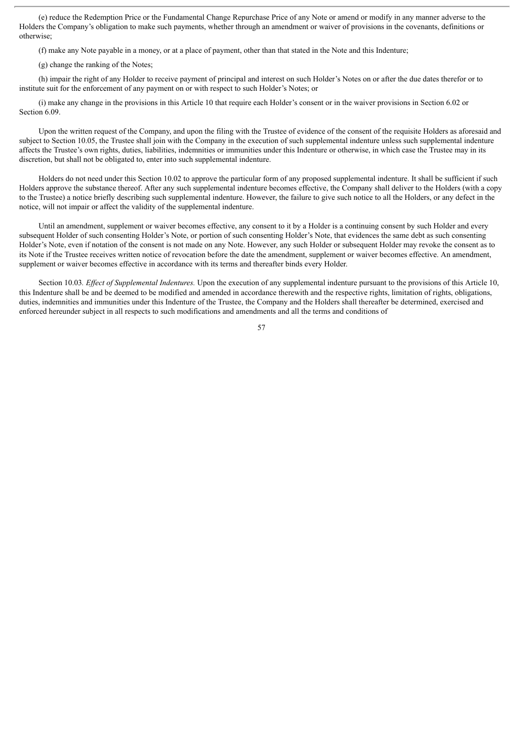(e) reduce the Redemption Price or the Fundamental Change Repurchase Price of any Note or amend or modify in any manner adverse to the Holders the Company's obligation to make such payments, whether through an amendment or waiver of provisions in the covenants, definitions or otherwise;

(f) make any Note payable in a money, or at a place of payment, other than that stated in the Note and this Indenture;

(g) change the ranking of the Notes;

(h) impair the right of any Holder to receive payment of principal and interest on such Holder's Notes on or after the due dates therefor or to institute suit for the enforcement of any payment on or with respect to such Holder's Notes; or

(i) make any change in the provisions in this Article 10 that require each Holder's consent or in the waiver provisions in Section 6.02 or Section 6.09.

Upon the written request of the Company, and upon the filing with the Trustee of evidence of the consent of the requisite Holders as aforesaid and subject to Section 10.05, the Trustee shall join with the Company in the execution of such supplemental indenture unless such supplemental indenture affects the Trustee's own rights, duties, liabilities, indemnities or immunities under this Indenture or otherwise, in which case the Trustee may in its discretion, but shall not be obligated to, enter into such supplemental indenture.

Holders do not need under this Section 10.02 to approve the particular form of any proposed supplemental indenture. It shall be sufficient if such Holders approve the substance thereof. After any such supplemental indenture becomes effective, the Company shall deliver to the Holders (with a copy to the Trustee) a notice briefly describing such supplemental indenture. However, the failure to give such notice to all the Holders, or any defect in the notice, will not impair or affect the validity of the supplemental indenture.

Until an amendment, supplement or waiver becomes effective, any consent to it by a Holder is a continuing consent by such Holder and every subsequent Holder of such consenting Holder's Note, or portion of such consenting Holder's Note, that evidences the same debt as such consenting Holder's Note, even if notation of the consent is not made on any Note. However, any such Holder or subsequent Holder may revoke the consent as to its Note if the Trustee receives written notice of revocation before the date the amendment, supplement or waiver becomes effective. An amendment, supplement or waiver becomes effective in accordance with its terms and thereafter binds every Holder.

Section 10.03. *Effect of Supplemental Indentures*. Upon the execution of any supplemental indenture pursuant to the provisions of this Article 10, this Indenture shall be and be deemed to be modified and amended in accordance therewith and the respective rights, limitation of rights, obligations, duties, indemnities and immunities under this Indenture of the Trustee, the Company and the Holders shall thereafter be determined, exercised and enforced hereunder subject in all respects to such modifications and amendments and all the terms and conditions of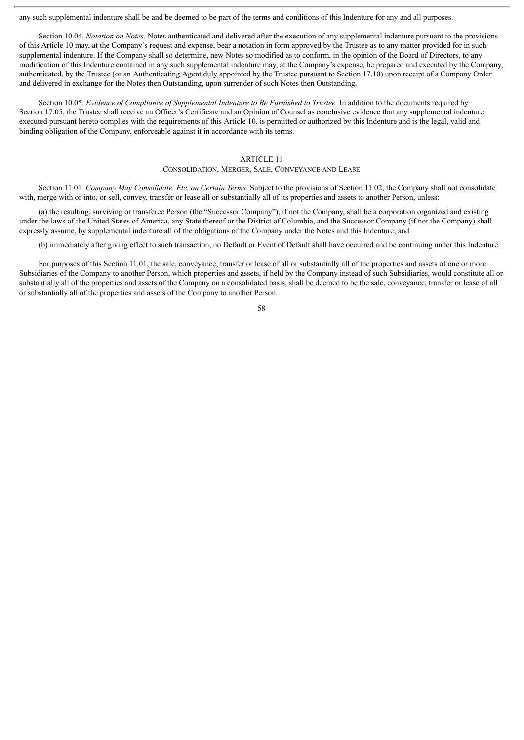any such supplemental indenture shall be and be deemed to be part of the terms and conditions of this Indenture for any and all purposes.

Section 10.04*. Notation on Notes.* Notes authenticated and delivered after the execution of any supplemental indenture pursuant to the provisions of this Article 10 may, at the Company's request and expense, bear a notation in form approved by the Trustee as to any matter provided for in such supplemental indenture. If the Company shall so determine, new Notes so modified as to conform, in the opinion of the Board of Directors, to any modification of this Indenture contained in any such supplemental indenture may, at the Company's expense, be prepared and executed by the Company, authenticated, by the Trustee (or an Authenticating Agent duly appointed by the Trustee pursuant to Section 17.10) upon receipt of a Company Order and delivered in exchange for the Notes then Outstanding, upon surrender of such Notes then Outstanding.

Section 10.05*. Evidence of Compliance of Supplemental Indenture to Be Furnished to Trustee.* In addition to the documents required by Section 17.05, the Trustee shall receive an Officer's Certificate and an Opinion of Counsel as conclusive evidence that any supplemental indenture executed pursuant hereto complies with the requirements of this Article 10, is permitted or authorized by this Indenture and is the legal, valid and binding obligation of the Company, enforceable against it in accordance with its terms.

## ARTICLE 11

#### CONSOLIDATION, MERGER, SALE, CONVEYANCE AND LEASE

Section 11.01*. Company May Consolidate, Etc. on Certain Terms.* Subject to the provisions of Section 11.02, the Company shall not consolidate with, merge with or into, or sell, convey, transfer or lease all or substantially all of its properties and assets to another Person, unless:

(a) the resulting, surviving or transferee Person (the "Successor Company"), if not the Company, shall be a corporation organized and existing under the laws of the United States of America, any State thereof or the District of Columbia, and the Successor Company (if not the Company) shall expressly assume, by supplemental indenture all of the obligations of the Company under the Notes and this Indenture; and

(b) immediately after giving effect to such transaction, no Default or Event of Default shall have occurred and be continuing under this Indenture.

For purposes of this Section 11.01, the sale, conveyance, transfer or lease of all or substantially all of the properties and assets of one or more Subsidiaries of the Company to another Person, which properties and assets, if held by the Company instead of such Subsidiaries, would constitute all or substantially all of the properties and assets of the Company on a consolidated basis, shall be deemed to be the sale, conveyance, transfer or lease of all or substantially all of the properties and assets of the Company to another Person.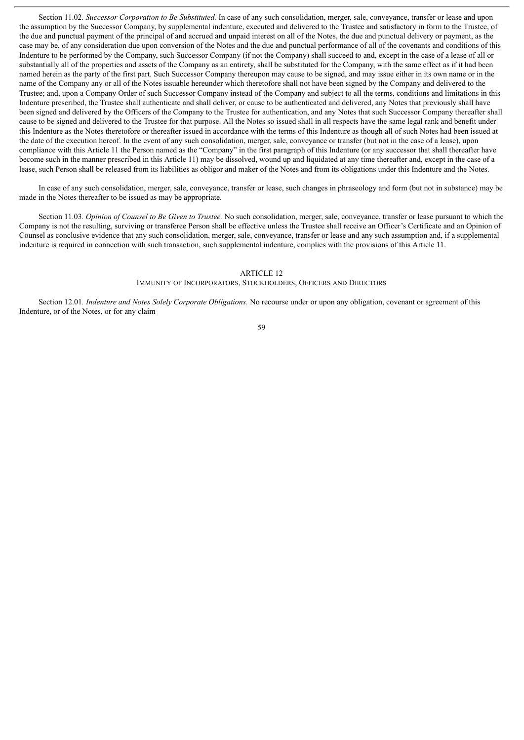Section 11.02*. Successor Corporation to Be Substituted.* In case of any such consolidation, merger, sale, conveyance, transfer or lease and upon the assumption by the Successor Company, by supplemental indenture, executed and delivered to the Trustee and satisfactory in form to the Trustee, of the due and punctual payment of the principal of and accrued and unpaid interest on all of the Notes, the due and punctual delivery or payment, as the case may be, of any consideration due upon conversion of the Notes and the due and punctual performance of all of the covenants and conditions of this Indenture to be performed by the Company, such Successor Company (if not the Company) shall succeed to and, except in the case of a lease of all or substantially all of the properties and assets of the Company as an entirety, shall be substituted for the Company, with the same effect as if it had been named herein as the party of the first part. Such Successor Company thereupon may cause to be signed, and may issue either in its own name or in the name of the Company any or all of the Notes issuable hereunder which theretofore shall not have been signed by the Company and delivered to the Trustee; and, upon a Company Order of such Successor Company instead of the Company and subject to all the terms, conditions and limitations in this Indenture prescribed, the Trustee shall authenticate and shall deliver, or cause to be authenticated and delivered, any Notes that previously shall have been signed and delivered by the Officers of the Company to the Trustee for authentication, and any Notes that such Successor Company thereafter shall cause to be signed and delivered to the Trustee for that purpose. All the Notes so issued shall in all respects have the same legal rank and benefit under this Indenture as the Notes theretofore or thereafter issued in accordance with the terms of this Indenture as though all of such Notes had been issued at the date of the execution hereof. In the event of any such consolidation, merger, sale, conveyance or transfer (but not in the case of a lease), upon compliance with this Article 11 the Person named as the "Company" in the first paragraph of this Indenture (or any successor that shall thereafter have become such in the manner prescribed in this Article 11) may be dissolved, wound up and liquidated at any time thereafter and, except in the case of a lease, such Person shall be released from its liabilities as obligor and maker of the Notes and from its obligations under this Indenture and the Notes.

In case of any such consolidation, merger, sale, conveyance, transfer or lease, such changes in phraseology and form (but not in substance) may be made in the Notes thereafter to be issued as may be appropriate.

Section 11.03*. Opinion of Counsel to Be Given to Trustee.* No such consolidation, merger, sale, conveyance, transfer or lease pursuant to which the Company is not the resulting, surviving or transferee Person shall be effective unless the Trustee shall receive an Officer's Certificate and an Opinion of Counsel as conclusive evidence that any such consolidation, merger, sale, conveyance, transfer or lease and any such assumption and, if a supplemental indenture is required in connection with such transaction, such supplemental indenture, complies with the provisions of this Article 11.

#### ARTICLE 12

#### IMMUNITY OF INCORPORATORS, STOCKHOLDERS, OFFICERS AND DIRECTORS

Section 12.01*. Indenture and Notes Solely Corporate Obligations.* No recourse under or upon any obligation, covenant or agreement of this Indenture, or of the Notes, or for any claim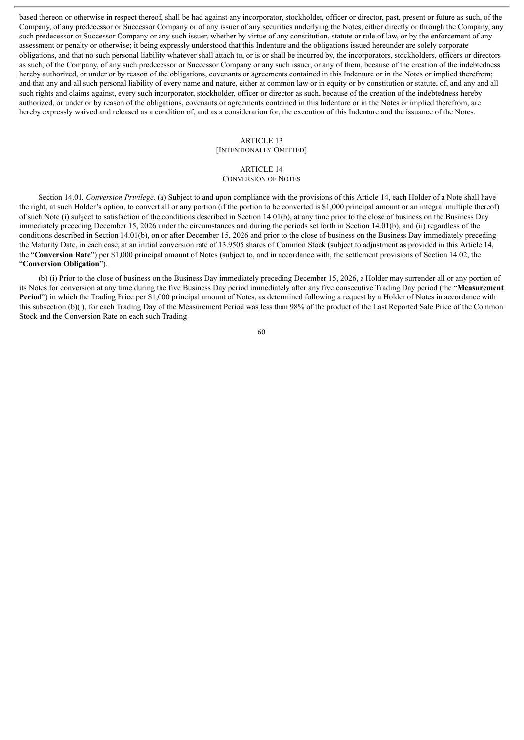based thereon or otherwise in respect thereof, shall be had against any incorporator, stockholder, officer or director, past, present or future as such, of the Company, of any predecessor or Successor Company or of any issuer of any securities underlying the Notes, either directly or through the Company, any such predecessor or Successor Company or any such issuer, whether by virtue of any constitution, statute or rule of law, or by the enforcement of any assessment or penalty or otherwise; it being expressly understood that this Indenture and the obligations issued hereunder are solely corporate obligations, and that no such personal liability whatever shall attach to, or is or shall be incurred by, the incorporators, stockholders, officers or directors as such, of the Company, of any such predecessor or Successor Company or any such issuer, or any of them, because of the creation of the indebtedness hereby authorized, or under or by reason of the obligations, covenants or agreements contained in this Indenture or in the Notes or implied therefrom; and that any and all such personal liability of every name and nature, either at common law or in equity or by constitution or statute, of, and any and all such rights and claims against, every such incorporator, stockholder, officer or director as such, because of the creation of the indebtedness hereby authorized, or under or by reason of the obligations, covenants or agreements contained in this Indenture or in the Notes or implied therefrom, are hereby expressly waived and released as a condition of, and as a consideration for, the execution of this Indenture and the issuance of the Notes.

## ARTICLE 13

## [INTENTIONALLY OMITTED]

# ARTICLE 14

CONVERSION OF NOTES

Section 14.01*. Conversion Privilege.* (a) Subject to and upon compliance with the provisions of this Article 14, each Holder of a Note shall have the right, at such Holder's option, to convert all or any portion (if the portion to be converted is \$1,000 principal amount or an integral multiple thereof) of such Note (i) subject to satisfaction of the conditions described in Section 14.01(b), at any time prior to the close of business on the Business Day immediately preceding December 15, 2026 under the circumstances and during the periods set forth in Section 14.01(b), and (ii) regardless of the conditions described in Section 14.01(b), on or after December 15, 2026 and prior to the close of business on the Business Day immediately preceding the Maturity Date, in each case, at an initial conversion rate of 13.9505 shares of Common Stock (subject to adjustment as provided in this Article 14, the "**Conversion Rate**") per \$1,000 principal amount of Notes (subject to, and in accordance with, the settlement provisions of Section 14.02, the "**Conversion Obligation**").

(b) (i) Prior to the close of business on the Business Day immediately preceding December 15, 2026, a Holder may surrender all or any portion of its Notes for conversion at any time during the five Business Day period immediately after any five consecutive Trading Day period (the "**Measurement Period**") in which the Trading Price per \$1,000 principal amount of Notes, as determined following a request by a Holder of Notes in accordance with this subsection (b)(i), for each Trading Day of the Measurement Period was less than 98% of the product of the Last Reported Sale Price of the Common Stock and the Conversion Rate on each such Trading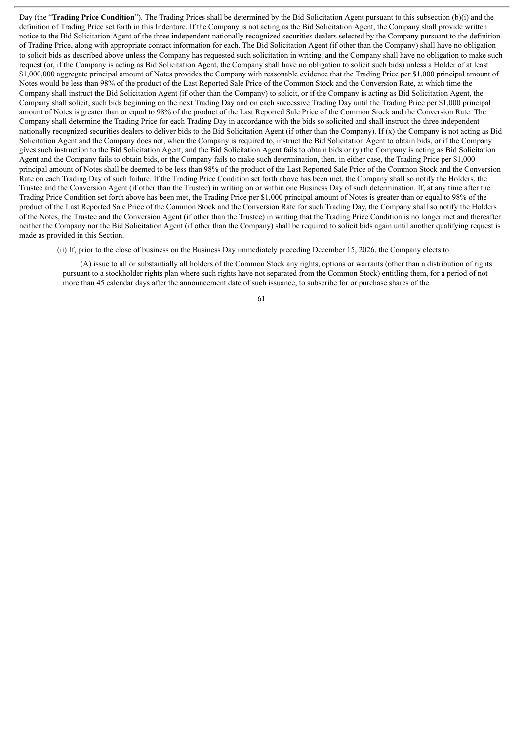Day (the "**Trading Price Condition**"). The Trading Prices shall be determined by the Bid Solicitation Agent pursuant to this subsection (b)(i) and the definition of Trading Price set forth in this Indenture. If the Company is not acting as the Bid Solicitation Agent, the Company shall provide written notice to the Bid Solicitation Agent of the three independent nationally recognized securities dealers selected by the Company pursuant to the definition of Trading Price, along with appropriate contact information for each. The Bid Solicitation Agent (if other than the Company) shall have no obligation to solicit bids as described above unless the Company has requested such solicitation in writing, and the Company shall have no obligation to make such request (or, if the Company is acting as Bid Solicitation Agent, the Company shall have no obligation to solicit such bids) unless a Holder of at least \$1,000,000 aggregate principal amount of Notes provides the Company with reasonable evidence that the Trading Price per \$1,000 principal amount of Notes would be less than 98% of the product of the Last Reported Sale Price of the Common Stock and the Conversion Rate, at which time the Company shall instruct the Bid Solicitation Agent (if other than the Company) to solicit, or if the Company is acting as Bid Solicitation Agent, the Company shall solicit, such bids beginning on the next Trading Day and on each successive Trading Day until the Trading Price per \$1,000 principal amount of Notes is greater than or equal to 98% of the product of the Last Reported Sale Price of the Common Stock and the Conversion Rate. The Company shall determine the Trading Price for each Trading Day in accordance with the bids so solicited and shall instruct the three independent nationally recognized securities dealers to deliver bids to the Bid Solicitation Agent (if other than the Company). If (x) the Company is not acting as Bid Solicitation Agent and the Company does not, when the Company is required to, instruct the Bid Solicitation Agent to obtain bids, or if the Company gives such instruction to the Bid Solicitation Agent, and the Bid Solicitation Agent fails to obtain bids or  $(y)$  the Company is acting as Bid Solicitation Agent and the Company fails to obtain bids, or the Company fails to make such determination, then, in either case, the Trading Price per \$1,000 principal amount of Notes shall be deemed to be less than 98% of the product of the Last Reported Sale Price of the Common Stock and the Conversion Rate on each Trading Day of such failure. If the Trading Price Condition set forth above has been met, the Company shall so notify the Holders, the Trustee and the Conversion Agent (if other than the Trustee) in writing on or within one Business Day of such determination. If, at any time after the Trading Price Condition set forth above has been met, the Trading Price per \$1,000 principal amount of Notes is greater than or equal to 98% of the product of the Last Reported Sale Price of the Common Stock and the Conversion Rate for such Trading Day, the Company shall so notify the Holders of the Notes, the Trustee and the Conversion Agent (if other than the Trustee) in writing that the Trading Price Condition is no longer met and thereafter neither the Company nor the Bid Solicitation Agent (if other than the Company) shall be required to solicit bids again until another qualifying request is made as provided in this Section.

(ii) If, prior to the close of business on the Business Day immediately preceding December 15, 2026, the Company elects to:

(A) issue to all or substantially all holders of the Common Stock any rights, options or warrants (other than a distribution of rights pursuant to a stockholder rights plan where such rights have not separated from the Common Stock) entitling them, for a period of not more than 45 calendar days after the announcement date of such issuance, to subscribe for or purchase shares of the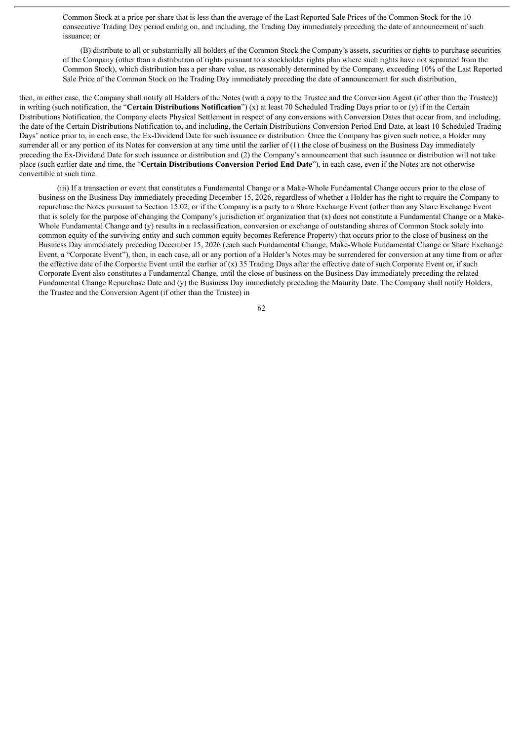Common Stock at a price per share that is less than the average of the Last Reported Sale Prices of the Common Stock for the 10 consecutive Trading Day period ending on, and including, the Trading Day immediately preceding the date of announcement of such issuance; or

(B) distribute to all or substantially all holders of the Common Stock the Company's assets, securities or rights to purchase securities of the Company (other than a distribution of rights pursuant to a stockholder rights plan where such rights have not separated from the Common Stock), which distribution has a per share value, as reasonably determined by the Company, exceeding 10% of the Last Reported Sale Price of the Common Stock on the Trading Day immediately preceding the date of announcement for such distribution,

then, in either case, the Company shall notify all Holders of the Notes (with a copy to the Trustee and the Conversion Agent (if other than the Trustee)) in writing (such notification, the "**Certain Distributions Notification**") (x) at least 70 Scheduled Trading Days prior to or (y) if in the Certain Distributions Notification, the Company elects Physical Settlement in respect of any conversions with Conversion Dates that occur from, and including, the date of the Certain Distributions Notification to, and including, the Certain Distributions Conversion Period End Date, at least 10 Scheduled Trading Days' notice prior to, in each case, the Ex-Dividend Date for such issuance or distribution. Once the Company has given such notice, a Holder may surrender all or any portion of its Notes for conversion at any time until the earlier of (1) the close of business on the Business Day immediately preceding the Ex-Dividend Date for such issuance or distribution and (2) the Company's announcement that such issuance or distribution will not take place (such earlier date and time, the "**Certain Distributions Conversion Period End Date**"), in each case, even if the Notes are not otherwise convertible at such time.

(iii) If a transaction or event that constitutes a Fundamental Change or a Make-Whole Fundamental Change occurs prior to the close of business on the Business Day immediately preceding December 15, 2026, regardless of whether a Holder has the right to require the Company to repurchase the Notes pursuant to Section 15.02, or if the Company is a party to a Share Exchange Event (other than any Share Exchange Event that is solely for the purpose of changing the Company's jurisdiction of organization that (x) does not constitute a Fundamental Change or a Make-Whole Fundamental Change and (y) results in a reclassification, conversion or exchange of outstanding shares of Common Stock solely into common equity of the surviving entity and such common equity becomes Reference Property) that occurs prior to the close of business on the Business Day immediately preceding December 15, 2026 (each such Fundamental Change, Make-Whole Fundamental Change or Share Exchange Event, a "Corporate Event"), then, in each case, all or any portion of a Holder's Notes may be surrendered for conversion at any time from or after the effective date of the Corporate Event until the earlier of  $(x)$  35 Trading Days after the effective date of such Corporate Event or, if such Corporate Event also constitutes a Fundamental Change, until the close of business on the Business Day immediately preceding the related Fundamental Change Repurchase Date and (y) the Business Day immediately preceding the Maturity Date. The Company shall notify Holders, the Trustee and the Conversion Agent (if other than the Trustee) in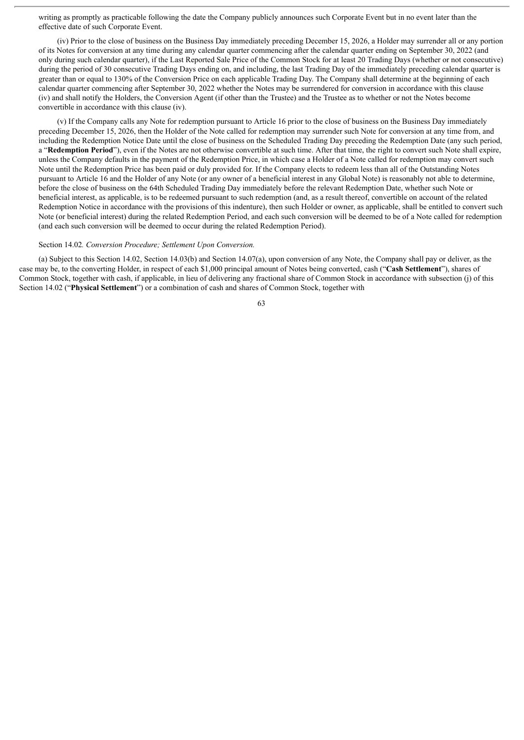writing as promptly as practicable following the date the Company publicly announces such Corporate Event but in no event later than the effective date of such Corporate Event.

(iv) Prior to the close of business on the Business Day immediately preceding December 15, 2026, a Holder may surrender all or any portion of its Notes for conversion at any time during any calendar quarter commencing after the calendar quarter ending on September 30, 2022 (and only during such calendar quarter), if the Last Reported Sale Price of the Common Stock for at least 20 Trading Days (whether or not consecutive) during the period of 30 consecutive Trading Days ending on, and including, the last Trading Day of the immediately preceding calendar quarter is greater than or equal to 130% of the Conversion Price on each applicable Trading Day. The Company shall determine at the beginning of each calendar quarter commencing after September 30, 2022 whether the Notes may be surrendered for conversion in accordance with this clause (iv) and shall notify the Holders, the Conversion Agent (if other than the Trustee) and the Trustee as to whether or not the Notes become convertible in accordance with this clause (iv).

(v) If the Company calls any Note for redemption pursuant to Article 16 prior to the close of business on the Business Day immediately preceding December 15, 2026, then the Holder of the Note called for redemption may surrender such Note for conversion at any time from, and including the Redemption Notice Date until the close of business on the Scheduled Trading Day preceding the Redemption Date (any such period, a "**Redemption Period**"), even if the Notes are not otherwise convertible at such time. After that time, the right to convert such Note shall expire, unless the Company defaults in the payment of the Redemption Price, in which case a Holder of a Note called for redemption may convert such Note until the Redemption Price has been paid or duly provided for. If the Company elects to redeem less than all of the Outstanding Notes pursuant to Article 16 and the Holder of any Note (or any owner of a beneficial interest in any Global Note) is reasonably not able to determine, before the close of business on the 64th Scheduled Trading Day immediately before the relevant Redemption Date, whether such Note or beneficial interest, as applicable, is to be redeemed pursuant to such redemption (and, as a result thereof, convertible on account of the related Redemption Notice in accordance with the provisions of this indenture), then such Holder or owner, as applicable, shall be entitled to convert such Note (or beneficial interest) during the related Redemption Period, and each such conversion will be deemed to be of a Note called for redemption (and each such conversion will be deemed to occur during the related Redemption Period).

### Section 14.02*. Conversion Procedure; Settlement Upon Conversion.*

(a) Subject to this Section 14.02, Section 14.03(b) and Section 14.07(a), upon conversion of any Note, the Company shall pay or deliver, as the case may be, to the converting Holder, in respect of each \$1,000 principal amount of Notes being converted, cash ("**Cash Settlement**"), shares of Common Stock, together with cash, if applicable, in lieu of delivering any fractional share of Common Stock in accordance with subsection (j) of this Section 14.02 ("**Physical Settlement**") or a combination of cash and shares of Common Stock, together with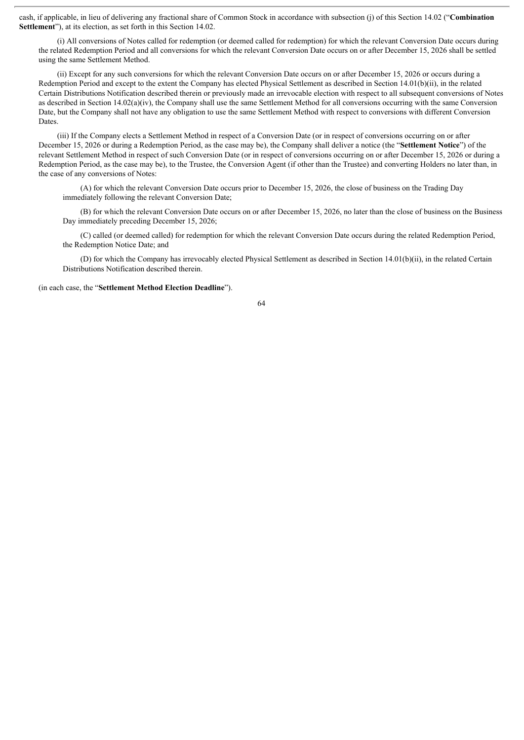cash, if applicable, in lieu of delivering any fractional share of Common Stock in accordance with subsection (j) of this Section 14.02 ("**Combination Settlement**"), at its election, as set forth in this Section 14.02.

(i) All conversions of Notes called for redemption (or deemed called for redemption) for which the relevant Conversion Date occurs during the related Redemption Period and all conversions for which the relevant Conversion Date occurs on or after December 15, 2026 shall be settled using the same Settlement Method.

(ii) Except for any such conversions for which the relevant Conversion Date occurs on or after December 15, 2026 or occurs during a Redemption Period and except to the extent the Company has elected Physical Settlement as described in Section 14.01(b)(ii), in the related Certain Distributions Notification described therein or previously made an irrevocable election with respect to all subsequent conversions of Notes as described in Section  $14.02(a)(iv)$ , the Company shall use the same Settlement Method for all conversions occurring with the same Conversion Date, but the Company shall not have any obligation to use the same Settlement Method with respect to conversions with different Conversion Dates.

(iii) If the Company elects a Settlement Method in respect of a Conversion Date (or in respect of conversions occurring on or after December 15, 2026 or during a Redemption Period, as the case may be), the Company shall deliver a notice (the "**Settlement Notice**") of the relevant Settlement Method in respect of such Conversion Date (or in respect of conversions occurring on or after December 15, 2026 or during a Redemption Period, as the case may be), to the Trustee, the Conversion Agent (if other than the Trustee) and converting Holders no later than, in the case of any conversions of Notes:

(A) for which the relevant Conversion Date occurs prior to December 15, 2026, the close of business on the Trading Day immediately following the relevant Conversion Date;

(B) for which the relevant Conversion Date occurs on or after December 15, 2026, no later than the close of business on the Business Day immediately preceding December 15, 2026;

(C) called (or deemed called) for redemption for which the relevant Conversion Date occurs during the related Redemption Period, the Redemption Notice Date; and

(D) for which the Company has irrevocably elected Physical Settlement as described in Section 14.01(b)(ii), in the related Certain Distributions Notification described therein.

(in each case, the "**Settlement Method Election Deadline**").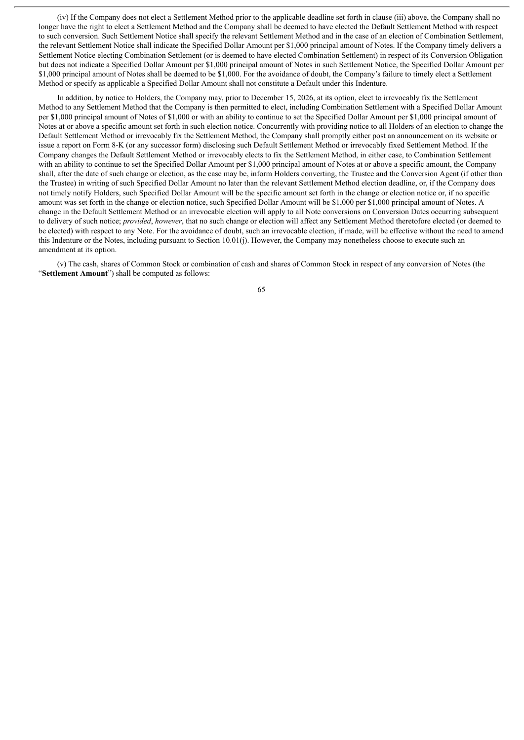(iv) If the Company does not elect a Settlement Method prior to the applicable deadline set forth in clause (iii) above, the Company shall no longer have the right to elect a Settlement Method and the Company shall be deemed to have elected the Default Settlement Method with respect to such conversion. Such Settlement Notice shall specify the relevant Settlement Method and in the case of an election of Combination Settlement, the relevant Settlement Notice shall indicate the Specified Dollar Amount per \$1,000 principal amount of Notes. If the Company timely delivers a Settlement Notice electing Combination Settlement (or is deemed to have elected Combination Settlement) in respect of its Conversion Obligation but does not indicate a Specified Dollar Amount per \$1,000 principal amount of Notes in such Settlement Notice, the Specified Dollar Amount per \$1,000 principal amount of Notes shall be deemed to be \$1,000. For the avoidance of doubt, the Company's failure to timely elect a Settlement Method or specify as applicable a Specified Dollar Amount shall not constitute a Default under this Indenture.

In addition, by notice to Holders, the Company may, prior to December 15, 2026, at its option, elect to irrevocably fix the Settlement Method to any Settlement Method that the Company is then permitted to elect, including Combination Settlement with a Specified Dollar Amount per \$1,000 principal amount of Notes of \$1,000 or with an ability to continue to set the Specified Dollar Amount per \$1,000 principal amount of Notes at or above a specific amount set forth in such election notice. Concurrently with providing notice to all Holders of an election to change the Default Settlement Method or irrevocably fix the Settlement Method, the Company shall promptly either post an announcement on its website or issue a report on Form 8-K (or any successor form) disclosing such Default Settlement Method or irrevocably fixed Settlement Method. If the Company changes the Default Settlement Method or irrevocably elects to fix the Settlement Method, in either case, to Combination Settlement with an ability to continue to set the Specified Dollar Amount per \$1,000 principal amount of Notes at or above a specific amount, the Company shall, after the date of such change or election, as the case may be, inform Holders converting, the Trustee and the Conversion Agent (if other than the Trustee) in writing of such Specified Dollar Amount no later than the relevant Settlement Method election deadline, or, if the Company does not timely notify Holders, such Specified Dollar Amount will be the specific amount set forth in the change or election notice or, if no specific amount was set forth in the change or election notice, such Specified Dollar Amount will be \$1,000 per \$1,000 principal amount of Notes. A change in the Default Settlement Method or an irrevocable election will apply to all Note conversions on Conversion Dates occurring subsequent to delivery of such notice; *provided*, *however*, that no such change or election will affect any Settlement Method theretofore elected (or deemed to be elected) with respect to any Note. For the avoidance of doubt, such an irrevocable election, if made, will be effective without the need to amend this Indenture or the Notes, including pursuant to Section 10.01(j). However, the Company may nonetheless choose to execute such an amendment at its option.

(v) The cash, shares of Common Stock or combination of cash and shares of Common Stock in respect of any conversion of Notes (the "**Settlement Amount**") shall be computed as follows: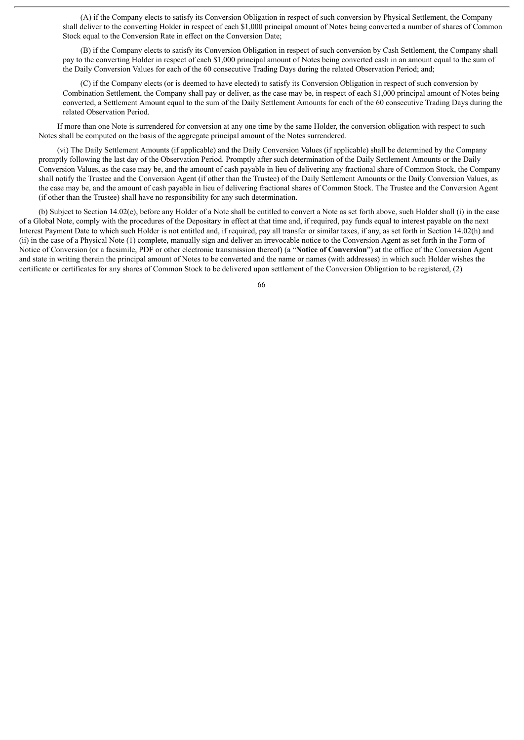(A) if the Company elects to satisfy its Conversion Obligation in respect of such conversion by Physical Settlement, the Company shall deliver to the converting Holder in respect of each \$1,000 principal amount of Notes being converted a number of shares of Common Stock equal to the Conversion Rate in effect on the Conversion Date;

(B) if the Company elects to satisfy its Conversion Obligation in respect of such conversion by Cash Settlement, the Company shall pay to the converting Holder in respect of each \$1,000 principal amount of Notes being converted cash in an amount equal to the sum of the Daily Conversion Values for each of the 60 consecutive Trading Days during the related Observation Period; and;

(C) if the Company elects (or is deemed to have elected) to satisfy its Conversion Obligation in respect of such conversion by Combination Settlement, the Company shall pay or deliver, as the case may be, in respect of each \$1,000 principal amount of Notes being converted, a Settlement Amount equal to the sum of the Daily Settlement Amounts for each of the 60 consecutive Trading Days during the related Observation Period.

If more than one Note is surrendered for conversion at any one time by the same Holder, the conversion obligation with respect to such Notes shall be computed on the basis of the aggregate principal amount of the Notes surrendered.

(vi) The Daily Settlement Amounts (if applicable) and the Daily Conversion Values (if applicable) shall be determined by the Company promptly following the last day of the Observation Period. Promptly after such determination of the Daily Settlement Amounts or the Daily Conversion Values, as the case may be, and the amount of cash payable in lieu of delivering any fractional share of Common Stock, the Company shall notify the Trustee and the Conversion Agent (if other than the Trustee) of the Daily Settlement Amounts or the Daily Conversion Values, as the case may be, and the amount of cash payable in lieu of delivering fractional shares of Common Stock. The Trustee and the Conversion Agent (if other than the Trustee) shall have no responsibility for any such determination.

(b) Subject to Section 14.02(e), before any Holder of a Note shall be entitled to convert a Note as set forth above, such Holder shall (i) in the case of a Global Note, comply with the procedures of the Depositary in effect at that time and, if required, pay funds equal to interest payable on the next Interest Payment Date to which such Holder is not entitled and, if required, pay all transfer or similar taxes, if any, as set forth in Section 14.02(h) and (ii) in the case of a Physical Note (1) complete, manually sign and deliver an irrevocable notice to the Conversion Agent as set forth in the Form of Notice of Conversion (or a facsimile, PDF or other electronic transmission thereof) (a "**Notice of Conversion**") at the office of the Conversion Agent and state in writing therein the principal amount of Notes to be converted and the name or names (with addresses) in which such Holder wishes the certificate or certificates for any shares of Common Stock to be delivered upon settlement of the Conversion Obligation to be registered, (2)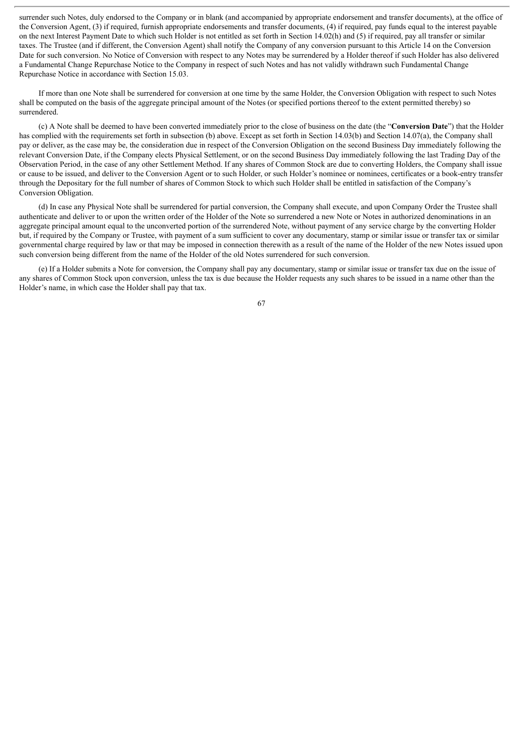surrender such Notes, duly endorsed to the Company or in blank (and accompanied by appropriate endorsement and transfer documents), at the office of the Conversion Agent, (3) if required, furnish appropriate endorsements and transfer documents, (4) if required, pay funds equal to the interest payable on the next Interest Payment Date to which such Holder is not entitled as set forth in Section 14.02(h) and (5) if required, pay all transfer or similar taxes. The Trustee (and if different, the Conversion Agent) shall notify the Company of any conversion pursuant to this Article 14 on the Conversion Date for such conversion. No Notice of Conversion with respect to any Notes may be surrendered by a Holder thereof if such Holder has also delivered a Fundamental Change Repurchase Notice to the Company in respect of such Notes and has not validly withdrawn such Fundamental Change Repurchase Notice in accordance with Section 15.03.

If more than one Note shall be surrendered for conversion at one time by the same Holder, the Conversion Obligation with respect to such Notes shall be computed on the basis of the aggregate principal amount of the Notes (or specified portions thereof to the extent permitted thereby) so surrendered.

(c) A Note shall be deemed to have been converted immediately prior to the close of business on the date (the "**Conversion Date**") that the Holder has complied with the requirements set forth in subsection (b) above. Except as set forth in Section 14.03(b) and Section 14.07(a), the Company shall pay or deliver, as the case may be, the consideration due in respect of the Conversion Obligation on the second Business Day immediately following the relevant Conversion Date, if the Company elects Physical Settlement, or on the second Business Day immediately following the last Trading Day of the Observation Period, in the case of any other Settlement Method. If any shares of Common Stock are due to converting Holders, the Company shall issue or cause to be issued, and deliver to the Conversion Agent or to such Holder, or such Holder's nominee or nominees, certificates or a book-entry transfer through the Depositary for the full number of shares of Common Stock to which such Holder shall be entitled in satisfaction of the Company's Conversion Obligation.

(d) In case any Physical Note shall be surrendered for partial conversion, the Company shall execute, and upon Company Order the Trustee shall authenticate and deliver to or upon the written order of the Holder of the Note so surrendered a new Note or Notes in authorized denominations in an aggregate principal amount equal to the unconverted portion of the surrendered Note, without payment of any service charge by the converting Holder but, if required by the Company or Trustee, with payment of a sum sufficient to cover any documentary, stamp or similar issue or transfer tax or similar governmental charge required by law or that may be imposed in connection therewith as a result of the name of the Holder of the new Notes issued upon such conversion being different from the name of the Holder of the old Notes surrendered for such conversion.

(e) If a Holder submits a Note for conversion, the Company shall pay any documentary, stamp or similar issue or transfer tax due on the issue of any shares of Common Stock upon conversion, unless the tax is due because the Holder requests any such shares to be issued in a name other than the Holder's name, in which case the Holder shall pay that tax.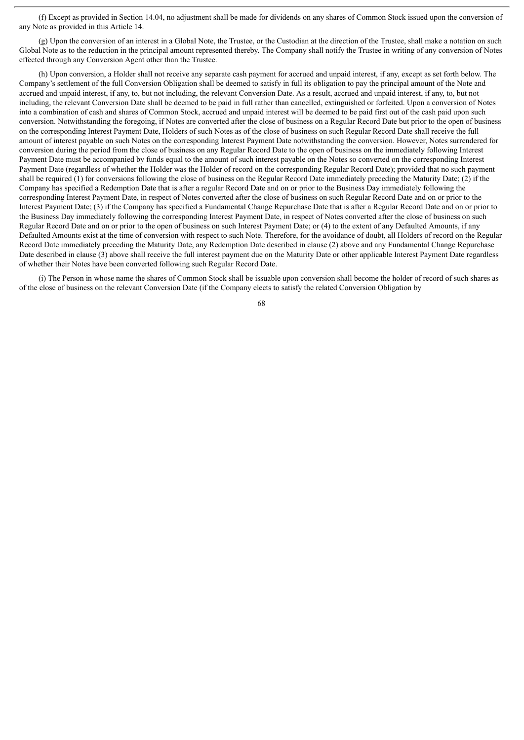(f) Except as provided in Section 14.04, no adjustment shall be made for dividends on any shares of Common Stock issued upon the conversion of any Note as provided in this Article 14.

(g) Upon the conversion of an interest in a Global Note, the Trustee, or the Custodian at the direction of the Trustee, shall make a notation on such Global Note as to the reduction in the principal amount represented thereby. The Company shall notify the Trustee in writing of any conversion of Notes effected through any Conversion Agent other than the Trustee.

(h) Upon conversion, a Holder shall not receive any separate cash payment for accrued and unpaid interest, if any, except as set forth below. The Company's settlement of the full Conversion Obligation shall be deemed to satisfy in full its obligation to pay the principal amount of the Note and accrued and unpaid interest, if any, to, but not including, the relevant Conversion Date. As a result, accrued and unpaid interest, if any, to, but not including, the relevant Conversion Date shall be deemed to be paid in full rather than cancelled, extinguished or forfeited. Upon a conversion of Notes into a combination of cash and shares of Common Stock, accrued and unpaid interest will be deemed to be paid first out of the cash paid upon such conversion. Notwithstanding the foregoing, if Notes are converted after the close of business on a Regular Record Date but prior to the open of business on the corresponding Interest Payment Date, Holders of such Notes as of the close of business on such Regular Record Date shall receive the full amount of interest payable on such Notes on the corresponding Interest Payment Date notwithstanding the conversion. However, Notes surrendered for conversion during the period from the close of business on any Regular Record Date to the open of business on the immediately following Interest Payment Date must be accompanied by funds equal to the amount of such interest payable on the Notes so converted on the corresponding Interest Payment Date (regardless of whether the Holder was the Holder of record on the corresponding Regular Record Date); provided that no such payment shall be required (1) for conversions following the close of business on the Regular Record Date immediately preceding the Maturity Date; (2) if the Company has specified a Redemption Date that is after a regular Record Date and on or prior to the Business Day immediately following the corresponding Interest Payment Date, in respect of Notes converted after the close of business on such Regular Record Date and on or prior to the Interest Payment Date; (3) if the Company has specified a Fundamental Change Repurchase Date that is after a Regular Record Date and on or prior to the Business Day immediately following the corresponding Interest Payment Date, in respect of Notes converted after the close of business on such Regular Record Date and on or prior to the open of business on such Interest Payment Date; or (4) to the extent of any Defaulted Amounts, if any Defaulted Amounts exist at the time of conversion with respect to such Note. Therefore, for the avoidance of doubt, all Holders of record on the Regular Record Date immediately preceding the Maturity Date, any Redemption Date described in clause (2) above and any Fundamental Change Repurchase Date described in clause (3) above shall receive the full interest payment due on the Maturity Date or other applicable Interest Payment Date regardless of whether their Notes have been converted following such Regular Record Date.

(i) The Person in whose name the shares of Common Stock shall be issuable upon conversion shall become the holder of record of such shares as of the close of business on the relevant Conversion Date (if the Company elects to satisfy the related Conversion Obligation by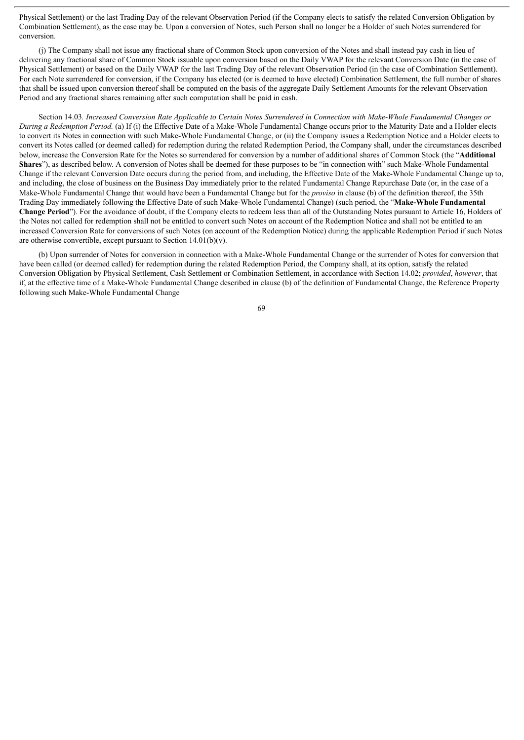Physical Settlement) or the last Trading Day of the relevant Observation Period (if the Company elects to satisfy the related Conversion Obligation by Combination Settlement), as the case may be. Upon a conversion of Notes, such Person shall no longer be a Holder of such Notes surrendered for conversion.

(j) The Company shall not issue any fractional share of Common Stock upon conversion of the Notes and shall instead pay cash in lieu of delivering any fractional share of Common Stock issuable upon conversion based on the Daily VWAP for the relevant Conversion Date (in the case of Physical Settlement) or based on the Daily VWAP for the last Trading Day of the relevant Observation Period (in the case of Combination Settlement). For each Note surrendered for conversion, if the Company has elected (or is deemed to have elected) Combination Settlement, the full number of shares that shall be issued upon conversion thereof shall be computed on the basis of the aggregate Daily Settlement Amounts for the relevant Observation Period and any fractional shares remaining after such computation shall be paid in cash.

Section 14.03. Increased Conversion Rate Applicable to Certain Notes Surrendered in Connection with Make-Whole Fundamental Changes or *During a Redemption Period.* (a) If (i) the Effective Date of a Make-Whole Fundamental Change occurs prior to the Maturity Date and a Holder elects to convert its Notes in connection with such Make-Whole Fundamental Change, or (ii) the Company issues a Redemption Notice and a Holder elects to convert its Notes called (or deemed called) for redemption during the related Redemption Period, the Company shall, under the circumstances described below, increase the Conversion Rate for the Notes so surrendered for conversion by a number of additional shares of Common Stock (the "**Additional Shares**"), as described below. A conversion of Notes shall be deemed for these purposes to be "in connection with" such Make-Whole Fundamental Change if the relevant Conversion Date occurs during the period from, and including, the Effective Date of the Make-Whole Fundamental Change up to, and including, the close of business on the Business Day immediately prior to the related Fundamental Change Repurchase Date (or, in the case of a Make-Whole Fundamental Change that would have been a Fundamental Change but for the *proviso* in clause (b) of the definition thereof, the 35th Trading Day immediately following the Effective Date of such Make-Whole Fundamental Change) (such period, the "**Make-Whole Fundamental Change Period**"). For the avoidance of doubt, if the Company elects to redeem less than all of the Outstanding Notes pursuant to Article 16, Holders of the Notes not called for redemption shall not be entitled to convert such Notes on account of the Redemption Notice and shall not be entitled to an increased Conversion Rate for conversions of such Notes (on account of the Redemption Notice) during the applicable Redemption Period if such Notes are otherwise convertible, except pursuant to Section  $14.01(b)(v)$ .

(b) Upon surrender of Notes for conversion in connection with a Make-Whole Fundamental Change or the surrender of Notes for conversion that have been called (or deemed called) for redemption during the related Redemption Period, the Company shall, at its option, satisfy the related Conversion Obligation by Physical Settlement, Cash Settlement or Combination Settlement, in accordance with Section 14.02; *provided*, *however*, that if, at the effective time of a Make-Whole Fundamental Change described in clause (b) of the definition of Fundamental Change, the Reference Property following such Make-Whole Fundamental Change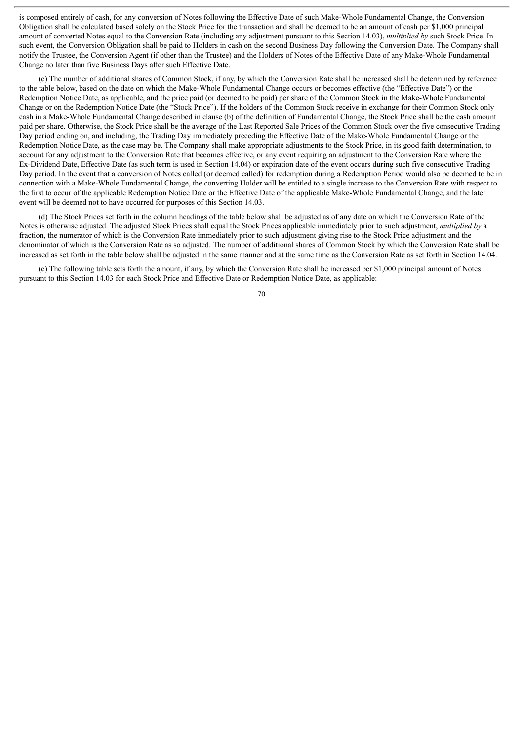is composed entirely of cash, for any conversion of Notes following the Effective Date of such Make-Whole Fundamental Change, the Conversion Obligation shall be calculated based solely on the Stock Price for the transaction and shall be deemed to be an amount of cash per \$1,000 principal amount of converted Notes equal to the Conversion Rate (including any adjustment pursuant to this Section 14.03), *multiplied by* such Stock Price. In such event, the Conversion Obligation shall be paid to Holders in cash on the second Business Day following the Conversion Date. The Company shall notify the Trustee, the Conversion Agent (if other than the Trustee) and the Holders of Notes of the Effective Date of any Make-Whole Fundamental Change no later than five Business Days after such Effective Date.

(c) The number of additional shares of Common Stock, if any, by which the Conversion Rate shall be increased shall be determined by reference to the table below, based on the date on which the Make-Whole Fundamental Change occurs or becomes effective (the "Effective Date") or the Redemption Notice Date, as applicable, and the price paid (or deemed to be paid) per share of the Common Stock in the Make-Whole Fundamental Change or on the Redemption Notice Date (the "Stock Price"). If the holders of the Common Stock receive in exchange for their Common Stock only cash in a Make-Whole Fundamental Change described in clause (b) of the definition of Fundamental Change, the Stock Price shall be the cash amount paid per share. Otherwise, the Stock Price shall be the average of the Last Reported Sale Prices of the Common Stock over the five consecutive Trading Day period ending on, and including, the Trading Day immediately preceding the Effective Date of the Make-Whole Fundamental Change or the Redemption Notice Date, as the case may be. The Company shall make appropriate adjustments to the Stock Price, in its good faith determination, to account for any adjustment to the Conversion Rate that becomes effective, or any event requiring an adjustment to the Conversion Rate where the Ex-Dividend Date, Effective Date (as such term is used in Section 14.04) or expiration date of the event occurs during such five consecutive Trading Day period. In the event that a conversion of Notes called (or deemed called) for redemption during a Redemption Period would also be deemed to be in connection with a Make-Whole Fundamental Change, the converting Holder will be entitled to a single increase to the Conversion Rate with respect to the first to occur of the applicable Redemption Notice Date or the Effective Date of the applicable Make-Whole Fundamental Change, and the later event will be deemed not to have occurred for purposes of this Section 14.03.

(d) The Stock Prices set forth in the column headings of the table below shall be adjusted as of any date on which the Conversion Rate of the Notes is otherwise adjusted. The adjusted Stock Prices shall equal the Stock Prices applicable immediately prior to such adjustment, *multiplied by* a fraction, the numerator of which is the Conversion Rate immediately prior to such adjustment giving rise to the Stock Price adjustment and the denominator of which is the Conversion Rate as so adjusted. The number of additional shares of Common Stock by which the Conversion Rate shall be increased as set forth in the table below shall be adjusted in the same manner and at the same time as the Conversion Rate as set forth in Section 14.04.

(e) The following table sets forth the amount, if any, by which the Conversion Rate shall be increased per \$1,000 principal amount of Notes pursuant to this Section 14.03 for each Stock Price and Effective Date or Redemption Notice Date, as applicable: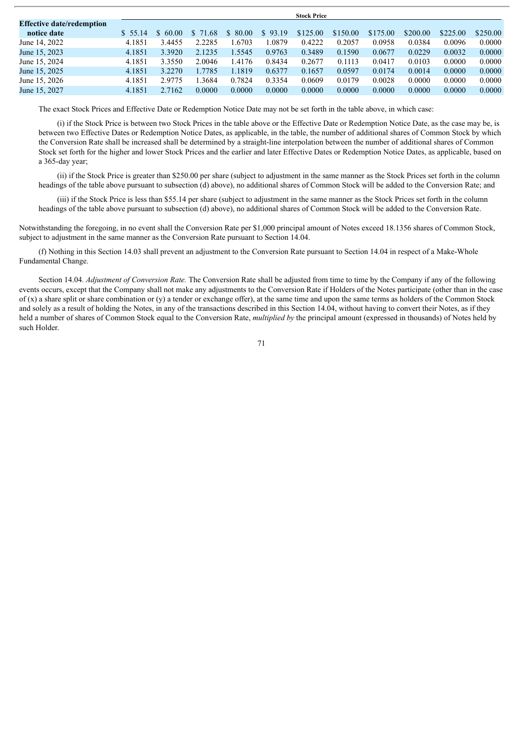|                                  | <b>Stock Price</b> |        |          |         |         |          |          |          |          |          |          |
|----------------------------------|--------------------|--------|----------|---------|---------|----------|----------|----------|----------|----------|----------|
| <b>Effective date/redemption</b> |                    |        |          |         |         |          |          |          |          |          |          |
| notice date                      | \$ 55.14           | 60.00  | \$ 71.68 | \$80.00 | \$93.19 | \$125.00 | \$150.00 | \$175.00 | \$200.00 | \$225.00 | \$250.00 |
| June 14, 2022                    | 4.1851             | 3.4455 | 2.2285   | .6703   | .0879   | 0.4222   | 0.2057   | 0.0958   | 0.0384   | 0.0096   | 0.0000   |
| June 15, 2023                    | 4.1851             | 3.3920 | 2.1235   | 1.5545  | 0.9763  | 0.3489   | 0.1590   | 0.0677   | 0.0229   | 0.0032   | 0.0000   |
| June 15, 2024                    | 4.1851             | 3.3550 | 2.0046   | 4176    | 0.8434  | 0.2677   | 0.1113   | 0.0417   | 0.0103   | 0.0000   | 0.0000   |
| June 15, 2025                    | 4.1851             | 3.2270 | 1.7785   | 1.1819  | 0.6377  | 0.1657   | 0.0597   | 0.0174   | 0.0014   | 0.0000   | 0.0000   |
| June 15, 2026                    | 4.1851             | 2.9775 | .3684    | 0.7824  | 0.3354  | 0.0609   | 0.0179   | 0.0028   | 0.0000   | 0.0000   | 0.0000   |
| June 15, 2027                    | 4.1851             | 2.7162 | 0.0000   | 0.0000  | 0.0000  | 0.0000   | 0.0000   | 0.0000   | 0.0000   | 0.0000   | 0.0000   |

The exact Stock Prices and Effective Date or Redemption Notice Date may not be set forth in the table above, in which case:

(i) if the Stock Price is between two Stock Prices in the table above or the Effective Date or Redemption Notice Date, as the case may be, is between two Effective Dates or Redemption Notice Dates, as applicable, in the table, the number of additional shares of Common Stock by which the Conversion Rate shall be increased shall be determined by a straight-line interpolation between the number of additional shares of Common Stock set forth for the higher and lower Stock Prices and the earlier and later Effective Dates or Redemption Notice Dates, as applicable, based on a 365-day year;

(ii) if the Stock Price is greater than \$250.00 per share (subject to adjustment in the same manner as the Stock Prices set forth in the column headings of the table above pursuant to subsection (d) above), no additional shares of Common Stock will be added to the Conversion Rate; and

(iii) if the Stock Price is less than \$55.14 per share (subject to adjustment in the same manner as the Stock Prices set forth in the column headings of the table above pursuant to subsection (d) above), no additional shares of Common Stock will be added to the Conversion Rate.

Notwithstanding the foregoing, in no event shall the Conversion Rate per \$1,000 principal amount of Notes exceed 18.1356 shares of Common Stock, subject to adjustment in the same manner as the Conversion Rate pursuant to Section 14.04.

(f) Nothing in this Section 14.03 shall prevent an adjustment to the Conversion Rate pursuant to Section 14.04 in respect of a Make-Whole Fundamental Change.

Section 14.04*. Adjustment of Conversion Rate.* The Conversion Rate shall be adjusted from time to time by the Company if any of the following events occurs, except that the Company shall not make any adjustments to the Conversion Rate if Holders of the Notes participate (other than in the case of  $(x)$  a share split or share combination or  $(y)$  a tender or exchange offer), at the same time and upon the same terms as holders of the Common Stock and solely as a result of holding the Notes, in any of the transactions described in this Section 14.04, without having to convert their Notes, as if they held a number of shares of Common Stock equal to the Conversion Rate, *multiplied by* the principal amount (expressed in thousands) of Notes held by such Holder.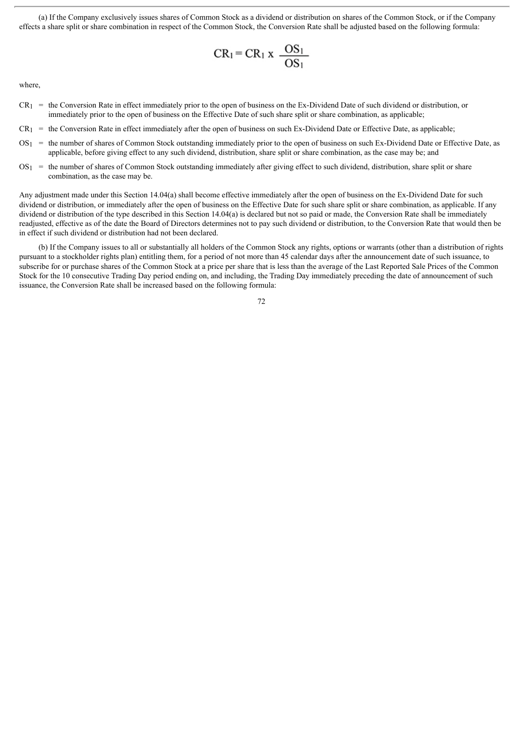(a) If the Company exclusively issues shares of Common Stock as a dividend or distribution on shares of the Common Stock, or if the Company effects a share split or share combination in respect of the Common Stock, the Conversion Rate shall be adjusted based on the following formula:

$$
CR_1 = CR_1 \times \frac{OS_1}{OS_1}
$$

where,

- $CR_1$  = the Conversion Rate in effect immediately prior to the open of business on the Ex-Dividend Date of such dividend or distribution, or immediately prior to the open of business on the Effective Date of such share split or share combination, as applicable;
- $CR_1$  = the Conversion Rate in effect immediately after the open of business on such Ex-Dividend Date or Effective Date, as applicable:
- $OS_1$  = the number of shares of Common Stock outstanding immediately prior to the open of business on such Ex-Dividend Date or Effective Date, as applicable, before giving effect to any such dividend, distribution, share split or share combination, as the case may be; and
- $OS<sub>1</sub>$  = the number of shares of Common Stock outstanding immediately after giving effect to such dividend, distribution, share split or share combination, as the case may be.

Any adjustment made under this Section 14.04(a) shall become effective immediately after the open of business on the Ex-Dividend Date for such dividend or distribution, or immediately after the open of business on the Effective Date for such share split or share combination, as applicable. If any dividend or distribution of the type described in this Section 14.04(a) is declared but not so paid or made, the Conversion Rate shall be immediately readjusted, effective as of the date the Board of Directors determines not to pay such dividend or distribution, to the Conversion Rate that would then be in effect if such dividend or distribution had not been declared.

(b) If the Company issues to all or substantially all holders of the Common Stock any rights, options or warrants (other than a distribution of rights pursuant to a stockholder rights plan) entitling them, for a period of not more than 45 calendar days after the announcement date of such issuance, to subscribe for or purchase shares of the Common Stock at a price per share that is less than the average of the Last Reported Sale Prices of the Common Stock for the 10 consecutive Trading Day period ending on, and including, the Trading Day immediately preceding the date of announcement of such issuance, the Conversion Rate shall be increased based on the following formula: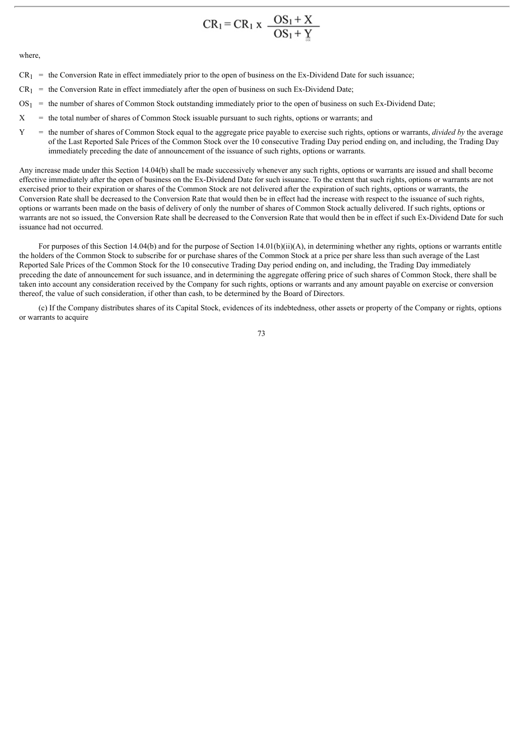$$
CR_1 = CR_1 \times \frac{OS_1 + X}{OS_1 + Y}
$$

where,

- $CR_1$  = the Conversion Rate in effect immediately prior to the open of business on the Ex-Dividend Date for such issuance;
- $CR_1$  = the Conversion Rate in effect immediately after the open of business on such Ex-Dividend Date;
- $OS_1$  = the number of shares of Common Stock outstanding immediately prior to the open of business on such Ex-Dividend Date;
- $X =$  the total number of shares of Common Stock issuable pursuant to such rights, options or warrants; and
- Y = the number of shares of Common Stock equal to the aggregate price payable to exercise such rights, options or warrants, *divided by* the average of the Last Reported Sale Prices of the Common Stock over the 10 consecutive Trading Day period ending on, and including, the Trading Day immediately preceding the date of announcement of the issuance of such rights, options or warrants.

Any increase made under this Section 14.04(b) shall be made successively whenever any such rights, options or warrants are issued and shall become effective immediately after the open of business on the Ex-Dividend Date for such issuance. To the extent that such rights, options or warrants are not exercised prior to their expiration or shares of the Common Stock are not delivered after the expiration of such rights, options or warrants, the Conversion Rate shall be decreased to the Conversion Rate that would then be in effect had the increase with respect to the issuance of such rights, options or warrants been made on the basis of delivery of only the number of shares of Common Stock actually delivered. If such rights, options or warrants are not so issued, the Conversion Rate shall be decreased to the Conversion Rate that would then be in effect if such Ex-Dividend Date for such issuance had not occurred.

For purposes of this Section 14.04(b) and for the purpose of Section 14.01(b)(ii)(A), in determining whether any rights, options or warrants entitle the holders of the Common Stock to subscribe for or purchase shares of the Common Stock at a price per share less than such average of the Last Reported Sale Prices of the Common Stock for the 10 consecutive Trading Day period ending on, and including, the Trading Day immediately preceding the date of announcement for such issuance, and in determining the aggregate offering price of such shares of Common Stock, there shall be taken into account any consideration received by the Company for such rights, options or warrants and any amount payable on exercise or conversion thereof, the value of such consideration, if other than cash, to be determined by the Board of Directors.

(c) If the Company distributes shares of its Capital Stock, evidences of its indebtedness, other assets or property of the Company or rights, options or warrants to acquire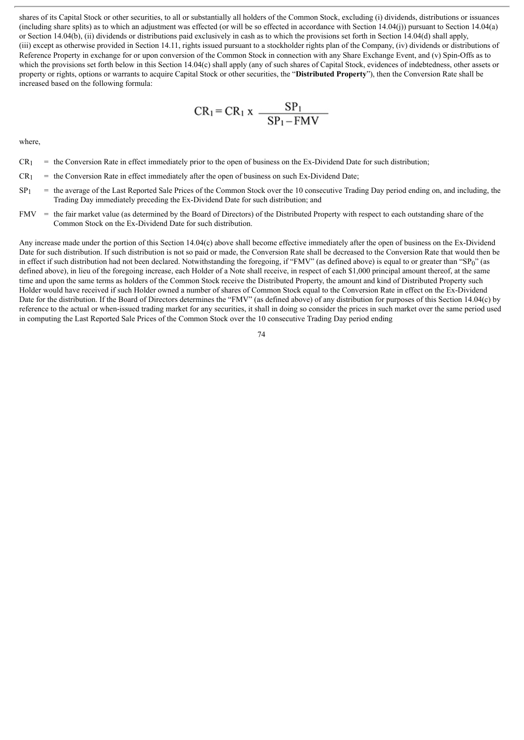shares of its Capital Stock or other securities, to all or substantially all holders of the Common Stock, excluding (i) dividends, distributions or issuances (including share splits) as to which an adjustment was effected (or will be so effected in accordance with Section 14.04(j)) pursuant to Section 14.04(a) or Section 14.04(b), (ii) dividends or distributions paid exclusively in cash as to which the provisions set forth in Section 14.04(d) shall apply, (iii) except as otherwise provided in Section 14.11, rights issued pursuant to a stockholder rights plan of the Company, (iv) dividends or distributions of Reference Property in exchange for or upon conversion of the Common Stock in connection with any Share Exchange Event, and (v) Spin-Offs as to which the provisions set forth below in this Section 14.04(c) shall apply (any of such shares of Capital Stock, evidences of indebtedness, other assets or property or rights, options or warrants to acquire Capital Stock or other securities, the "**Distributed Property**"), then the Conversion Rate shall be increased based on the following formula:

$$
CR_1 = CR_1 x \frac{SP_1}{SP_1 - FMV}
$$

where,

- $CR_1$  = the Conversion Rate in effect immediately prior to the open of business on the Ex-Dividend Date for such distribution;
- $CR_1$  = the Conversion Rate in effect immediately after the open of business on such Ex-Dividend Date;
- $SP<sub>1</sub>$  = the average of the Last Reported Sale Prices of the Common Stock over the 10 consecutive Trading Day period ending on, and including, the Trading Day immediately preceding the Ex-Dividend Date for such distribution; and
- FMV = the fair market value (as determined by the Board of Directors) of the Distributed Property with respect to each outstanding share of the Common Stock on the Ex-Dividend Date for such distribution.

Any increase made under the portion of this Section 14.04(c) above shall become effective immediately after the open of business on the Ex-Dividend Date for such distribution. If such distribution is not so paid or made, the Conversion Rate shall be decreased to the Conversion Rate that would then be in effect if such distribution had not been declared. Notwithstanding the foregoing, if "FMV" (as defined above) is equal to or greater than "SP0" (as defined above), in lieu of the foregoing increase, each Holder of a Note shall receive, in respect of each \$1,000 principal amount thereof, at the same time and upon the same terms as holders of the Common Stock receive the Distributed Property, the amount and kind of Distributed Property such Holder would have received if such Holder owned a number of shares of Common Stock equal to the Conversion Rate in effect on the Ex-Dividend Date for the distribution. If the Board of Directors determines the "FMV" (as defined above) of any distribution for purposes of this Section 14.04(c) by reference to the actual or when-issued trading market for any securities, it shall in doing so consider the prices in such market over the same period used in computing the Last Reported Sale Prices of the Common Stock over the 10 consecutive Trading Day period ending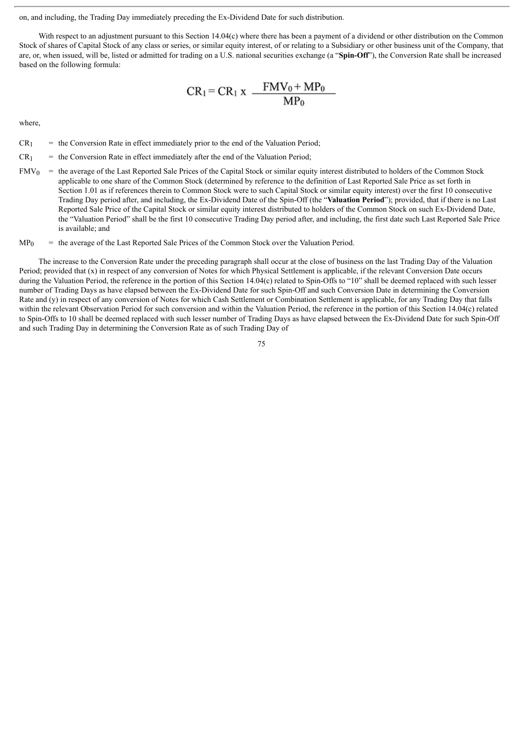on, and including, the Trading Day immediately preceding the Ex-Dividend Date for such distribution.

With respect to an adjustment pursuant to this Section 14.04(c) where there has been a payment of a dividend or other distribution on the Common Stock of shares of Capital Stock of any class or series, or similar equity interest, of or relating to a Subsidiary or other business unit of the Company, that are, or, when issued, will be, listed or admitted for trading on a U.S. national securities exchange (a "**Spin-Off**"), the Conversion Rate shall be increased based on the following formula:

$$
CR_1 = CR_1 x \frac{FMV_0 + MP_0}{MP_0}
$$

where,

- $CR<sub>1</sub>$  = the Conversion Rate in effect immediately prior to the end of the Valuation Period;
- $CR<sub>1</sub>$  = the Conversion Rate in effect immediately after the end of the Valuation Period;
- $FMV<sub>0</sub>$  = the average of the Last Reported Sale Prices of the Capital Stock or similar equity interest distributed to holders of the Common Stock applicable to one share of the Common Stock (determined by reference to the definition of Last Reported Sale Price as set forth in Section 1.01 as if references therein to Common Stock were to such Capital Stock or similar equity interest) over the first 10 consecutive Trading Day period after, and including, the Ex-Dividend Date of the Spin-Off (the "**Valuation Period**"); provided, that if there is no Last Reported Sale Price of the Capital Stock or similar equity interest distributed to holders of the Common Stock on such Ex-Dividend Date, the "Valuation Period" shall be the first 10 consecutive Trading Day period after, and including, the first date such Last Reported Sale Price is available; and
- $MP<sub>0</sub>$  = the average of the Last Reported Sale Prices of the Common Stock over the Valuation Period.

The increase to the Conversion Rate under the preceding paragraph shall occur at the close of business on the last Trading Day of the Valuation Period; provided that (x) in respect of any conversion of Notes for which Physical Settlement is applicable, if the relevant Conversion Date occurs during the Valuation Period, the reference in the portion of this Section 14.04(c) related to Spin-Offs to "10" shall be deemed replaced with such lesser number of Trading Days as have elapsed between the Ex-Dividend Date for such Spin-Off and such Conversion Date in determining the Conversion Rate and (y) in respect of any conversion of Notes for which Cash Settlement or Combination Settlement is applicable, for any Trading Day that falls within the relevant Observation Period for such conversion and within the Valuation Period, the reference in the portion of this Section 14.04(c) related to Spin-Offs to 10 shall be deemed replaced with such lesser number of Trading Days as have elapsed between the Ex-Dividend Date for such Spin-Off and such Trading Day in determining the Conversion Rate as of such Trading Day of

75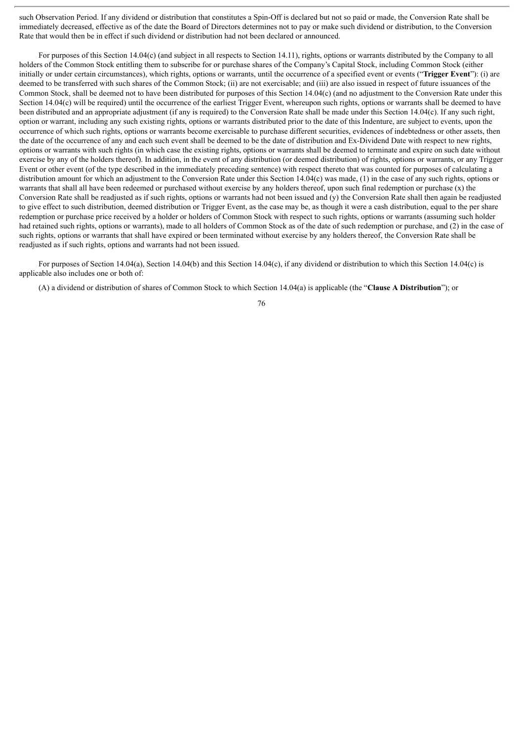such Observation Period. If any dividend or distribution that constitutes a Spin-Off is declared but not so paid or made, the Conversion Rate shall be immediately decreased, effective as of the date the Board of Directors determines not to pay or make such dividend or distribution, to the Conversion Rate that would then be in effect if such dividend or distribution had not been declared or announced.

For purposes of this Section 14.04(c) (and subject in all respects to Section 14.11), rights, options or warrants distributed by the Company to all holders of the Common Stock entitling them to subscribe for or purchase shares of the Company's Capital Stock, including Common Stock (either initially or under certain circumstances), which rights, options or warrants, until the occurrence of a specified event or events ("**Trigger Event**"): (i) are deemed to be transferred with such shares of the Common Stock; (ii) are not exercisable; and (iii) are also issued in respect of future issuances of the Common Stock, shall be deemed not to have been distributed for purposes of this Section 14.04(c) (and no adjustment to the Conversion Rate under this Section 14.04(c) will be required) until the occurrence of the earliest Trigger Event, whereupon such rights, options or warrants shall be deemed to have been distributed and an appropriate adjustment (if any is required) to the Conversion Rate shall be made under this Section 14.04(c). If any such right, option or warrant, including any such existing rights, options or warrants distributed prior to the date of this Indenture, are subject to events, upon the occurrence of which such rights, options or warrants become exercisable to purchase different securities, evidences of indebtedness or other assets, then the date of the occurrence of any and each such event shall be deemed to be the date of distribution and Ex-Dividend Date with respect to new rights, options or warrants with such rights (in which case the existing rights, options or warrants shall be deemed to terminate and expire on such date without exercise by any of the holders thereof). In addition, in the event of any distribution (or deemed distribution) of rights, options or warrants, or any Trigger Event or other event (of the type described in the immediately preceding sentence) with respect thereto that was counted for purposes of calculating a distribution amount for which an adjustment to the Conversion Rate under this Section 14.04(c) was made, (1) in the case of any such rights, options or warrants that shall all have been redeemed or purchased without exercise by any holders thereof, upon such final redemption or purchase (x) the Conversion Rate shall be readjusted as if such rights, options or warrants had not been issued and  $(v)$  the Conversion Rate shall then again be readjusted to give effect to such distribution, deemed distribution or Trigger Event, as the case may be, as though it were a cash distribution, equal to the per share redemption or purchase price received by a holder or holders of Common Stock with respect to such rights, options or warrants (assuming such holder had retained such rights, options or warrants), made to all holders of Common Stock as of the date of such redemption or purchase, and (2) in the case of such rights, options or warrants that shall have expired or been terminated without exercise by any holders thereof, the Conversion Rate shall be readjusted as if such rights, options and warrants had not been issued.

For purposes of Section 14.04(a), Section 14.04(b) and this Section 14.04(c), if any dividend or distribution to which this Section 14.04(c) is applicable also includes one or both of:

(A) a dividend or distribution of shares of Common Stock to which Section 14.04(a) is applicable (the "**Clause A Distribution**"); or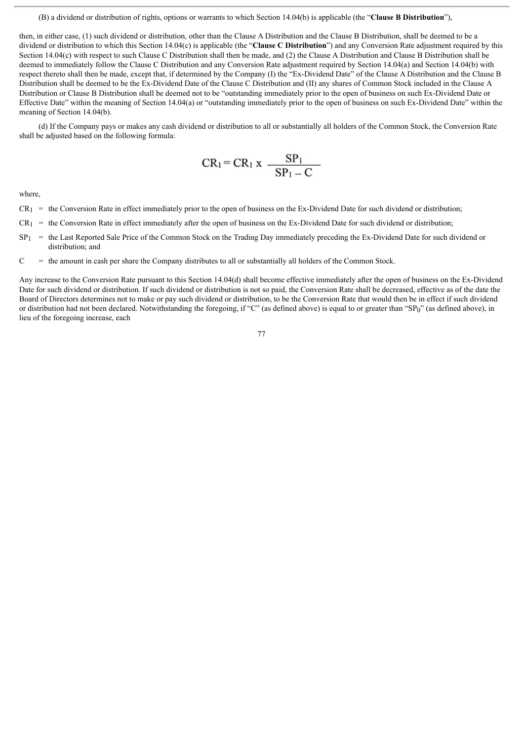## (B) a dividend or distribution of rights, options or warrants to which Section 14.04(b) is applicable (the "**Clause B Distribution**"),

then, in either case, (1) such dividend or distribution, other than the Clause A Distribution and the Clause B Distribution, shall be deemed to be a dividend or distribution to which this Section 14.04(c) is applicable (the "**Clause C Distribution**") and any Conversion Rate adjustment required by this Section 14.04(c) with respect to such Clause C Distribution shall then be made, and (2) the Clause A Distribution and Clause B Distribution shall be deemed to immediately follow the Clause C Distribution and any Conversion Rate adjustment required by Section 14.04(a) and Section 14.04(b) with respect thereto shall then be made, except that, if determined by the Company (I) the "Ex-Dividend Date" of the Clause A Distribution and the Clause B Distribution shall be deemed to be the Ex-Dividend Date of the Clause C Distribution and (II) any shares of Common Stock included in the Clause A Distribution or Clause B Distribution shall be deemed not to be "outstanding immediately prior to the open of business on such Ex-Dividend Date or Effective Date" within the meaning of Section 14.04(a) or "outstanding immediately prior to the open of business on such Ex-Dividend Date" within the meaning of Section 14.04(b).

(d) If the Company pays or makes any cash dividend or distribution to all or substantially all holders of the Common Stock, the Conversion Rate shall be adjusted based on the following formula:

$$
CR_1 = CR_1 x \frac{SP_1}{SP_1 - C}
$$

where,

- $CR_1$  = the Conversion Rate in effect immediately prior to the open of business on the Ex-Dividend Date for such dividend or distribution;
- $CR_1$  = the Conversion Rate in effect immediately after the open of business on the Ex-Dividend Date for such dividend or distribution;
- $SP<sub>1</sub>$  = the Last Reported Sale Price of the Common Stock on the Trading Day immediately preceding the Ex-Dividend Date for such dividend or distribution; and
- $C =$  the amount in cash per share the Company distributes to all or substantially all holders of the Common Stock.

Any increase to the Conversion Rate pursuant to this Section 14.04(d) shall become effective immediately after the open of business on the Ex-Dividend Date for such dividend or distribution. If such dividend or distribution is not so paid, the Conversion Rate shall be decreased, effective as of the date the Board of Directors determines not to make or pay such dividend or distribution, to be the Conversion Rate that would then be in effect if such dividend or distribution had not been declared. Notwithstanding the foregoing, if "C" (as defined above) is equal to or greater than "SP0" (as defined above), in lieu of the foregoing increase, each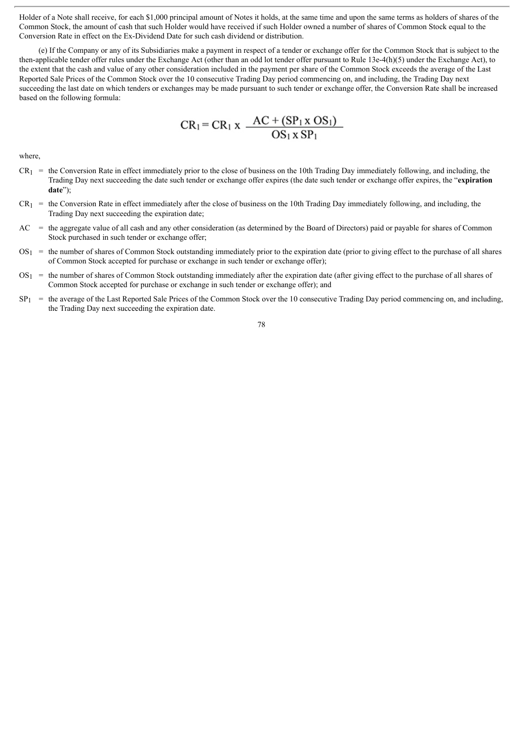Holder of a Note shall receive, for each \$1,000 principal amount of Notes it holds, at the same time and upon the same terms as holders of shares of the Common Stock, the amount of cash that such Holder would have received if such Holder owned a number of shares of Common Stock equal to the Conversion Rate in effect on the Ex-Dividend Date for such cash dividend or distribution.

(e) If the Company or any of its Subsidiaries make a payment in respect of a tender or exchange offer for the Common Stock that is subject to the then-applicable tender offer rules under the Exchange Act (other than an odd lot tender offer pursuant to Rule 13e-4(h)(5) under the Exchange Act), to the extent that the cash and value of any other consideration included in the payment per share of the Common Stock exceeds the average of the Last Reported Sale Prices of the Common Stock over the 10 consecutive Trading Day period commencing on, and including, the Trading Day next succeeding the last date on which tenders or exchanges may be made pursuant to such tender or exchange offer, the Conversion Rate shall be increased based on the following formula:

$$
CR_1 = CR_1 x \frac{AC + (SP_1 x OS_1)}{OS_1 x SP_1}
$$

where,

- $CR_1$  = the Conversion Rate in effect immediately prior to the close of business on the 10th Trading Day immediately following, and including, the Trading Day next succeeding the date such tender or exchange offer expires (the date such tender or exchange offer expires, the "**expiration date**");
- $CR_1$  = the Conversion Rate in effect immediately after the close of business on the 10th Trading Day immediately following, and including, the Trading Day next succeeding the expiration date;
- $AC =$  the aggregate value of all cash and any other consideration (as determined by the Board of Directors) paid or payable for shares of Common Stock purchased in such tender or exchange offer;
- $OS<sub>1</sub>$  = the number of shares of Common Stock outstanding immediately prior to the expiration date (prior to giving effect to the purchase of all shares of Common Stock accepted for purchase or exchange in such tender or exchange offer);
- $OS_1$  = the number of shares of Common Stock outstanding immediately after the expiration date (after giving effect to the purchase of all shares of Common Stock accepted for purchase or exchange in such tender or exchange offer); and
- $SP<sub>1</sub>$  = the average of the Last Reported Sale Prices of the Common Stock over the 10 consecutive Trading Day period commencing on, and including, the Trading Day next succeeding the expiration date.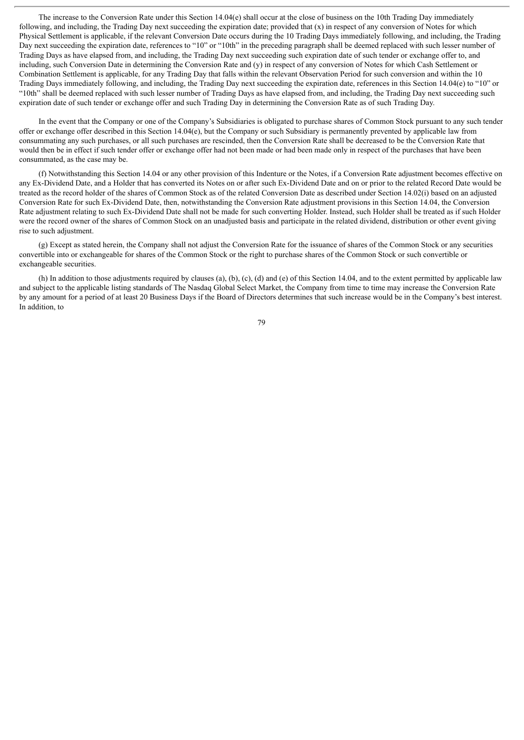The increase to the Conversion Rate under this Section 14.04(e) shall occur at the close of business on the 10th Trading Day immediately following, and including, the Trading Day next succeeding the expiration date; provided that  $(x)$  in respect of any conversion of Notes for which Physical Settlement is applicable, if the relevant Conversion Date occurs during the 10 Trading Days immediately following, and including, the Trading Day next succeeding the expiration date, references to "10" or "10th" in the preceding paragraph shall be deemed replaced with such lesser number of Trading Days as have elapsed from, and including, the Trading Day next succeeding such expiration date of such tender or exchange offer to, and including, such Conversion Date in determining the Conversion Rate and (y) in respect of any conversion of Notes for which Cash Settlement or Combination Settlement is applicable, for any Trading Day that falls within the relevant Observation Period for such conversion and within the 10 Trading Days immediately following, and including, the Trading Day next succeeding the expiration date, references in this Section 14.04(e) to "10" or "10th" shall be deemed replaced with such lesser number of Trading Days as have elapsed from, and including, the Trading Day next succeeding such expiration date of such tender or exchange offer and such Trading Day in determining the Conversion Rate as of such Trading Day.

In the event that the Company or one of the Company's Subsidiaries is obligated to purchase shares of Common Stock pursuant to any such tender offer or exchange offer described in this Section 14.04(e), but the Company or such Subsidiary is permanently prevented by applicable law from consummating any such purchases, or all such purchases are rescinded, then the Conversion Rate shall be decreased to be the Conversion Rate that would then be in effect if such tender offer or exchange offer had not been made or had been made only in respect of the purchases that have been consummated, as the case may be.

(f) Notwithstanding this Section 14.04 or any other provision of this Indenture or the Notes, if a Conversion Rate adjustment becomes effective on any Ex-Dividend Date, and a Holder that has converted its Notes on or after such Ex-Dividend Date and on or prior to the related Record Date would be treated as the record holder of the shares of Common Stock as of the related Conversion Date as described under Section 14.02(i) based on an adjusted Conversion Rate for such Ex-Dividend Date, then, notwithstanding the Conversion Rate adjustment provisions in this Section 14.04, the Conversion Rate adjustment relating to such Ex-Dividend Date shall not be made for such converting Holder. Instead, such Holder shall be treated as if such Holder were the record owner of the shares of Common Stock on an unadjusted basis and participate in the related dividend, distribution or other event giving rise to such adjustment.

(g) Except as stated herein, the Company shall not adjust the Conversion Rate for the issuance of shares of the Common Stock or any securities convertible into or exchangeable for shares of the Common Stock or the right to purchase shares of the Common Stock or such convertible or exchangeable securities.

(h) In addition to those adjustments required by clauses (a), (b), (c), (d) and (e) of this Section 14.04, and to the extent permitted by applicable law and subject to the applicable listing standards of The Nasdaq Global Select Market, the Company from time to time may increase the Conversion Rate by any amount for a period of at least 20 Business Days if the Board of Directors determines that such increase would be in the Company's best interest. In addition, to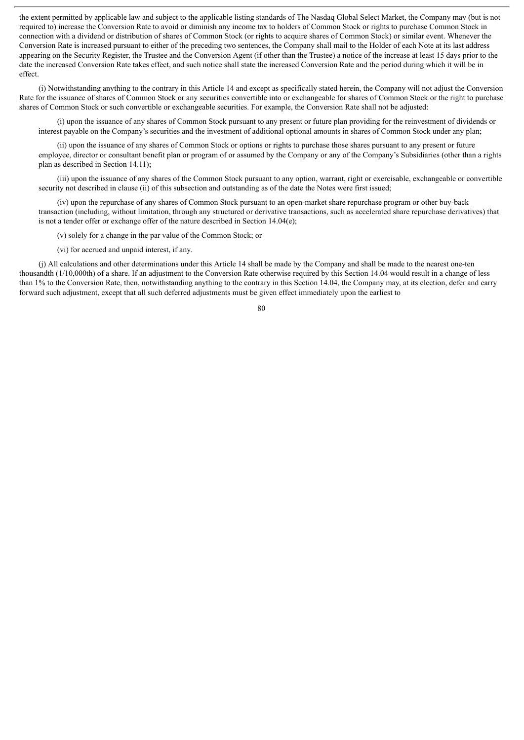the extent permitted by applicable law and subject to the applicable listing standards of The Nasdaq Global Select Market, the Company may (but is not required to) increase the Conversion Rate to avoid or diminish any income tax to holders of Common Stock or rights to purchase Common Stock in connection with a dividend or distribution of shares of Common Stock (or rights to acquire shares of Common Stock) or similar event. Whenever the Conversion Rate is increased pursuant to either of the preceding two sentences, the Company shall mail to the Holder of each Note at its last address appearing on the Security Register, the Trustee and the Conversion Agent (if other than the Trustee) a notice of the increase at least 15 days prior to the date the increased Conversion Rate takes effect, and such notice shall state the increased Conversion Rate and the period during which it will be in effect.

(i) Notwithstanding anything to the contrary in this Article 14 and except as specifically stated herein, the Company will not adjust the Conversion Rate for the issuance of shares of Common Stock or any securities convertible into or exchangeable for shares of Common Stock or the right to purchase shares of Common Stock or such convertible or exchangeable securities. For example, the Conversion Rate shall not be adjusted:

(i) upon the issuance of any shares of Common Stock pursuant to any present or future plan providing for the reinvestment of dividends or interest payable on the Company's securities and the investment of additional optional amounts in shares of Common Stock under any plan;

(ii) upon the issuance of any shares of Common Stock or options or rights to purchase those shares pursuant to any present or future employee, director or consultant benefit plan or program of or assumed by the Company or any of the Company's Subsidiaries (other than a rights plan as described in Section 14.11);

(iii) upon the issuance of any shares of the Common Stock pursuant to any option, warrant, right or exercisable, exchangeable or convertible security not described in clause (ii) of this subsection and outstanding as of the date the Notes were first issued;

(iv) upon the repurchase of any shares of Common Stock pursuant to an open-market share repurchase program or other buy-back transaction (including, without limitation, through any structured or derivative transactions, such as accelerated share repurchase derivatives) that is not a tender offer or exchange offer of the nature described in Section 14.04(e);

(v) solely for a change in the par value of the Common Stock; or

(vi) for accrued and unpaid interest, if any.

(j) All calculations and other determinations under this Article 14 shall be made by the Company and shall be made to the nearest one-ten thousandth (1/10,000th) of a share. If an adjustment to the Conversion Rate otherwise required by this Section 14.04 would result in a change of less than 1% to the Conversion Rate, then, notwithstanding anything to the contrary in this Section 14.04, the Company may, at its election, defer and carry forward such adjustment, except that all such deferred adjustments must be given effect immediately upon the earliest to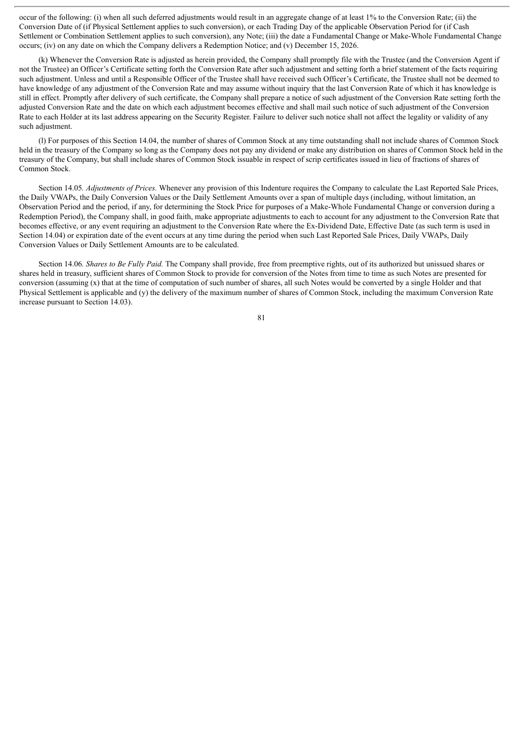occur of the following: (i) when all such deferred adjustments would result in an aggregate change of at least 1% to the Conversion Rate; (ii) the Conversion Date of (if Physical Settlement applies to such conversion), or each Trading Day of the applicable Observation Period for (if Cash Settlement or Combination Settlement applies to such conversion), any Note; (iii) the date a Fundamental Change or Make-Whole Fundamental Change occurs; (iv) on any date on which the Company delivers a Redemption Notice; and (v) December 15, 2026.

(k) Whenever the Conversion Rate is adjusted as herein provided, the Company shall promptly file with the Trustee (and the Conversion Agent if not the Trustee) an Officer's Certificate setting forth the Conversion Rate after such adjustment and setting forth a brief statement of the facts requiring such adjustment. Unless and until a Responsible Officer of the Trustee shall have received such Officer's Certificate, the Trustee shall not be deemed to have knowledge of any adjustment of the Conversion Rate and may assume without inquiry that the last Conversion Rate of which it has knowledge is still in effect. Promptly after delivery of such certificate, the Company shall prepare a notice of such adjustment of the Conversion Rate setting forth the adjusted Conversion Rate and the date on which each adjustment becomes effective and shall mail such notice of such adjustment of the Conversion Rate to each Holder at its last address appearing on the Security Register. Failure to deliver such notice shall not affect the legality or validity of any such adjustment.

(l) For purposes of this Section 14.04, the number of shares of Common Stock at any time outstanding shall not include shares of Common Stock held in the treasury of the Company so long as the Company does not pay any dividend or make any distribution on shares of Common Stock held in the treasury of the Company, but shall include shares of Common Stock issuable in respect of scrip certificates issued in lieu of fractions of shares of Common Stock.

Section 14.05*. Adjustments of Prices.* Whenever any provision of this Indenture requires the Company to calculate the Last Reported Sale Prices, the Daily VWAPs, the Daily Conversion Values or the Daily Settlement Amounts over a span of multiple days (including, without limitation, an Observation Period and the period, if any, for determining the Stock Price for purposes of a Make-Whole Fundamental Change or conversion during a Redemption Period), the Company shall, in good faith, make appropriate adjustments to each to account for any adjustment to the Conversion Rate that becomes effective, or any event requiring an adjustment to the Conversion Rate where the Ex-Dividend Date, Effective Date (as such term is used in Section 14.04) or expiration date of the event occurs at any time during the period when such Last Reported Sale Prices, Daily VWAPs, Daily Conversion Values or Daily Settlement Amounts are to be calculated.

Section 14.06*. Shares to Be Fully Paid.* The Company shall provide, free from preemptive rights, out of its authorized but unissued shares or shares held in treasury, sufficient shares of Common Stock to provide for conversion of the Notes from time to time as such Notes are presented for conversion (assuming (x) that at the time of computation of such number of shares, all such Notes would be converted by a single Holder and that Physical Settlement is applicable and (y) the delivery of the maximum number of shares of Common Stock, including the maximum Conversion Rate increase pursuant to Section 14.03).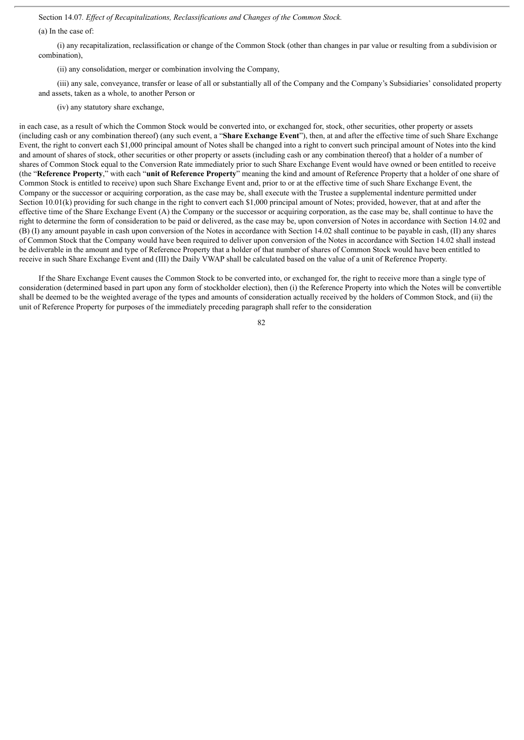Section 14.07*. Ef ect of Recapitalizations, Reclassifications and Changes of the Common Stock.*

(a) In the case of:

(i) any recapitalization, reclassification or change of the Common Stock (other than changes in par value or resulting from a subdivision or combination),

(ii) any consolidation, merger or combination involving the Company,

(iii) any sale, conveyance, transfer or lease of all or substantially all of the Company and the Company's Subsidiaries' consolidated property and assets, taken as a whole, to another Person or

(iv) any statutory share exchange,

in each case, as a result of which the Common Stock would be converted into, or exchanged for, stock, other securities, other property or assets (including cash or any combination thereof) (any such event, a "**Share Exchange Event**"), then, at and after the effective time of such Share Exchange Event, the right to convert each \$1,000 principal amount of Notes shall be changed into a right to convert such principal amount of Notes into the kind and amount of shares of stock, other securities or other property or assets (including cash or any combination thereof) that a holder of a number of shares of Common Stock equal to the Conversion Rate immediately prior to such Share Exchange Event would have owned or been entitled to receive (the "**Reference Property**," with each "**unit of Reference Property**" meaning the kind and amount of Reference Property that a holder of one share of Common Stock is entitled to receive) upon such Share Exchange Event and, prior to or at the effective time of such Share Exchange Event, the Company or the successor or acquiring corporation, as the case may be, shall execute with the Trustee a supplemental indenture permitted under Section 10.01(k) providing for such change in the right to convert each \$1,000 principal amount of Notes; provided, however, that at and after the effective time of the Share Exchange Event (A) the Company or the successor or acquiring corporation, as the case may be, shall continue to have the right to determine the form of consideration to be paid or delivered, as the case may be, upon conversion of Notes in accordance with Section 14.02 and (B) (I) any amount payable in cash upon conversion of the Notes in accordance with Section 14.02 shall continue to be payable in cash, (II) any shares of Common Stock that the Company would have been required to deliver upon conversion of the Notes in accordance with Section 14.02 shall instead be deliverable in the amount and type of Reference Property that a holder of that number of shares of Common Stock would have been entitled to receive in such Share Exchange Event and (III) the Daily VWAP shall be calculated based on the value of a unit of Reference Property.

If the Share Exchange Event causes the Common Stock to be converted into, or exchanged for, the right to receive more than a single type of consideration (determined based in part upon any form of stockholder election), then (i) the Reference Property into which the Notes will be convertible shall be deemed to be the weighted average of the types and amounts of consideration actually received by the holders of Common Stock, and (ii) the unit of Reference Property for purposes of the immediately preceding paragraph shall refer to the consideration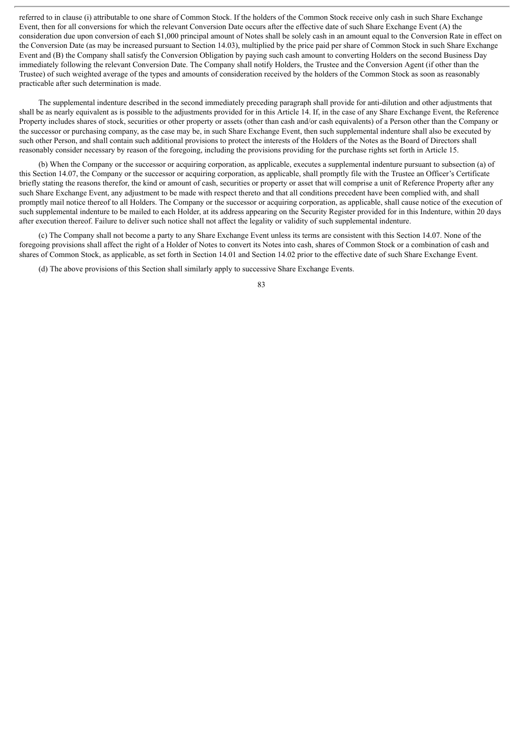referred to in clause (i) attributable to one share of Common Stock. If the holders of the Common Stock receive only cash in such Share Exchange Event, then for all conversions for which the relevant Conversion Date occurs after the effective date of such Share Exchange Event (A) the consideration due upon conversion of each \$1,000 principal amount of Notes shall be solely cash in an amount equal to the Conversion Rate in effect on the Conversion Date (as may be increased pursuant to Section 14.03), multiplied by the price paid per share of Common Stock in such Share Exchange Event and (B) the Company shall satisfy the Conversion Obligation by paying such cash amount to converting Holders on the second Business Day immediately following the relevant Conversion Date. The Company shall notify Holders, the Trustee and the Conversion Agent (if other than the Trustee) of such weighted average of the types and amounts of consideration received by the holders of the Common Stock as soon as reasonably practicable after such determination is made.

The supplemental indenture described in the second immediately preceding paragraph shall provide for anti-dilution and other adjustments that shall be as nearly equivalent as is possible to the adjustments provided for in this Article 14. If, in the case of any Share Exchange Event, the Reference Property includes shares of stock, securities or other property or assets (other than cash and/or cash equivalents) of a Person other than the Company or the successor or purchasing company, as the case may be, in such Share Exchange Event, then such supplemental indenture shall also be executed by such other Person, and shall contain such additional provisions to protect the interests of the Holders of the Notes as the Board of Directors shall reasonably consider necessary by reason of the foregoing, including the provisions providing for the purchase rights set forth in Article 15.

(b) When the Company or the successor or acquiring corporation, as applicable, executes a supplemental indenture pursuant to subsection (a) of this Section 14.07, the Company or the successor or acquiring corporation, as applicable, shall promptly file with the Trustee an Officer's Certificate briefly stating the reasons therefor, the kind or amount of cash, securities or property or asset that will comprise a unit of Reference Property after any such Share Exchange Event, any adjustment to be made with respect thereto and that all conditions precedent have been complied with, and shall promptly mail notice thereof to all Holders. The Company or the successor or acquiring corporation, as applicable, shall cause notice of the execution of such supplemental indenture to be mailed to each Holder, at its address appearing on the Security Register provided for in this Indenture, within 20 days after execution thereof. Failure to deliver such notice shall not affect the legality or validity of such supplemental indenture.

(c) The Company shall not become a party to any Share Exchange Event unless its terms are consistent with this Section 14.07. None of the foregoing provisions shall affect the right of a Holder of Notes to convert its Notes into cash, shares of Common Stock or a combination of cash and shares of Common Stock, as applicable, as set forth in Section 14.01 and Section 14.02 prior to the effective date of such Share Exchange Event.

(d) The above provisions of this Section shall similarly apply to successive Share Exchange Events.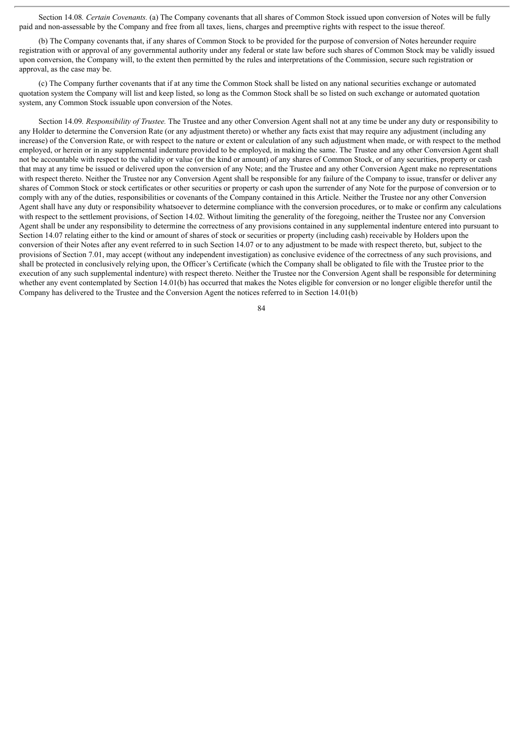Section 14.08*. Certain Covenants.* (a) The Company covenants that all shares of Common Stock issued upon conversion of Notes will be fully paid and non-assessable by the Company and free from all taxes, liens, charges and preemptive rights with respect to the issue thereof.

(b) The Company covenants that, if any shares of Common Stock to be provided for the purpose of conversion of Notes hereunder require registration with or approval of any governmental authority under any federal or state law before such shares of Common Stock may be validly issued upon conversion, the Company will, to the extent then permitted by the rules and interpretations of the Commission, secure such registration or approval, as the case may be.

(c) The Company further covenants that if at any time the Common Stock shall be listed on any national securities exchange or automated quotation system the Company will list and keep listed, so long as the Common Stock shall be so listed on such exchange or automated quotation system, any Common Stock issuable upon conversion of the Notes.

Section 14.09*. Responsibility of Trustee.* The Trustee and any other Conversion Agent shall not at any time be under any duty or responsibility to any Holder to determine the Conversion Rate (or any adjustment thereto) or whether any facts exist that may require any adjustment (including any increase) of the Conversion Rate, or with respect to the nature or extent or calculation of any such adjustment when made, or with respect to the method employed, or herein or in any supplemental indenture provided to be employed, in making the same. The Trustee and any other Conversion Agent shall not be accountable with respect to the validity or value (or the kind or amount) of any shares of Common Stock, or of any securities, property or cash that may at any time be issued or delivered upon the conversion of any Note; and the Trustee and any other Conversion Agent make no representations with respect thereto. Neither the Trustee nor any Conversion Agent shall be responsible for any failure of the Company to issue, transfer or deliver any shares of Common Stock or stock certificates or other securities or property or cash upon the surrender of any Note for the purpose of conversion or to comply with any of the duties, responsibilities or covenants of the Company contained in this Article. Neither the Trustee nor any other Conversion Agent shall have any duty or responsibility whatsoever to determine compliance with the conversion procedures, or to make or confirm any calculations with respect to the settlement provisions, of Section 14.02. Without limiting the generality of the foregoing, neither the Trustee nor any Conversion Agent shall be under any responsibility to determine the correctness of any provisions contained in any supplemental indenture entered into pursuant to Section 14.07 relating either to the kind or amount of shares of stock or securities or property (including cash) receivable by Holders upon the conversion of their Notes after any event referred to in such Section 14.07 or to any adjustment to be made with respect thereto, but, subject to the provisions of Section 7.01, may accept (without any independent investigation) as conclusive evidence of the correctness of any such provisions, and shall be protected in conclusively relying upon, the Officer's Certificate (which the Company shall be obligated to file with the Trustee prior to the execution of any such supplemental indenture) with respect thereto. Neither the Trustee nor the Conversion Agent shall be responsible for determining whether any event contemplated by Section 14.01(b) has occurred that makes the Notes eligible for conversion or no longer eligible therefor until the Company has delivered to the Trustee and the Conversion Agent the notices referred to in Section 14.01(b)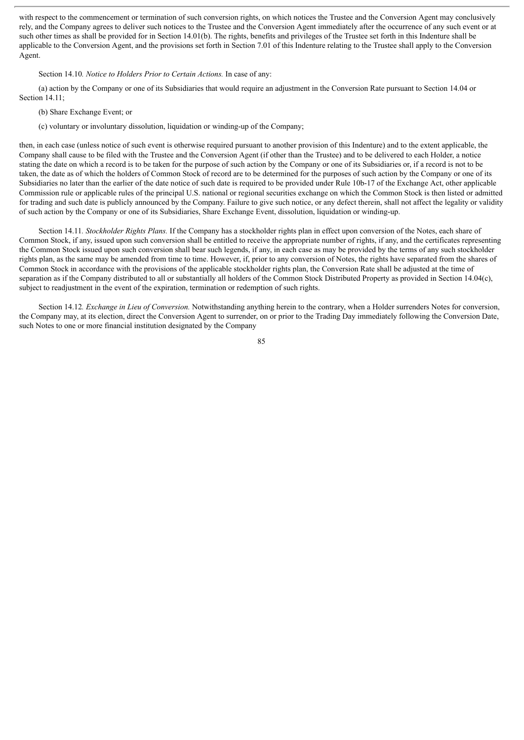with respect to the commencement or termination of such conversion rights, on which notices the Trustee and the Conversion Agent may conclusively rely, and the Company agrees to deliver such notices to the Trustee and the Conversion Agent immediately after the occurrence of any such event or at such other times as shall be provided for in Section 14.01(b). The rights, benefits and privileges of the Trustee set forth in this Indenture shall be applicable to the Conversion Agent, and the provisions set forth in Section 7.01 of this Indenture relating to the Trustee shall apply to the Conversion Agent.

# Section 14.10*. Notice to Holders Prior to Certain Actions.* In case of any:

(a) action by the Company or one of its Subsidiaries that would require an adjustment in the Conversion Rate pursuant to Section 14.04 or Section 14.11;

- (b) Share Exchange Event; or
- (c) voluntary or involuntary dissolution, liquidation or winding-up of the Company;

then, in each case (unless notice of such event is otherwise required pursuant to another provision of this Indenture) and to the extent applicable, the Company shall cause to be filed with the Trustee and the Conversion Agent (if other than the Trustee) and to be delivered to each Holder, a notice stating the date on which a record is to be taken for the purpose of such action by the Company or one of its Subsidiaries or, if a record is not to be taken, the date as of which the holders of Common Stock of record are to be determined for the purposes of such action by the Company or one of its Subsidiaries no later than the earlier of the date notice of such date is required to be provided under Rule 10b-17 of the Exchange Act, other applicable Commission rule or applicable rules of the principal U.S. national or regional securities exchange on which the Common Stock is then listed or admitted for trading and such date is publicly announced by the Company. Failure to give such notice, or any defect therein, shall not affect the legality or validity of such action by the Company or one of its Subsidiaries, Share Exchange Event, dissolution, liquidation or winding-up.

Section 14.11*. Stockholder Rights Plans.* If the Company has a stockholder rights plan in effect upon conversion of the Notes, each share of Common Stock, if any, issued upon such conversion shall be entitled to receive the appropriate number of rights, if any, and the certificates representing the Common Stock issued upon such conversion shall bear such legends, if any, in each case as may be provided by the terms of any such stockholder rights plan, as the same may be amended from time to time. However, if, prior to any conversion of Notes, the rights have separated from the shares of Common Stock in accordance with the provisions of the applicable stockholder rights plan, the Conversion Rate shall be adjusted at the time of separation as if the Company distributed to all or substantially all holders of the Common Stock Distributed Property as provided in Section 14.04(c), subject to readjustment in the event of the expiration, termination or redemption of such rights.

Section 14.12*. Exchange in Lieu of Conversion.* Notwithstanding anything herein to the contrary, when a Holder surrenders Notes for conversion, the Company may, at its election, direct the Conversion Agent to surrender, on or prior to the Trading Day immediately following the Conversion Date, such Notes to one or more financial institution designated by the Company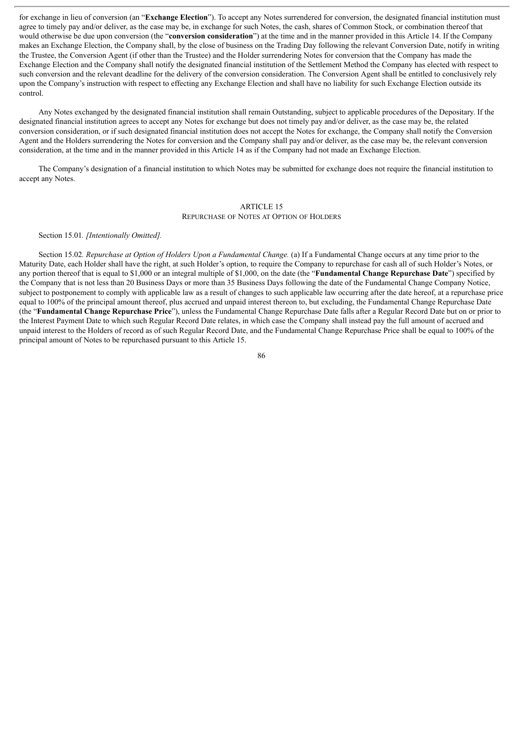for exchange in lieu of conversion (an "**Exchange Election**"). To accept any Notes surrendered for conversion, the designated financial institution must agree to timely pay and/or deliver, as the case may be, in exchange for such Notes, the cash, shares of Common Stock, or combination thereof that would otherwise be due upon conversion (the "**conversion consideration**") at the time and in the manner provided in this Article 14. If the Company makes an Exchange Election, the Company shall, by the close of business on the Trading Day following the relevant Conversion Date, notify in writing the Trustee, the Conversion Agent (if other than the Trustee) and the Holder surrendering Notes for conversion that the Company has made the Exchange Election and the Company shall notify the designated financial institution of the Settlement Method the Company has elected with respect to such conversion and the relevant deadline for the delivery of the conversion consideration. The Conversion Agent shall be entitled to conclusively rely upon the Company's instruction with respect to effecting any Exchange Election and shall have no liability for such Exchange Election outside its control.

Any Notes exchanged by the designated financial institution shall remain Outstanding, subject to applicable procedures of the Depositary. If the designated financial institution agrees to accept any Notes for exchange but does not timely pay and/or deliver, as the case may be, the related conversion consideration, or if such designated financial institution does not accept the Notes for exchange, the Company shall notify the Conversion Agent and the Holders surrendering the Notes for conversion and the Company shall pay and/or deliver, as the case may be, the relevant conversion consideration, at the time and in the manner provided in this Article 14 as if the Company had not made an Exchange Election.

The Company's designation of a financial institution to which Notes may be submitted for exchange does not require the financial institution to accept any Notes.

# ARTICLE 15

REPURCHASE OF NOTES AT OPTION OF HOLDERS

## Section 15.01*. [Intentionally Omitted].*

Section 15.02*. Repurchase at Option of Holders Upon a Fundamental Change.* (a) If a Fundamental Change occurs at any time prior to the Maturity Date, each Holder shall have the right, at such Holder's option, to require the Company to repurchase for cash all of such Holder's Notes, or any portion thereof that is equal to \$1,000 or an integral multiple of \$1,000, on the date (the "**Fundamental Change Repurchase Date**") specified by the Company that is not less than 20 Business Days or more than 35 Business Days following the date of the Fundamental Change Company Notice, subject to postponement to comply with applicable law as a result of changes to such applicable law occurring after the date hereof, at a repurchase price equal to 100% of the principal amount thereof, plus accrued and unpaid interest thereon to, but excluding, the Fundamental Change Repurchase Date (the "**Fundamental Change Repurchase Price**"), unless the Fundamental Change Repurchase Date falls after a Regular Record Date but on or prior to the Interest Payment Date to which such Regular Record Date relates, in which case the Company shall instead pay the full amount of accrued and unpaid interest to the Holders of record as of such Regular Record Date, and the Fundamental Change Repurchase Price shall be equal to 100% of the principal amount of Notes to be repurchased pursuant to this Article 15.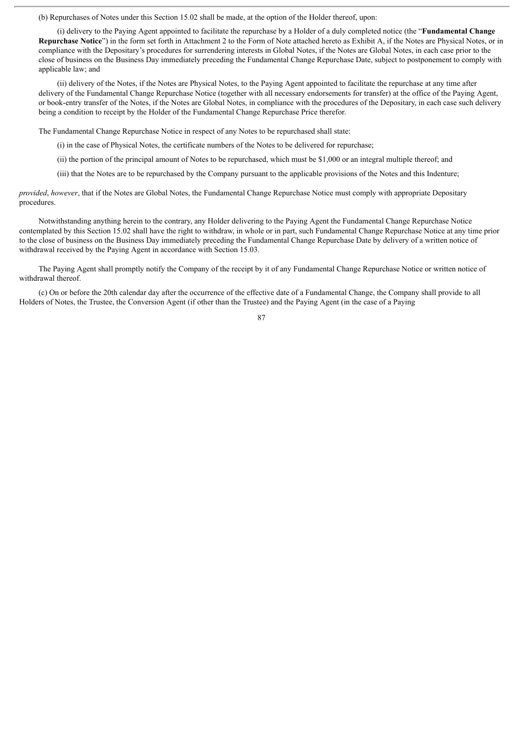(b) Repurchases of Notes under this Section 15.02 shall be made, at the option of the Holder thereof, upon:

(i) delivery to the Paying Agent appointed to facilitate the repurchase by a Holder of a duly completed notice (the "**Fundamental Change Repurchase Notice**") in the form set forth in Attachment 2 to the Form of Note attached hereto as Exhibit A, if the Notes are Physical Notes, or in compliance with the Depositary's procedures for surrendering interests in Global Notes, if the Notes are Global Notes, in each case prior to the close of business on the Business Day immediately preceding the Fundamental Change Repurchase Date, subject to postponement to comply with applicable law; and

(ii) delivery of the Notes, if the Notes are Physical Notes, to the Paying Agent appointed to facilitate the repurchase at any time after delivery of the Fundamental Change Repurchase Notice (together with all necessary endorsements for transfer) at the office of the Paying Agent, or book-entry transfer of the Notes, if the Notes are Global Notes, in compliance with the procedures of the Depositary, in each case such delivery being a condition to receipt by the Holder of the Fundamental Change Repurchase Price therefor.

The Fundamental Change Repurchase Notice in respect of any Notes to be repurchased shall state:

(i) in the case of Physical Notes, the certificate numbers of the Notes to be delivered for repurchase;

(ii) the portion of the principal amount of Notes to be repurchased, which must be \$1,000 or an integral multiple thereof; and

(iii) that the Notes are to be repurchased by the Company pursuant to the applicable provisions of the Notes and this Indenture;

*provided*, *however*, that if the Notes are Global Notes, the Fundamental Change Repurchase Notice must comply with appropriate Depositary procedures.

Notwithstanding anything herein to the contrary, any Holder delivering to the Paying Agent the Fundamental Change Repurchase Notice contemplated by this Section 15.02 shall have the right to withdraw, in whole or in part, such Fundamental Change Repurchase Notice at any time prior to the close of business on the Business Day immediately preceding the Fundamental Change Repurchase Date by delivery of a written notice of withdrawal received by the Paying Agent in accordance with Section 15.03.

The Paying Agent shall promptly notify the Company of the receipt by it of any Fundamental Change Repurchase Notice or written notice of withdrawal thereof.

(c) On or before the 20th calendar day after the occurrence of the effective date of a Fundamental Change, the Company shall provide to all Holders of Notes, the Trustee, the Conversion Agent (if other than the Trustee) and the Paying Agent (in the case of a Paying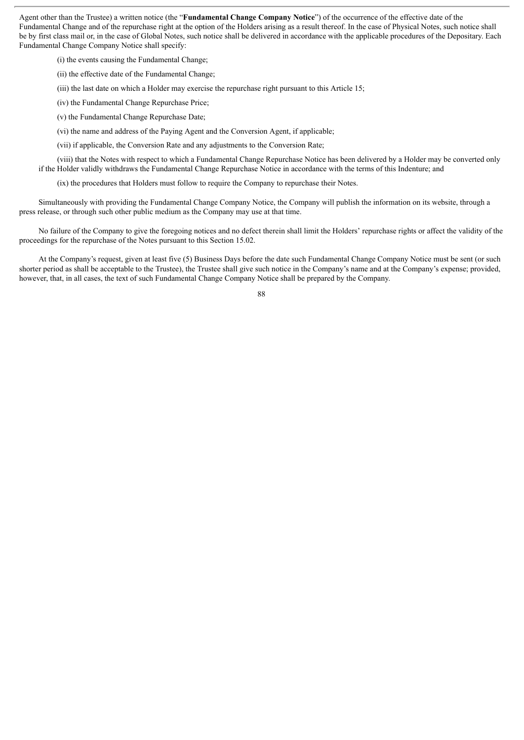Agent other than the Trustee) a written notice (the "**Fundamental Change Company Notice**") of the occurrence of the effective date of the Fundamental Change and of the repurchase right at the option of the Holders arising as a result thereof. In the case of Physical Notes, such notice shall be by first class mail or, in the case of Global Notes, such notice shall be delivered in accordance with the applicable procedures of the Depositary. Each Fundamental Change Company Notice shall specify:

(i) the events causing the Fundamental Change;

(ii) the effective date of the Fundamental Change;

(iii) the last date on which a Holder may exercise the repurchase right pursuant to this Article 15;

(iv) the Fundamental Change Repurchase Price;

(v) the Fundamental Change Repurchase Date;

(vi) the name and address of the Paying Agent and the Conversion Agent, if applicable;

(vii) if applicable, the Conversion Rate and any adjustments to the Conversion Rate;

(viii) that the Notes with respect to which a Fundamental Change Repurchase Notice has been delivered by a Holder may be converted only if the Holder validly withdraws the Fundamental Change Repurchase Notice in accordance with the terms of this Indenture; and

(ix) the procedures that Holders must follow to require the Company to repurchase their Notes.

Simultaneously with providing the Fundamental Change Company Notice, the Company will publish the information on its website, through a press release, or through such other public medium as the Company may use at that time.

No failure of the Company to give the foregoing notices and no defect therein shall limit the Holders' repurchase rights or affect the validity of the proceedings for the repurchase of the Notes pursuant to this Section 15.02.

At the Company's request, given at least five (5) Business Days before the date such Fundamental Change Company Notice must be sent (or such shorter period as shall be acceptable to the Trustee), the Trustee shall give such notice in the Company's name and at the Company's expense; provided, however, that, in all cases, the text of such Fundamental Change Company Notice shall be prepared by the Company.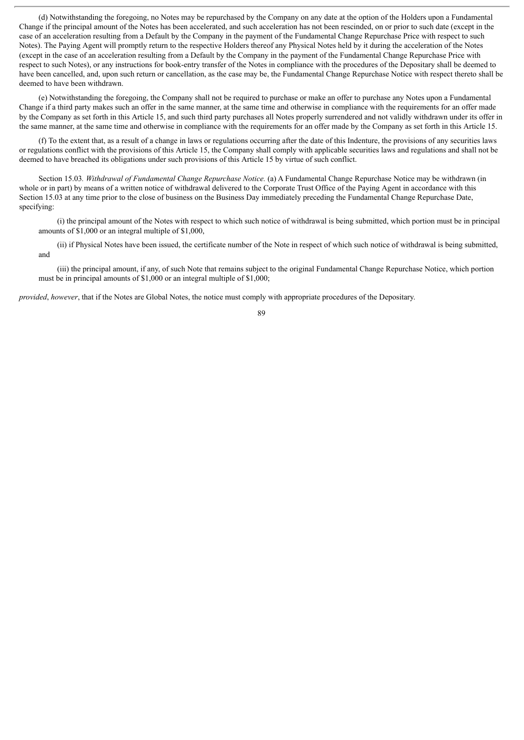(d) Notwithstanding the foregoing, no Notes may be repurchased by the Company on any date at the option of the Holders upon a Fundamental Change if the principal amount of the Notes has been accelerated, and such acceleration has not been rescinded, on or prior to such date (except in the case of an acceleration resulting from a Default by the Company in the payment of the Fundamental Change Repurchase Price with respect to such Notes). The Paying Agent will promptly return to the respective Holders thereof any Physical Notes held by it during the acceleration of the Notes (except in the case of an acceleration resulting from a Default by the Company in the payment of the Fundamental Change Repurchase Price with respect to such Notes), or any instructions for book-entry transfer of the Notes in compliance with the procedures of the Depositary shall be deemed to have been cancelled, and, upon such return or cancellation, as the case may be, the Fundamental Change Repurchase Notice with respect thereto shall be deemed to have been withdrawn.

(e) Notwithstanding the foregoing, the Company shall not be required to purchase or make an offer to purchase any Notes upon a Fundamental Change if a third party makes such an offer in the same manner, at the same time and otherwise in compliance with the requirements for an offer made by the Company as set forth in this Article 15, and such third party purchases all Notes properly surrendered and not validly withdrawn under its offer in the same manner, at the same time and otherwise in compliance with the requirements for an offer made by the Company as set forth in this Article 15.

(f) To the extent that, as a result of a change in laws or regulations occurring after the date of this Indenture, the provisions of any securities laws or regulations conflict with the provisions of this Article 15, the Company shall comply with applicable securities laws and regulations and shall not be deemed to have breached its obligations under such provisions of this Article 15 by virtue of such conflict.

Section 15.03*. Withdrawal of Fundamental Change Repurchase Notice.* (a) A Fundamental Change Repurchase Notice may be withdrawn (in whole or in part) by means of a written notice of withdrawal delivered to the Corporate Trust Office of the Paying Agent in accordance with this Section 15.03 at any time prior to the close of business on the Business Day immediately preceding the Fundamental Change Repurchase Date, specifying:

(i) the principal amount of the Notes with respect to which such notice of withdrawal is being submitted, which portion must be in principal amounts of \$1,000 or an integral multiple of \$1,000,

(ii) if Physical Notes have been issued, the certificate number of the Note in respect of which such notice of withdrawal is being submitted, and

(iii) the principal amount, if any, of such Note that remains subject to the original Fundamental Change Repurchase Notice, which portion must be in principal amounts of \$1,000 or an integral multiple of \$1,000;

*provided*, *however*, that if the Notes are Global Notes, the notice must comply with appropriate procedures of the Depositary.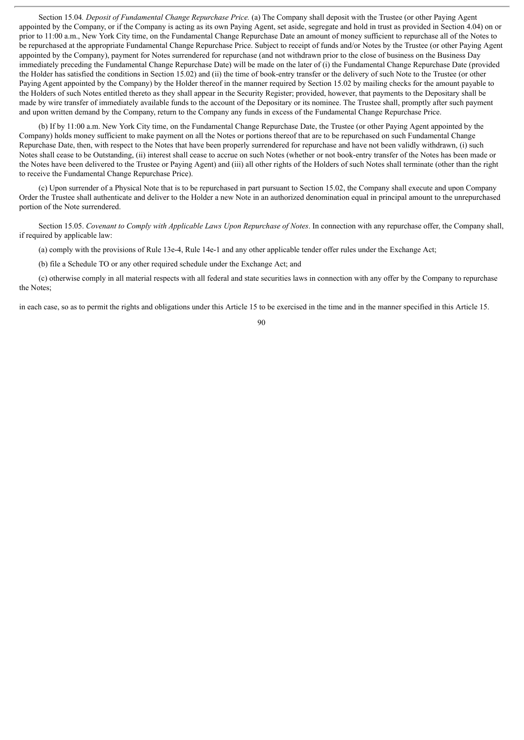Section 15.04*. Deposit of Fundamental Change Repurchase Price.* (a) The Company shall deposit with the Trustee (or other Paying Agent appointed by the Company, or if the Company is acting as its own Paying Agent, set aside, segregate and hold in trust as provided in Section 4.04) on or prior to 11:00 a.m., New York City time, on the Fundamental Change Repurchase Date an amount of money sufficient to repurchase all of the Notes to be repurchased at the appropriate Fundamental Change Repurchase Price. Subject to receipt of funds and/or Notes by the Trustee (or other Paying Agent appointed by the Company), payment for Notes surrendered for repurchase (and not withdrawn prior to the close of business on the Business Day immediately preceding the Fundamental Change Repurchase Date) will be made on the later of (i) the Fundamental Change Repurchase Date (provided the Holder has satisfied the conditions in Section 15.02) and (ii) the time of book-entry transfer or the delivery of such Note to the Trustee (or other Paying Agent appointed by the Company) by the Holder thereof in the manner required by Section 15.02 by mailing checks for the amount payable to the Holders of such Notes entitled thereto as they shall appear in the Security Register; provided, however, that payments to the Depositary shall be made by wire transfer of immediately available funds to the account of the Depositary or its nominee. The Trustee shall, promptly after such payment and upon written demand by the Company, return to the Company any funds in excess of the Fundamental Change Repurchase Price.

(b) If by 11:00 a.m. New York City time, on the Fundamental Change Repurchase Date, the Trustee (or other Paying Agent appointed by the Company) holds money sufficient to make payment on all the Notes or portions thereof that are to be repurchased on such Fundamental Change Repurchase Date, then, with respect to the Notes that have been properly surrendered for repurchase and have not been validly withdrawn, (i) such Notes shall cease to be Outstanding, (ii) interest shall cease to accrue on such Notes (whether or not book-entry transfer of the Notes has been made or the Notes have been delivered to the Trustee or Paying Agent) and (iii) all other rights of the Holders of such Notes shall terminate (other than the right to receive the Fundamental Change Repurchase Price).

(c) Upon surrender of a Physical Note that is to be repurchased in part pursuant to Section 15.02, the Company shall execute and upon Company Order the Trustee shall authenticate and deliver to the Holder a new Note in an authorized denomination equal in principal amount to the unrepurchased portion of the Note surrendered.

Section 15.05. *Covenant to Comply with Applicable Laws Upon Repurchase of Notes*. In connection with any repurchase offer, the Company shall, if required by applicable law:

(a) comply with the provisions of Rule 13e-4, Rule 14e-1 and any other applicable tender offer rules under the Exchange Act;

(b) file a Schedule TO or any other required schedule under the Exchange Act; and

(c) otherwise comply in all material respects with all federal and state securities laws in connection with any offer by the Company to repurchase the Notes;

in each case, so as to permit the rights and obligations under this Article 15 to be exercised in the time and in the manner specified in this Article 15.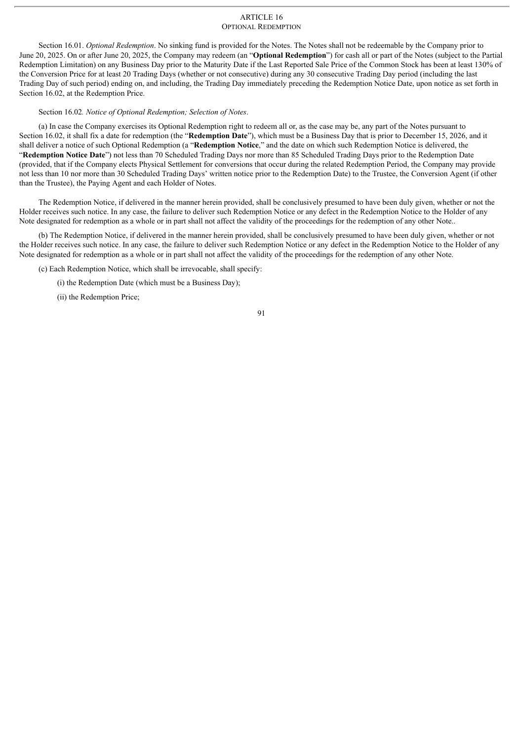# ARTICLE 16 OPTIONAL REDEMPTION

Section 16.01. *Optional Redemption*. No sinking fund is provided for the Notes. The Notes shall not be redeemable by the Company prior to June 20, 2025. On or after June 20, 2025, the Company may redeem (an "**Optional Redemption**") for cash all or part of the Notes (subject to the Partial Redemption Limitation) on any Business Day prior to the Maturity Date if the Last Reported Sale Price of the Common Stock has been at least 130% of the Conversion Price for at least 20 Trading Days (whether or not consecutive) during any 30 consecutive Trading Day period (including the last Trading Day of such period) ending on, and including, the Trading Day immediately preceding the Redemption Notice Date, upon notice as set forth in Section 16.02, at the Redemption Price.

# Section 16.02*. Notice of Optional Redemption; Selection of Notes*.

(a) In case the Company exercises its Optional Redemption right to redeem all or, as the case may be, any part of the Notes pursuant to Section 16.02, it shall fix a date for redemption (the "**Redemption Date**"), which must be a Business Day that is prior to December 15, 2026, and it shall deliver a notice of such Optional Redemption (a "**Redemption Notice**," and the date on which such Redemption Notice is delivered, the "**Redemption Notice Date**") not less than 70 Scheduled Trading Days nor more than 85 Scheduled Trading Days prior to the Redemption Date (provided, that if the Company elects Physical Settlement for conversions that occur during the related Redemption Period, the Company may provide not less than 10 nor more than 30 Scheduled Trading Days' written notice prior to the Redemption Date) to the Trustee, the Conversion Agent (if other than the Trustee), the Paying Agent and each Holder of Notes.

The Redemption Notice, if delivered in the manner herein provided, shall be conclusively presumed to have been duly given, whether or not the Holder receives such notice. In any case, the failure to deliver such Redemption Notice or any defect in the Redemption Notice to the Holder of any Note designated for redemption as a whole or in part shall not affect the validity of the proceedings for the redemption of any other Note..

(b) The Redemption Notice, if delivered in the manner herein provided, shall be conclusively presumed to have been duly given, whether or not the Holder receives such notice. In any case, the failure to deliver such Redemption Notice or any defect in the Redemption Notice to the Holder of any Note designated for redemption as a whole or in part shall not affect the validity of the proceedings for the redemption of any other Note.

(c) Each Redemption Notice, which shall be irrevocable, shall specify:

(i) the Redemption Date (which must be a Business Day);

(ii) the Redemption Price;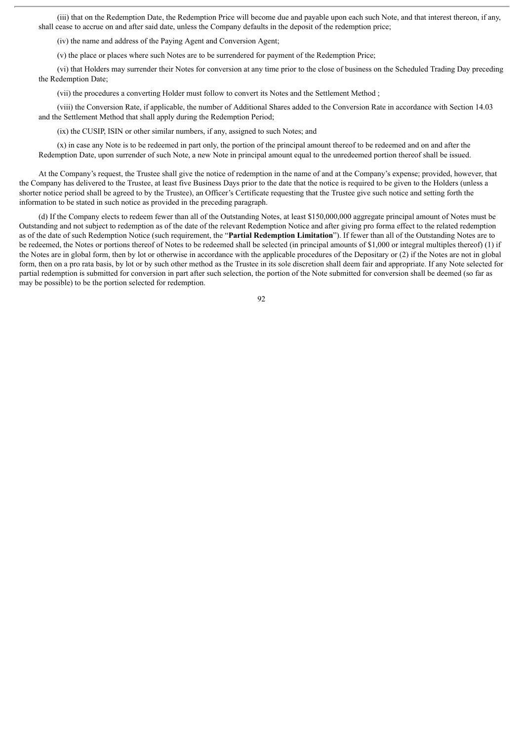(iii) that on the Redemption Date, the Redemption Price will become due and payable upon each such Note, and that interest thereon, if any, shall cease to accrue on and after said date, unless the Company defaults in the deposit of the redemption price;

(iv) the name and address of the Paying Agent and Conversion Agent;

(v) the place or places where such Notes are to be surrendered for payment of the Redemption Price;

(vi) that Holders may surrender their Notes for conversion at any time prior to the close of business on the Scheduled Trading Day preceding the Redemption Date;

(vii) the procedures a converting Holder must follow to convert its Notes and the Settlement Method ;

(viii) the Conversion Rate, if applicable, the number of Additional Shares added to the Conversion Rate in accordance with Section 14.03 and the Settlement Method that shall apply during the Redemption Period;

(ix) the CUSIP, ISIN or other similar numbers, if any, assigned to such Notes; and

(x) in case any Note is to be redeemed in part only, the portion of the principal amount thereof to be redeemed and on and after the Redemption Date, upon surrender of such Note, a new Note in principal amount equal to the unredeemed portion thereof shall be issued.

At the Company's request, the Trustee shall give the notice of redemption in the name of and at the Company's expense; provided, however, that the Company has delivered to the Trustee, at least five Business Days prior to the date that the notice is required to be given to the Holders (unless a shorter notice period shall be agreed to by the Trustee), an Officer's Certificate requesting that the Trustee give such notice and setting forth the information to be stated in such notice as provided in the preceding paragraph.

(d) If the Company elects to redeem fewer than all of the Outstanding Notes, at least \$150,000,000 aggregate principal amount of Notes must be Outstanding and not subject to redemption as of the date of the relevant Redemption Notice and after giving pro forma effect to the related redemption as of the date of such Redemption Notice (such requirement, the "**Partial Redemption Limitation**"). If fewer than all of the Outstanding Notes are to be redeemed, the Notes or portions thereof of Notes to be redeemed shall be selected (in principal amounts of \$1,000 or integral multiples thereof) (1) if the Notes are in global form, then by lot or otherwise in accordance with the applicable procedures of the Depositary or (2) if the Notes are not in global form, then on a pro rata basis, by lot or by such other method as the Trustee in its sole discretion shall deem fair and appropriate. If any Note selected for partial redemption is submitted for conversion in part after such selection, the portion of the Note submitted for conversion shall be deemed (so far as may be possible) to be the portion selected for redemption.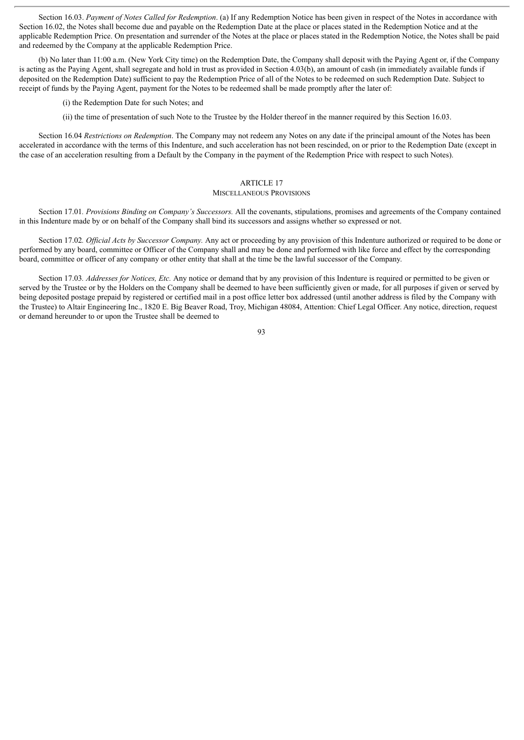Section 16.03. *Payment of Notes Called for Redemption*. (a) If any Redemption Notice has been given in respect of the Notes in accordance with Section 16.02, the Notes shall become due and payable on the Redemption Date at the place or places stated in the Redemption Notice and at the applicable Redemption Price. On presentation and surrender of the Notes at the place or places stated in the Redemption Notice, the Notes shall be paid and redeemed by the Company at the applicable Redemption Price.

(b) No later than 11:00 a.m. (New York City time) on the Redemption Date, the Company shall deposit with the Paying Agent or, if the Company is acting as the Paying Agent, shall segregate and hold in trust as provided in Section 4.03(b), an amount of cash (in immediately available funds if deposited on the Redemption Date) sufficient to pay the Redemption Price of all of the Notes to be redeemed on such Redemption Date. Subject to receipt of funds by the Paying Agent, payment for the Notes to be redeemed shall be made promptly after the later of:

(i) the Redemption Date for such Notes; and

(ii) the time of presentation of such Note to the Trustee by the Holder thereof in the manner required by this Section 16.03.

Section 16.04 *Restrictions on Redemption*. The Company may not redeem any Notes on any date if the principal amount of the Notes has been accelerated in accordance with the terms of this Indenture, and such acceleration has not been rescinded, on or prior to the Redemption Date (except in the case of an acceleration resulting from a Default by the Company in the payment of the Redemption Price with respect to such Notes).

# ARTICLE 17

### MISCELLANEOUS PROVISIONS

Section 17.01*. Provisions Binding on Company's Successors.* All the covenants, stipulations, promises and agreements of the Company contained in this Indenture made by or on behalf of the Company shall bind its successors and assigns whether so expressed or not.

Section 17.02*. Of icial Acts by Successor Company.* Any act or proceeding by any provision of this Indenture authorized or required to be done or performed by any board, committee or Officer of the Company shall and may be done and performed with like force and effect by the corresponding board, committee or officer of any company or other entity that shall at the time be the lawful successor of the Company.

Section 17.03*. Addresses for Notices, Etc.* Any notice or demand that by any provision of this Indenture is required or permitted to be given or served by the Trustee or by the Holders on the Company shall be deemed to have been sufficiently given or made, for all purposes if given or served by being deposited postage prepaid by registered or certified mail in a post office letter box addressed (until another address is filed by the Company with the Trustee) to Altair Engineering Inc., 1820 E. Big Beaver Road, Troy, Michigan 48084, Attention: Chief Legal Officer. Any notice, direction, request or demand hereunder to or upon the Trustee shall be deemed to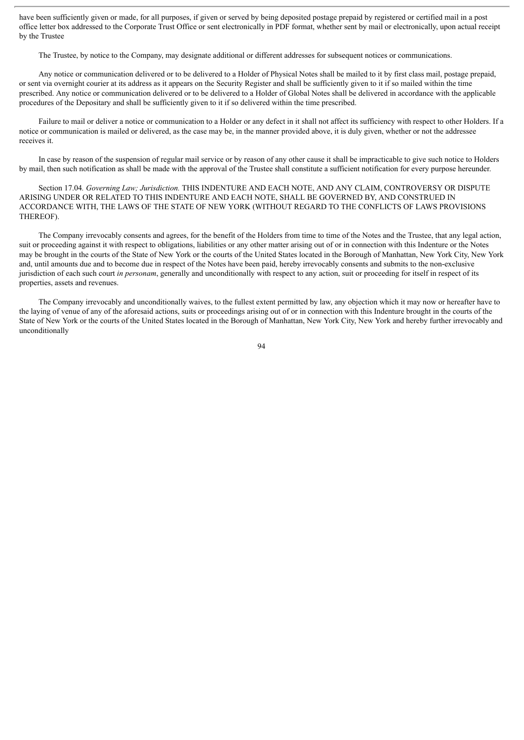have been sufficiently given or made, for all purposes, if given or served by being deposited postage prepaid by registered or certified mail in a post office letter box addressed to the Corporate Trust Office or sent electronically in PDF format, whether sent by mail or electronically, upon actual receipt by the Trustee

The Trustee, by notice to the Company, may designate additional or different addresses for subsequent notices or communications.

Any notice or communication delivered or to be delivered to a Holder of Physical Notes shall be mailed to it by first class mail, postage prepaid, or sent via overnight courier at its address as it appears on the Security Register and shall be sufficiently given to it if so mailed within the time prescribed. Any notice or communication delivered or to be delivered to a Holder of Global Notes shall be delivered in accordance with the applicable procedures of the Depositary and shall be sufficiently given to it if so delivered within the time prescribed.

Failure to mail or deliver a notice or communication to a Holder or any defect in it shall not affect its sufficiency with respect to other Holders. If a notice or communication is mailed or delivered, as the case may be, in the manner provided above, it is duly given, whether or not the addressee receives it.

In case by reason of the suspension of regular mail service or by reason of any other cause it shall be impracticable to give such notice to Holders by mail, then such notification as shall be made with the approval of the Trustee shall constitute a sufficient notification for every purpose hereunder.

Section 17.04*. Governing Law; Jurisdiction.* THIS INDENTURE AND EACH NOTE, AND ANY CLAIM, CONTROVERSY OR DISPUTE ARISING UNDER OR RELATED TO THIS INDENTURE AND EACH NOTE, SHALL BE GOVERNED BY, AND CONSTRUED IN ACCORDANCE WITH, THE LAWS OF THE STATE OF NEW YORK (WITHOUT REGARD TO THE CONFLICTS OF LAWS PROVISIONS THEREOF).

The Company irrevocably consents and agrees, for the benefit of the Holders from time to time of the Notes and the Trustee, that any legal action, suit or proceeding against it with respect to obligations, liabilities or any other matter arising out of or in connection with this Indenture or the Notes may be brought in the courts of the State of New York or the courts of the United States located in the Borough of Manhattan, New York City, New York and, until amounts due and to become due in respect of the Notes have been paid, hereby irrevocably consents and submits to the non-exclusive jurisdiction of each such court *in personam*, generally and unconditionally with respect to any action, suit or proceeding for itself in respect of its properties, assets and revenues.

The Company irrevocably and unconditionally waives, to the fullest extent permitted by law, any objection which it may now or hereafter have to the laying of venue of any of the aforesaid actions, suits or proceedings arising out of or in connection with this Indenture brought in the courts of the State of New York or the courts of the United States located in the Borough of Manhattan, New York City, New York and hereby further irrevocably and unconditionally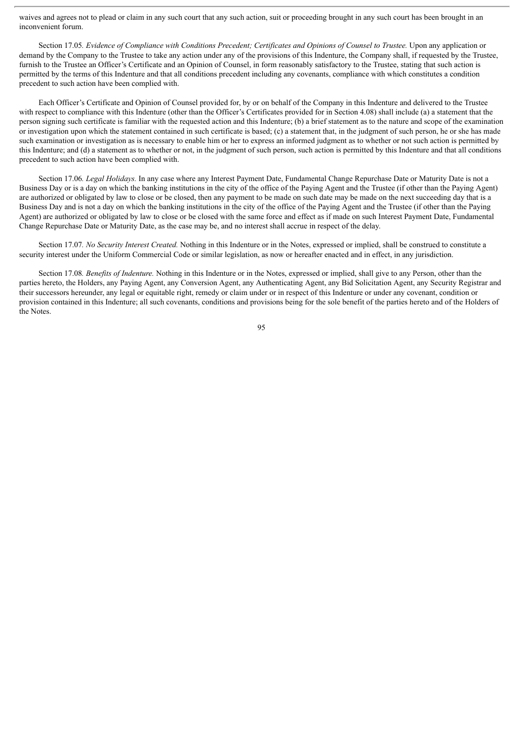waives and agrees not to plead or claim in any such court that any such action, suit or proceeding brought in any such court has been brought in an inconvenient forum.

Section 17.05. Evidence of Compliance with Conditions Precedent: Certificates and Opinions of Counsel to Trustee. Upon any application or demand by the Company to the Trustee to take any action under any of the provisions of this Indenture, the Company shall, if requested by the Trustee, furnish to the Trustee an Officer's Certificate and an Opinion of Counsel, in form reasonably satisfactory to the Trustee, stating that such action is permitted by the terms of this Indenture and that all conditions precedent including any covenants, compliance with which constitutes a condition precedent to such action have been complied with.

Each Officer's Certificate and Opinion of Counsel provided for, by or on behalf of the Company in this Indenture and delivered to the Trustee with respect to compliance with this Indenture (other than the Officer's Certificates provided for in Section 4.08) shall include (a) a statement that the person signing such certificate is familiar with the requested action and this Indenture; (b) a brief statement as to the nature and scope of the examination or investigation upon which the statement contained in such certificate is based; (c) a statement that, in the judgment of such person, he or she has made such examination or investigation as is necessary to enable him or her to express an informed judgment as to whether or not such action is permitted by this Indenture; and (d) a statement as to whether or not, in the judgment of such person, such action is permitted by this Indenture and that all conditions precedent to such action have been complied with.

Section 17.06*. Legal Holidays.* In any case where any Interest Payment Date, Fundamental Change Repurchase Date or Maturity Date is not a Business Day or is a day on which the banking institutions in the city of the office of the Paying Agent and the Trustee (if other than the Paying Agent) are authorized or obligated by law to close or be closed, then any payment to be made on such date may be made on the next succeeding day that is a Business Day and is not a day on which the banking institutions in the city of the office of the Paying Agent and the Trustee (if other than the Paying Agent) are authorized or obligated by law to close or be closed with the same force and effect as if made on such Interest Payment Date, Fundamental Change Repurchase Date or Maturity Date, as the case may be, and no interest shall accrue in respect of the delay.

Section 17.07*. No Security Interest Created.* Nothing in this Indenture or in the Notes, expressed or implied, shall be construed to constitute a security interest under the Uniform Commercial Code or similar legislation, as now or hereafter enacted and in effect, in any jurisdiction.

Section 17.08*. Benefits of Indenture.* Nothing in this Indenture or in the Notes, expressed or implied, shall give to any Person, other than the parties hereto, the Holders, any Paying Agent, any Conversion Agent, any Authenticating Agent, any Bid Solicitation Agent, any Security Registrar and their successors hereunder, any legal or equitable right, remedy or claim under or in respect of this Indenture or under any covenant, condition or provision contained in this Indenture; all such covenants, conditions and provisions being for the sole benefit of the parties hereto and of the Holders of the Notes.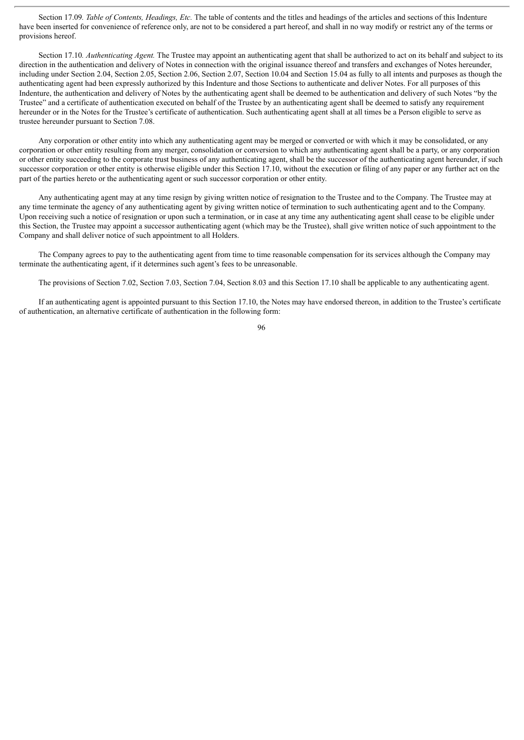Section 17.09*. Table of Contents, Headings, Etc.* The table of contents and the titles and headings of the articles and sections of this Indenture have been inserted for convenience of reference only, are not to be considered a part hereof, and shall in no way modify or restrict any of the terms or provisions hereof.

Section 17.10. *Authenticating Agent*. The Trustee may appoint an authenticating agent that shall be authorized to act on its behalf and subject to its direction in the authentication and delivery of Notes in connection with the original issuance thereof and transfers and exchanges of Notes hereunder. including under Section 2.04, Section 2.05, Section 2.06, Section 2.07, Section 10.04 and Section 15.04 as fully to all intents and purposes as though the authenticating agent had been expressly authorized by this Indenture and those Sections to authenticate and deliver Notes. For all purposes of this Indenture, the authentication and delivery of Notes by the authenticating agent shall be deemed to be authentication and delivery of such Notes "by the Trustee" and a certificate of authentication executed on behalf of the Trustee by an authenticating agent shall be deemed to satisfy any requirement hereunder or in the Notes for the Trustee's certificate of authentication. Such authenticating agent shall at all times be a Person eligible to serve as trustee hereunder pursuant to Section 7.08.

Any corporation or other entity into which any authenticating agent may be merged or converted or with which it may be consolidated, or any corporation or other entity resulting from any merger, consolidation or conversion to which any authenticating agent shall be a party, or any corporation or other entity succeeding to the corporate trust business of any authenticating agent, shall be the successor of the authenticating agent hereunder, if such successor corporation or other entity is otherwise eligible under this Section 17.10, without the execution or filing of any paper or any further act on the part of the parties hereto or the authenticating agent or such successor corporation or other entity.

Any authenticating agent may at any time resign by giving written notice of resignation to the Trustee and to the Company. The Trustee may at any time terminate the agency of any authenticating agent by giving written notice of termination to such authenticating agent and to the Company. Upon receiving such a notice of resignation or upon such a termination, or in case at any time any authenticating agent shall cease to be eligible under this Section, the Trustee may appoint a successor authenticating agent (which may be the Trustee), shall give written notice of such appointment to the Company and shall deliver notice of such appointment to all Holders.

The Company agrees to pay to the authenticating agent from time to time reasonable compensation for its services although the Company may terminate the authenticating agent, if it determines such agent's fees to be unreasonable.

The provisions of Section 7.02, Section 7.03, Section 7.04, Section 8.03 and this Section 17.10 shall be applicable to any authenticating agent.

If an authenticating agent is appointed pursuant to this Section 17.10, the Notes may have endorsed thereon, in addition to the Trustee's certificate of authentication, an alternative certificate of authentication in the following form: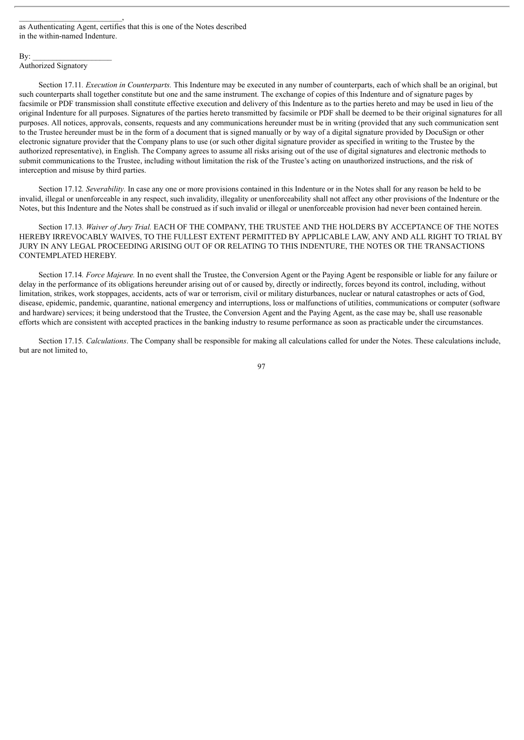as Authenticating Agent, certifies that this is one of the Notes described in the within-named Indenture.

### $\mathbf{By:}$

#### Authorized Signatory

 $\overline{\phantom{a}}$ 

Section 17.11*. Execution in Counterparts.* This Indenture may be executed in any number of counterparts, each of which shall be an original, but such counterparts shall together constitute but one and the same instrument. The exchange of copies of this Indenture and of signature pages by facsimile or PDF transmission shall constitute effective execution and delivery of this Indenture as to the parties hereto and may be used in lieu of the original Indenture for all purposes. Signatures of the parties hereto transmitted by facsimile or PDF shall be deemed to be their original signatures for all purposes. All notices, approvals, consents, requests and any communications hereunder must be in writing (provided that any such communication sent to the Trustee hereunder must be in the form of a document that is signed manually or by way of a digital signature provided by DocuSign or other electronic signature provider that the Company plans to use (or such other digital signature provider as specified in writing to the Trustee by the authorized representative), in English. The Company agrees to assume all risks arising out of the use of digital signatures and electronic methods to submit communications to the Trustee, including without limitation the risk of the Trustee's acting on unauthorized instructions, and the risk of interception and misuse by third parties.

Section 17.12*. Severability.* In case any one or more provisions contained in this Indenture or in the Notes shall for any reason be held to be invalid, illegal or unenforceable in any respect, such invalidity, illegality or unenforceability shall not affect any other provisions of the Indenture or the Notes, but this Indenture and the Notes shall be construed as if such invalid or illegal or unenforceable provision had never been contained herein.

Section 17.13*. Waiver of Jury Trial.* EACH OF THE COMPANY, THE TRUSTEE AND THE HOLDERS BY ACCEPTANCE OF THE NOTES HEREBY IRREVOCABLY WAIVES, TO THE FULLEST EXTENT PERMITTED BY APPLICABLE LAW, ANY AND ALL RIGHT TO TRIAL BY JURY IN ANY LEGAL PROCEEDING ARISING OUT OF OR RELATING TO THIS INDENTURE, THE NOTES OR THE TRANSACTIONS CONTEMPLATED HEREBY.

Section 17.14*. Force Majeure.* In no event shall the Trustee, the Conversion Agent or the Paying Agent be responsible or liable for any failure or delay in the performance of its obligations hereunder arising out of or caused by, directly or indirectly, forces beyond its control, including, without limitation, strikes, work stoppages, accidents, acts of war or terrorism, civil or military disturbances, nuclear or natural catastrophes or acts of God, disease, epidemic, pandemic, quarantine, national emergency and interruptions, loss or malfunctions of utilities, communications or computer (software and hardware) services; it being understood that the Trustee, the Conversion Agent and the Paying Agent, as the case may be, shall use reasonable efforts which are consistent with accepted practices in the banking industry to resume performance as soon as practicable under the circumstances.

Section 17.15*. Calculations*. The Company shall be responsible for making all calculations called for under the Notes. These calculations include, but are not limited to,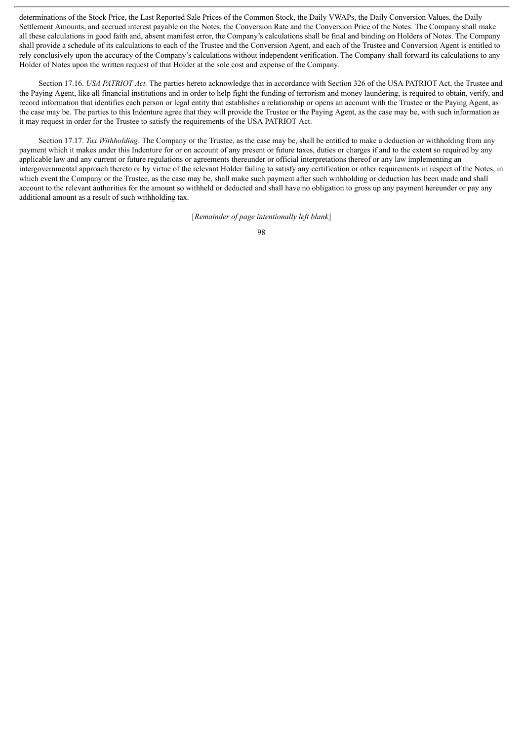determinations of the Stock Price, the Last Reported Sale Prices of the Common Stock, the Daily VWAPs, the Daily Conversion Values, the Daily Settlement Amounts, and accrued interest payable on the Notes, the Conversion Rate and the Conversion Price of the Notes. The Company shall make all these calculations in good faith and, absent manifest error, the Company's calculations shall be final and binding on Holders of Notes. The Company shall provide a schedule of its calculations to each of the Trustee and the Conversion Agent, and each of the Trustee and Conversion Agent is entitled to rely conclusively upon the accuracy of the Company's calculations without independent verification. The Company shall forward its calculations to any Holder of Notes upon the written request of that Holder at the sole cost and expense of the Company.

Section 17.16. *USA PATRIOT Act.* The parties hereto acknowledge that in accordance with Section 326 of the USA PATRIOT Act, the Trustee and the Paying Agent, like all financial institutions and in order to help fight the funding of terrorism and money laundering, is required to obtain, verify, and record information that identifies each person or legal entity that establishes a relationship or opens an account with the Trustee or the Paying Agent, as the case may be. The parties to this Indenture agree that they will provide the Trustee or the Paying Agent, as the case may be, with such information as it may request in order for the Trustee to satisfy the requirements of the USA PATRIOT Act.

Section 17.17. *Tax Withholding.* The Company or the Trustee, as the case may be, shall be entitled to make a deduction or withholding from any payment which it makes under this Indenture for or on account of any present or future taxes, duties or charges if and to the extent so required by any applicable law and any current or future regulations or agreements thereunder or official interpretations thereof or any law implementing an intergovernmental approach thereto or by virtue of the relevant Holder failing to satisfy any certification or other requirements in respect of the Notes, in which event the Company or the Trustee, as the case may be, shall make such payment after such withholding or deduction has been made and shall account to the relevant authorities for the amount so withheld or deducted and shall have no obligation to gross up any payment hereunder or pay any additional amount as a result of such withholding tax.

[*Remainder of page intentionally left blank*]

<sup>98</sup>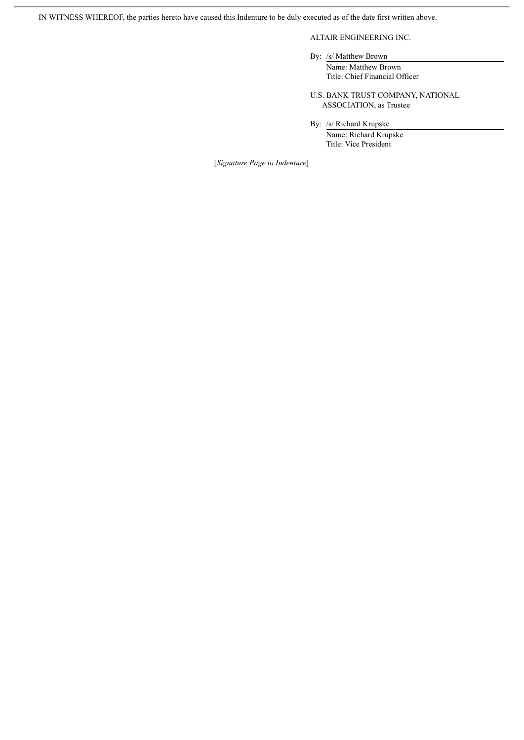IN WITNESS WHEREOF, the parties hereto have caused this Indenture to be duly executed as of the date first written above.

# ALTAIR ENGINEERING INC.

By: /s/ Matthew Brown

Name: Matthew Brown Title: Chief Financial Officer

U.S. BANK TRUST COMPANY, NATIONAL ASSOCIATION, as Trustee

By: /s/ Richard Krupske

Name: Richard Krupske Title: Vice President

[*Signature Page to Indenture*]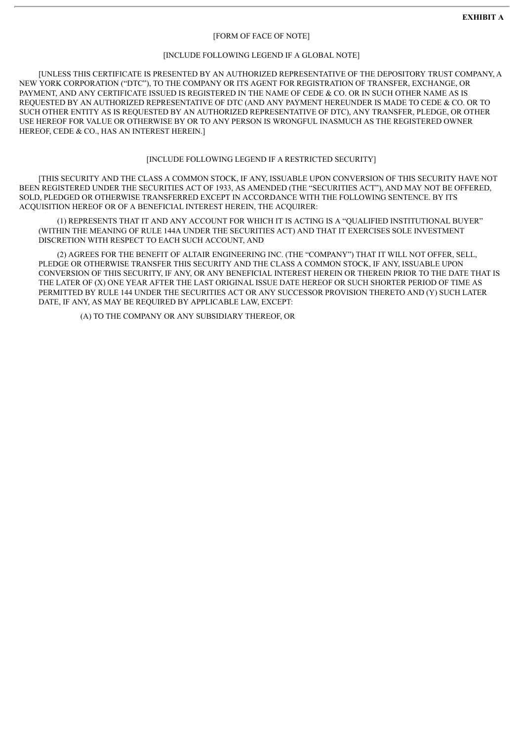#### [FORM OF FACE OF NOTE]

#### [INCLUDE FOLLOWING LEGEND IF A GLOBAL NOTE]

[UNLESS THIS CERTIFICATE IS PRESENTED BY AN AUTHORIZED REPRESENTATIVE OF THE DEPOSITORY TRUST COMPANY, A NEW YORK CORPORATION ("DTC"), TO THE COMPANY OR ITS AGENT FOR REGISTRATION OF TRANSFER, EXCHANGE, OR PAYMENT, AND ANY CERTIFICATE ISSUED IS REGISTERED IN THE NAME OF CEDE & CO. OR IN SUCH OTHER NAME AS IS REQUESTED BY AN AUTHORIZED REPRESENTATIVE OF DTC (AND ANY PAYMENT HEREUNDER IS MADE TO CEDE & CO. OR TO SUCH OTHER ENTITY AS IS REQUESTED BY AN AUTHORIZED REPRESENTATIVE OF DTC), ANY TRANSFER, PLEDGE, OR OTHER USE HEREOF FOR VALUE OR OTHERWISE BY OR TO ANY PERSON IS WRONGFUL INASMUCH AS THE REGISTERED OWNER HEREOF, CEDE & CO., HAS AN INTEREST HEREIN.]

# [INCLUDE FOLLOWING LEGEND IF A RESTRICTED SECURITY]

[THIS SECURITY AND THE CLASS A COMMON STOCK, IF ANY, ISSUABLE UPON CONVERSION OF THIS SECURITY HAVE NOT BEEN REGISTERED UNDER THE SECURITIES ACT OF 1933, AS AMENDED (THE "SECURITIES ACT"), AND MAY NOT BE OFFERED, SOLD, PLEDGED OR OTHERWISE TRANSFERRED EXCEPT IN ACCORDANCE WITH THE FOLLOWING SENTENCE. BY ITS ACQUISITION HEREOF OR OF A BENEFICIAL INTEREST HEREIN, THE ACQUIRER:

(1) REPRESENTS THAT IT AND ANY ACCOUNT FOR WHICH IT IS ACTING IS A "QUALIFIED INSTITUTIONAL BUYER" (WITHIN THE MEANING OF RULE 144A UNDER THE SECURITIES ACT) AND THAT IT EXERCISES SOLE INVESTMENT DISCRETION WITH RESPECT TO EACH SUCH ACCOUNT, AND

(2) AGREES FOR THE BENEFIT OF ALTAIR ENGINEERING INC. (THE "COMPANY") THAT IT WILL NOT OFFER, SELL, PLEDGE OR OTHERWISE TRANSFER THIS SECURITY AND THE CLASS A COMMON STOCK, IF ANY, ISSUABLE UPON CONVERSION OF THIS SECURITY, IF ANY, OR ANY BENEFICIAL INTEREST HEREIN OR THEREIN PRIOR TO THE DATE THAT IS THE LATER OF (X) ONE YEAR AFTER THE LAST ORIGINAL ISSUE DATE HEREOF OR SUCH SHORTER PERIOD OF TIME AS PERMITTED BY RULE 144 UNDER THE SECURITIES ACT OR ANY SUCCESSOR PROVISION THERETO AND (Y) SUCH LATER DATE, IF ANY, AS MAY BE REQUIRED BY APPLICABLE LAW, EXCEPT:

(A) TO THE COMPANY OR ANY SUBSIDIARY THEREOF, OR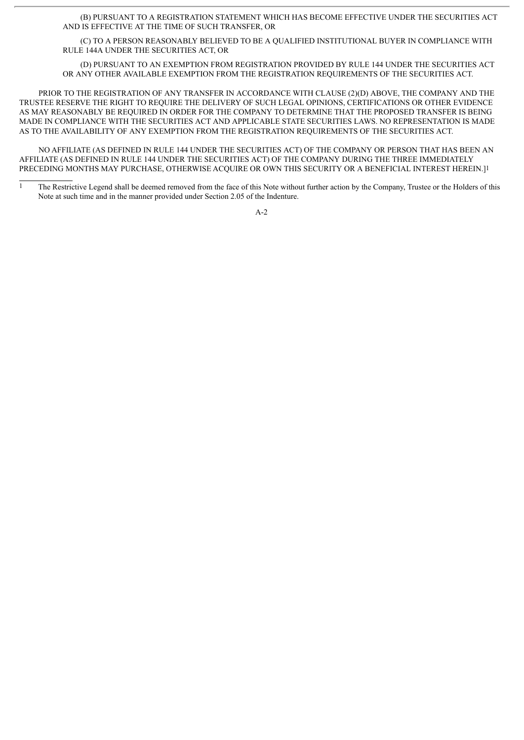(B) PURSUANT TO A REGISTRATION STATEMENT WHICH HAS BECOME EFFECTIVE UNDER THE SECURITIES ACT AND IS EFFECTIVE AT THE TIME OF SUCH TRANSFER, OR

(C) TO A PERSON REASONABLY BELIEVED TO BE A QUALIFIED INSTITUTIONAL BUYER IN COMPLIANCE WITH RULE 144A UNDER THE SECURITIES ACT, OR

(D) PURSUANT TO AN EXEMPTION FROM REGISTRATION PROVIDED BY RULE 144 UNDER THE SECURITIES ACT OR ANY OTHER AVAILABLE EXEMPTION FROM THE REGISTRATION REQUIREMENTS OF THE SECURITIES ACT.

PRIOR TO THE REGISTRATION OF ANY TRANSFER IN ACCORDANCE WITH CLAUSE (2)(D) ABOVE, THE COMPANY AND THE TRUSTEE RESERVE THE RIGHT TO REQUIRE THE DELIVERY OF SUCH LEGAL OPINIONS, CERTIFICATIONS OR OTHER EVIDENCE AS MAY REASONABLY BE REQUIRED IN ORDER FOR THE COMPANY TO DETERMINE THAT THE PROPOSED TRANSFER IS BEING MADE IN COMPLIANCE WITH THE SECURITIES ACT AND APPLICABLE STATE SECURITIES LAWS. NO REPRESENTATION IS MADE AS TO THE AVAILABILITY OF ANY EXEMPTION FROM THE REGISTRATION REQUIREMENTS OF THE SECURITIES ACT.

NO AFFILIATE (AS DEFINED IN RULE 144 UNDER THE SECURITIES ACT) OF THE COMPANY OR PERSON THAT HAS BEEN AN AFFILIATE (AS DEFINED IN RULE 144 UNDER THE SECURITIES ACT) OF THE COMPANY DURING THE THREE IMMEDIATELY PRECEDING MONTHS MAY PURCHASE, OTHERWISE ACQUIRE OR OWN THIS SECURITY OR A BENEFICIAL INTEREST HEREIN.]1

<sup>&</sup>lt;sup>1</sup> The Restrictive Legend shall be deemed removed from the face of this Note without further action by the Company, Trustee or the Holders of this Note at such time and in the manner provided under Section 2.05 of the Indenture.

 $A-2$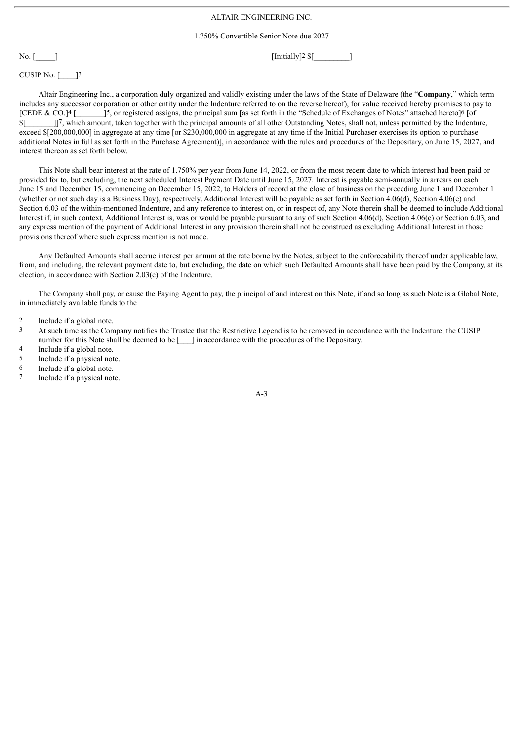# ALTAIR ENGINEERING INC.

1.750% Convertible Senior Note due 2027

No.  $\lceil$  [Initially]<sup>2</sup> \$ $\lceil$ 

CUSIP No.  $\lceil \frac{13}{2} \rceil$ 

Altair Engineering Inc., a corporation duly organized and validly existing under the laws of the State of Delaware (the "**Company**," which term includes any successor corporation or other entity under the Indenture referred to on the reverse hereof), for value received hereby promises to pay to [CEDE & CO.] $4$  [ $\frac{3}{5}$ , or registered assigns, the principal sum [as set forth in the "Schedule of Exchanges of Notes" attached hereto]6 [of \$[\_\_\_\_\_\_\_]]7, which amount, taken together with the principal amounts of all other Outstanding Notes, shall not, unless permitted by the Indenture, exceed \$[200,000,000] in aggregate at any time [or \$230,000,000 in aggregate at any time if the Initial Purchaser exercises its option to purchase additional Notes in full as set forth in the Purchase Agreement)], in accordance with the rules and procedures of the Depositary, on June 15, 2027, and interest thereon as set forth below.

This Note shall bear interest at the rate of 1.750% per year from June 14, 2022, or from the most recent date to which interest had been paid or provided for to, but excluding, the next scheduled Interest Payment Date until June 15, 2027. Interest is payable semi-annually in arrears on each June 15 and December 15, commencing on December 15, 2022, to Holders of record at the close of business on the preceding June 1 and December 1 (whether or not such day is a Business Day), respectively. Additional Interest will be payable as set forth in Section 4.06(d), Section 4.06(e) and Section 6.03 of the within-mentioned Indenture, and any reference to interest on, or in respect of, any Note therein shall be deemed to include Additional Interest if, in such context, Additional Interest is, was or would be payable pursuant to any of such Section 4.06(d), Section 4.06(e) or Section 6.03, and any express mention of the payment of Additional Interest in any provision therein shall not be construed as excluding Additional Interest in those provisions thereof where such express mention is not made.

Any Defaulted Amounts shall accrue interest per annum at the rate borne by the Notes, subject to the enforceability thereof under applicable law, from, and including, the relevant payment date to, but excluding, the date on which such Defaulted Amounts shall have been paid by the Company, at its election, in accordance with Section 2.03(c) of the Indenture.

The Company shall pay, or cause the Paying Agent to pay, the principal of and interest on this Note, if and so long as such Note is a Global Note, in immediately available funds to the

- Include if a global note.
- 5 Include if a physical note.
- 6 Include if a global note.
- 7 Include if a physical note.

<sup>2</sup> Include if a global note.

<sup>3</sup> At such time as the Company notifies the Trustee that the Restrictive Legend is to be removed in accordance with the Indenture, the CUSIP number for this Note shall be deemed to be [  $\Box$  ] in accordance with the procedures of the Depositary.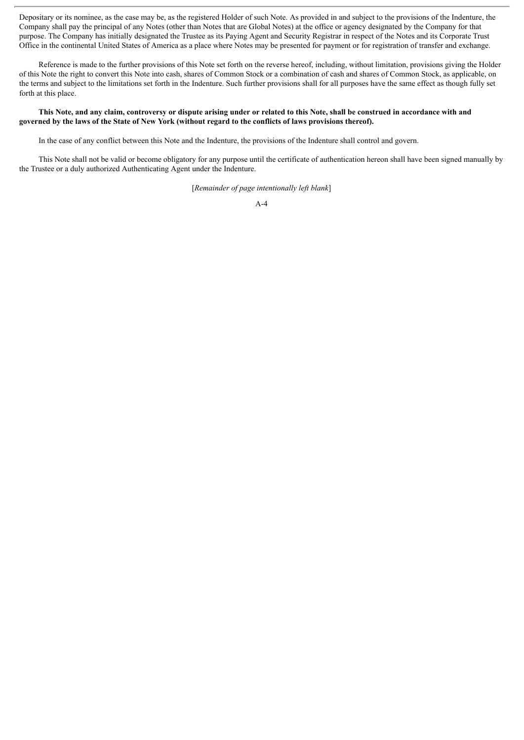Depositary or its nominee, as the case may be, as the registered Holder of such Note. As provided in and subject to the provisions of the Indenture, the Company shall pay the principal of any Notes (other than Notes that are Global Notes) at the office or agency designated by the Company for that purpose. The Company has initially designated the Trustee as its Paying Agent and Security Registrar in respect of the Notes and its Corporate Trust Office in the continental United States of America as a place where Notes may be presented for payment or for registration of transfer and exchange.

Reference is made to the further provisions of this Note set forth on the reverse hereof, including, without limitation, provisions giving the Holder of this Note the right to convert this Note into cash, shares of Common Stock or a combination of cash and shares of Common Stock, as applicable, on the terms and subject to the limitations set forth in the Indenture. Such further provisions shall for all purposes have the same effect as though fully set forth at this place.

## This Note, and any claim, controversy or dispute arising under or related to this Note, shall be construed in accordance with and governed by the laws of the State of New York (without regard to the conflicts of laws provisions thereof).

In the case of any conflict between this Note and the Indenture, the provisions of the Indenture shall control and govern.

This Note shall not be valid or become obligatory for any purpose until the certificate of authentication hereon shall have been signed manually by the Trustee or a duly authorized Authenticating Agent under the Indenture.

[*Remainder of page intentionally left blank*]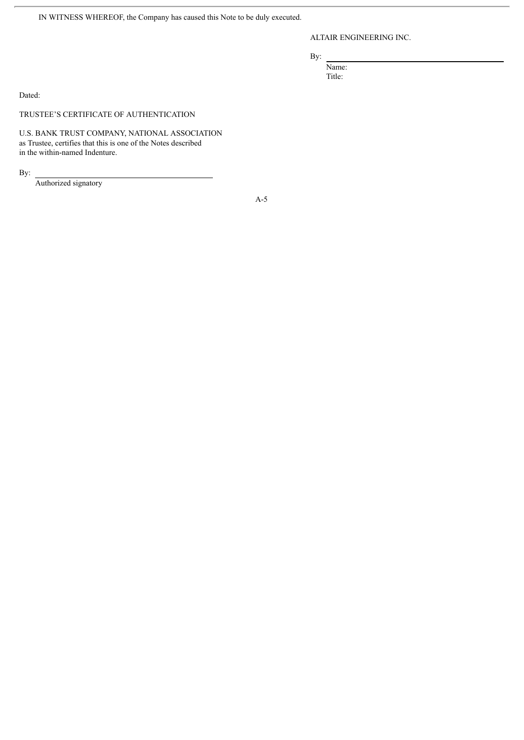IN WITNESS WHEREOF, the Company has caused this Note to be duly executed.

ALTAIR ENGINEERING INC.

By:

Name: Title:

Dated:

TRUSTEE'S CERTIFICATE OF AUTHENTICATION

U.S. BANK TRUST COMPANY, NATIONAL ASSOCIATION as Trustee, certifies that this is one of the Notes described in the within-named Indenture.

By:

Authorized signatory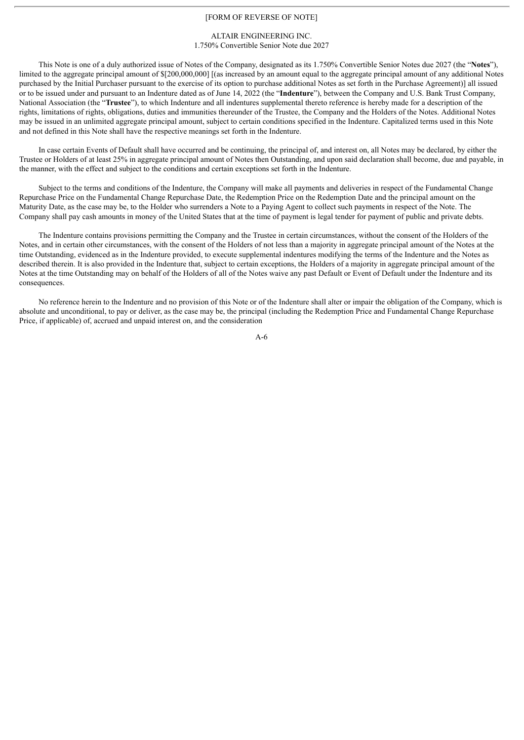## [FORM OF REVERSE OF NOTE]

### ALTAIR ENGINEERING INC. 1.750% Convertible Senior Note due 2027

This Note is one of a duly authorized issue of Notes of the Company, designated as its 1.750% Convertible Senior Notes due 2027 (the "**Notes**"), limited to the aggregate principal amount of \$[200,000,000] [(as increased by an amount equal to the aggregate principal amount of any additional Notes purchased by the Initial Purchaser pursuant to the exercise of its option to purchase additional Notes as set forth in the Purchase Agreement)] all issued or to be issued under and pursuant to an Indenture dated as of June 14, 2022 (the "**Indenture**"), between the Company and U.S. Bank Trust Company, National Association (the "**Trustee**"), to which Indenture and all indentures supplemental thereto reference is hereby made for a description of the rights, limitations of rights, obligations, duties and immunities thereunder of the Trustee, the Company and the Holders of the Notes. Additional Notes may be issued in an unlimited aggregate principal amount, subject to certain conditions specified in the Indenture. Capitalized terms used in this Note and not defined in this Note shall have the respective meanings set forth in the Indenture.

In case certain Events of Default shall have occurred and be continuing, the principal of, and interest on, all Notes may be declared, by either the Trustee or Holders of at least 25% in aggregate principal amount of Notes then Outstanding, and upon said declaration shall become, due and payable, in the manner, with the effect and subject to the conditions and certain exceptions set forth in the Indenture.

Subject to the terms and conditions of the Indenture, the Company will make all payments and deliveries in respect of the Fundamental Change Repurchase Price on the Fundamental Change Repurchase Date, the Redemption Price on the Redemption Date and the principal amount on the Maturity Date, as the case may be, to the Holder who surrenders a Note to a Paying Agent to collect such payments in respect of the Note. The Company shall pay cash amounts in money of the United States that at the time of payment is legal tender for payment of public and private debts.

The Indenture contains provisions permitting the Company and the Trustee in certain circumstances, without the consent of the Holders of the Notes, and in certain other circumstances, with the consent of the Holders of not less than a majority in aggregate principal amount of the Notes at the time Outstanding, evidenced as in the Indenture provided, to execute supplemental indentures modifying the terms of the Indenture and the Notes as described therein. It is also provided in the Indenture that, subject to certain exceptions, the Holders of a majority in aggregate principal amount of the Notes at the time Outstanding may on behalf of the Holders of all of the Notes waive any past Default or Event of Default under the Indenture and its consequences.

No reference herein to the Indenture and no provision of this Note or of the Indenture shall alter or impair the obligation of the Company, which is absolute and unconditional, to pay or deliver, as the case may be, the principal (including the Redemption Price and Fundamental Change Repurchase Price, if applicable) of, accrued and unpaid interest on, and the consideration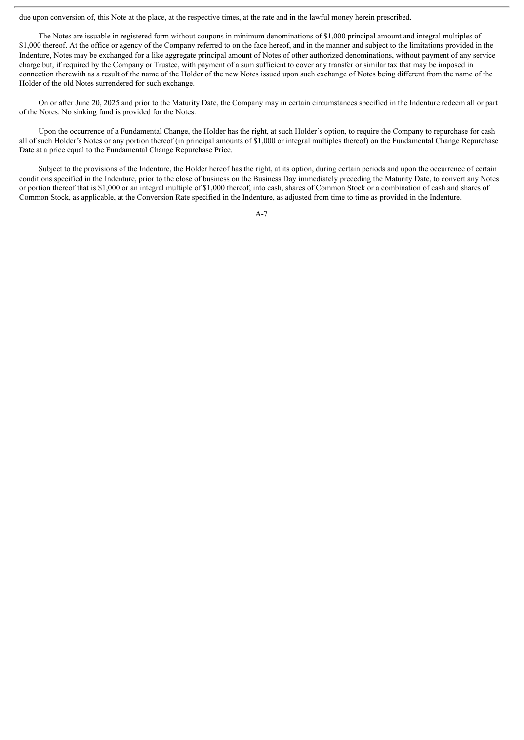due upon conversion of, this Note at the place, at the respective times, at the rate and in the lawful money herein prescribed.

The Notes are issuable in registered form without coupons in minimum denominations of \$1,000 principal amount and integral multiples of \$1,000 thereof. At the office or agency of the Company referred to on the face hereof, and in the manner and subject to the limitations provided in the Indenture, Notes may be exchanged for a like aggregate principal amount of Notes of other authorized denominations, without payment of any service charge but, if required by the Company or Trustee, with payment of a sum sufficient to cover any transfer or similar tax that may be imposed in connection therewith as a result of the name of the Holder of the new Notes issued upon such exchange of Notes being different from the name of the Holder of the old Notes surrendered for such exchange.

On or after June 20, 2025 and prior to the Maturity Date, the Company may in certain circumstances specified in the Indenture redeem all or part of the Notes. No sinking fund is provided for the Notes.

Upon the occurrence of a Fundamental Change, the Holder has the right, at such Holder's option, to require the Company to repurchase for cash all of such Holder's Notes or any portion thereof (in principal amounts of \$1,000 or integral multiples thereof) on the Fundamental Change Repurchase Date at a price equal to the Fundamental Change Repurchase Price.

Subject to the provisions of the Indenture, the Holder hereof has the right, at its option, during certain periods and upon the occurrence of certain conditions specified in the Indenture, prior to the close of business on the Business Day immediately preceding the Maturity Date, to convert any Notes or portion thereof that is \$1,000 or an integral multiple of \$1,000 thereof, into cash, shares of Common Stock or a combination of cash and shares of Common Stock, as applicable, at the Conversion Rate specified in the Indenture, as adjusted from time to time as provided in the Indenture.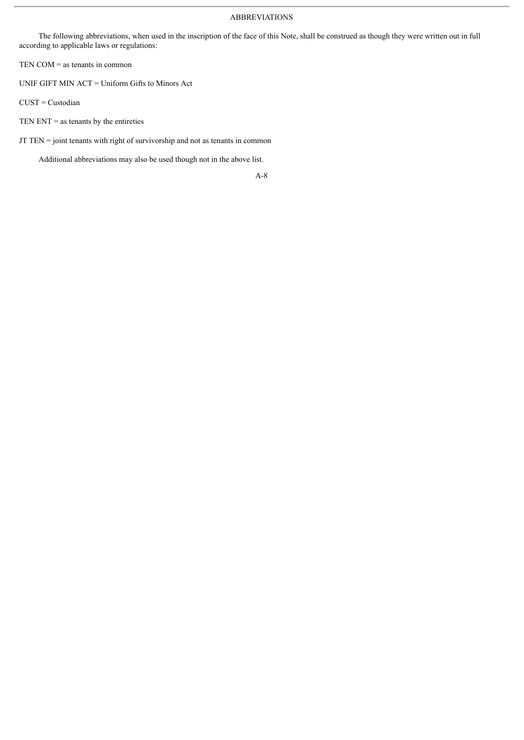## ABBREVIATIONS

The following abbreviations, when used in the inscription of the face of this Note, shall be construed as though they were written out in full according to applicable laws or regulations:

TEN COM = as tenants in common

UNIF GIFT MIN ACT = Uniform Gifts to Minors Act

CUST = Custodian

TEN ENT  $=$  as tenants by the entireties

JT TEN = joint tenants with right of survivorship and not as tenants in common

Additional abbreviations may also be used though not in the above list.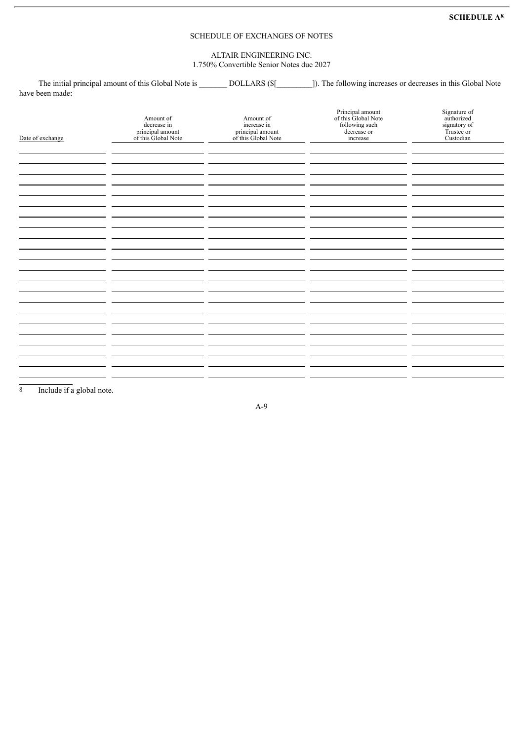# SCHEDULE OF EXCHANGES OF NOTES

ALTAIR ENGINEERING INC. 1.750% Convertible Senior Notes due 2027

The initial principal amount of this Global Note is **DOLLARS** (\$[1999]). The following increases or decreases in this Global Note have been made:

| Date of exchange | Amount of<br>decrease in<br>principal amount<br>of this Global Note | Amount of<br>increase in<br>principal amount<br>of this Global Note | Principal amount<br>of this Global Note<br>following such<br>decrease or<br>increase | Signature of<br>authorized<br>signatory of<br>Trustee or<br>Custodian |
|------------------|---------------------------------------------------------------------|---------------------------------------------------------------------|--------------------------------------------------------------------------------------|-----------------------------------------------------------------------|
|                  |                                                                     |                                                                     |                                                                                      |                                                                       |
|                  |                                                                     |                                                                     |                                                                                      |                                                                       |
|                  |                                                                     |                                                                     |                                                                                      |                                                                       |
|                  |                                                                     |                                                                     |                                                                                      |                                                                       |
|                  |                                                                     |                                                                     |                                                                                      |                                                                       |
|                  |                                                                     |                                                                     |                                                                                      |                                                                       |
|                  |                                                                     |                                                                     |                                                                                      |                                                                       |
|                  |                                                                     |                                                                     |                                                                                      |                                                                       |
|                  |                                                                     |                                                                     |                                                                                      |                                                                       |
|                  |                                                                     |                                                                     |                                                                                      |                                                                       |
|                  |                                                                     |                                                                     |                                                                                      |                                                                       |
|                  |                                                                     |                                                                     |                                                                                      |                                                                       |
|                  |                                                                     |                                                                     |                                                                                      |                                                                       |
|                  |                                                                     |                                                                     |                                                                                      |                                                                       |

8 Include if a global note.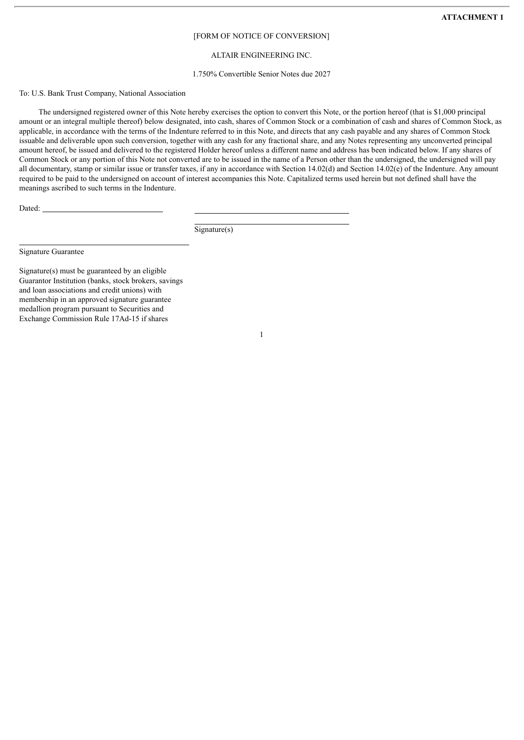### [FORM OF NOTICE OF CONVERSION]

# ALTAIR ENGINEERING INC.

### 1.750% Convertible Senior Notes due 2027

## To: U.S. Bank Trust Company, National Association

The undersigned registered owner of this Note hereby exercises the option to convert this Note, or the portion hereof (that is \$1,000 principal amount or an integral multiple thereof) below designated, into cash, shares of Common Stock or a combination of cash and shares of Common Stock, as applicable, in accordance with the terms of the Indenture referred to in this Note, and directs that any cash payable and any shares of Common Stock issuable and deliverable upon such conversion, together with any cash for any fractional share, and any Notes representing any unconverted principal amount hereof, be issued and delivered to the registered Holder hereof unless a different name and address has been indicated below. If any shares of Common Stock or any portion of this Note not converted are to be issued in the name of a Person other than the undersigned, the undersigned will pay all documentary, stamp or similar issue or transfer taxes, if any in accordance with Section 14.02(d) and Section 14.02(e) of the Indenture. Any amount required to be paid to the undersigned on account of interest accompanies this Note. Capitalized terms used herein but not defined shall have the meanings ascribed to such terms in the Indenture.

1

Dated:

Signature(s)

Signature Guarantee

Signature(s) must be guaranteed by an eligible Guarantor Institution (banks, stock brokers, savings and loan associations and credit unions) with membership in an approved signature guarantee medallion program pursuant to Securities and Exchange Commission Rule 17Ad-15 if shares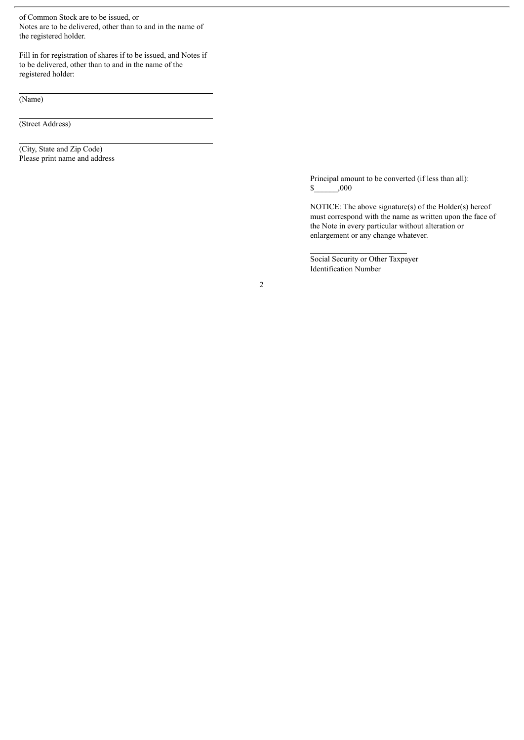of Common Stock are to be issued, or Notes are to be delivered, other than to and in the name of the registered holder.

Fill in for registration of shares if to be issued, and Notes if to be delivered, other than to and in the name of the registered holder:

(Name)

(Street Address)

(City, State and Zip Code) Please print name and address

> Principal amount to be converted (if less than all): \$\_\_\_\_\_\_,000

NOTICE: The above signature(s) of the Holder(s) hereof must correspond with the name as written upon the face of the Note in every particular without alteration or enlargement or any change whatever.

Social Security or Other Taxpayer Identification Number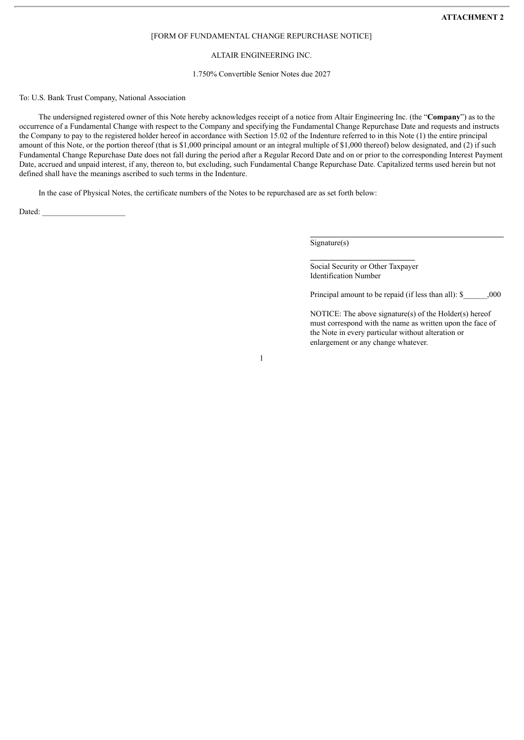#### [FORM OF FUNDAMENTAL CHANGE REPURCHASE NOTICE]

# ALTAIR ENGINEERING INC.

#### 1.750% Convertible Senior Notes due 2027

#### To: U.S. Bank Trust Company, National Association

The undersigned registered owner of this Note hereby acknowledges receipt of a notice from Altair Engineering Inc. (the "**Company**") as to the occurrence of a Fundamental Change with respect to the Company and specifying the Fundamental Change Repurchase Date and requests and instructs the Company to pay to the registered holder hereof in accordance with Section 15.02 of the Indenture referred to in this Note (1) the entire principal amount of this Note, or the portion thereof (that is \$1,000 principal amount or an integral multiple of \$1,000 thereof) below designated, and (2) if such Fundamental Change Repurchase Date does not fall during the period after a Regular Record Date and on or prior to the corresponding Interest Payment Date, accrued and unpaid interest, if any, thereon to, but excluding, such Fundamental Change Repurchase Date. Capitalized terms used herein but not defined shall have the meanings ascribed to such terms in the Indenture.

In the case of Physical Notes, the certificate numbers of the Notes to be repurchased are as set forth below:

Dated:

Signature(s)

Social Security or Other Taxpayer Identification Number

Principal amount to be repaid (if less than all): \$  $000$ 

NOTICE: The above signature(s) of the Holder(s) hereof must correspond with the name as written upon the face of the Note in every particular without alteration or enlargement or any change whatever.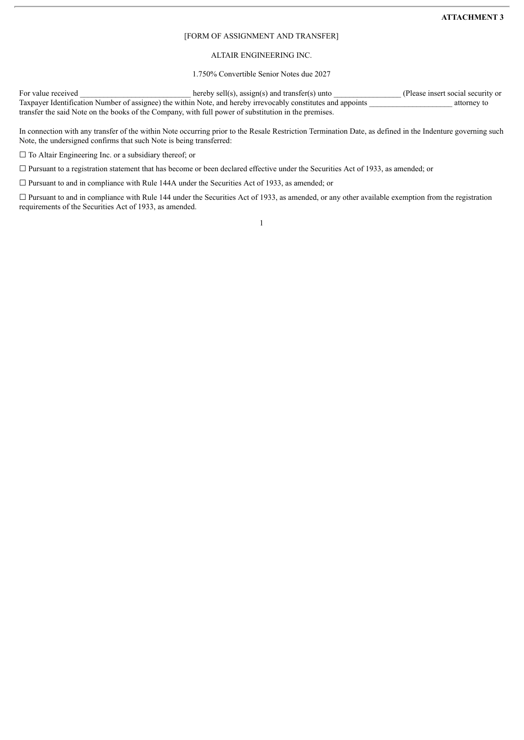### **ATTACHMENT 3**

#### [FORM OF ASSIGNMENT AND TRANSFER]

# ALTAIR ENGINEERING INC.

1.750% Convertible Senior Notes due 2027

For value received hereby sell(s), assign(s) and transfer(s) unto (Please insert social security or Taxpayer Identification Number of assignee) the within Note, and hereby irrevocably constitutes and appoints attorney to transfer the said Note on the books of the Company, with full power of substitution in the premises.

In connection with any transfer of the within Note occurring prior to the Resale Restriction Termination Date, as defined in the Indenture governing such Note, the undersigned confirms that such Note is being transferred:

□ To Altair Engineering Inc. or a subsidiary thereof; or

☐ Pursuant to a registration statement that has become or been declared effective under the Securities Act of 1933, as amended; or

□ Pursuant to and in compliance with Rule 144A under the Securities Act of 1933, as amended; or

 $\Box$  Pursuant to and in compliance with Rule 144 under the Securities Act of 1933, as amended, or any other available exemption from the registration requirements of the Securities Act of 1933, as amended.